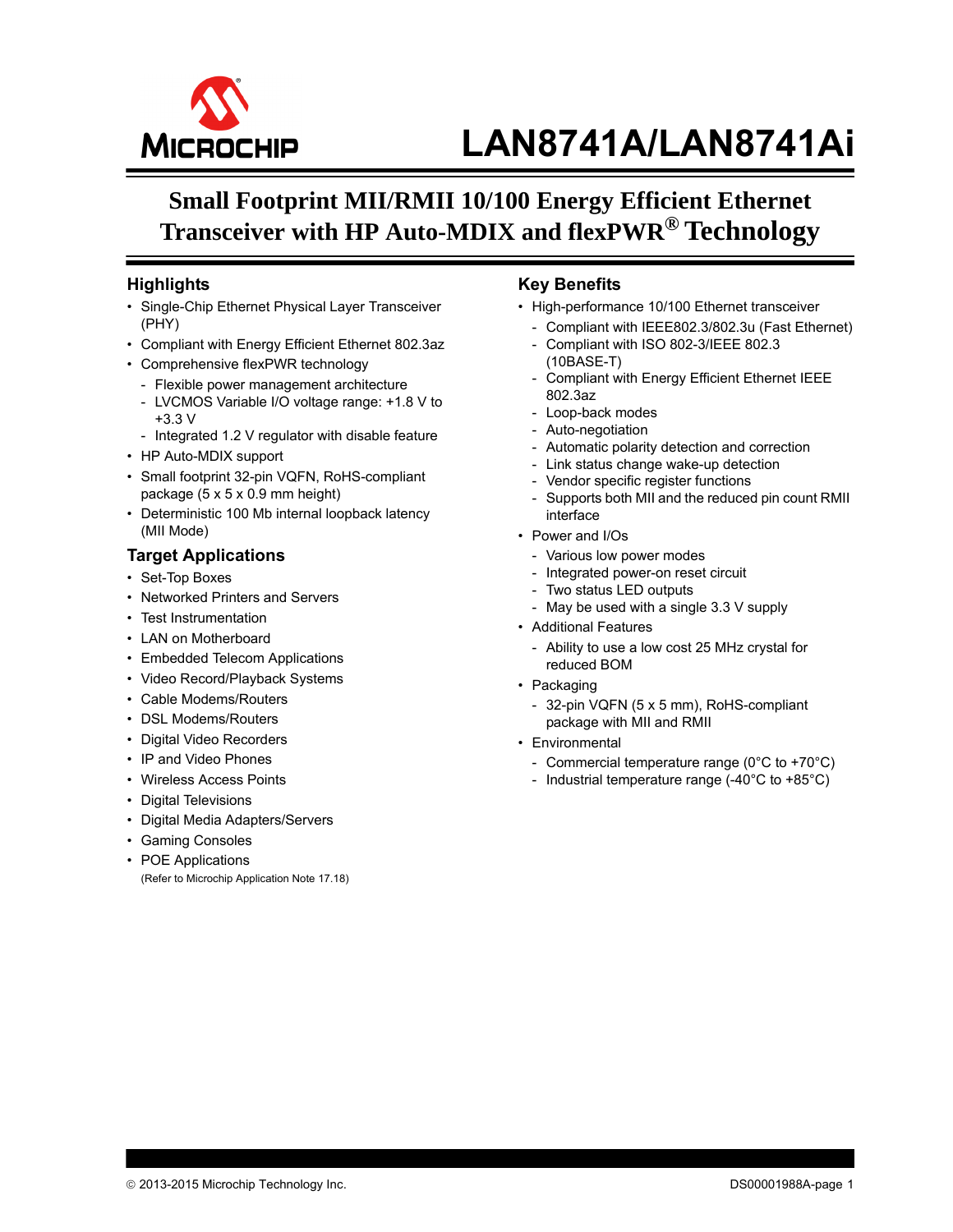

# **LAN8741A/LAN8741Ai**

## **Small Footprint MII/RMII 10/100 Energy Efficient Ethernet Transceiver with HP Auto-MDIX and flexPWR® Technology**

## **Highlights**

- Single-Chip Ethernet Physical Layer Transceiver (PHY)
- Compliant with Energy Efficient Ethernet 802.3az
- Comprehensive flexPWR technology
	- Flexible power management architecture
- LVCMOS Variable I/O voltage range: +1.8 V to +3.3 V
- Integrated 1.2 V regulator with disable feature
- HP Auto-MDIX support
- Small footprint 32-pin VQFN, RoHS-compliant package (5 x 5 x 0.9 mm height)
- Deterministic 100 Mb internal loopback latency (MII Mode)

## **Target Applications**

- Set-Top Boxes
- Networked Printers and Servers
- Test Instrumentation
- LAN on Motherboard
- Embedded Telecom Applications
- Video Record/Playback Systems
- Cable Modems/Routers
- DSL Modems/Routers
- Digital Video Recorders
- IP and Video Phones
- Wireless Access Points
- Digital Televisions
- Digital Media Adapters/Servers
- Gaming Consoles
- POE Applications
	- (Refer to Microchip Application Note 17.18)

## **Key Benefits**

- High-performance 10/100 Ethernet transceiver
	- Compliant with IEEE802.3/802.3u (Fast Ethernet)
	- Compliant with ISO 802-3/IEEE 802.3
	- (10BASE-T) Compliant with Energy Efficient Ethernet IEEE
	- 802.3az
	- Loop-back modes
	- Auto-negotiation
	- Automatic polarity detection and correction
	- Link status change wake-up detection
	- Vendor specific register functions
	- Supports both MII and the reduced pin count RMII interface
- Power and I/Os
	- Various low power modes
	- Integrated power-on reset circuit
	- Two status LED outputs
	- May be used with a single  $3.3$  V supply
- Additional Features
	- Ability to use a low cost 25 MHz crystal for reduced BOM
- Packaging
	- 32-pin VQFN (5 x 5 mm), RoHS-compliant package with MII and RMII
- Environmental
- Commercial temperature range (0°C to +70°C)
- Industrial temperature range (-40°C to +85°C)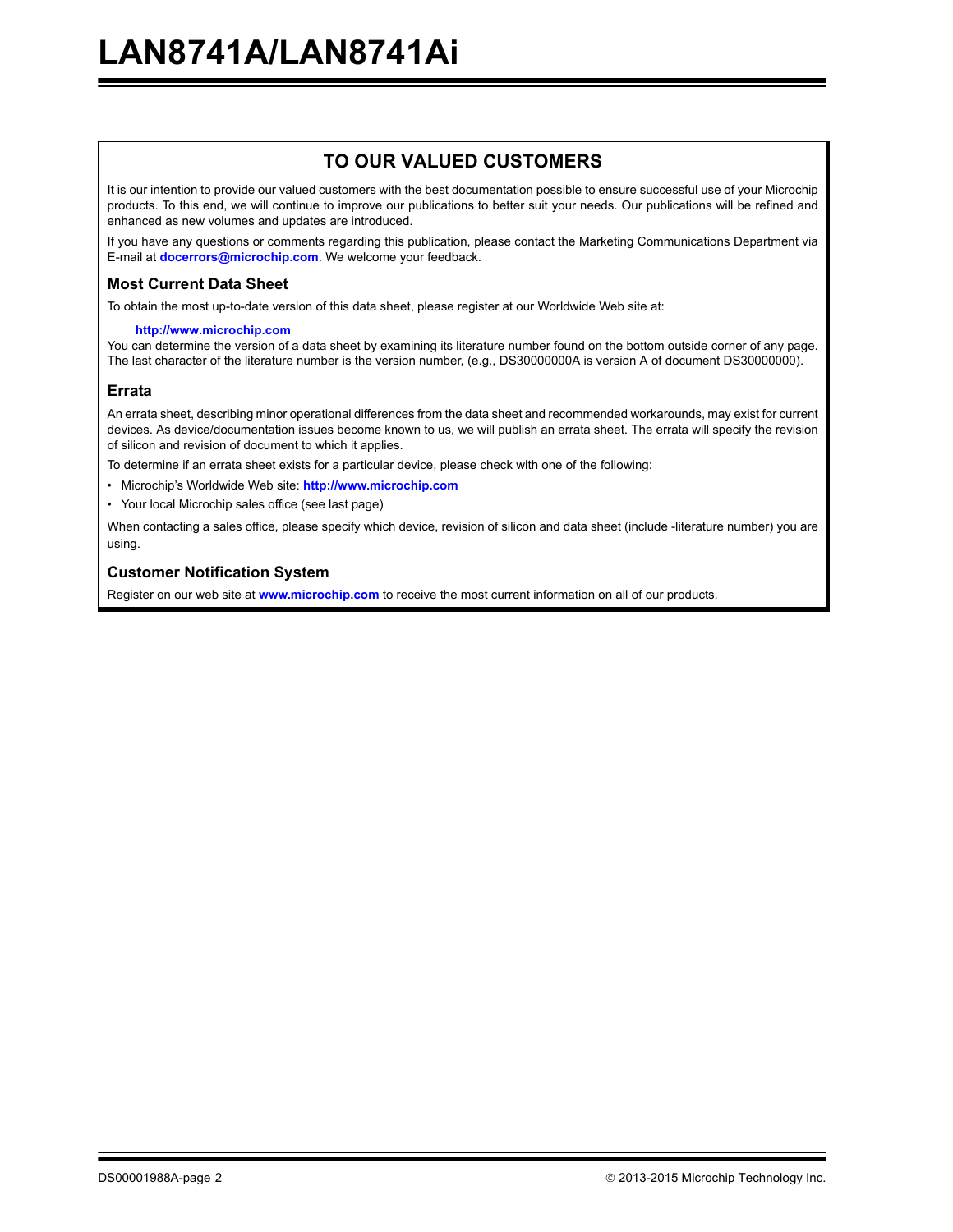## **TO OUR VALUED CUSTOMERS**

It is our intention to provide our valued customers with the best documentation possible to ensure successful use of your Microchip products. To this end, we will continue to improve our publications to better suit your needs. Our publications will be refined and enhanced as new volumes and updates are introduced.

If you have any questions or comments regarding this publication, please contact the Marketing Communications Department via E-mail at **[docerrors@microchip.com](mailto:docerrors@microchip.com)**. We welcome your feedback.

#### **Most Current Data Sheet**

To obtain the most up-to-date version of this data sheet, please register at our Worldwide Web site at:

#### **http://www.microchip.com**

You can determine the version of a data sheet by examining its literature number found on the bottom outside corner of any page. The last character of the literature number is the version number, (e.g., DS30000000A is version A of document DS30000000).

#### **Errata**

An errata sheet, describing minor operational differences from the data sheet and recommended workarounds, may exist for current devices. As device/documentation issues become known to us, we will publish an errata sheet. The errata will specify the revision of silicon and revision of document to which it applies.

To determine if an errata sheet exists for a particular device, please check with one of the following:

- • [Microchip's Worldwide Web site:](http://www.microchip.com) **http://www.microchip.com**
- Your local Microchip sales office (see last page)

When contacting a sales office, please specify which device, revision of silicon and data sheet (include -literature number) you are using.

#### **Customer Notification System**

Register on our web site at **[www.microchip.com](http://www.microchip.com)** to receive the most current information on all of our products.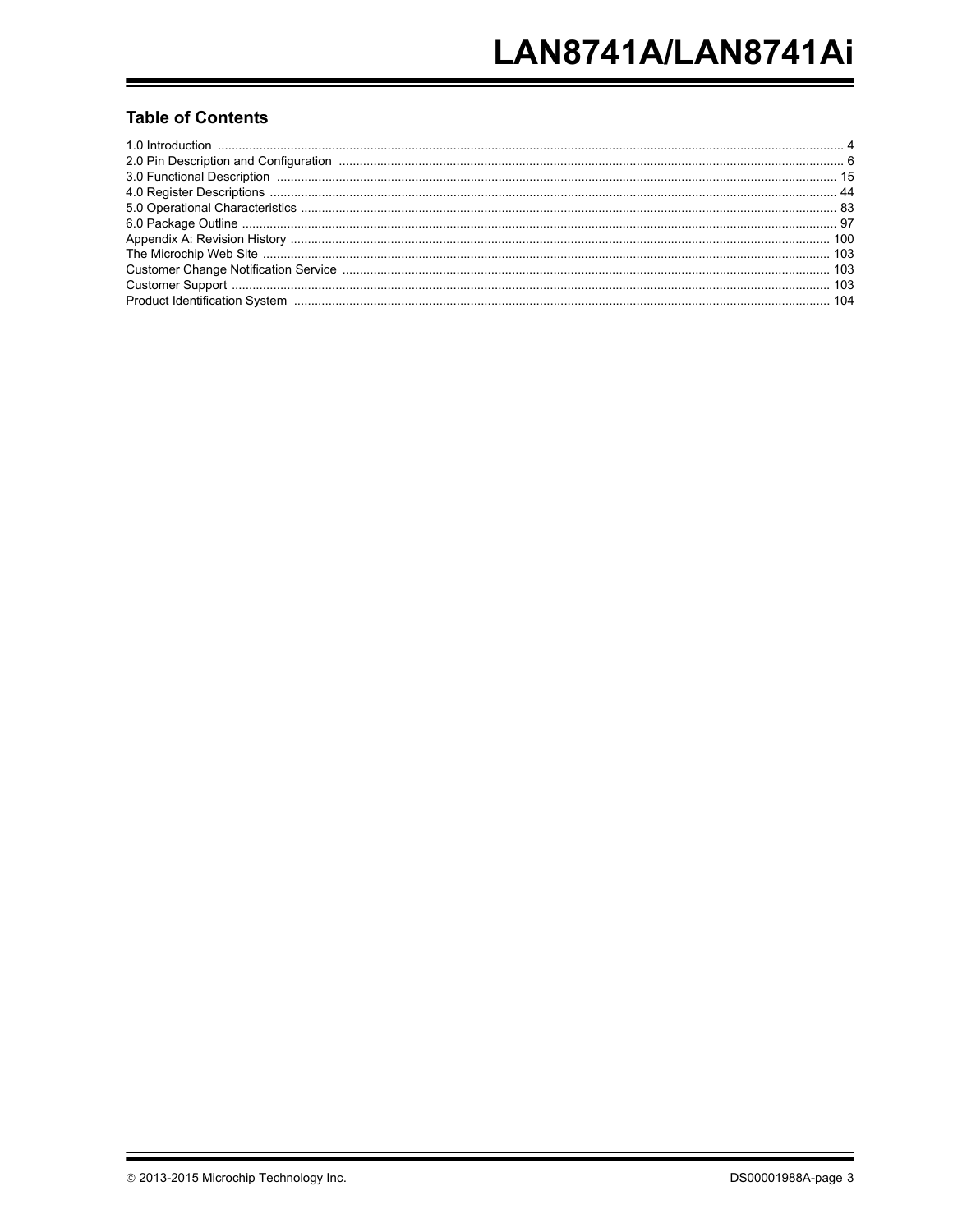## **Table of Contents**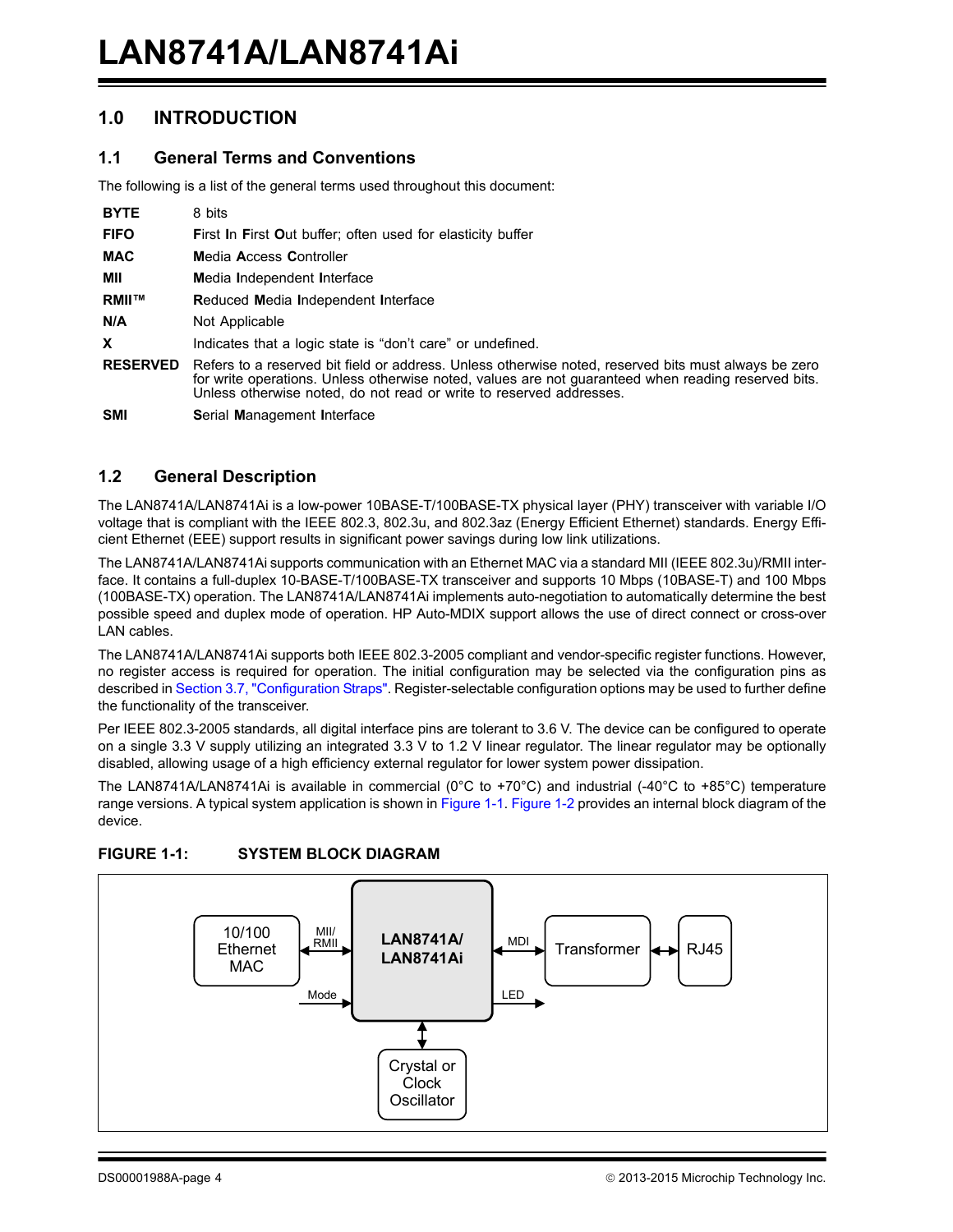## <span id="page-3-0"></span>**1.0 INTRODUCTION**

## **1.1 General Terms and Conventions**

The following is a list of the general terms used throughout this document:

| <b>BYTE</b>     | 8 bits                                                                                                                                                                                                                                                                             |
|-----------------|------------------------------------------------------------------------------------------------------------------------------------------------------------------------------------------------------------------------------------------------------------------------------------|
| <b>FIFO</b>     | <b>First In First Out buffer; often used for elasticity buffer</b>                                                                                                                                                                                                                 |
| <b>MAC</b>      | <b>Media Access Controller</b>                                                                                                                                                                                                                                                     |
| MIL             | Media Independent Interface                                                                                                                                                                                                                                                        |
| RMII™           | Reduced Media Independent Interface                                                                                                                                                                                                                                                |
| N/A             | Not Applicable                                                                                                                                                                                                                                                                     |
| <b>X</b>        | Indicates that a logic state is "don't care" or undefined.                                                                                                                                                                                                                         |
| <b>RESERVED</b> | Refers to a reserved bit field or address. Unless otherwise noted, reserved bits must always be zero<br>for write operations. Unless otherwise noted, values are not guaranteed when reading reserved bits.<br>Unless otherwise noted, do not read or write to reserved addresses. |

**SMI S**erial **M**anagement **I**nterface

## **1.2 General Description**

The LAN8741A/LAN8741Ai is a low-power 10BASE-T/100BASE-TX physical layer (PHY) transceiver with variable I/O voltage that is compliant with the IEEE 802.3, 802.3u, and 802.3az (Energy Efficient Ethernet) standards. Energy Efficient Ethernet (EEE) support results in significant power savings during low link utilizations.

The LAN8741A/LAN8741Ai supports communication with an Ethernet MAC via a standard MII (IEEE 802.3u)/RMII interface. It contains a full-duplex 10-BASE-T/100BASE-TX transceiver and supports 10 Mbps (10BASE-T) and 100 Mbps (100BASE-TX) operation. The LAN8741A/LAN8741Ai implements auto-negotiation to automatically determine the best possible speed and duplex mode of operation. HP Auto-MDIX support allows the use of direct connect or cross-over LAN cables.

The LAN8741A/LAN8741Ai supports both IEEE 802.3-2005 compliant and vendor-specific register functions. However, no register access is required for operation. The initial configuration may be selected via the configuration pins as described in [Section 3.7, "Configuration Straps"](#page-29-0). Register-selectable configuration options may be used to further define the functionality of the transceiver.

Per IEEE 802.3-2005 standards, all digital interface pins are tolerant to 3.6 V. The device can be configured to operate on a single 3.3 V supply utilizing an integrated 3.3 V to 1.2 V linear regulator. The linear regulator may be optionally disabled, allowing usage of a high efficiency external regulator for lower system power dissipation.

The LAN8741A/LAN8741Ai is available in commercial (0°C to +70°C) and industrial (-40°C to +85°C) temperature range versions. A typical system application is shown in [Figure 1-1](#page-3-1). [Figure 1-2](#page-4-0) provides an internal block diagram of the device.



#### <span id="page-3-1"></span>**FIGURE 1-1: SYSTEM BLOCK DIAGRAM**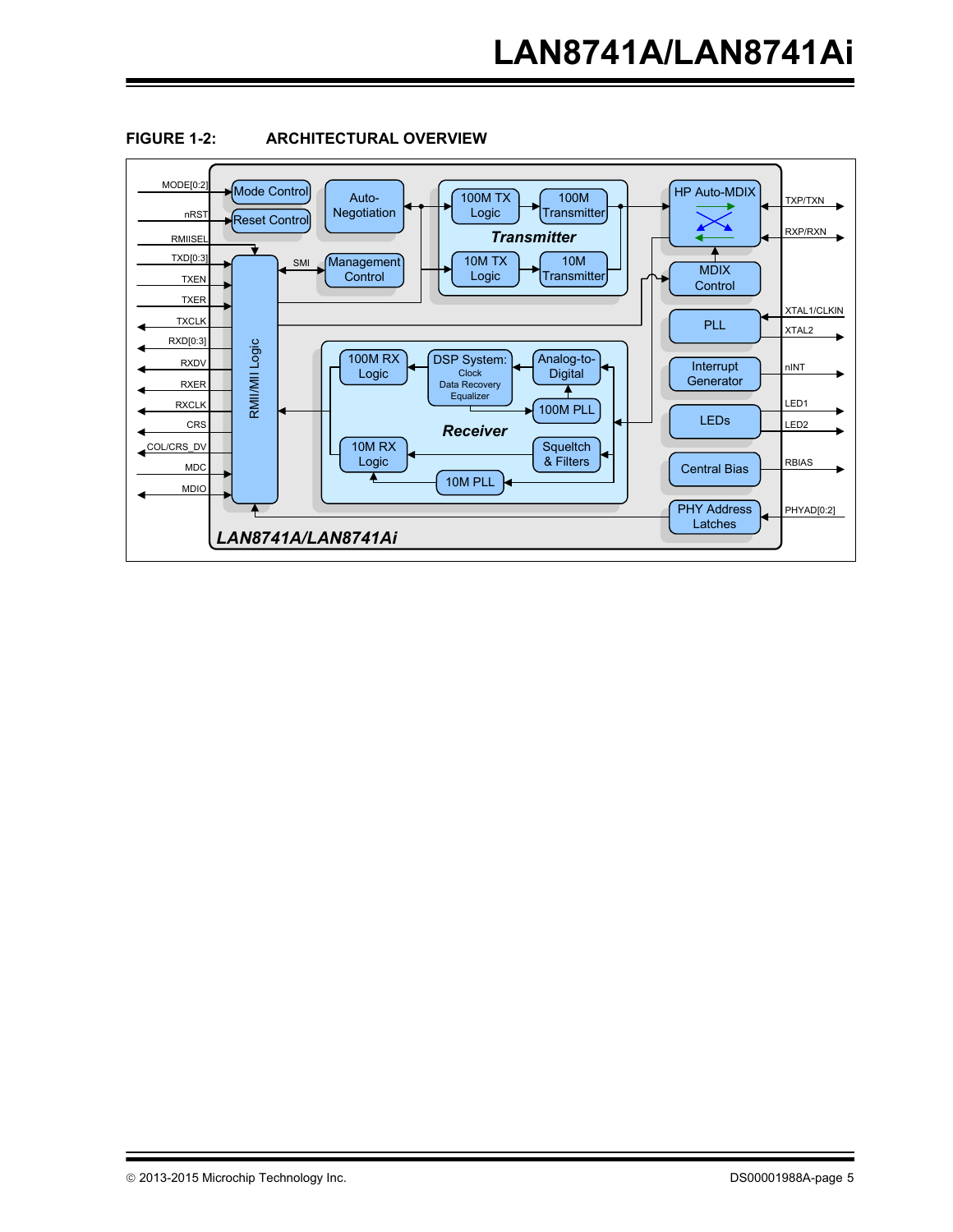

<span id="page-4-0"></span>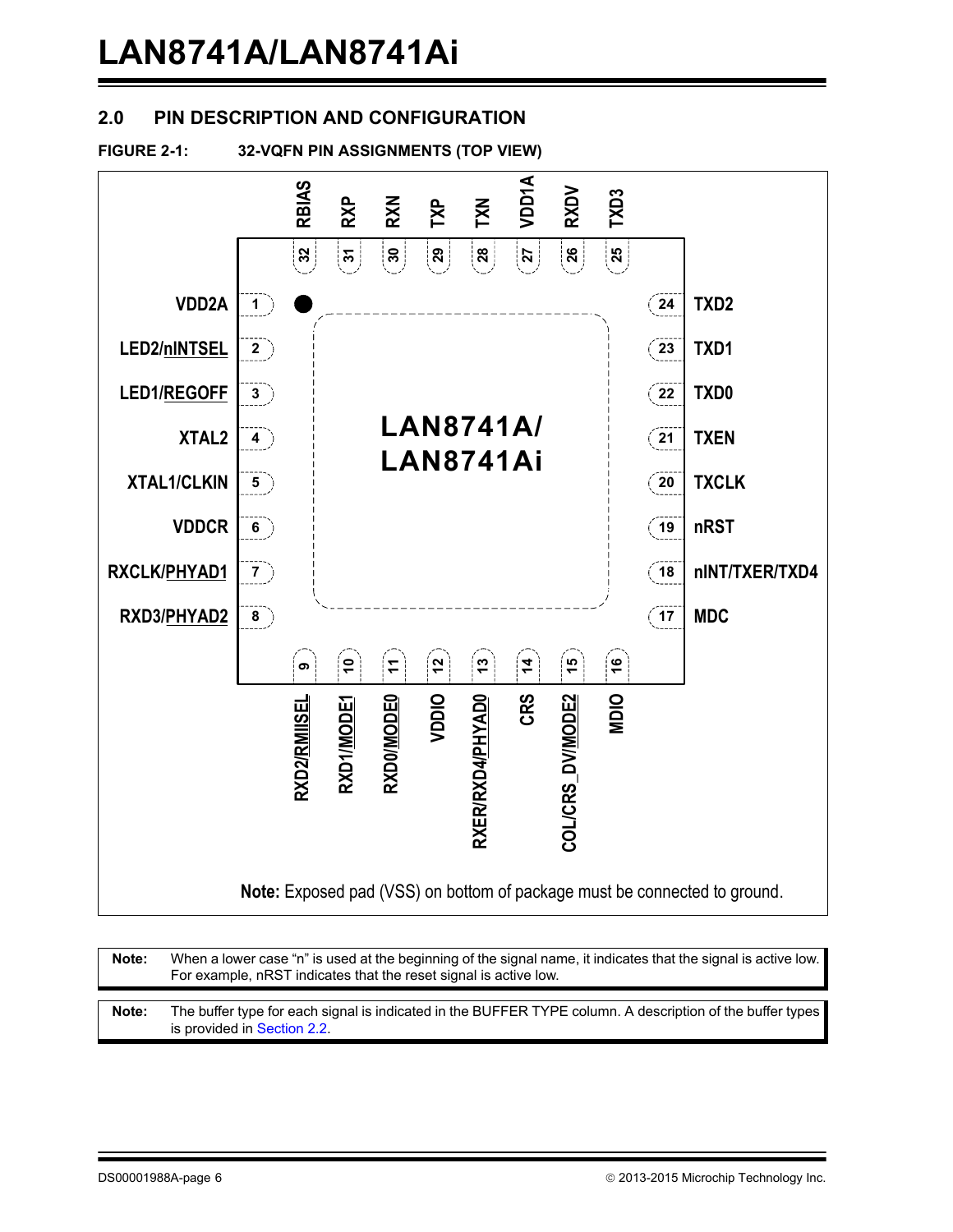## **LAN8741A/LAN8741Ai**

## <span id="page-5-0"></span>**2.0 PIN DESCRIPTION AND CONFIGURATION**

**FIGURE 2-1: 32-VQFN PIN ASSIGNMENTS (TOP VIEW)**



**Note:** When a lower case "n" is used at the beginning of the signal name, it indicates that the signal is active low. For example, nRST indicates that the reset signal is active low.

**Note:** The buffer type for each signal is indicated in the BUFFER TYPE column. A description of the buffer types is provided in [Section 2.2](#page-13-0).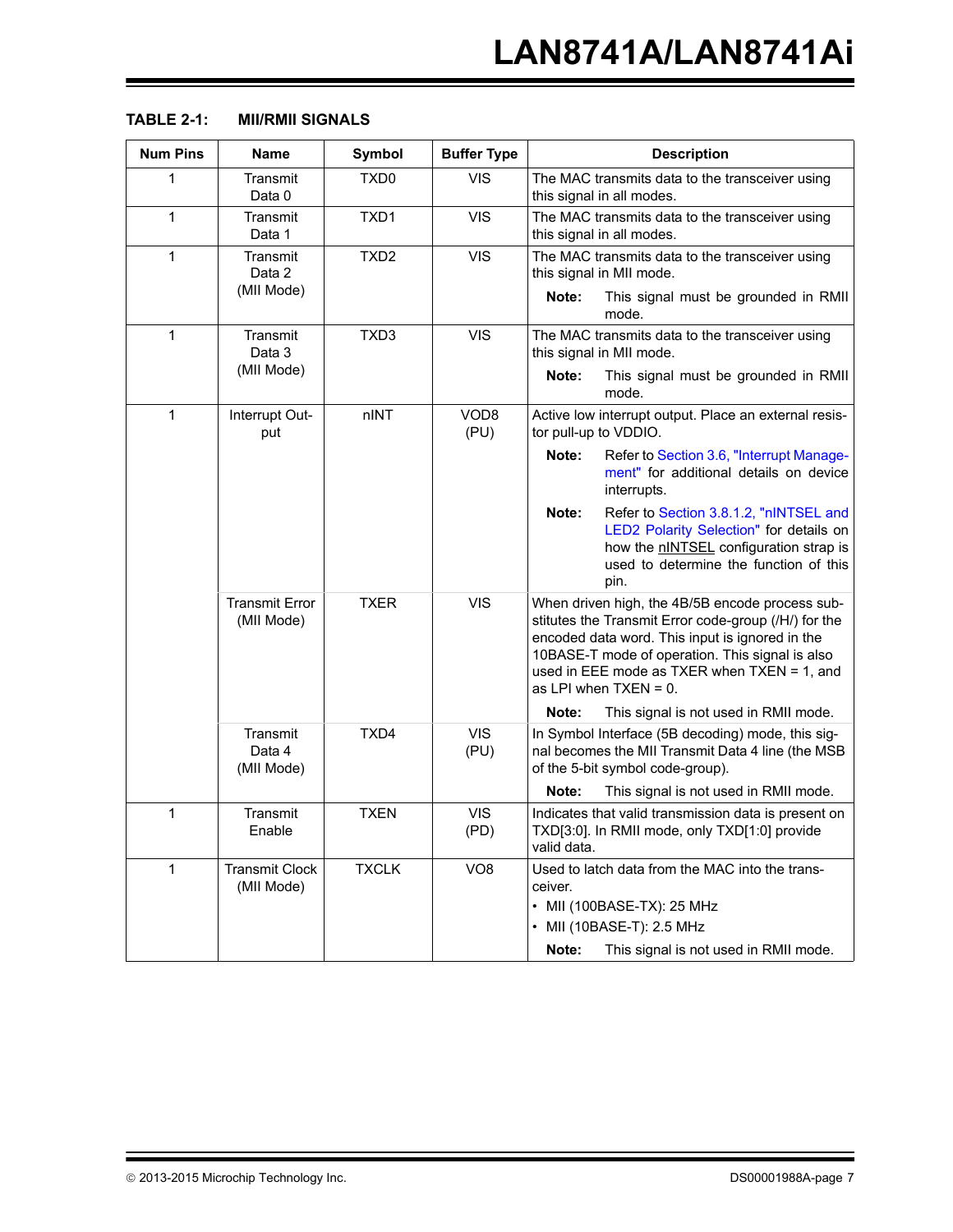| <b>Num Pins</b> | <b>Name</b>                         | Symbol           | <b>Buffer Type</b>       | <b>Description</b>                                                                                                                                                                                                                                                                       |
|-----------------|-------------------------------------|------------------|--------------------------|------------------------------------------------------------------------------------------------------------------------------------------------------------------------------------------------------------------------------------------------------------------------------------------|
| 1               | Transmit<br>Data 0                  | TXD <sub>0</sub> | <b>VIS</b>               | The MAC transmits data to the transceiver using<br>this signal in all modes.                                                                                                                                                                                                             |
| 1               | Transmit<br>Data 1                  | TXD1             | <b>VIS</b>               | The MAC transmits data to the transceiver using<br>this signal in all modes.                                                                                                                                                                                                             |
| 1               | Transmit<br>Data 2                  | TXD <sub>2</sub> | <b>VIS</b>               | The MAC transmits data to the transceiver using<br>this signal in MII mode.                                                                                                                                                                                                              |
|                 | (MII Mode)                          |                  |                          | Note:<br>This signal must be grounded in RMII<br>mode.                                                                                                                                                                                                                                   |
| 1               | Transmit<br>Data 3                  | TXD3             | <b>VIS</b>               | The MAC transmits data to the transceiver using<br>this signal in MII mode.                                                                                                                                                                                                              |
|                 | (MII Mode)                          |                  |                          | Note:<br>This signal must be grounded in RMII<br>mode.                                                                                                                                                                                                                                   |
| 1               | Interrupt Out-<br>put               | nINT             | VOD <sub>8</sub><br>(PU) | Active low interrupt output. Place an external resis-<br>tor pull-up to VDDIO.                                                                                                                                                                                                           |
|                 |                                     |                  |                          | Note:<br>Refer to Section 3.6, "Interrupt Manage-<br>ment" for additional details on device<br>interrupts.                                                                                                                                                                               |
|                 |                                     |                  |                          | Refer to Section 3.8.1.2, "nINTSEL and<br>Note:<br>LED2 Polarity Selection" for details on<br>how the nINTSEL configuration strap is<br>used to determine the function of this<br>pin.                                                                                                   |
|                 | <b>Transmit Error</b><br>(MII Mode) | <b>TXER</b>      | <b>VIS</b>               | When driven high, the 4B/5B encode process sub-<br>stitutes the Transmit Error code-group (/H/) for the<br>encoded data word. This input is ignored in the<br>10BASE-T mode of operation. This signal is also<br>used in EEE mode as TXER when TXEN = 1, and<br>as LPI when $TXEN = 0$ . |
|                 |                                     |                  |                          | Note:<br>This signal is not used in RMII mode.                                                                                                                                                                                                                                           |
|                 | Transmit<br>Data 4<br>(MII Mode)    | TXD4             | <b>VIS</b><br>(PU)       | In Symbol Interface (5B decoding) mode, this sig-<br>nal becomes the MII Transmit Data 4 line (the MSB<br>of the 5-bit symbol code-group).                                                                                                                                               |
|                 |                                     |                  |                          | Note:<br>This signal is not used in RMII mode.                                                                                                                                                                                                                                           |
| 1               | Transmit<br>Enable                  | <b>TXEN</b>      | <b>VIS</b><br>(PD)       | Indicates that valid transmission data is present on<br>TXD[3:0]. In RMII mode, only TXD[1:0] provide<br>valid data.                                                                                                                                                                     |
| 1               | <b>Transmit Clock</b><br>(MII Mode) | <b>TXCLK</b>     | VO <sub>8</sub>          | Used to latch data from the MAC into the trans-<br>ceiver.                                                                                                                                                                                                                               |
|                 |                                     |                  |                          | • MII (100BASE-TX): 25 MHz                                                                                                                                                                                                                                                               |
|                 |                                     |                  |                          | • MII (10BASE-T): 2.5 MHz                                                                                                                                                                                                                                                                |
|                 |                                     |                  |                          | This signal is not used in RMII mode.<br>Note:                                                                                                                                                                                                                                           |

## **TABLE 2-1: MII/RMII SIGNALS**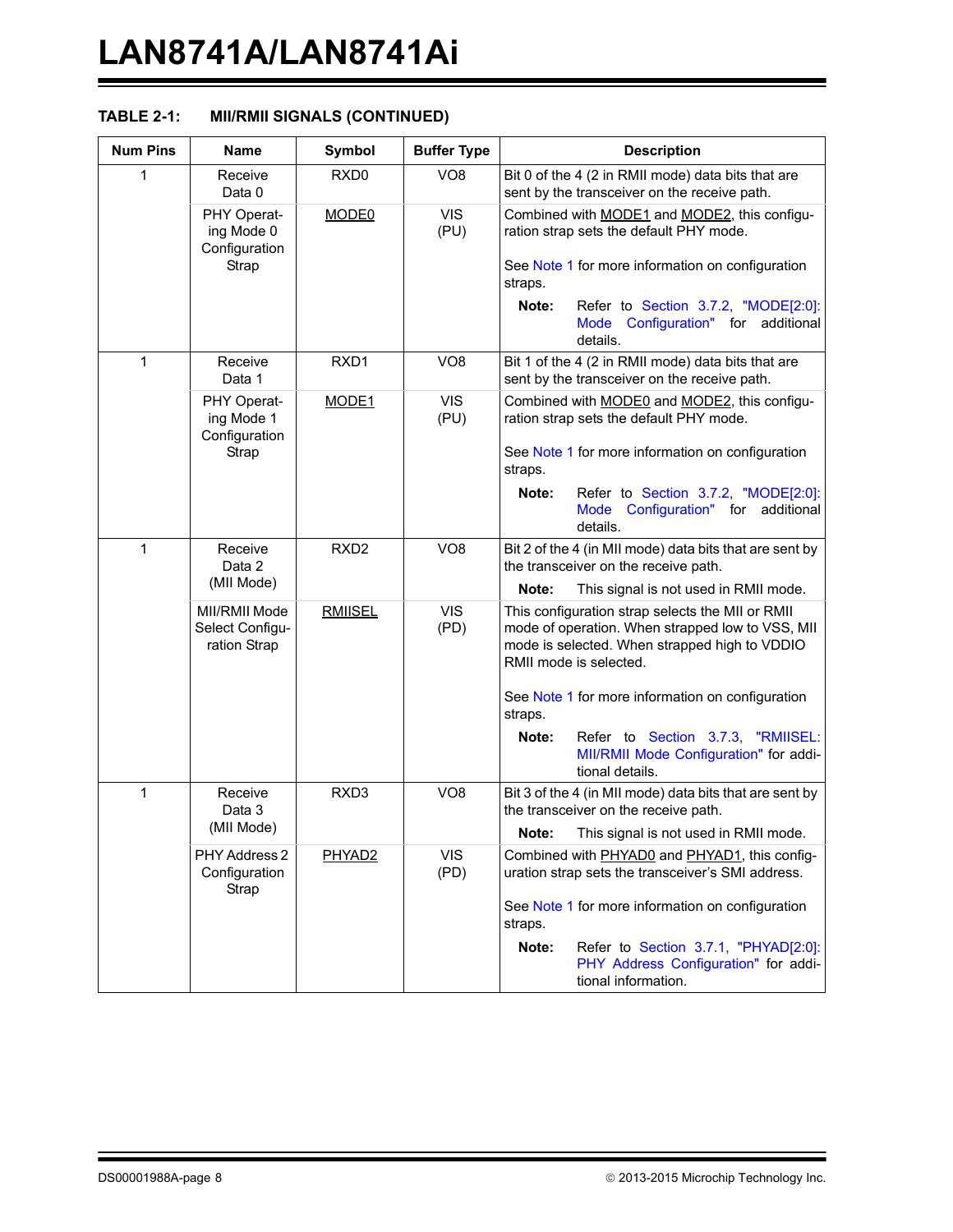## **TABLE 2-1: MII/RMII SIGNALS (CONTINUED)**

| <b>Num Pins</b> | <b>Name</b>                                      | Symbol             | <b>Buffer Type</b> | <b>Description</b>                                                                                                                                                              |
|-----------------|--------------------------------------------------|--------------------|--------------------|---------------------------------------------------------------------------------------------------------------------------------------------------------------------------------|
| 1               | Receive<br>Data 0                                | RXD <sub>0</sub>   | VO <sub>8</sub>    | Bit 0 of the 4 (2 in RMII mode) data bits that are<br>sent by the transceiver on the receive path.                                                                              |
|                 | PHY Operat-<br>ing Mode 0<br>Configuration       | MODE <sub>0</sub>  | <b>VIS</b><br>(PU) | Combined with MODE1 and MODE2, this configu-<br>ration strap sets the default PHY mode.                                                                                         |
|                 | Strap                                            |                    |                    | See Note 1 for more information on configuration<br>straps.                                                                                                                     |
|                 |                                                  |                    |                    | Note:<br>Refer to Section 3.7.2, "MODE[2:0]:<br>Mode Configuration" for additional<br>details.                                                                                  |
| 1               | Receive<br>Data 1                                | RXD1               | VO <sub>8</sub>    | Bit 1 of the 4 (2 in RMII mode) data bits that are<br>sent by the transceiver on the receive path.                                                                              |
|                 | PHY Operat-<br>ing Mode 1<br>Configuration       | MODE <sub>1</sub>  | <b>VIS</b><br>(PU) | Combined with MODE0 and MODE2, this configu-<br>ration strap sets the default PHY mode.                                                                                         |
|                 | Strap                                            |                    |                    | See Note 1 for more information on configuration<br>straps.                                                                                                                     |
|                 |                                                  |                    |                    | Note:<br>Refer to Section 3.7.2, "MODE[2:0]:<br>Mode Configuration" for additional<br>details.                                                                                  |
| $\mathbf{1}$    | Receive<br>Data 2                                | RXD <sub>2</sub>   | VO <sub>8</sub>    | Bit 2 of the 4 (in MII mode) data bits that are sent by<br>the transceiver on the receive path.                                                                                 |
|                 | (MII Mode)                                       |                    |                    | Note:<br>This signal is not used in RMII mode.                                                                                                                                  |
|                 | MII/RMII Mode<br>Select Configu-<br>ration Strap | <b>RMIISEL</b>     | <b>VIS</b><br>(PD) | This configuration strap selects the MII or RMII<br>mode of operation. When strapped low to VSS, MII<br>mode is selected. When strapped high to VDDIO<br>RMII mode is selected. |
|                 |                                                  |                    |                    | See Note 1 for more information on configuration<br>straps.                                                                                                                     |
|                 |                                                  |                    |                    | Refer to Section 3.7.3, "RMIISEL:<br>Note:<br>MII/RMII Mode Configuration" for addi-<br>tional details.                                                                         |
| 1               | Receive<br>Data 3                                | RXD3               | VO <sub>8</sub>    | Bit 3 of the 4 (in MII mode) data bits that are sent by<br>the transceiver on the receive path.                                                                                 |
|                 | (MII Mode)                                       |                    |                    | Note: This signal is not used in RMII mode.                                                                                                                                     |
|                 | PHY Address 2<br>Configuration<br>Strap          | PHYAD <sub>2</sub> | <b>VIS</b><br>(PD) | Combined with PHYAD0 and PHYAD1, this config-<br>uration strap sets the transceiver's SMI address.                                                                              |
|                 |                                                  |                    |                    | See Note 1 for more information on configuration<br>straps.                                                                                                                     |
|                 |                                                  |                    |                    | Note:<br>Refer to Section 3.7.1, "PHYAD[2:0]:<br>PHY Address Configuration" for addi-<br>tional information.                                                                    |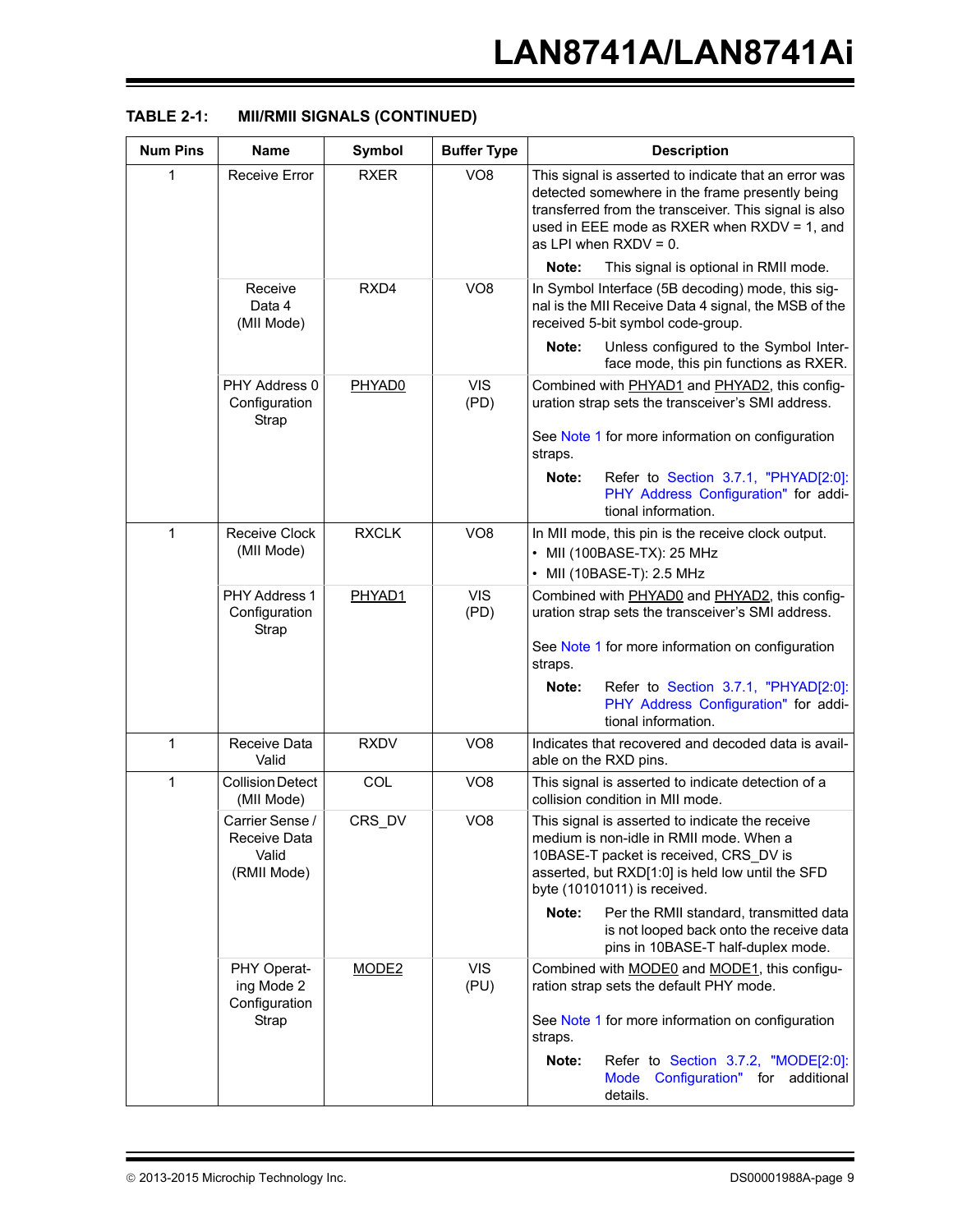| <b>Num Pins</b> | <b>Name</b>                                             | Symbol            | <b>Buffer Type</b> | <b>Description</b>                                                                                                                                                                                                                           |
|-----------------|---------------------------------------------------------|-------------------|--------------------|----------------------------------------------------------------------------------------------------------------------------------------------------------------------------------------------------------------------------------------------|
| 1               | <b>Receive Error</b>                                    | <b>RXER</b>       | VO <sub>8</sub>    | This signal is asserted to indicate that an error was<br>detected somewhere in the frame presently being<br>transferred from the transceiver. This signal is also<br>used in EEE mode as RXER when RXDV = 1, and<br>as LPI when $RXDV = 0$ . |
|                 |                                                         |                   |                    | Note:<br>This signal is optional in RMII mode.                                                                                                                                                                                               |
|                 | Receive<br>Data 4<br>(MII Mode)                         | RXD4              | VO <sub>8</sub>    | In Symbol Interface (5B decoding) mode, this sig-<br>nal is the MII Receive Data 4 signal, the MSB of the<br>received 5-bit symbol code-group.                                                                                               |
|                 |                                                         |                   |                    | Unless configured to the Symbol Inter-<br>Note:<br>face mode, this pin functions as RXER.                                                                                                                                                    |
|                 | PHY Address 0<br>Configuration<br>Strap                 | PHYAD0            | <b>VIS</b><br>(PD) | Combined with PHYAD1 and PHYAD2, this config-<br>uration strap sets the transceiver's SMI address.                                                                                                                                           |
|                 |                                                         |                   |                    | See Note 1 for more information on configuration<br>straps.                                                                                                                                                                                  |
|                 |                                                         |                   |                    | Note:<br>Refer to Section 3.7.1, "PHYAD[2:0]:<br>PHY Address Configuration" for addi-<br>tional information.                                                                                                                                 |
| 1               | <b>Receive Clock</b>                                    | <b>RXCLK</b>      | VO <sub>8</sub>    | In MII mode, this pin is the receive clock output.                                                                                                                                                                                           |
|                 | (MII Mode)                                              |                   |                    | • MII (100BASE-TX): 25 MHz                                                                                                                                                                                                                   |
|                 |                                                         |                   |                    | • MII (10BASE-T): 2.5 MHz                                                                                                                                                                                                                    |
|                 | PHY Address 1<br>Configuration<br>Strap                 | PHYAD1            | <b>VIS</b><br>(PD) | Combined with PHYAD0 and PHYAD2, this config-<br>uration strap sets the transceiver's SMI address.                                                                                                                                           |
|                 |                                                         |                   |                    | See Note 1 for more information on configuration<br>straps.                                                                                                                                                                                  |
|                 |                                                         |                   |                    | Refer to Section 3.7.1, "PHYAD[2:0]:<br>Note:<br>PHY Address Configuration" for addi-<br>tional information.                                                                                                                                 |
| 1               | Receive Data<br>Valid                                   | <b>RXDV</b>       | VO <sub>8</sub>    | Indicates that recovered and decoded data is avail-<br>able on the RXD pins.                                                                                                                                                                 |
| 1               | <b>Collision Detect</b><br>(MII Mode)                   | COL               | VO <sub>8</sub>    | This signal is asserted to indicate detection of a<br>collision condition in MII mode.                                                                                                                                                       |
|                 | Carrier Sense /<br>Receive Data<br>Valid<br>(RMII Mode) | CRS DV            | VO <sub>8</sub>    | This signal is asserted to indicate the receive<br>medium is non-idle in RMII mode. When a<br>10BASE-T packet is received, CRS DV is<br>asserted, but RXD[1:0] is held low until the SFD<br>byte (10101011) is received.                     |
|                 |                                                         |                   |                    | Note:<br>Per the RMII standard, transmitted data<br>is not looped back onto the receive data<br>pins in 10BASE-T half-duplex mode.                                                                                                           |
|                 | PHY Operat-<br>ing Mode 2<br>Configuration              | MODE <sub>2</sub> | <b>VIS</b><br>(PU) | Combined with <b>MODE0</b> and <b>MODE1</b> , this configu-<br>ration strap sets the default PHY mode.                                                                                                                                       |
|                 | Strap                                                   |                   |                    | See Note 1 for more information on configuration<br>straps.                                                                                                                                                                                  |
|                 |                                                         |                   |                    | Note:<br>Refer to Section 3.7.2, "MODE[2:0]:<br>Configuration" for additional<br>Mode<br>details.                                                                                                                                            |

| <b>MII/RMII SIGNALS (CONTINUED)</b><br><b>TABLE 2-1:</b> |  |
|----------------------------------------------------------|--|
|----------------------------------------------------------|--|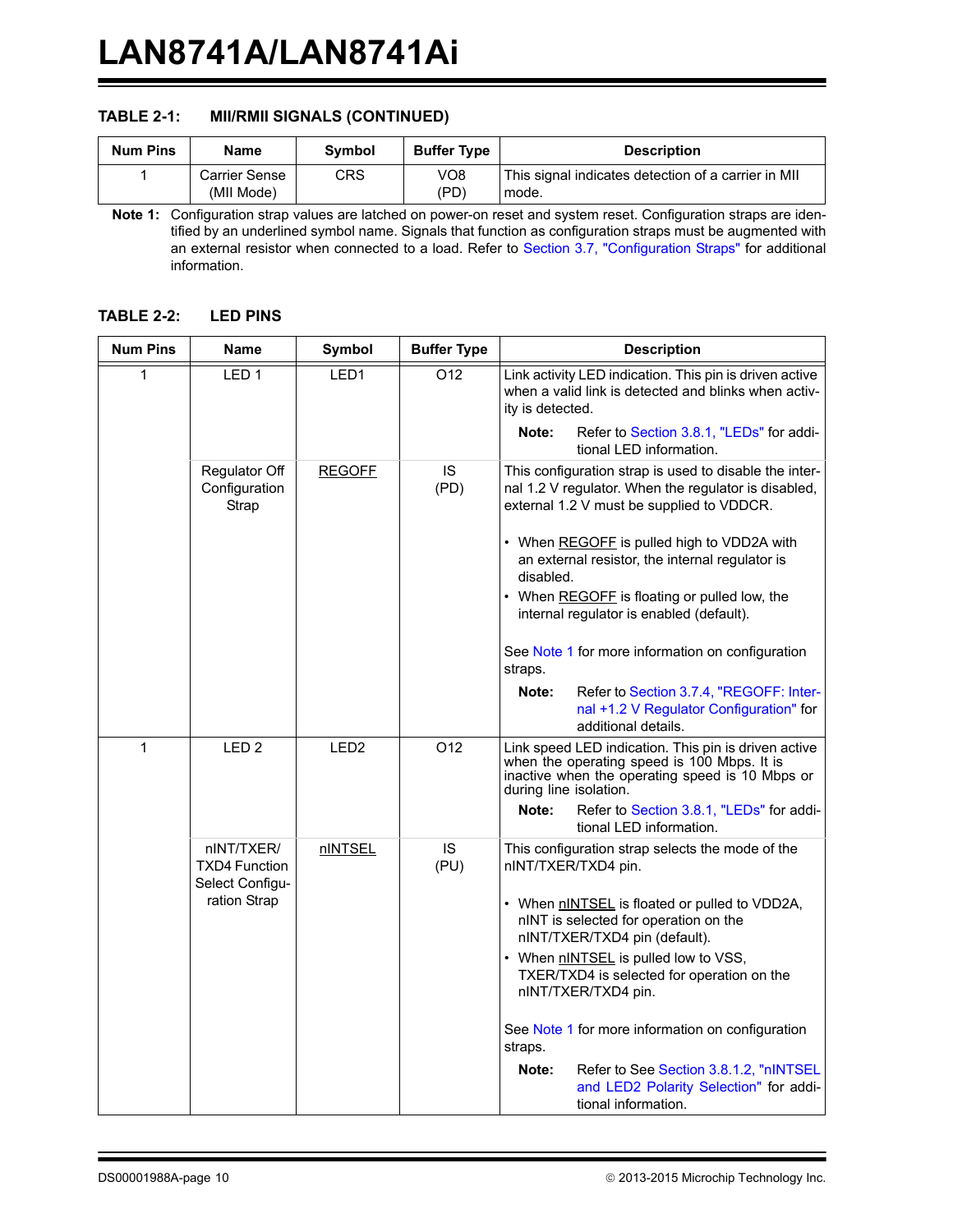## **TABLE 2-1: MII/RMII SIGNALS (CONTINUED)**

| <b>Num Pins</b> | Name          | Symbol | <b>Buffer Type</b> | <b>Description</b>                                  |
|-----------------|---------------|--------|--------------------|-----------------------------------------------------|
|                 | Carrier Sense | CRS    | VO8                | This signal indicates detection of a carrier in MII |
|                 | (MII Mode)    |        | (PD)               | mode.                                               |

<span id="page-9-0"></span>**Note 1:** Configuration strap values are latched on power-on reset and system reset. Configuration straps are identified by an underlined symbol name. Signals that function as configuration straps must be augmented with an external resistor when connected to a load. Refer to [Section 3.7, "Configuration Straps"](#page-29-0) for additional information.

## **TABLE 2-2: LED PINS**

| <b>Num Pins</b> | <b>Name</b>                                           | Symbol           | <b>Buffer Type</b> | <b>Description</b>                                                                                                                                                               |
|-----------------|-------------------------------------------------------|------------------|--------------------|----------------------------------------------------------------------------------------------------------------------------------------------------------------------------------|
| 1               | LED <sub>1</sub>                                      | LED <sub>1</sub> | O <sub>12</sub>    | Link activity LED indication. This pin is driven active<br>when a valid link is detected and blinks when activ-<br>ity is detected.                                              |
|                 |                                                       |                  |                    | Note:<br>Refer to Section 3.8.1, "LEDs" for addi-<br>tional LED information.                                                                                                     |
|                 | Regulator Off<br>Configuration<br>Strap               | <b>REGOFF</b>    | IS<br>(PD)         | This configuration strap is used to disable the inter-<br>nal 1.2 V regulator. When the regulator is disabled,<br>external 1.2 V must be supplied to VDDCR.                      |
|                 |                                                       |                  |                    | • When REGOFF is pulled high to VDD2A with<br>an external resistor, the internal regulator is<br>disabled.                                                                       |
|                 |                                                       |                  |                    | • When REGOFF is floating or pulled low, the<br>internal regulator is enabled (default).                                                                                         |
|                 |                                                       |                  |                    | See Note 1 for more information on configuration<br>straps.                                                                                                                      |
|                 |                                                       |                  |                    | Note:<br>Refer to Section 3.7.4, "REGOFF: Inter-<br>nal +1.2 V Regulator Configuration" for<br>additional details.                                                               |
| 1               | LED <sub>2</sub>                                      | LED <sub>2</sub> | O <sub>12</sub>    | Link speed LED indication. This pin is driven active<br>when the operating speed is 100 Mbps. It is<br>inactive when the operating speed is 10 Mbps or<br>during line isolation. |
|                 |                                                       |                  |                    | Note:<br>Refer to Section 3.8.1, "LEDs" for addi-<br>tional LED information.                                                                                                     |
|                 | nINT/TXER/<br><b>TXD4 Function</b><br>Select Configu- | nINTSEL          | <b>IS</b><br>(PU)  | This configuration strap selects the mode of the<br>nINT/TXER/TXD4 pin.                                                                                                          |
|                 | ration Strap                                          |                  |                    | • When nINTSEL is floated or pulled to VDD2A,<br>nINT is selected for operation on the<br>nINT/TXER/TXD4 pin (default).                                                          |
|                 |                                                       |                  |                    | • When nINTSEL is pulled low to VSS,<br>TXER/TXD4 is selected for operation on the<br>nINT/TXER/TXD4 pin.                                                                        |
|                 |                                                       |                  |                    | See Note 1 for more information on configuration<br>straps.                                                                                                                      |
|                 |                                                       |                  |                    | Note:<br>Refer to See Section 3.8.1.2, "nINTSEL<br>and LED2 Polarity Selection" for addi-<br>tional information.                                                                 |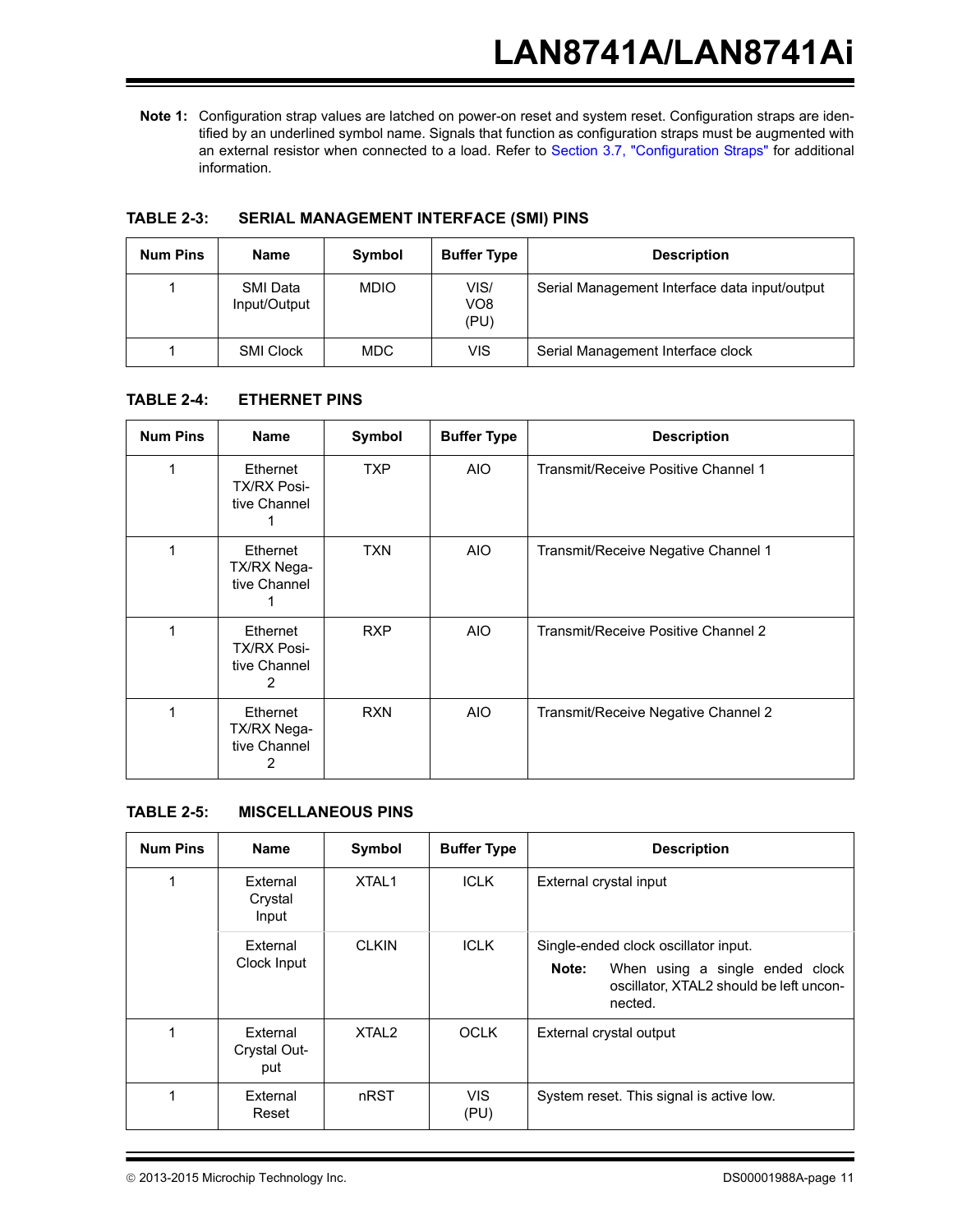<span id="page-10-0"></span>**Note 1:** Configuration strap values are latched on power-on reset and system reset. Configuration straps are identified by an underlined symbol name. Signals that function as configuration straps must be augmented with an external resistor when connected to a load. Refer to [Section 3.7, "Configuration Straps"](#page-29-0) for additional information.

| <b>Num Pins</b> | <b>Name</b>              | Symbol      | <b>Buffer Type</b>              | <b>Description</b>                            |
|-----------------|--------------------------|-------------|---------------------------------|-----------------------------------------------|
|                 | SMI Data<br>Input/Output | <b>MDIO</b> | VIS/<br>VO <sub>8</sub><br>(PU) | Serial Management Interface data input/output |
|                 | <b>SMI Clock</b>         | <b>MDC</b>  | VIS                             | Serial Management Interface clock             |

## **TABLE 2-4: ETHERNET PINS**

| <b>Num Pins</b> | <b>Name</b>                                         | Symbol     | <b>Buffer Type</b> | <b>Description</b>                  |
|-----------------|-----------------------------------------------------|------------|--------------------|-------------------------------------|
|                 | Ethernet<br><b>TX/RX Posi-</b><br>tive Channel      | <b>TXP</b> | <b>AIO</b>         | Transmit/Receive Positive Channel 1 |
| 1               | Ethernet<br>TX/RX Nega-<br>tive Channel             | <b>TXN</b> | <b>AIO</b>         | Transmit/Receive Negative Channel 1 |
|                 | Ethernet<br><b>TX/RX Posi-</b><br>tive Channel<br>2 | <b>RXP</b> | <b>AIO</b>         | Transmit/Receive Positive Channel 2 |
| 1               | Ethernet<br>TX/RX Nega-<br>tive Channel<br>2        | <b>RXN</b> | <b>AIO</b>         | Transmit/Receive Negative Channel 2 |

#### **TABLE 2-5: MISCELLANEOUS PINS**

| <b>Num Pins</b> | <b>Name</b>                     | Symbol            | <b>Buffer Type</b> | <b>Description</b>                                                                                                                     |
|-----------------|---------------------------------|-------------------|--------------------|----------------------------------------------------------------------------------------------------------------------------------------|
|                 | External<br>Crystal<br>Input    | XTAL <sub>1</sub> | <b>ICLK</b>        | External crystal input                                                                                                                 |
|                 | External<br>Clock Input         | <b>CLKIN</b>      | <b>ICLK</b>        | Single-ended clock oscillator input.<br>Note:<br>When using a single ended clock<br>oscillator, XTAL2 should be left uncon-<br>nected. |
| 1               | External<br>Crystal Out-<br>put | XTAL <sub>2</sub> | <b>OCLK</b>        | External crystal output                                                                                                                |
|                 | External<br>Reset               | nRST              | <b>VIS</b><br>(PU) | System reset. This signal is active low.                                                                                               |

2013-2015 Microchip Technology Inc. DS00001988A-page 11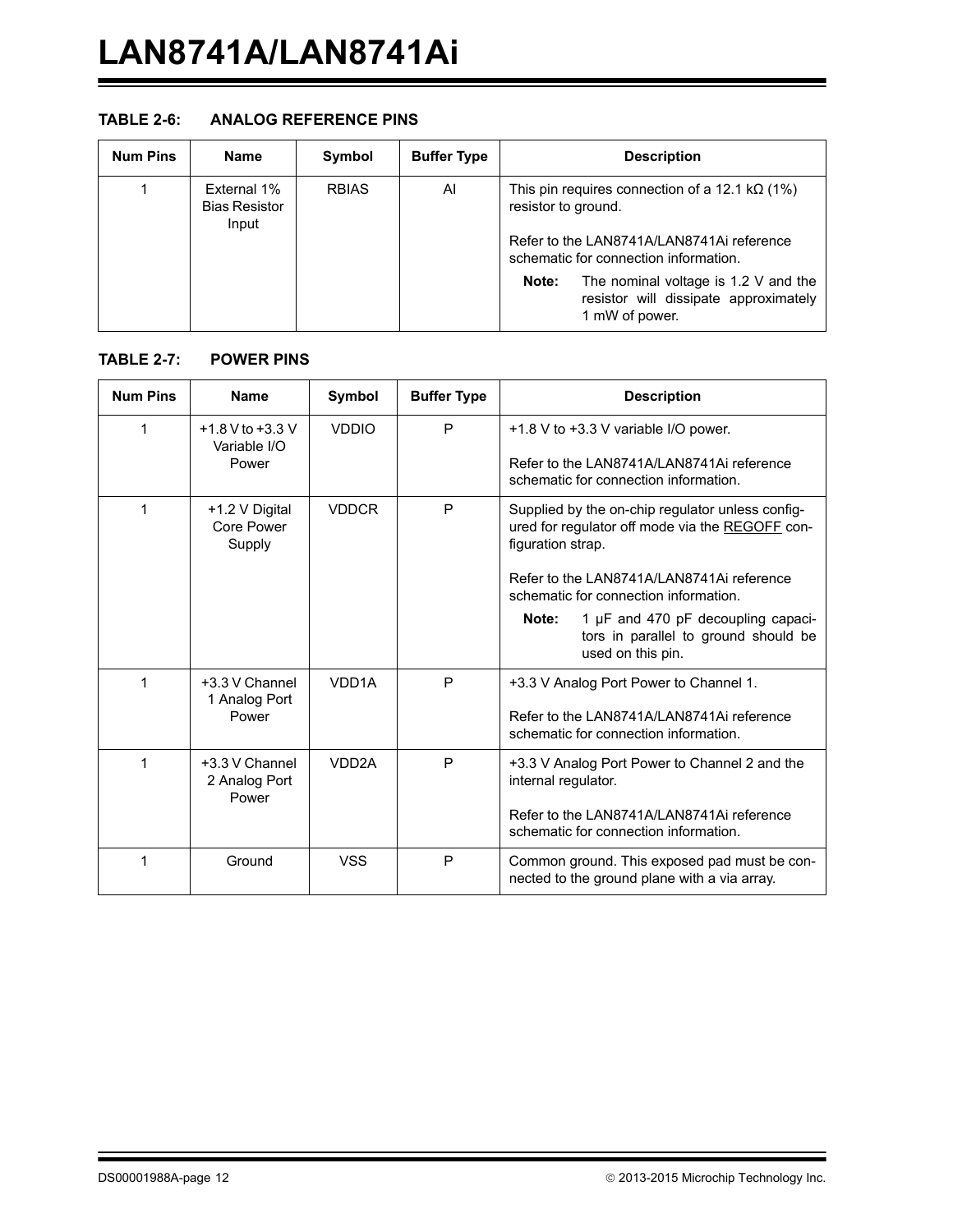## **TABLE 2-6: ANALOG REFERENCE PINS**

| <b>Num Pins</b> | <b>Name</b>                                  | Symbol       | <b>Buffer Type</b> | <b>Description</b>                                                                                                                                                  |
|-----------------|----------------------------------------------|--------------|--------------------|---------------------------------------------------------------------------------------------------------------------------------------------------------------------|
|                 | External 1%<br><b>Bias Resistor</b><br>Input | <b>RBIAS</b> | Al                 | This pin requires connection of a 12.1 k $\Omega$ (1%)<br>resistor to ground.<br>Refer to the LAN8741A/LAN8741Ai reference<br>schematic for connection information. |
|                 |                                              |              |                    | The nominal voltage is 1.2 V and the<br>Note:<br>resistor will dissipate approximately<br>1 mW of power.                                                            |

## **TABLE 2-7: POWER PINS**

| <b>Num Pins</b> | <b>Name</b>                                   | Symbol             | <b>Buffer Type</b> | <b>Description</b>                                                                                                                                                                                                                                                                                                         |
|-----------------|-----------------------------------------------|--------------------|--------------------|----------------------------------------------------------------------------------------------------------------------------------------------------------------------------------------------------------------------------------------------------------------------------------------------------------------------------|
| 1               | $+1.8$ V to $+3.3$ V<br>Variable I/O<br>Power | <b>VDDIO</b>       | P                  | $+1.8$ V to $+3.3$ V variable I/O power.<br>Refer to the LAN8741A/LAN8741Ai reference<br>schematic for connection information.                                                                                                                                                                                             |
| 1               | +1.2 V Digital<br>Core Power<br>Supply        | <b>VDDCR</b>       | P                  | Supplied by the on-chip regulator unless config-<br>ured for regulator off mode via the REGOFF con-<br>figuration strap.<br>Refer to the LAN8741A/LAN8741Ai reference<br>schematic for connection information.<br>1 µF and 470 pF decoupling capaci-<br>Note:<br>tors in parallel to ground should be<br>used on this pin. |
| 1               | +3.3 V Channel<br>1 Analog Port<br>Power      | VDD <sub>1</sub> A | P                  | +3.3 V Analog Port Power to Channel 1.<br>Refer to the LAN8741A/LAN8741Ai reference<br>schematic for connection information.                                                                                                                                                                                               |
| 1               | +3.3 V Channel<br>2 Analog Port<br>Power      | VDD <sub>2</sub> A | P                  | +3.3 V Analog Port Power to Channel 2 and the<br>internal regulator.<br>Refer to the LAN8741A/LAN8741Ai reference<br>schematic for connection information.                                                                                                                                                                 |
| 1               | Ground                                        | <b>VSS</b>         | P                  | Common ground. This exposed pad must be con-<br>nected to the ground plane with a via array.                                                                                                                                                                                                                               |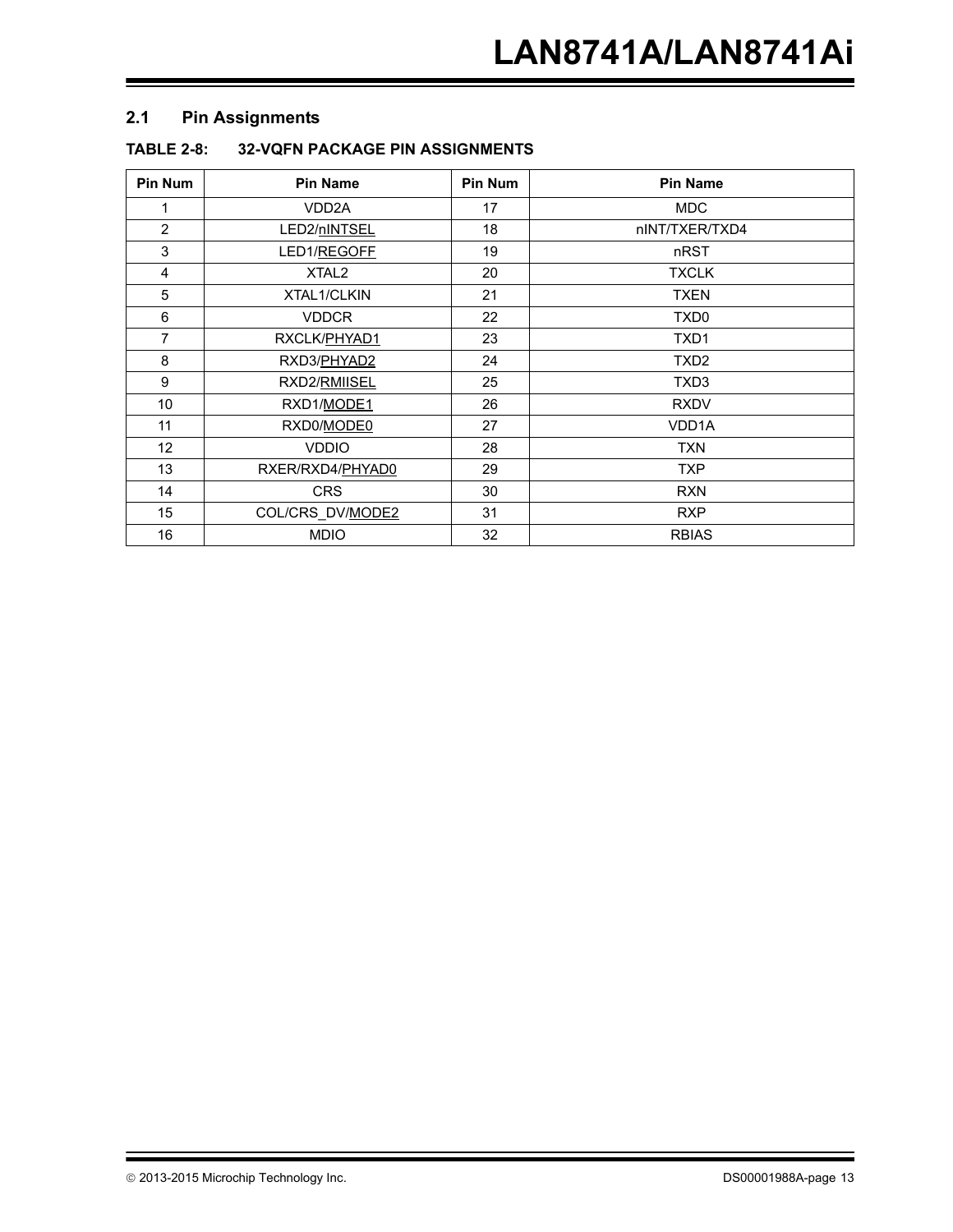## **2.1 Pin Assignments**

| <b>Pin Num</b> | <b>Pin Name</b>    | Pin Num | <b>Pin Name</b>    |
|----------------|--------------------|---------|--------------------|
| 1              | VDD <sub>2</sub> A | 17      | <b>MDC</b>         |
| 2              | LED2/nINTSEL       | 18      | nINT/TXER/TXD4     |
| 3              | LED1/REGOFF        | 19      | nRST               |
| 4              | XTAL <sub>2</sub>  | 20      | <b>TXCLK</b>       |
| 5              | XTAL1/CLKIN        | 21      | <b>TXEN</b>        |
| 6              | <b>VDDCR</b>       | 22      | TXD <sub>0</sub>   |
| $\overline{7}$ | RXCLK/PHYAD1       | 23      | TXD1               |
| 8              | RXD3/PHYAD2        | 24      | TXD <sub>2</sub>   |
| 9              | RXD2/RMIISEL       | 25      | TXD3               |
| 10             | RXD1/MODE1         | 26      | <b>RXDV</b>        |
| 11             | RXD0/MODE0         | 27      | VDD <sub>1</sub> A |
| 12             | <b>VDDIO</b>       | 28      | <b>TXN</b>         |
| 13             | RXER/RXD4/PHYAD0   | 29      | <b>TXP</b>         |
| 14             | <b>CRS</b>         | 30      | <b>RXN</b>         |
| 15             | COL/CRS_DV/MODE2   | 31      | <b>RXP</b>         |
| 16             | <b>MDIO</b>        | 32      | <b>RBIAS</b>       |

## **TABLE 2-8: 32-VQFN PACKAGE PIN ASSIGNMENTS**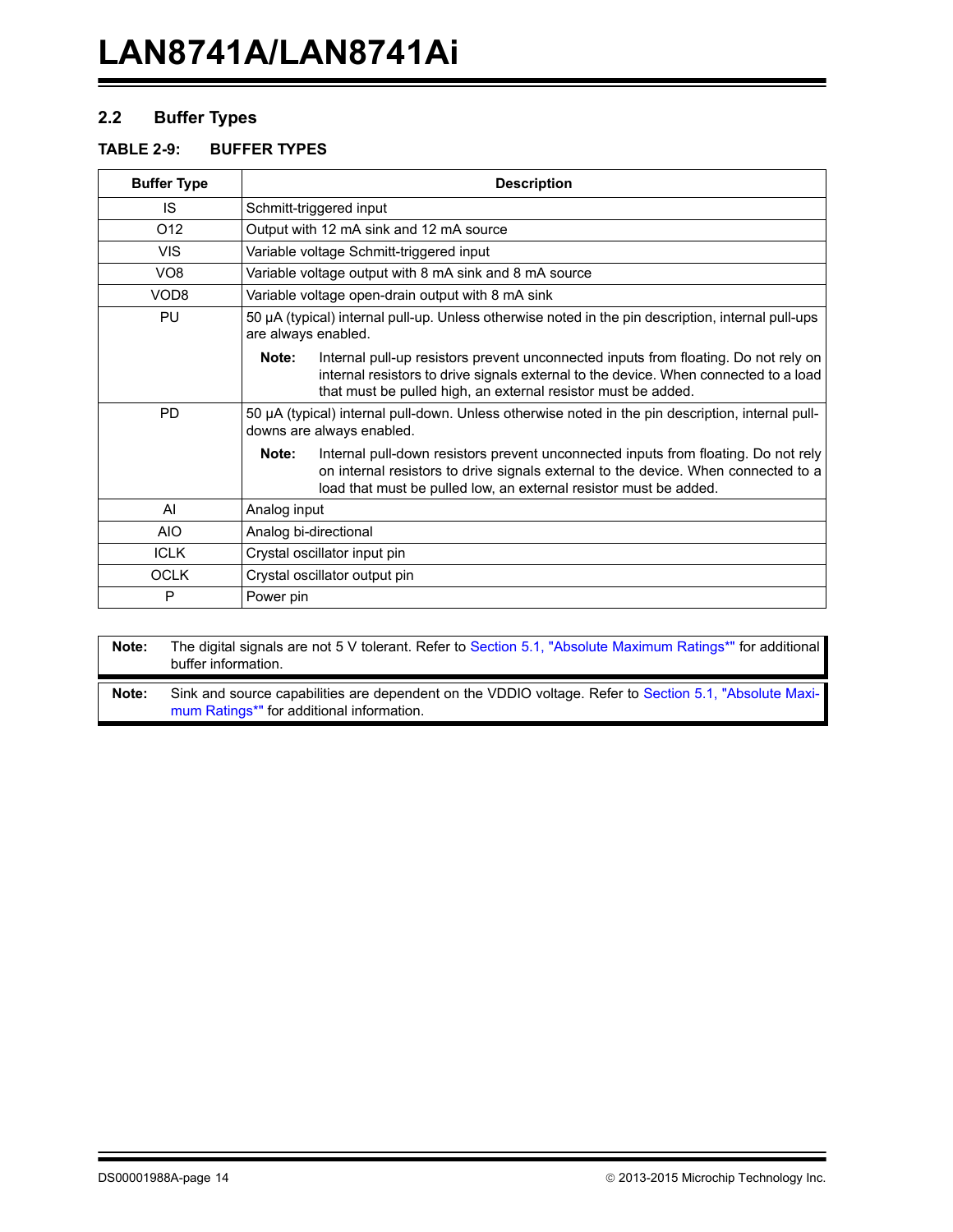## <span id="page-13-0"></span>**2.2 Buffer Types**

## **TABLE 2-9: BUFFER TYPES**

| <b>Buffer Type</b> | <b>Description</b>                                                                                                                                                                                                                                     |  |  |
|--------------------|--------------------------------------------------------------------------------------------------------------------------------------------------------------------------------------------------------------------------------------------------------|--|--|
| <b>IS</b>          | Schmitt-triggered input                                                                                                                                                                                                                                |  |  |
| O <sub>12</sub>    | Output with 12 mA sink and 12 mA source                                                                                                                                                                                                                |  |  |
| <b>VIS</b>         | Variable voltage Schmitt-triggered input                                                                                                                                                                                                               |  |  |
| VO <sub>8</sub>    | Variable voltage output with 8 mA sink and 8 mA source                                                                                                                                                                                                 |  |  |
| VOD <sub>8</sub>   | Variable voltage open-drain output with 8 mA sink                                                                                                                                                                                                      |  |  |
| PU                 | 50 µA (typical) internal pull-up. Unless otherwise noted in the pin description, internal pull-ups<br>are always enabled.                                                                                                                              |  |  |
|                    | Note:<br>Internal pull-up resistors prevent unconnected inputs from floating. Do not rely on<br>internal resistors to drive signals external to the device. When connected to a load<br>that must be pulled high, an external resistor must be added.  |  |  |
| <b>PD</b>          | 50 μA (typical) internal pull-down. Unless otherwise noted in the pin description, internal pull-<br>downs are always enabled.                                                                                                                         |  |  |
|                    | Note:<br>Internal pull-down resistors prevent unconnected inputs from floating. Do not rely<br>on internal resistors to drive signals external to the device. When connected to a<br>load that must be pulled low, an external resistor must be added. |  |  |
| AI                 | Analog input                                                                                                                                                                                                                                           |  |  |
| <b>AIO</b>         | Analog bi-directional                                                                                                                                                                                                                                  |  |  |
| <b>ICLK</b>        | Crystal oscillator input pin                                                                                                                                                                                                                           |  |  |
| <b>OCLK</b>        | Crystal oscillator output pin                                                                                                                                                                                                                          |  |  |
| P                  | Power pin                                                                                                                                                                                                                                              |  |  |

| Note: | The digital signals are not 5 V tolerant. Refer to Section 5.1, "Absolute Maximum Ratings*" for additional<br>buffer information.                               |
|-------|-----------------------------------------------------------------------------------------------------------------------------------------------------------------|
| Note: | Sink and source capabilities are dependent on the VDDIO voltage. Refer to Section 5.1, "Absolute Maxi-<br>mum Ratings <sup>*"</sup> for additional information. |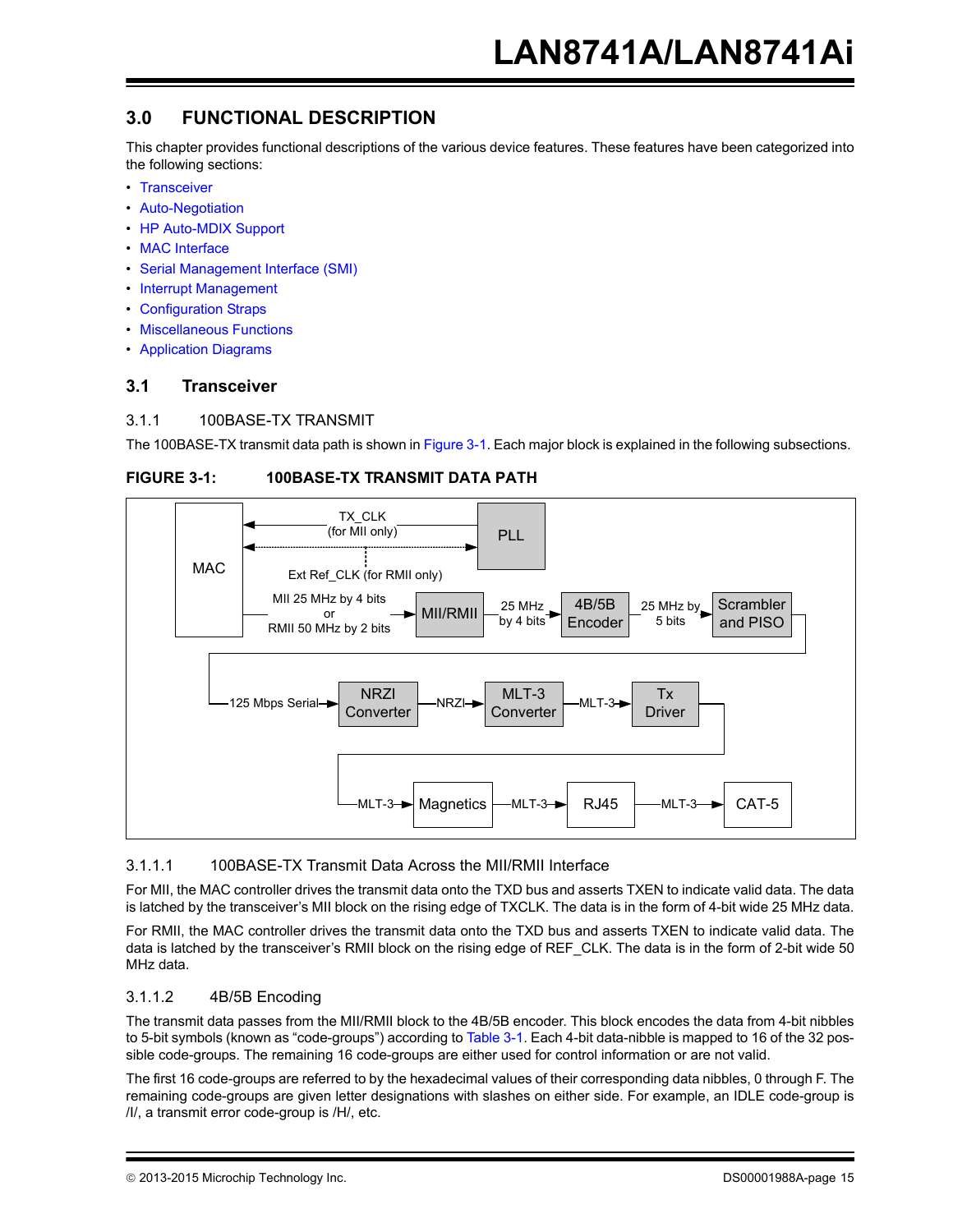## <span id="page-14-0"></span>**3.0 FUNCTIONAL DESCRIPTION**

This chapter provides functional descriptions of the various device features. These features have been categorized into the following sections:

- [Transceiver](#page-14-1)
- [Auto-Negotiation](#page-20-0)
- [HP Auto-MDIX Support](#page-22-0)
- [MAC Interface](#page-23-0)
- [Serial Management Interface \(SMI\)](#page-26-0)
- [Interrupt Management](#page-27-1)
- [Configuration Straps](#page-29-2)
- [Miscellaneous Functions](#page-32-1)
- [Application Diagrams](#page-38-0)

## <span id="page-14-1"></span>**3.1 Transceiver**

#### 3.1.1 100BASE-TX TRANSMIT

The 100BASE-TX transmit data path is shown in [Figure 3-1.](#page-14-2) Each major block is explained in the following subsections.

<span id="page-14-2"></span>



## 3.1.1.1 100BASE-TX Transmit Data Across the MII/RMII Interface

For MII, the MAC controller drives the transmit data onto the TXD bus and asserts TXEN to indicate valid data. The data is latched by the transceiver's MII block on the rising edge of TXCLK. The data is in the form of 4-bit wide 25 MHz data.

For RMII, the MAC controller drives the transmit data onto the TXD bus and asserts TXEN to indicate valid data. The data is latched by the transceiver's RMII block on the rising edge of REF CLK. The data is in the form of 2-bit wide 50 MHz data.

## 3.1.1.2 4B/5B Encoding

The transmit data passes from the MII/RMII block to the 4B/5B encoder. This block encodes the data from 4-bit nibbles to 5-bit symbols (known as "code-groups") according to [Table 3-1.](#page-15-0) Each 4-bit data-nibble is mapped to 16 of the 32 possible code-groups. The remaining 16 code-groups are either used for control information or are not valid.

The first 16 code-groups are referred to by the hexadecimal values of their corresponding data nibbles, 0 through F. The remaining code-groups are given letter designations with slashes on either side. For example, an IDLE code-group is /I/, a transmit error code-group is /H/, etc.

 <sup>2013-2015</sup> Microchip Technology Inc. DS00001988A-page 15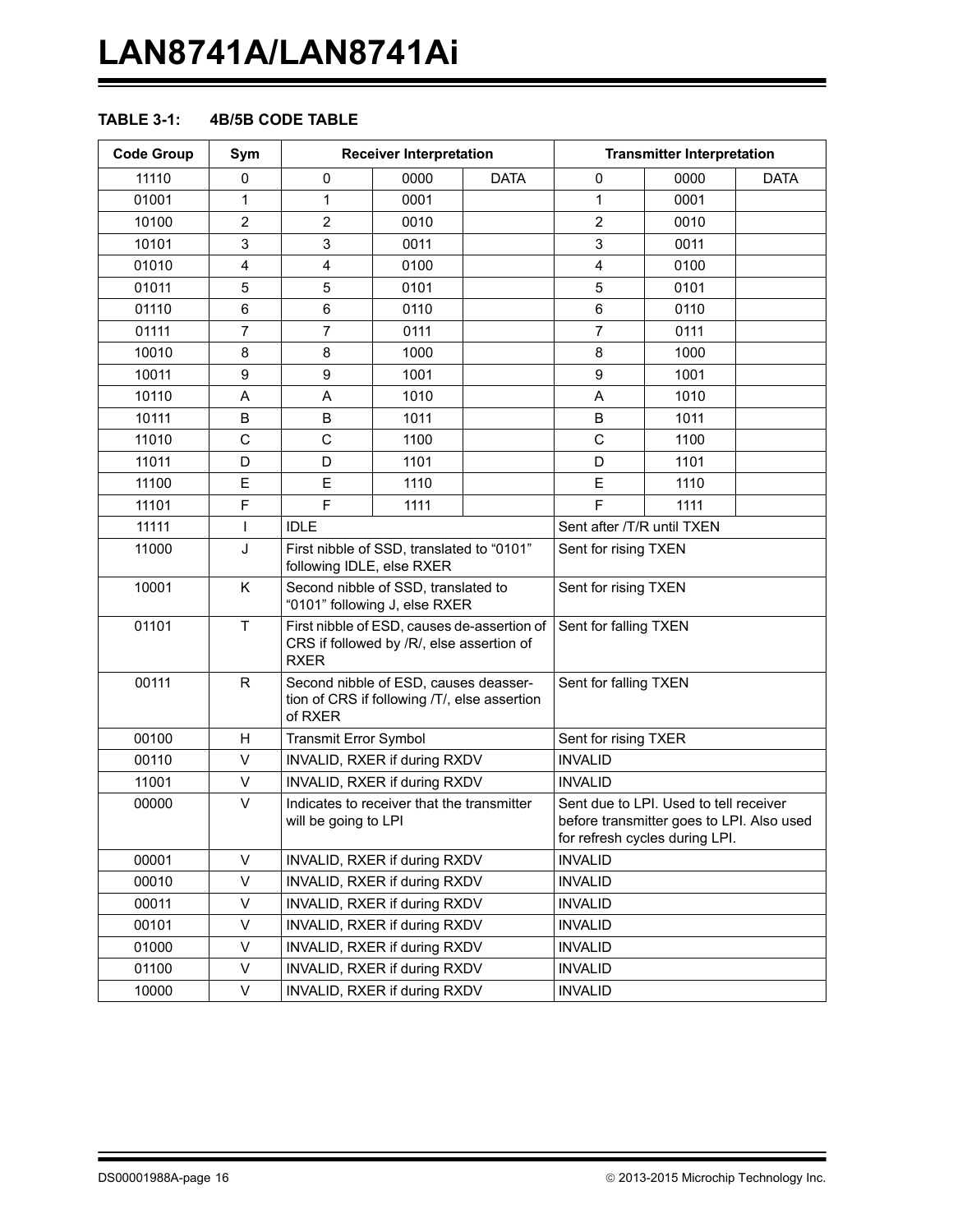## **LAN8741A/LAN8741Ai**

| <b>Code Group</b> | Sym            |                                                                                                         | <b>Receiver Interpretation</b>                                                        |                       |                                | <b>Transmitter Interpretation</b>                                                   |             |
|-------------------|----------------|---------------------------------------------------------------------------------------------------------|---------------------------------------------------------------------------------------|-----------------------|--------------------------------|-------------------------------------------------------------------------------------|-------------|
| 11110             | 0              | $\mathbf 0$                                                                                             | 0000                                                                                  | <b>DATA</b>           | 0                              | 0000                                                                                | <b>DATA</b> |
| 01001             | 1              | 1                                                                                                       | 0001                                                                                  |                       | 1                              | 0001                                                                                |             |
| 10100             | $\overline{2}$ | $\overline{2}$                                                                                          | 0010                                                                                  |                       | $\overline{2}$                 | 0010                                                                                |             |
| 10101             | 3              | 3                                                                                                       | 0011                                                                                  |                       | 3                              | 0011                                                                                |             |
| 01010             | 4              | 4                                                                                                       | 0100                                                                                  |                       | 4                              | 0100                                                                                |             |
| 01011             | 5              | 5                                                                                                       | 0101                                                                                  |                       | 5                              | 0101                                                                                |             |
| 01110             | 6              | $\,6$                                                                                                   | 0110                                                                                  |                       | 6                              | 0110                                                                                |             |
| 01111             | 7              | $\overline{7}$                                                                                          | 0111                                                                                  |                       | 7                              | 0111                                                                                |             |
| 10010             | 8              | 8                                                                                                       | 1000                                                                                  |                       | 8                              | 1000                                                                                |             |
| 10011             | 9              | $\boldsymbol{9}$                                                                                        | 1001                                                                                  |                       | 9                              | 1001                                                                                |             |
| 10110             | A              | A                                                                                                       | 1010                                                                                  |                       | Α                              | 1010                                                                                |             |
| 10111             | B              | B                                                                                                       | 1011                                                                                  |                       | B                              | 1011                                                                                |             |
| 11010             | $\mathsf{C}$   | $\mathsf{C}$                                                                                            | 1100                                                                                  |                       | C                              | 1100                                                                                |             |
| 11011             | D              | D                                                                                                       | 1101                                                                                  |                       | D                              | 1101                                                                                |             |
| 11100             | E              | E                                                                                                       | 1110                                                                                  |                       | E                              | 1110                                                                                |             |
| 11101             | F              | F                                                                                                       | 1111                                                                                  |                       | F                              | 1111                                                                                |             |
| 11111             | $\mathbf{I}$   | <b>IDLE</b>                                                                                             |                                                                                       |                       | Sent after /T/R until TXEN     |                                                                                     |             |
| 11000             | J              |                                                                                                         | First nibble of SSD, translated to "0101"<br>following IDLE, else RXER                |                       | Sent for rising TXEN           |                                                                                     |             |
| 10001             | K              | Second nibble of SSD, translated to<br>"0101" following J, else RXER                                    |                                                                                       | Sent for rising TXEN  |                                |                                                                                     |             |
| 01101             | $\mathsf T$    | First nibble of ESD, causes de-assertion of<br>CRS if followed by /R/, else assertion of<br><b>RXER</b> |                                                                                       | Sent for falling TXEN |                                |                                                                                     |             |
| 00111             | ${\sf R}$      | of RXER                                                                                                 | Second nibble of ESD, causes deasser-<br>tion of CRS if following /T/, else assertion |                       | Sent for falling TXEN          |                                                                                     |             |
| 00100             | H              | Transmit Error Symbol                                                                                   |                                                                                       |                       | Sent for rising TXER           |                                                                                     |             |
| 00110             | $\vee$         |                                                                                                         | INVALID, RXER if during RXDV                                                          |                       | <b>INVALID</b>                 |                                                                                     |             |
| 11001             | $\vee$         |                                                                                                         | INVALID, RXER if during RXDV                                                          |                       | <b>INVALID</b>                 |                                                                                     |             |
| 00000             | $\vee$         | Indicates to receiver that the transmitter<br>will be going to LPI                                      |                                                                                       |                       | for refresh cycles during LPI. | Sent due to LPI. Used to tell receiver<br>before transmitter goes to LPI. Also used |             |
| 00001             | V              |                                                                                                         | INVALID, RXER if during RXDV                                                          |                       | <b>INVALID</b>                 |                                                                                     |             |
| 00010             | $\vee$         |                                                                                                         | INVALID, RXER if during RXDV                                                          |                       | <b>INVALID</b>                 |                                                                                     |             |
| 00011             | $\mathsf V$    |                                                                                                         | INVALID, RXER if during RXDV                                                          |                       | <b>INVALID</b>                 |                                                                                     |             |
| 00101             | V              | INVALID, RXER if during RXDV                                                                            |                                                                                       |                       | <b>INVALID</b>                 |                                                                                     |             |
| 01000             | $\mathsf{V}$   | INVALID, RXER if during RXDV                                                                            |                                                                                       |                       | <b>INVALID</b>                 |                                                                                     |             |
| 01100             | $\sf V$        |                                                                                                         | INVALID, RXER if during RXDV                                                          |                       | <b>INVALID</b>                 |                                                                                     |             |
| 10000             | V              |                                                                                                         | INVALID, RXER if during RXDV                                                          |                       |                                |                                                                                     |             |

## <span id="page-15-0"></span>**TABLE 3-1: 4B/5B CODE TABLE**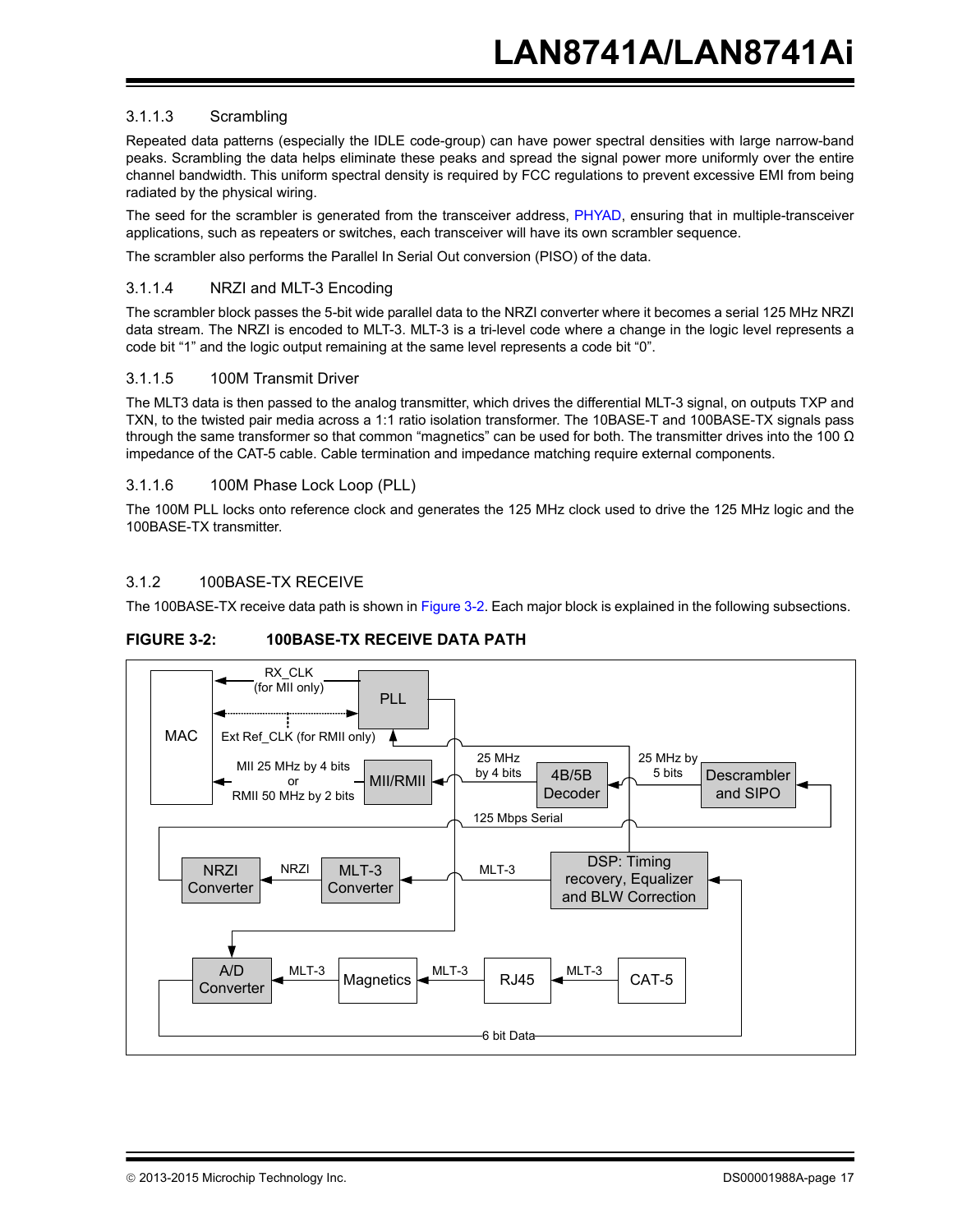## 3.1.1.3 Scrambling

Repeated data patterns (especially the IDLE code-group) can have power spectral densities with large narrow-band peaks. Scrambling the data helps eliminate these peaks and spread the signal power more uniformly over the entire channel bandwidth. This uniform spectral density is required by FCC regulations to prevent excessive EMI from being radiated by the physical wiring.

The seed for the scrambler is generated from the transceiver address, [PHYAD](#page-58-0), ensuring that in multiple-transceiver applications, such as repeaters or switches, each transceiver will have its own scrambler sequence.

The scrambler also performs the Parallel In Serial Out conversion (PISO) of the data.

#### 3.1.1.4 NRZI and MLT-3 Encoding

The scrambler block passes the 5-bit wide parallel data to the NRZI converter where it becomes a serial 125 MHz NRZI data stream. The NRZI is encoded to MLT-3. MLT-3 is a tri-level code where a change in the logic level represents a code bit "1" and the logic output remaining at the same level represents a code bit "0".

#### 3.1.1.5 100M Transmit Driver

The MLT3 data is then passed to the analog transmitter, which drives the differential MLT-3 signal, on outputs TXP and TXN, to the twisted pair media across a 1:1 ratio isolation transformer. The 10BASE-T and 100BASE-TX signals pass through the same transformer so that common "magnetics" can be used for both. The transmitter drives into the 100  $\Omega$ impedance of the CAT-5 cable. Cable termination and impedance matching require external components.

#### 3.1.1.6 100M Phase Lock Loop (PLL)

The 100M PLL locks onto reference clock and generates the 125 MHz clock used to drive the 125 MHz logic and the 100BASE-TX transmitter.

#### 3.1.2 100BASE-TX RECEIVE

The 100BASE-TX receive data path is shown in [Figure 3-2](#page-16-0). Each major block is explained in the following subsections.

<span id="page-16-0"></span>

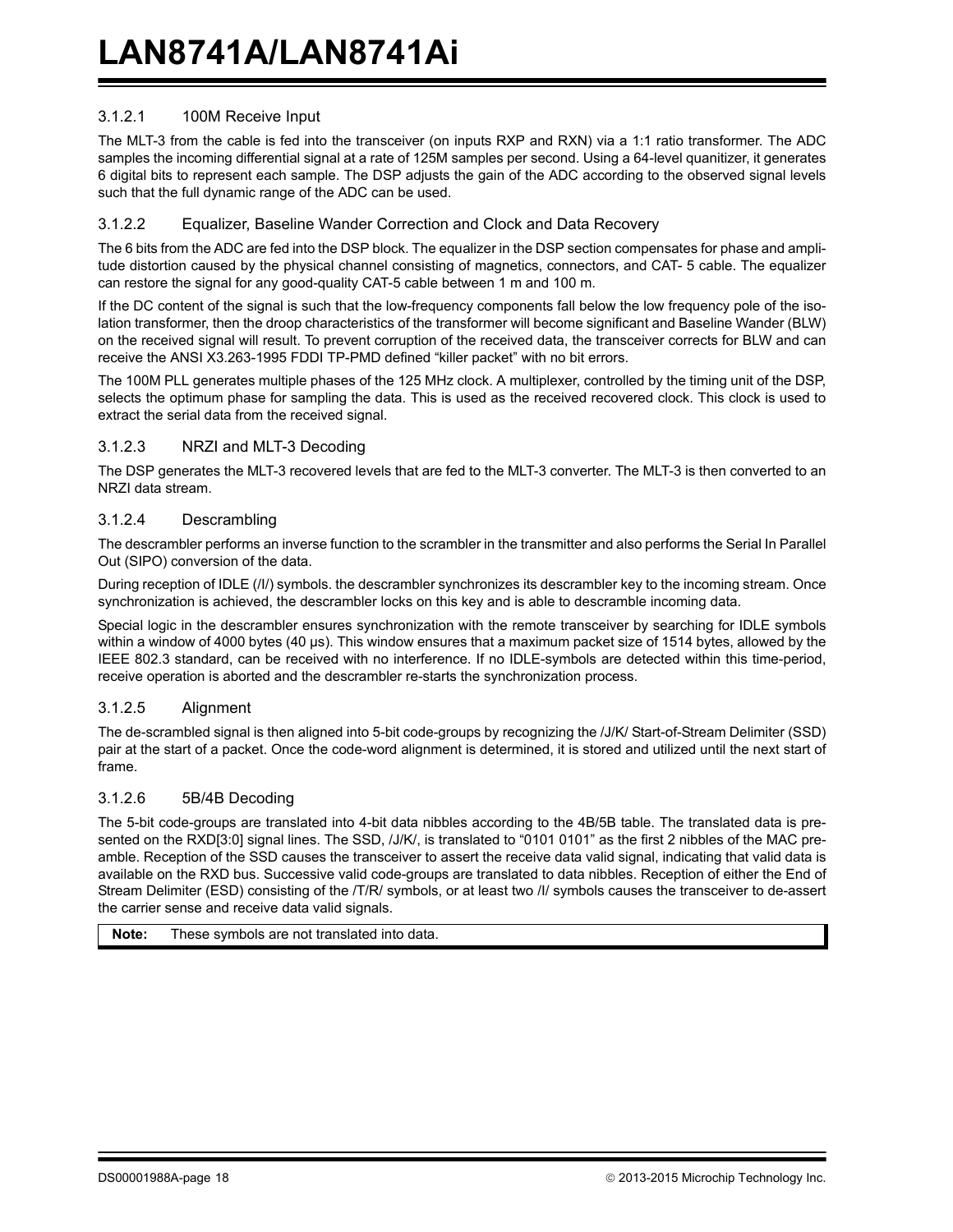## 3.1.2.1 100M Receive Input

The MLT-3 from the cable is fed into the transceiver (on inputs RXP and RXN) via a 1:1 ratio transformer. The ADC samples the incoming differential signal at a rate of 125M samples per second. Using a 64-level quanitizer, it generates 6 digital bits to represent each sample. The DSP adjusts the gain of the ADC according to the observed signal levels such that the full dynamic range of the ADC can be used.

#### 3.1.2.2 Equalizer, Baseline Wander Correction and Clock and Data Recovery

The 6 bits from the ADC are fed into the DSP block. The equalizer in the DSP section compensates for phase and amplitude distortion caused by the physical channel consisting of magnetics, connectors, and CAT- 5 cable. The equalizer can restore the signal for any good-quality CAT-5 cable between 1 m and 100 m.

If the DC content of the signal is such that the low-frequency components fall below the low frequency pole of the isolation transformer, then the droop characteristics of the transformer will become significant and Baseline Wander (BLW) on the received signal will result. To prevent corruption of the received data, the transceiver corrects for BLW and can receive the ANSI X3.263-1995 FDDI TP-PMD defined "killer packet" with no bit errors.

The 100M PLL generates multiple phases of the 125 MHz clock. A multiplexer, controlled by the timing unit of the DSP, selects the optimum phase for sampling the data. This is used as the received recovered clock. This clock is used to extract the serial data from the received signal.

#### 3.1.2.3 NRZI and MLT-3 Decoding

The DSP generates the MLT-3 recovered levels that are fed to the MLT-3 converter. The MLT-3 is then converted to an NRZI data stream.

#### 3.1.2.4 Descrambling

The descrambler performs an inverse function to the scrambler in the transmitter and also performs the Serial In Parallel Out (SIPO) conversion of the data.

During reception of IDLE (/I/) symbols. the descrambler synchronizes its descrambler key to the incoming stream. Once synchronization is achieved, the descrambler locks on this key and is able to descramble incoming data.

Special logic in the descrambler ensures synchronization with the remote transceiver by searching for IDLE symbols within a window of 4000 bytes (40 µs). This window ensures that a maximum packet size of 1514 bytes, allowed by the IEEE 802.3 standard, can be received with no interference. If no IDLE-symbols are detected within this time-period, receive operation is aborted and the descrambler re-starts the synchronization process.

#### 3.1.2.5 Alignment

The de-scrambled signal is then aligned into 5-bit code-groups by recognizing the /J/K/ Start-of-Stream Delimiter (SSD) pair at the start of a packet. Once the code-word alignment is determined, it is stored and utilized until the next start of frame.

#### 3.1.2.6 5B/4B Decoding

The 5-bit code-groups are translated into 4-bit data nibbles according to the 4B/5B table. The translated data is presented on the RXD[3:0] signal lines. The SSD, /J/K/, is translated to "0101 0101" as the first 2 nibbles of the MAC preamble. Reception of the SSD causes the transceiver to assert the receive data valid signal, indicating that valid data is available on the RXD bus. Successive valid code-groups are translated to data nibbles. Reception of either the End of Stream Delimiter (ESD) consisting of the /T/R/ symbols, or at least two /I/ symbols causes the transceiver to de-assert the carrier sense and receive data valid signals.

#### **Note:** These symbols are not translated into data.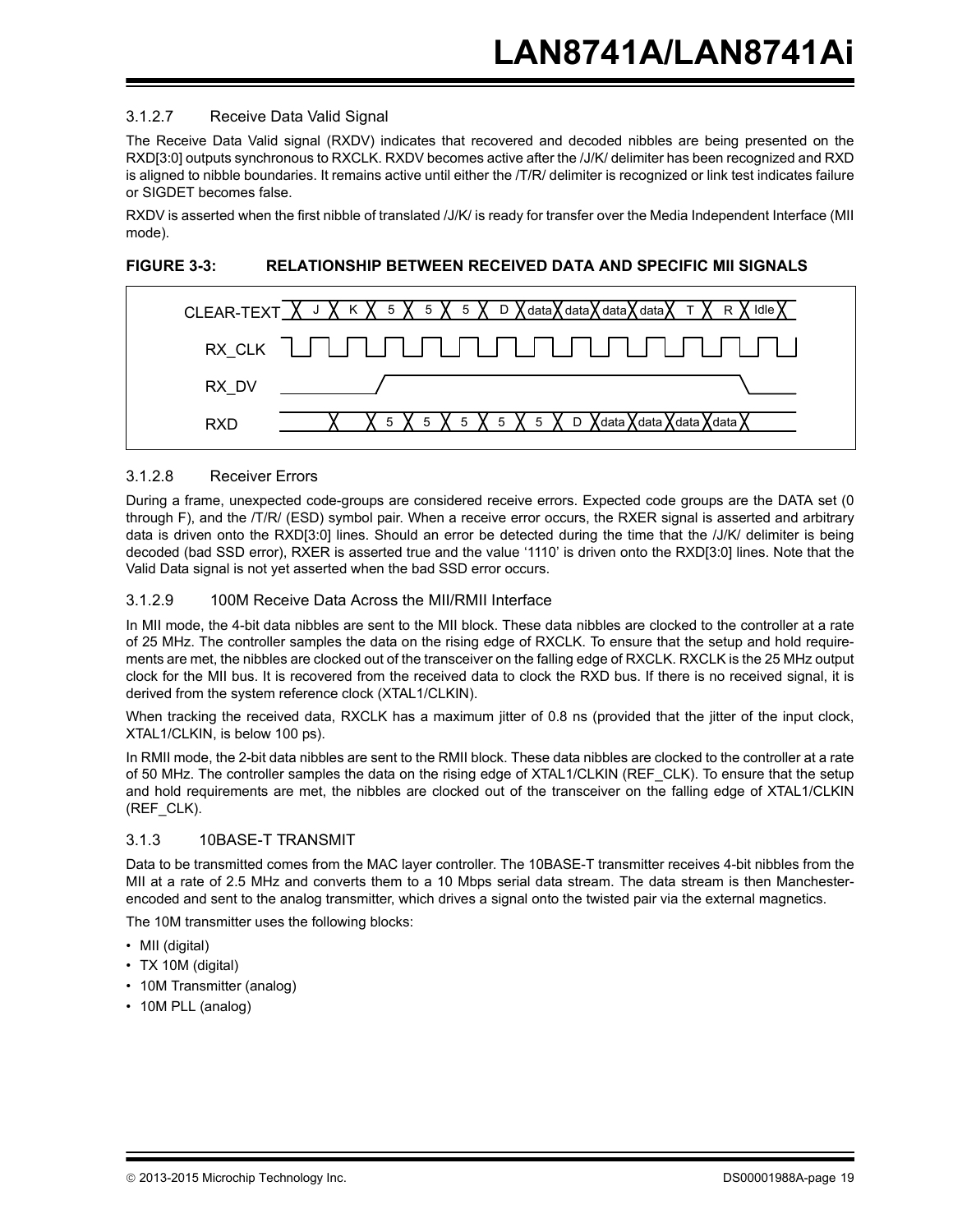#### 3.1.2.7 Receive Data Valid Signal

The Receive Data Valid signal (RXDV) indicates that recovered and decoded nibbles are being presented on the RXD[3:0] outputs synchronous to RXCLK. RXDV becomes active after the /J/K/ delimiter has been recognized and RXD is aligned to nibble boundaries. It remains active until either the /T/R/ delimiter is recognized or link test indicates failure or SIGDET becomes false.

RXDV is asserted when the first nibble of translated /J/K/ is ready for transfer over the Media Independent Interface (MII mode).

#### **FIGURE 3-3: RELATIONSHIP BETWEEN RECEIVED DATA AND SPECIFIC MII SIGNALS**



#### 3.1.2.8 Receiver Errors

During a frame, unexpected code-groups are considered receive errors. Expected code groups are the DATA set (0 through F), and the /T/R/ (ESD) symbol pair. When a receive error occurs, the RXER signal is asserted and arbitrary data is driven onto the RXD[3:0] lines. Should an error be detected during the time that the /J/K/ delimiter is being decoded (bad SSD error), RXER is asserted true and the value '1110' is driven onto the RXD[3:0] lines. Note that the Valid Data signal is not yet asserted when the bad SSD error occurs.

#### 3.1.2.9 100M Receive Data Across the MII/RMII Interface

In MII mode, the 4-bit data nibbles are sent to the MII block. These data nibbles are clocked to the controller at a rate of 25 MHz. The controller samples the data on the rising edge of RXCLK. To ensure that the setup and hold requirements are met, the nibbles are clocked out of the transceiver on the falling edge of RXCLK. RXCLK is the 25 MHz output clock for the MII bus. It is recovered from the received data to clock the RXD bus. If there is no received signal, it is derived from the system reference clock (XTAL1/CLKIN).

When tracking the received data, RXCLK has a maximum jitter of 0.8 ns (provided that the jitter of the input clock, XTAL1/CLKIN, is below 100 ps).

In RMII mode, the 2-bit data nibbles are sent to the RMII block. These data nibbles are clocked to the controller at a rate of 50 MHz. The controller samples the data on the rising edge of XTAL1/CLKIN (REF\_CLK). To ensure that the setup and hold requirements are met, the nibbles are clocked out of the transceiver on the falling edge of XTAL1/CLKIN (REF\_CLK).

#### 3.1.3 10BASE-T TRANSMIT

Data to be transmitted comes from the MAC layer controller. The 10BASE-T transmitter receives 4-bit nibbles from the MII at a rate of 2.5 MHz and converts them to a 10 Mbps serial data stream. The data stream is then Manchesterencoded and sent to the analog transmitter, which drives a signal onto the twisted pair via the external magnetics.

The 10M transmitter uses the following blocks:

- MII (digital)
- TX 10M (digital)
- 10M Transmitter (analog)
- 10M PLL (analog)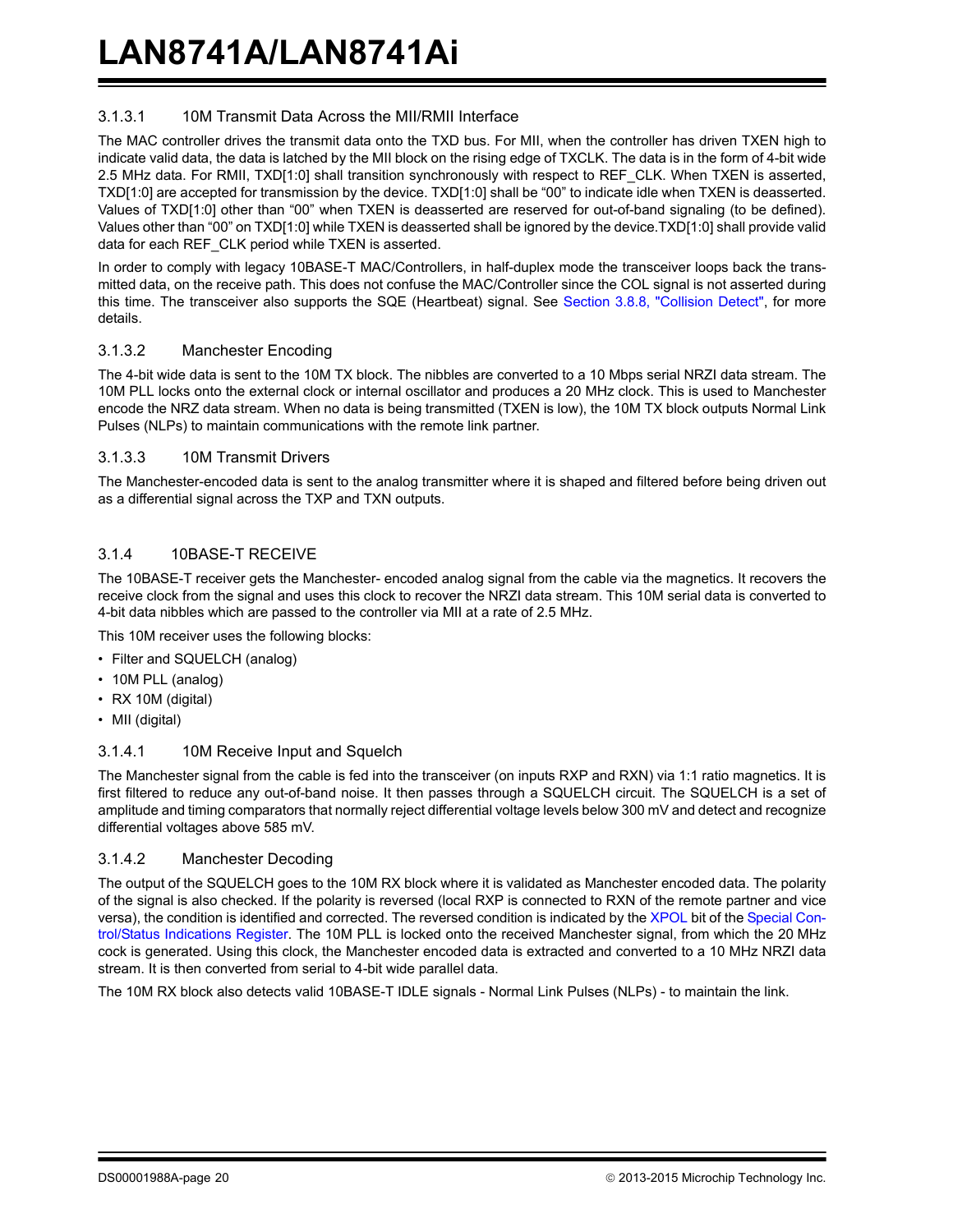## 3.1.3.1 10M Transmit Data Across the MII/RMII Interface

The MAC controller drives the transmit data onto the TXD bus. For MII, when the controller has driven TXEN high to indicate valid data, the data is latched by the MII block on the rising edge of TXCLK. The data is in the form of 4-bit wide 2.5 MHz data. For RMII, TXD[1:0] shall transition synchronously with respect to REF\_CLK. When TXEN is asserted, TXD[1:0] are accepted for transmission by the device. TXD[1:0] shall be "00" to indicate idle when TXEN is deasserted. Values of TXD[1:0] other than "00" when TXEN is deasserted are reserved for out-of-band signaling (to be defined). Values other than "00" on TXD[1:0] while TXEN is deasserted shall be ignored by the device.TXD[1:0] shall provide valid data for each REF\_CLK period while TXEN is asserted.

In order to comply with legacy 10BASE-T MAC/Controllers, in half-duplex mode the transceiver loops back the transmitted data, on the receive path. This does not confuse the MAC/Controller since the COL signal is not asserted during this time. The transceiver also supports the SQE (Heartbeat) signal. See [Section 3.8.8, "Collision Detect",](#page-35-0) for more details.

## 3.1.3.2 Manchester Encoding

The 4-bit wide data is sent to the 10M TX block. The nibbles are converted to a 10 Mbps serial NRZI data stream. The 10M PLL locks onto the external clock or internal oscillator and produces a 20 MHz clock. This is used to Manchester encode the NRZ data stream. When no data is being transmitted (TXEN is low), the 10M TX block outputs Normal Link Pulses (NLPs) to maintain communications with the remote link partner.

#### 3.1.3.3 10M Transmit Drivers

The Manchester-encoded data is sent to the analog transmitter where it is shaped and filtered before being driven out as a differential signal across the TXP and TXN outputs.

## 3.1.4 10BASE-T RECEIVE

The 10BASE-T receiver gets the Manchester- encoded analog signal from the cable via the magnetics. It recovers the receive clock from the signal and uses this clock to recover the NRZI data stream. This 10M serial data is converted to 4-bit data nibbles which are passed to the controller via MII at a rate of 2.5 MHz.

This 10M receiver uses the following blocks:

- Filter and SQUELCH (analog)
- 10M PLL (analog)
- RX 10M (digital)
- MII (digital)

#### 3.1.4.1 10M Receive Input and Squelch

The Manchester signal from the cable is fed into the transceiver (on inputs RXP and RXN) via 1:1 ratio magnetics. It is first filtered to reduce any out-of-band noise. It then passes through a SQUELCH circuit. The SQUELCH is a set of amplitude and timing comparators that normally reject differential voltage levels below 300 mV and detect and recognize differential voltages above 585 mV.

#### 3.1.4.2 Manchester Decoding

The output of the SQUELCH goes to the 10M RX block where it is validated as Manchester encoded data. The polarity of the signal is also checked. If the polarity is reversed (local RXP is connected to RXN of the remote partner and vice versa), the condition is identified and corrected. The reversed condition is indicated by the [XPOL](#page-60-0) bit of the [Special Con](#page-60-1)[trol/Status Indications Register](#page-60-1). The 10M PLL is locked onto the received Manchester signal, from which the 20 MHz cock is generated. Using this clock, the Manchester encoded data is extracted and converted to a 10 MHz NRZI data stream. It is then converted from serial to 4-bit wide parallel data.

The 10M RX block also detects valid 10BASE-T IDLE signals - Normal Link Pulses (NLPs) - to maintain the link.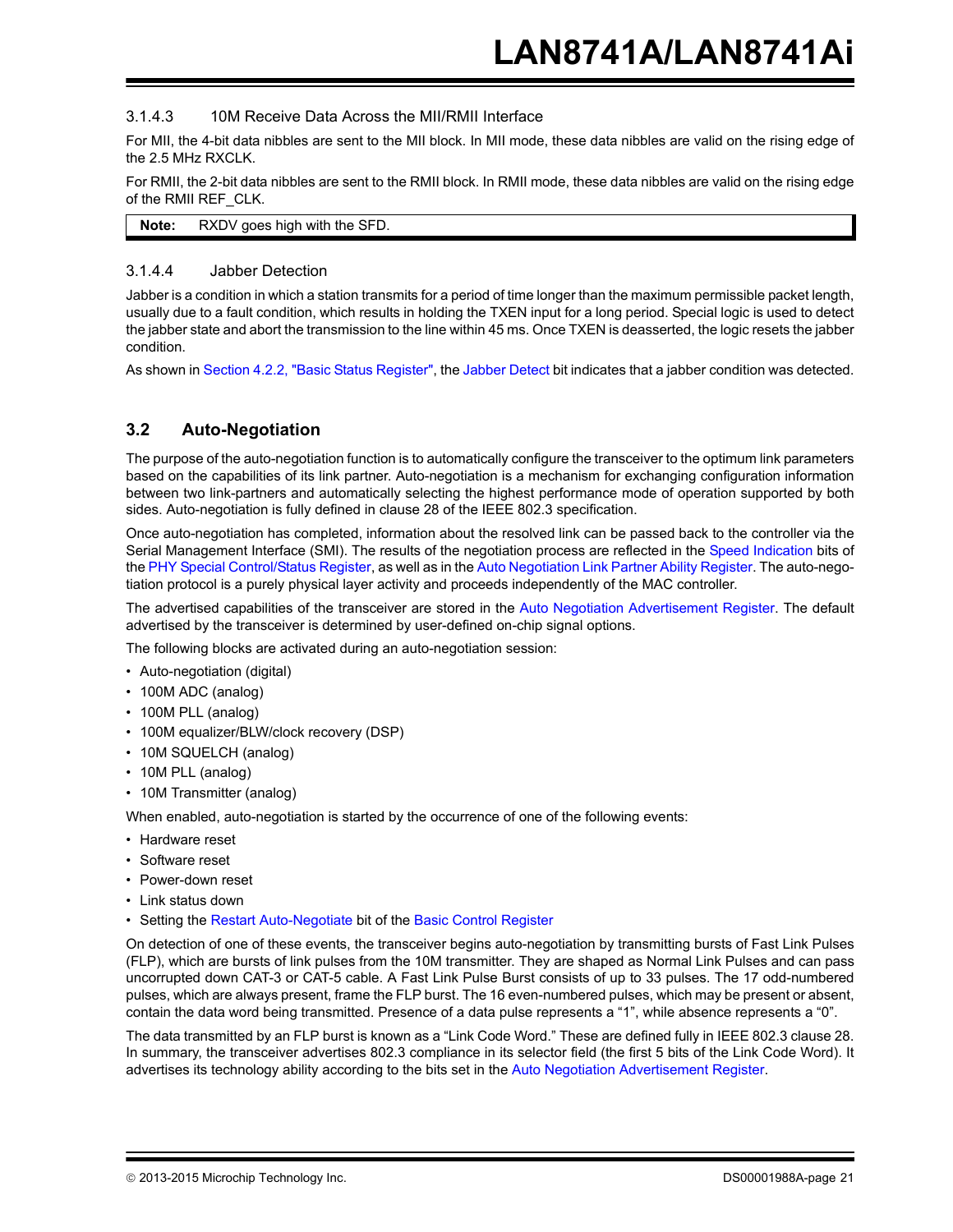#### 3.1.4.3 10M Receive Data Across the MII/RMII Interface

For MII, the 4-bit data nibbles are sent to the MII block. In MII mode, these data nibbles are valid on the rising edge of the 2.5 MHz RXCLK.

For RMII, the 2-bit data nibbles are sent to the RMII block. In RMII mode, these data nibbles are valid on the rising edge of the RMII REF\_CLK.

**Note:** RXDV goes high with the SFD.

#### 3.1.4.4 Jabber Detection

Jabber is a condition in which a station transmits for a period of time longer than the maximum permissible packet length, usually due to a fault condition, which results in holding the TXEN input for a long period. Special logic is used to detect the jabber state and abort the transmission to the line within 45 ms. Once TXEN is deasserted, the logic resets the jabber condition.

As shown in [Section 4.2.2, "Basic Status Register"](#page-46-0), the [Jabber Detect](#page-46-1) bit indicates that a jabber condition was detected.

## <span id="page-20-0"></span>**3.2 Auto-Negotiation**

The purpose of the auto-negotiation function is to automatically configure the transceiver to the optimum link parameters based on the capabilities of its link partner. Auto-negotiation is a mechanism for exchanging configuration information between two link-partners and automatically selecting the highest performance mode of operation supported by both sides. Auto-negotiation is fully defined in clause 28 of the IEEE 802.3 specification.

Once auto-negotiation has completed, information about the resolved link can be passed back to the controller via the Serial Management Interface (SMI). The results of the negotiation process are reflected in the [Speed Indication](#page-63-1) bits of the [PHY Special Control/Status Register,](#page-63-0) as well as in the [Auto Negotiation Link Partner Ability Register.](#page-50-0) The auto-negotiation protocol is a purely physical layer activity and proceeds independently of the MAC controller.

The advertised capabilities of the transceiver are stored in the [Auto Negotiation Advertisement Register.](#page-49-0) The default advertised by the transceiver is determined by user-defined on-chip signal options.

The following blocks are activated during an auto-negotiation session:

- Auto-negotiation (digital)
- 100M ADC (analog)
- 100M PLL (analog)
- 100M equalizer/BLW/clock recovery (DSP)
- 10M SQUELCH (analog)
- 10M PLL (analog)
- 10M Transmitter (analog)

When enabled, auto-negotiation is started by the occurrence of one of the following events:

- Hardware reset
- Software reset
- Power-down reset
- Link status down
- Setting the [Restart Auto-Negotiate](#page-45-1) bit of the [Basic Control Register](#page-45-0)

On detection of one of these events, the transceiver begins auto-negotiation by transmitting bursts of Fast Link Pulses (FLP), which are bursts of link pulses from the 10M transmitter. They are shaped as Normal Link Pulses and can pass uncorrupted down CAT-3 or CAT-5 cable. A Fast Link Pulse Burst consists of up to 33 pulses. The 17 odd-numbered pulses, which are always present, frame the FLP burst. The 16 even-numbered pulses, which may be present or absent, contain the data word being transmitted. Presence of a data pulse represents a "1", while absence represents a "0".

The data transmitted by an FLP burst is known as a "Link Code Word." These are defined fully in IEEE 802.3 clause 28. In summary, the transceiver advertises 802.3 compliance in its selector field (the first 5 bits of the Link Code Word). It advertises its technology ability according to the bits set in the [Auto Negotiation Advertisement Register](#page-49-0).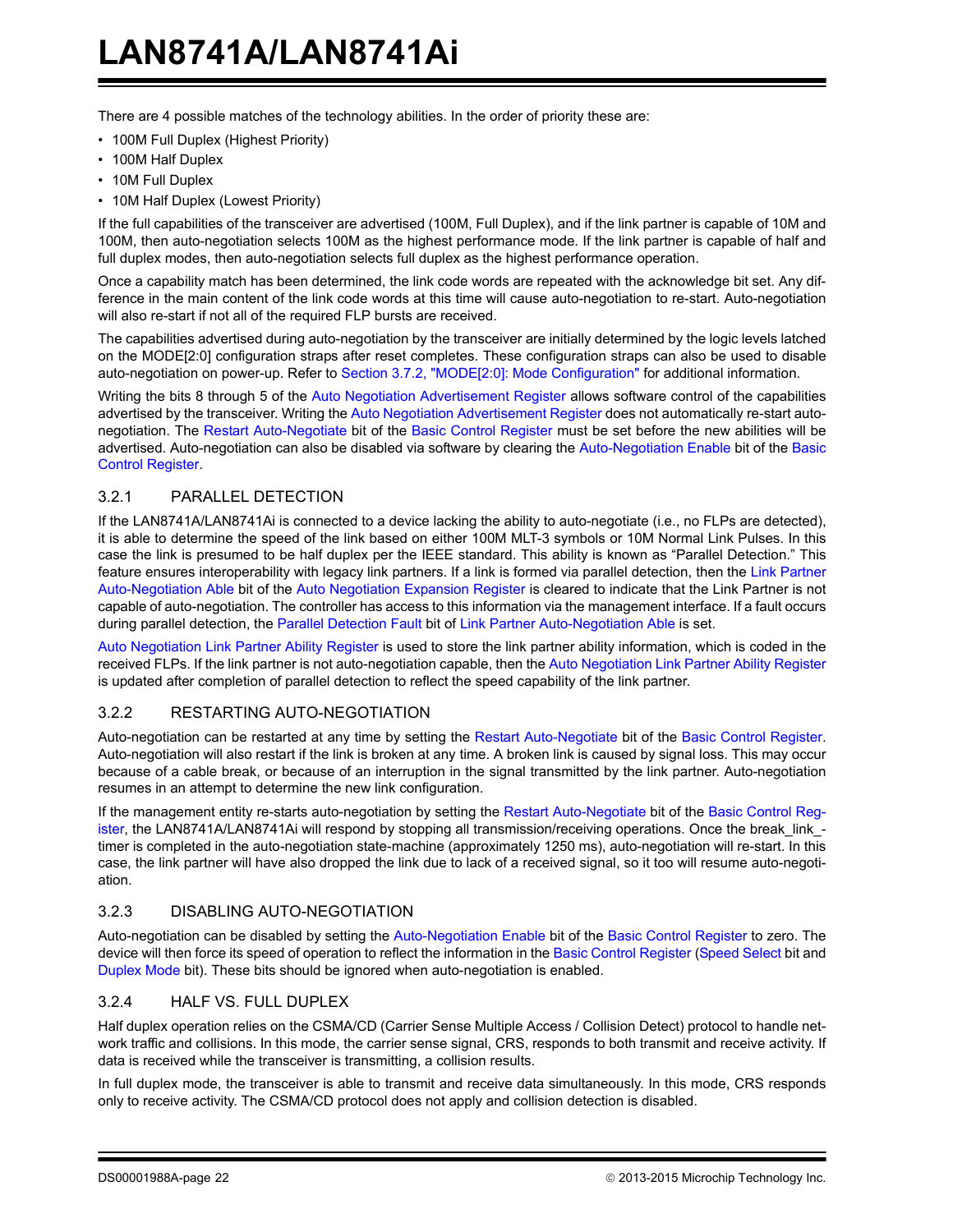There are 4 possible matches of the technology abilities. In the order of priority these are:

- 100M Full Duplex (Highest Priority)
- 100M Half Duplex
- 10M Full Duplex
- 10M Half Duplex (Lowest Priority)

If the full capabilities of the transceiver are advertised (100M, Full Duplex), and if the link partner is capable of 10M and 100M, then auto-negotiation selects 100M as the highest performance mode. If the link partner is capable of half and full duplex modes, then auto-negotiation selects full duplex as the highest performance operation.

Once a capability match has been determined, the link code words are repeated with the acknowledge bit set. Any difference in the main content of the link code words at this time will cause auto-negotiation to re-start. Auto-negotiation will also re-start if not all of the required FLP bursts are received.

The capabilities advertised during auto-negotiation by the transceiver are initially determined by the logic levels latched on the MODE[2:0] configuration straps after reset completes. These configuration straps can also be used to disable auto-negotiation on power-up. Refer to [Section 3.7.2, "MODE\[2:0\]: Mode Configuration"](#page-30-1) for additional information.

Writing the bits 8 through 5 of the [Auto Negotiation Advertisement Register](#page-49-0) allows software control of the capabilities advertised by the transceiver. Writing the [Auto Negotiation Advertisement Register](#page-49-0) does not automatically re-start autonegotiation. The [Restart Auto-Negotiate](#page-45-1) bit of the [Basic Control Register](#page-45-0) must be set before the new abilities will be advertised. Auto-negotiation can also be disabled via software by clearing the [Auto-Negotiation Enable](#page-45-2) bit of the [Basic](#page-45-0) [Control Register.](#page-45-0)

## 3.2.1 PARALLEL DETECTION

If the LAN8741A/LAN8741Ai is connected to a device lacking the ability to auto-negotiate (i.e., no FLPs are detected), it is able to determine the speed of the link based on either 100M MLT-3 symbols or 10M Normal Link Pulses. In this case the link is presumed to be half duplex per the IEEE standard. This ability is known as "Parallel Detection." This feature ensures interoperability with legacy link partners. If a link is formed via parallel detection, then the [Link Partner](#page-51-0) [Auto-Negotiation Able](#page-51-0) bit of the [Auto Negotiation Expansion Register](#page-51-1) is cleared to indicate that the Link Partner is not capable of auto-negotiation. The controller has access to this information via the management interface. If a fault occurs during parallel detection, the [Parallel Detection Fault](#page-51-2) bit of [Link Partner Auto-Negotiation Able](#page-51-0) is set.

[Auto Negotiation Link Partner Ability Register](#page-50-0) is used to store the link partner ability information, which is coded in the received FLPs. If the link partner is not auto-negotiation capable, then the [Auto Negotiation Link Partner Ability Register](#page-50-0) is updated after completion of parallel detection to reflect the speed capability of the link partner.

#### 3.2.2 RESTARTING AUTO-NEGOTIATION

Auto-negotiation can be restarted at any time by setting the [Restart Auto-Negotiate](#page-45-1) bit of the [Basic Control Register.](#page-45-0) Auto-negotiation will also restart if the link is broken at any time. A broken link is caused by signal loss. This may occur because of a cable break, or because of an interruption in the signal transmitted by the link partner. Auto-negotiation resumes in an attempt to determine the new link configuration.

If the management entity re-starts auto-negotiation by setting the [Restart Auto-Negotiate](#page-45-1) bit of the [Basic Control Reg](#page-45-0)[ister,](#page-45-0) the LAN8741A/LAN8741Ai will respond by stopping all transmission/receiving operations. Once the break link timer is completed in the auto-negotiation state-machine (approximately 1250 ms), auto-negotiation will re-start. In this case, the link partner will have also dropped the link due to lack of a received signal, so it too will resume auto-negotiation.

## 3.2.3 DISABLING AUTO-NEGOTIATION

Auto-negotiation can be disabled by setting the [Auto-Negotiation Enable](#page-45-2) bit of the [Basic Control Register](#page-45-0) to zero. The device will then force its speed of operation to reflect the information in the [Basic Control Register](#page-45-0) ([Speed Select](#page-45-3) bit and [Duplex Mode](#page-45-4) bit). These bits should be ignored when auto-negotiation is enabled.

#### 3.2.4 HALF VS. FULL DUPLEX

Half duplex operation relies on the CSMA/CD (Carrier Sense Multiple Access / Collision Detect) protocol to handle network traffic and collisions. In this mode, the carrier sense signal, CRS, responds to both transmit and receive activity. If data is received while the transceiver is transmitting, a collision results.

In full duplex mode, the transceiver is able to transmit and receive data simultaneously. In this mode, CRS responds only to receive activity. The CSMA/CD protocol does not apply and collision detection is disabled.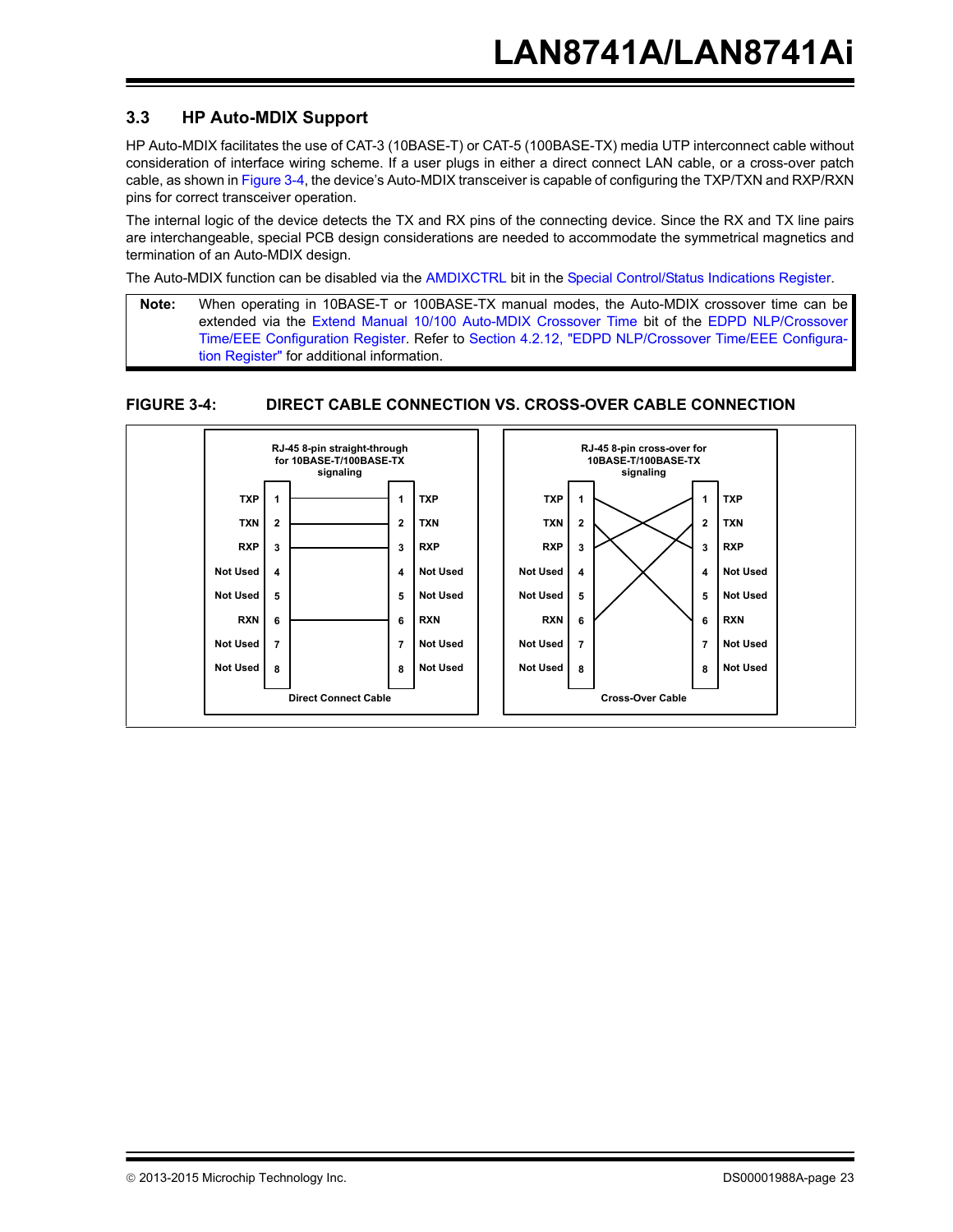## <span id="page-22-0"></span>**3.3 HP Auto-MDIX Support**

HP Auto-MDIX facilitates the use of CAT-3 (10BASE-T) or CAT-5 (100BASE-TX) media UTP interconnect cable without consideration of interface wiring scheme. If a user plugs in either a direct connect LAN cable, or a cross-over patch cable, as shown in [Figure 3-4,](#page-22-1) the device's Auto-MDIX transceiver is capable of configuring the TXP/TXN and RXP/RXN pins for correct transceiver operation.

The internal logic of the device detects the TX and RX pins of the connecting device. Since the RX and TX line pairs are interchangeable, special PCB design considerations are needed to accommodate the symmetrical magnetics and termination of an Auto-MDIX design.

The Auto-MDIX function can be disabled via the [AMDIXCTRL](#page-60-2) bit in the [Special Control/Status Indications Register](#page-60-1).

**Note:** When operating in 10BASE-T or 100BASE-TX manual modes, the Auto-MDIX crossover time can be extended via the [Extend Manual 10/100 Auto-MDIX Crossover Time](#page-56-0) bit of the [EDPD NLP/Crossover](#page-56-1) [Time/EEE Configuration Register.](#page-56-1) Refer to [Section 4.2.12, "EDPD NLP/Crossover Time/EEE Configura](#page-56-1)[tion Register"](#page-56-1) for additional information.

## <span id="page-22-1"></span>**FIGURE 3-4: DIRECT CABLE CONNECTION VS. CROSS-OVER CABLE CONNECTION**

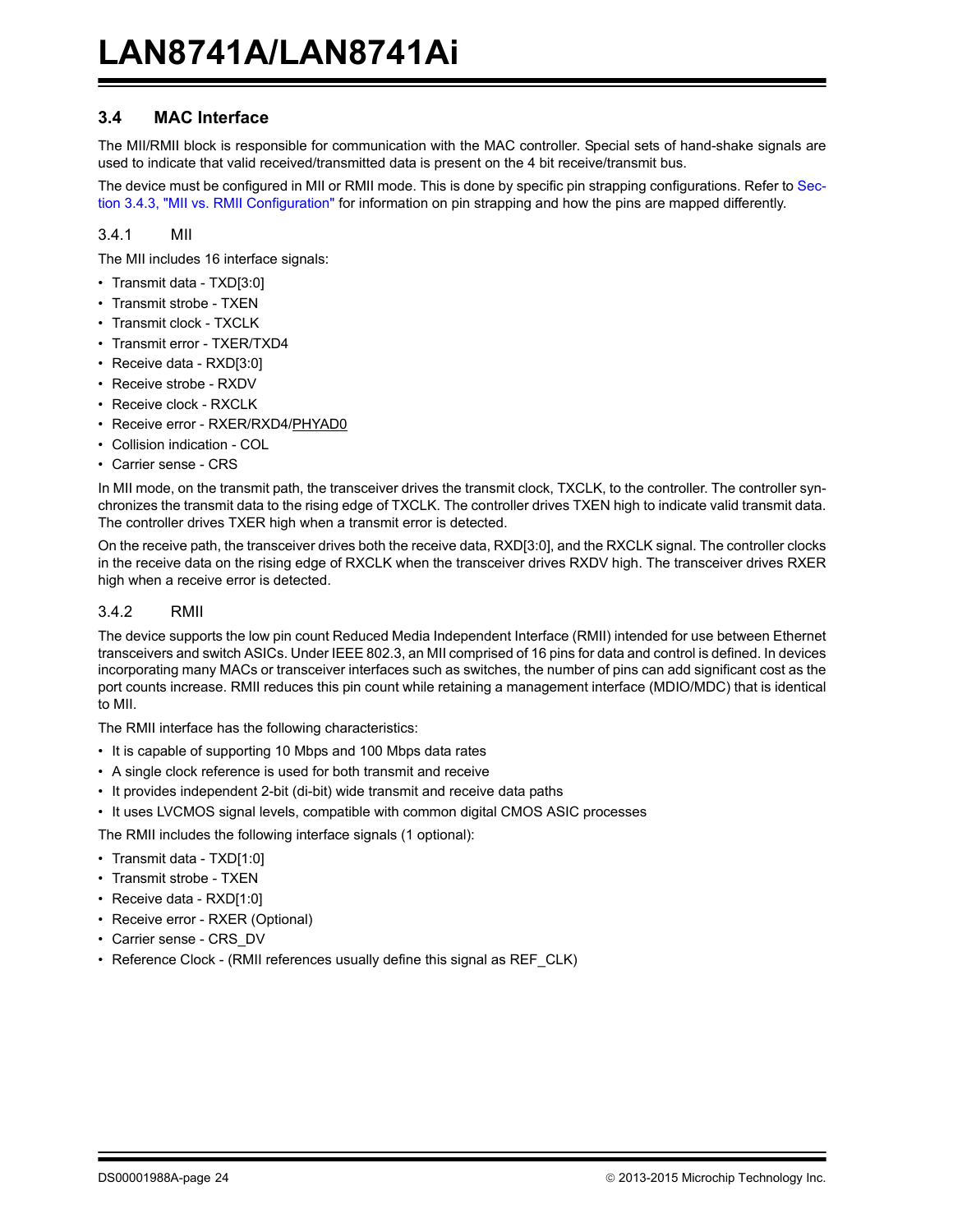## <span id="page-23-0"></span>**3.4 MAC Interface**

The MII/RMII block is responsible for communication with the MAC controller. Special sets of hand-shake signals are used to indicate that valid received/transmitted data is present on the 4 bit receive/transmit bus.

The device must be configured in MII or RMII mode. This is done by specific pin strapping configurations. Refer to [Sec](#page-25-0)[tion 3.4.3, "MII vs. RMII Configuration"](#page-25-0) for information on pin strapping and how the pins are mapped differently.

#### 3.4.1 MII

The MII includes 16 interface signals:

- Transmit data TXD[3:0]
- Transmit strobe TXEN
- Transmit clock TXCLK
- Transmit error TXER/TXD4
- Receive data RXD[3:0]
- Receive strobe RXDV
- Receive clock RXCLK
- Receive error RXER/RXD4/PHYAD0
- Collision indication COL
- Carrier sense CRS

In MII mode, on the transmit path, the transceiver drives the transmit clock, TXCLK, to the controller. The controller synchronizes the transmit data to the rising edge of TXCLK. The controller drives TXEN high to indicate valid transmit data. The controller drives TXER high when a transmit error is detected.

On the receive path, the transceiver drives both the receive data, RXD[3:0], and the RXCLK signal. The controller clocks in the receive data on the rising edge of RXCLK when the transceiver drives RXDV high. The transceiver drives RXER high when a receive error is detected.

#### 3.4.2 RMII

The device supports the low pin count Reduced Media Independent Interface (RMII) intended for use between Ethernet transceivers and switch ASICs. Under IEEE 802.3, an MII comprised of 16 pins for data and control is defined. In devices incorporating many MACs or transceiver interfaces such as switches, the number of pins can add significant cost as the port counts increase. RMII reduces this pin count while retaining a management interface (MDIO/MDC) that is identical to MII.

The RMII interface has the following characteristics:

- It is capable of supporting 10 Mbps and 100 Mbps data rates
- A single clock reference is used for both transmit and receive
- It provides independent 2-bit (di-bit) wide transmit and receive data paths
- It uses LVCMOS signal levels, compatible with common digital CMOS ASIC processes

The RMII includes the following interface signals (1 optional):

- Transmit data TXD[1:0]
- Transmit strobe TXEN
- Receive data RXD[1:0]
- Receive error RXER (Optional)
- Carrier sense CRS\_DV
- Reference Clock (RMII references usually define this signal as REF\_CLK)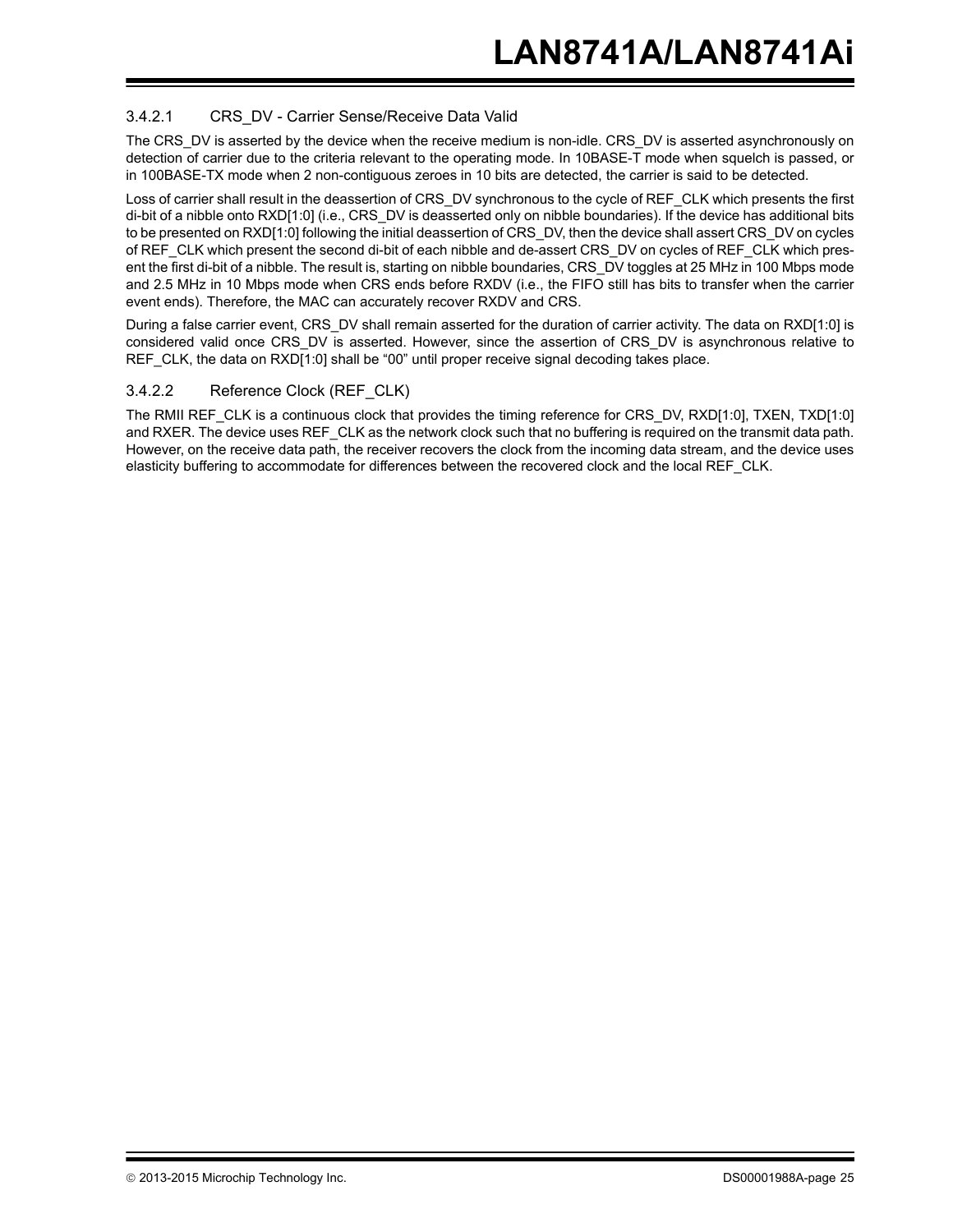## 3.4.2.1 CRS\_DV - Carrier Sense/Receive Data Valid

The CRS DV is asserted by the device when the receive medium is non-idle. CRS DV is asserted asynchronously on detection of carrier due to the criteria relevant to the operating mode. In 10BASE-T mode when squelch is passed, or in 100BASE-TX mode when 2 non-contiguous zeroes in 10 bits are detected, the carrier is said to be detected.

Loss of carrier shall result in the deassertion of CRS DV synchronous to the cycle of REF\_CLK which presents the first di-bit of a nibble onto RXD[1:0] (i.e., CRS\_DV is deasserted only on nibble boundaries). If the device has additional bits to be presented on RXD[1:0] following the initial deassertion of CRS DV, then the device shall assert CRS DV on cycles of REF\_CLK which present the second di-bit of each nibble and de-assert CRS\_DV on cycles of REF\_CLK which present the first di-bit of a nibble. The result is, starting on nibble boundaries, CRS\_DV toggles at 25 MHz in 100 Mbps mode and 2.5 MHz in 10 Mbps mode when CRS ends before RXDV (i.e., the FIFO still has bits to transfer when the carrier event ends). Therefore, the MAC can accurately recover RXDV and CRS.

During a false carrier event, CRS DV shall remain asserted for the duration of carrier activity. The data on RXD[1:0] is considered valid once CRS\_DV is asserted. However, since the assertion of CRS\_DV is asynchronous relative to REF\_CLK, the data on RXD[1:0] shall be "00" until proper receive signal decoding takes place.

#### 3.4.2.2 Reference Clock (REF\_CLK)

The RMII REF\_CLK is a continuous clock that provides the timing reference for CRS\_DV, RXD[1:0], TXEN, TXD[1:0] and RXER. The device uses REF CLK as the network clock such that no buffering is required on the transmit data path. However, on the receive data path, the receiver recovers the clock from the incoming data stream, and the device uses elasticity buffering to accommodate for differences between the recovered clock and the local REF\_CLK.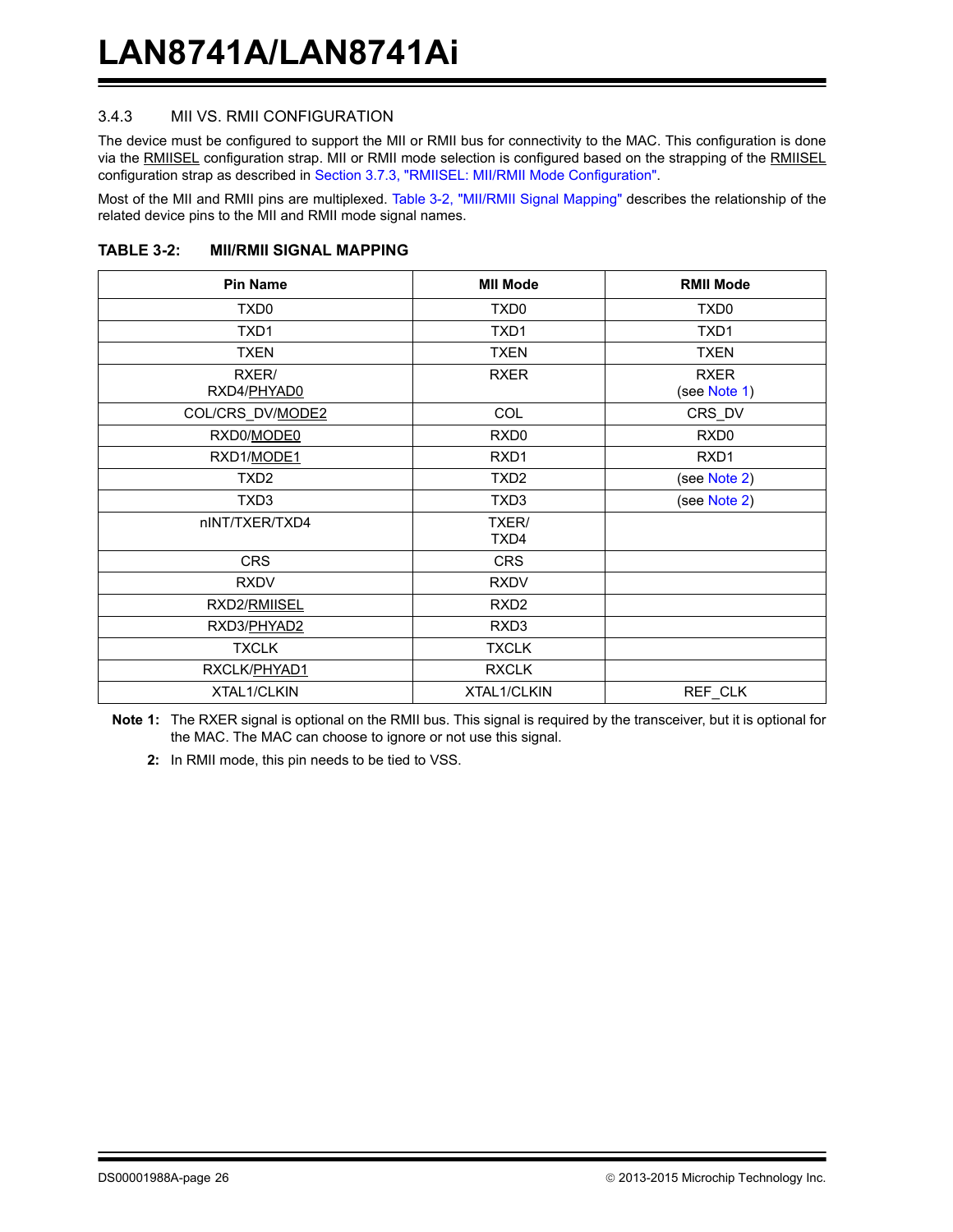## <span id="page-25-0"></span>3.4.3 MII VS. RMII CONFIGURATION

The device must be configured to support the MII or RMII bus for connectivity to the MAC. This configuration is done via the RMIISEL configuration strap. MII or RMII mode selection is configured based on the strapping of the RMIISEL configuration strap as described in [Section 3.7.3, "RMIISEL: MII/RMII Mode Configuration"](#page-31-2).

Most of the MII and RMII pins are multiplexed. [Table 3-2, "MII/RMII Signal Mapping"](#page-25-1) describes the relationship of the related device pins to the MII and RMII mode signal names.

| <b>Pin Name</b>      | <b>MII Mode</b>  | <b>RMII Mode</b>            |
|----------------------|------------------|-----------------------------|
| TXD <sub>0</sub>     | TXD <sub>0</sub> | TXD <sub>0</sub>            |
| TXD1                 | TXD1             | TXD1                        |
| <b>TXEN</b>          | <b>TXEN</b>      | <b>TXEN</b>                 |
| RXER/<br>RXD4/PHYAD0 | <b>RXER</b>      | <b>RXER</b><br>(see Note 1) |
| COL/CRS_DV/MODE2     | COL              | CRS_DV                      |
| RXD0/MODE0           | RXD <sub>0</sub> | RXD <sub>0</sub>            |
| RXD1/MODE1           | RXD <sub>1</sub> | RXD1                        |
| TXD <sub>2</sub>     | TXD <sub>2</sub> | (see Note 2)                |
| TXD3                 | TXD3             | (see Note 2)                |
| nINT/TXER/TXD4       | TXER/<br>TXD4    |                             |
| <b>CRS</b>           | <b>CRS</b>       |                             |
| <b>RXDV</b>          | <b>RXDV</b>      |                             |
| RXD2/RMIISEL         | RXD <sub>2</sub> |                             |
| RXD3/PHYAD2          | RXD3             |                             |
| <b>TXCLK</b>         | <b>TXCLK</b>     |                             |
| RXCLK/PHYAD1         | <b>RXCLK</b>     |                             |
| XTAL1/CLKIN          | XTAL1/CLKIN      | REF_CLK                     |

#### <span id="page-25-1"></span>**TABLE 3-2: MII/RMII SIGNAL MAPPING**

<span id="page-25-3"></span><span id="page-25-2"></span>**Note 1:** The RXER signal is optional on the RMII bus. This signal is required by the transceiver, but it is optional for the MAC. The MAC can choose to ignore or not use this signal.

**2:** In RMII mode, this pin needs to be tied to VSS.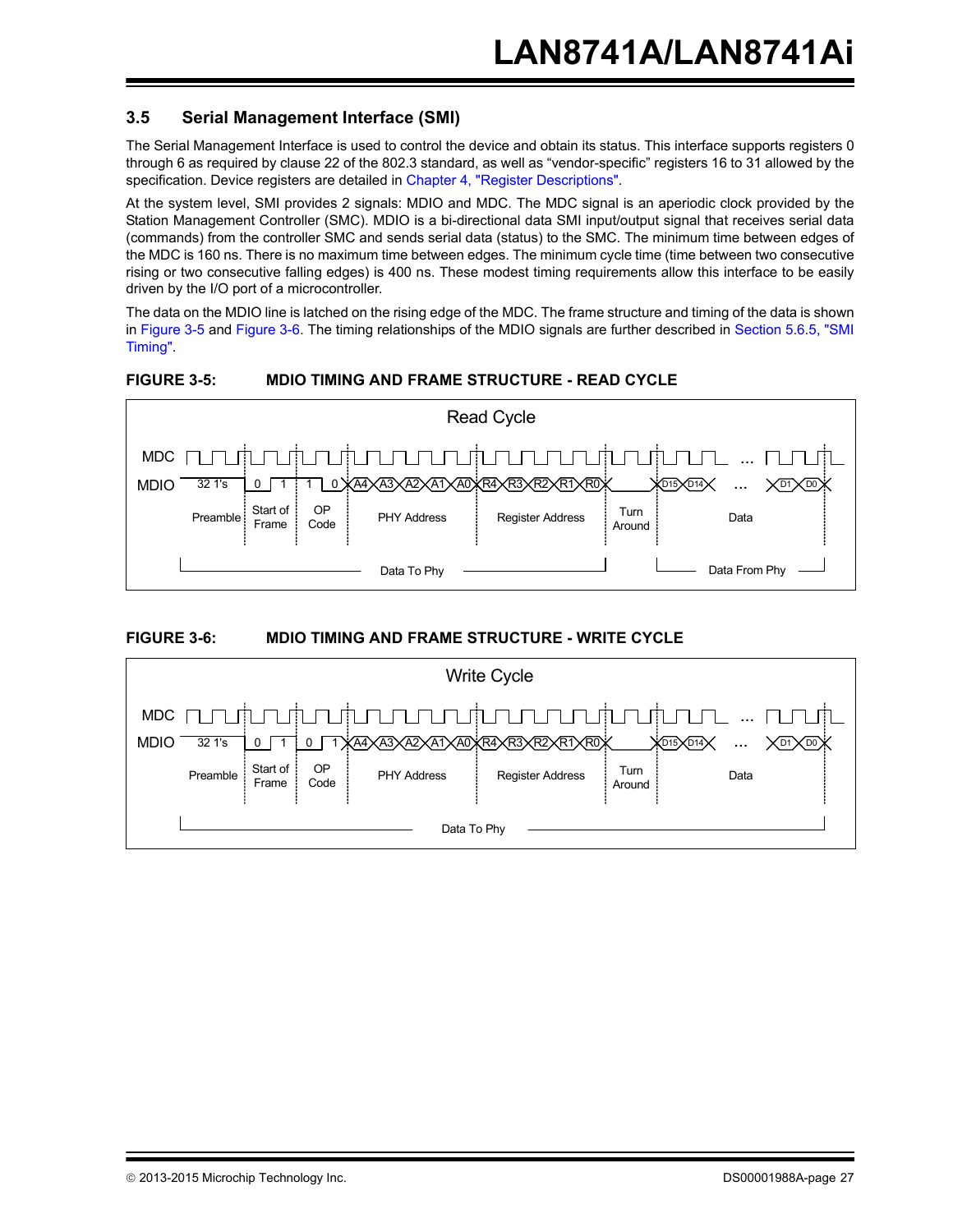## <span id="page-26-0"></span>**3.5 Serial Management Interface (SMI)**

The Serial Management Interface is used to control the device and obtain its status. This interface supports registers 0 through 6 as required by clause 22 of the 802.3 standard, as well as "vendor-specific" registers 16 to 31 allowed by the specification. Device registers are detailed in [Chapter 4, "Register Descriptions"](#page-43-1).

At the system level, SMI provides 2 signals: MDIO and MDC. The MDC signal is an aperiodic clock provided by the Station Management Controller (SMC). MDIO is a bi-directional data SMI input/output signal that receives serial data (commands) from the controller SMC and sends serial data (status) to the SMC. The minimum time between edges of the MDC is 160 ns. There is no maximum time between edges. The minimum cycle time (time between two consecutive rising or two consecutive falling edges) is 400 ns. These modest timing requirements allow this interface to be easily driven by the I/O port of a microcontroller.

The data on the MDIO line is latched on the rising edge of the MDC. The frame structure and timing of the data is shown in [Figure 3-5](#page-26-1) and [Figure 3-6.](#page-26-2) The timing relationships of the MDIO signals are further described in [Section 5.6.5, "SMI](#page-92-0) [Timing".](#page-92-0)

#### <span id="page-26-1"></span>**FIGURE 3-5: MDIO TIMING AND FRAME STRUCTURE - READ CYCLE**



## <span id="page-26-2"></span>**FIGURE 3-6: MDIO TIMING AND FRAME STRUCTURE - WRITE CYCLE**

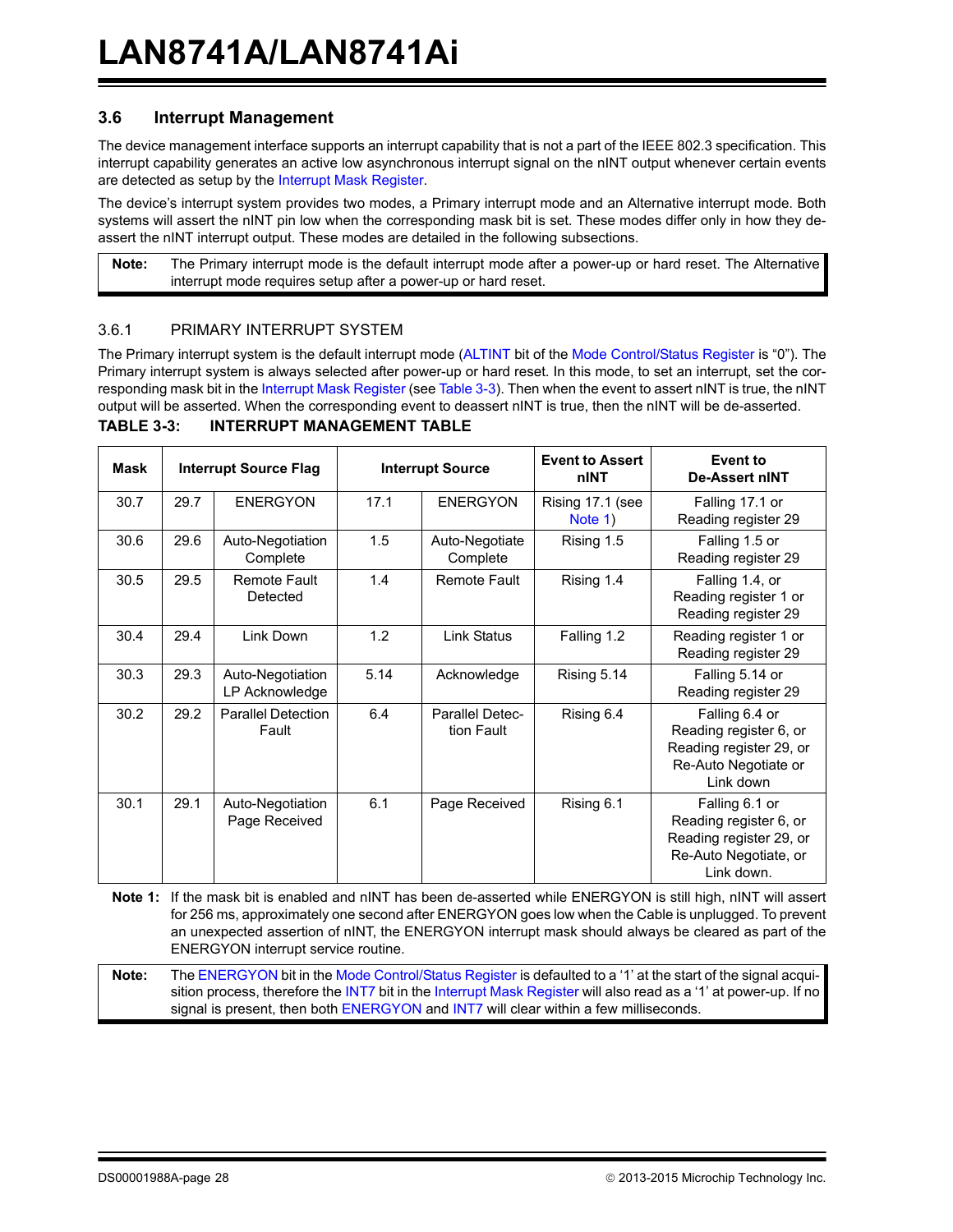## <span id="page-27-1"></span><span id="page-27-0"></span>**3.6 Interrupt Management**

The device management interface supports an interrupt capability that is not a part of the IEEE 802.3 specification. This interrupt capability generates an active low asynchronous interrupt signal on the nINT output whenever certain events are detected as setup by the [Interrupt Mask Register](#page-62-0).

The device's interrupt system provides two modes, a Primary interrupt mode and an Alternative interrupt mode. Both systems will assert the nINT pin low when the corresponding mask bit is set. These modes differ only in how they deassert the nINT interrupt output. These modes are detailed in the following subsections.

**Note:** The Primary interrupt mode is the default interrupt mode after a power-up or hard reset. The Alternative interrupt mode requires setup after a power-up or hard reset.

#### 3.6.1 PRIMARY INTERRUPT SYSTEM

The Primary interrupt system is the default interrupt mode ([ALTINT](#page-57-0) bit of the [Mode Control/Status Register](#page-57-1) is "0"). The Primary interrupt system is always selected after power-up or hard reset. In this mode, to set an interrupt, set the cor-responding mask bit in the [Interrupt Mask Register](#page-62-0) (see [Table 3-3\)](#page-27-2). Then when the event to assert nINT is true, the nINT output will be asserted. When the corresponding event to deassert nINT is true, then the nINT will be de-asserted. **TABLE 3-3: INTERRUPT MANAGEMENT TABLE**

<span id="page-27-2"></span>

| <b>Mask</b> | <b>Interrupt Source Flag</b> | <b>Interrupt Source</b> | Even |
|-------------|------------------------------|-------------------------|------|

| <b>Mask</b> |      | <b>Interrupt Source Flag</b>       | <b>Interrupt Source</b> |                               | <b>Event to Assert</b><br>nINT | Event to<br><b>De-Assert nINT</b>                                                                          |
|-------------|------|------------------------------------|-------------------------|-------------------------------|--------------------------------|------------------------------------------------------------------------------------------------------------|
| 30.7        | 29.7 | <b>ENERGYON</b>                    | 17.1                    | <b>ENERGYON</b>               | Rising 17.1 (see<br>Note 1)    | Falling 17.1 or<br>Reading register 29                                                                     |
| 30.6        | 29.6 | Auto-Negotiation<br>Complete       | 1.5                     | Auto-Negotiate<br>Complete    | Rising 1.5                     | Falling 1.5 or<br>Reading register 29                                                                      |
| 30.5        | 29.5 | <b>Remote Fault</b><br>Detected    | 1.4                     | Remote Fault                  | Rising 1.4                     | Falling 1.4, or<br>Reading register 1 or<br>Reading register 29                                            |
| 30.4        | 29.4 | Link Down                          | 1.2                     | <b>Link Status</b>            | Falling 1.2                    | Reading register 1 or<br>Reading register 29                                                               |
| 30.3        | 29.3 | Auto-Negotiation<br>LP Acknowledge | 5.14                    | Acknowledge                   | Rising 5.14                    | Falling 5.14 or<br>Reading register 29                                                                     |
| 30.2        | 29.2 | <b>Parallel Detection</b><br>Fault | 6.4                     | Parallel Detec-<br>tion Fault | Rising 6.4                     | Falling 6.4 or<br>Reading register 6, or<br>Reading register 29, or<br>Re-Auto Negotiate or<br>Link down   |
| 30.1        | 29.1 | Auto-Negotiation<br>Page Received  | 6.1                     | Page Received                 | Rising 6.1                     | Falling 6.1 or<br>Reading register 6, or<br>Reading register 29, or<br>Re-Auto Negotiate, or<br>Link down. |

<span id="page-27-3"></span>**Note 1:** If the mask bit is enabled and nINT has been de-asserted while ENERGYON is still high, nINT will assert for 256 ms, approximately one second after ENERGYON goes low when the Cable is unplugged. To prevent an unexpected assertion of nINT, the ENERGYON interrupt mask should always be cleared as part of the ENERGYON interrupt service routine.

**Note:** The [ENERGYON](#page-57-2) bit in the [Mode Control/Status Register](#page-57-1) is defaulted to a '1' at the start of the signal acqui-sition process, therefore the [INT7](#page-61-0) bit in the [Interrupt Mask Register](#page-62-0) will also read as a '1' at power-up. If no signal is present, then both [ENERGYON](#page-57-2) and [INT7](#page-61-0) will clear within a few milliseconds.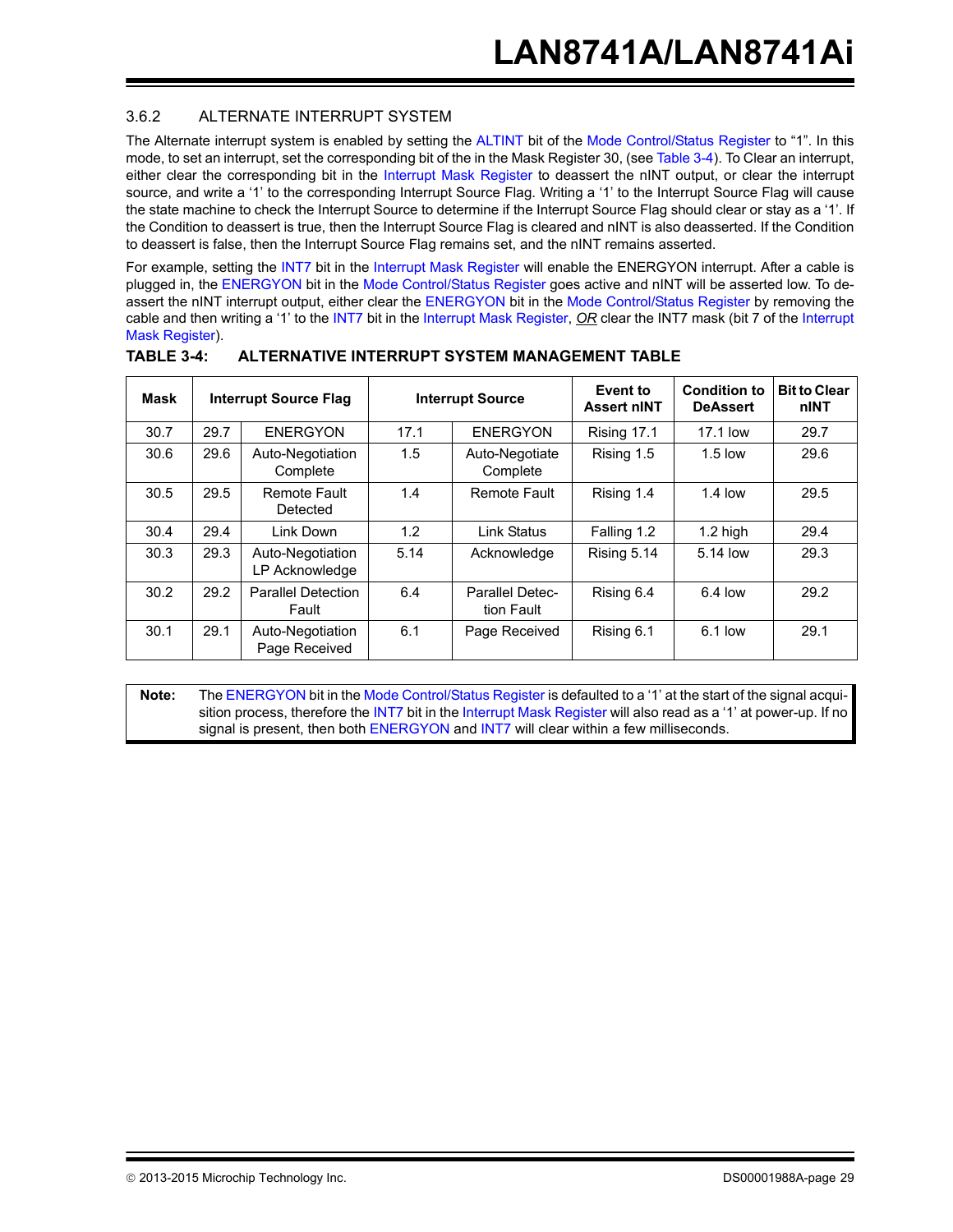## 3.6.2 ALTERNATE INTERRUPT SYSTEM

The Alternate interrupt system is enabled by setting the [ALTINT](#page-57-0) bit of the [Mode Control/Status Register](#page-57-1) to "1". In this mode, to set an interrupt, set the corresponding bit of the in the Mask Register 30, (see [Table 3-4\)](#page-28-0). To Clear an interrupt, either clear the corresponding bit in the [Interrupt Mask Register](#page-62-0) to deassert the nINT output, or clear the interrupt source, and write a '1' to the corresponding Interrupt Source Flag. Writing a '1' to the Interrupt Source Flag will cause the state machine to check the Interrupt Source to determine if the Interrupt Source Flag should clear or stay as a '1'. If the Condition to deassert is true, then the Interrupt Source Flag is cleared and nINT is also deasserted. If the Condition to deassert is false, then the Interrupt Source Flag remains set, and the nINT remains asserted.

For example, setting the [INT7](#page-61-0) bit in the [Interrupt Mask Register](#page-62-0) will enable the ENERGYON interrupt. After a cable is plugged in, the [ENERGYON](#page-57-2) bit in the [Mode Control/Status Register](#page-57-1) goes active and nINT will be asserted low. To de-assert the nINT interrupt output, either clear the [ENERGYON](#page-57-2) bit in the [Mode Control/Status Register](#page-57-1) by removing the cable and then writing a '1' to the [INT7](#page-61-0) bit in the [Interrupt Mask Register](#page-62-0), *OR* clear the INT7 mask (bit 7 of the [Interrupt](#page-62-0) [Mask Register](#page-62-0)).

| Mask | <b>Interrupt Source Flag</b> |                                    | <b>Interrupt Source</b> |                                      | Event to<br><b>Assert nINT</b> | <b>Condition to</b><br><b>DeAssert</b> | <b>Bit to Clear</b><br>nINT |
|------|------------------------------|------------------------------------|-------------------------|--------------------------------------|--------------------------------|----------------------------------------|-----------------------------|
| 30.7 | 29.7                         | <b>ENERGYON</b>                    | 17.1                    | <b>ENERGYON</b>                      | Rising 17.1                    | 17.1 low                               | 29.7                        |
| 30.6 | 29.6                         | Auto-Negotiation<br>Complete       | 1.5                     | Auto-Negotiate<br>Complete           | Rising 1.5                     | $1.5$ low                              | 29.6                        |
| 30.5 | 29.5                         | Remote Fault<br>Detected           | 1.4                     | Remote Fault                         | Rising 1.4                     | $1.4$ low                              | 29.5                        |
| 30.4 | 29.4                         | Link Down                          | 1.2                     | Link Status                          | Falling 1.2                    | $1.2$ high                             | 29.4                        |
| 30.3 | 29.3                         | Auto-Negotiation<br>LP Acknowledge | 5.14                    | Acknowledge                          | Rising 5.14                    | 5.14 low                               | 29.3                        |
| 30.2 | 29.2                         | <b>Parallel Detection</b><br>Fault | 6.4                     | <b>Parallel Detec-</b><br>tion Fault | Rising 6.4                     | 6.4 low                                | 29.2                        |
| 30.1 | 29.1                         | Auto-Negotiation<br>Page Received  | 6.1                     | Page Received                        | Rising 6.1                     | $6.1$ low                              | 29.1                        |

#### <span id="page-28-0"></span>**TABLE 3-4: ALTERNATIVE INTERRUPT SYSTEM MANAGEMENT TABLE**

**Note:** The [ENERGYON](#page-57-2) bit in the [Mode Control/Status Register](#page-57-1) is defaulted to a '1' at the start of the signal acqui-sition process, therefore the [INT7](#page-61-0) bit in the [Interrupt Mask Register](#page-62-0) will also read as a '1' at power-up. If no signal is present, then both [ENERGYON](#page-57-2) and [INT7](#page-61-0) will clear within a few milliseconds.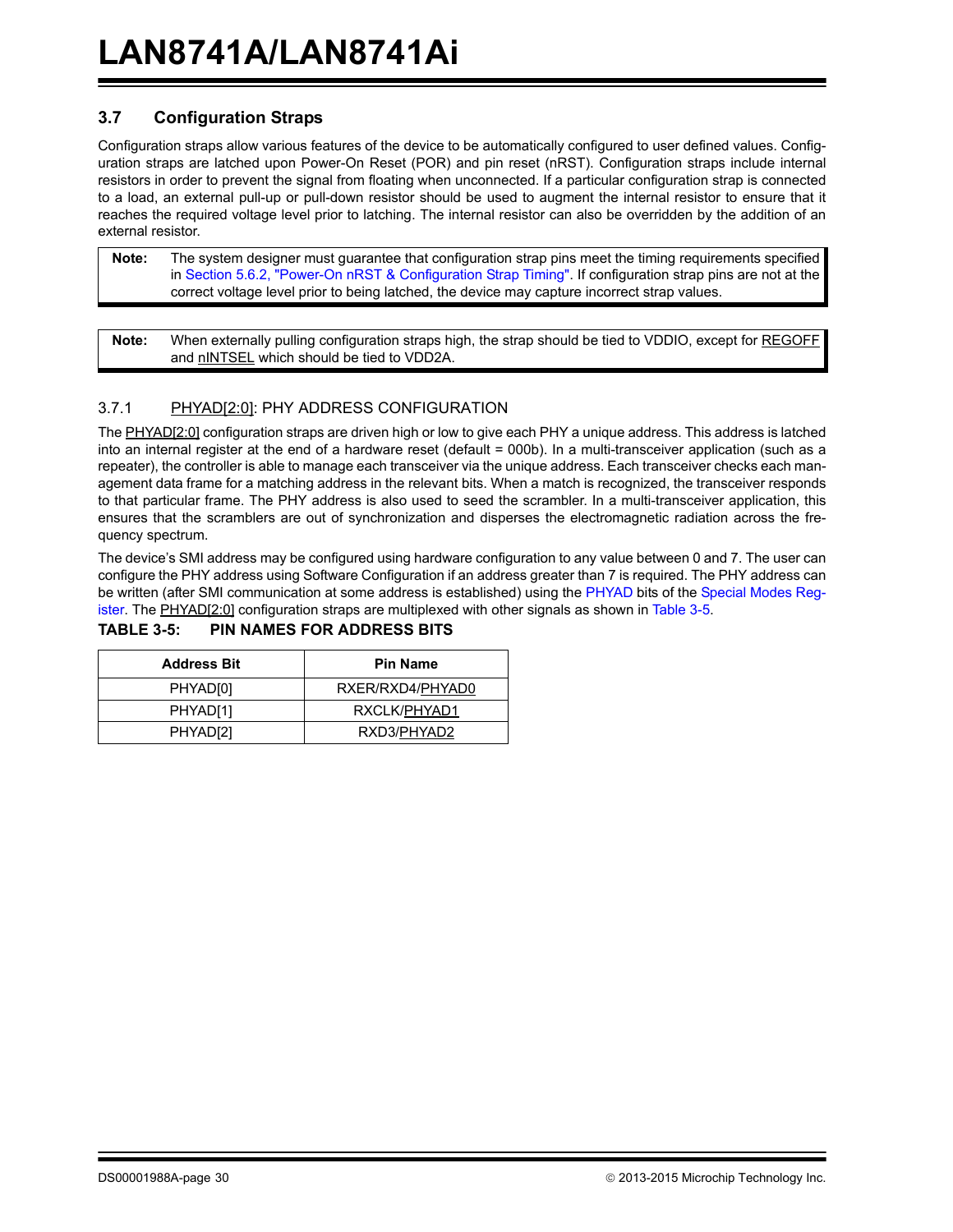## <span id="page-29-2"></span><span id="page-29-0"></span>**3.7 Configuration Straps**

Configuration straps allow various features of the device to be automatically configured to user defined values. Configuration straps are latched upon Power-On Reset (POR) and pin reset (nRST). Configuration straps include internal resistors in order to prevent the signal from floating when unconnected. If a particular configuration strap is connected to a load, an external pull-up or pull-down resistor should be used to augment the internal resistor to ensure that it reaches the required voltage level prior to latching. The internal resistor can also be overridden by the addition of an external resistor.

**Note:** The system designer must guarantee that configuration strap pins meet the timing requirements specified in [Section 5.6.2, "Power-On nRST & Configuration Strap Timing"](#page-87-0). If configuration strap pins are not at the correct voltage level prior to being latched, the device may capture incorrect strap values.

**Note:** When externally pulling configuration straps high, the strap should be tied to VDDIO, except for REGOFF and nINTSEL which should be tied to VDD2A.

## <span id="page-29-1"></span>3.7.1 PHYAD[2:0]: PHY ADDRESS CONFIGURATION

The PHYAD[2:0] configuration straps are driven high or low to give each PHY a unique address. This address is latched into an internal register at the end of a hardware reset (default = 000b). In a multi-transceiver application (such as a repeater), the controller is able to manage each transceiver via the unique address. Each transceiver checks each management data frame for a matching address in the relevant bits. When a match is recognized, the transceiver responds to that particular frame. The PHY address is also used to seed the scrambler. In a multi-transceiver application, this ensures that the scramblers are out of synchronization and disperses the electromagnetic radiation across the frequency spectrum.

The device's SMI address may be configured using hardware configuration to any value between 0 and 7. The user can configure the PHY address using Software Configuration if an address greater than 7 is required. The PHY address can be written (after SMI communication at some address is established) using the [PHYAD](#page-58-0) bits of the [Special Modes Reg](#page-58-1)[ister.](#page-58-1) The PHYAD[2:0] configuration straps are multiplexed with other signals as shown in [Table 3-5](#page-29-3).

| <b>Address Bit</b>   | <b>Pin Name</b>  |
|----------------------|------------------|
| PHYAD <sub>[0]</sub> | RXER/RXD4/PHYAD0 |
| PHYAD[1]             | RXCLK/PHYAD1     |
| PHYAD[2]             | RXD3/PHYAD2      |

## <span id="page-29-3"></span>**TABLE 3-5: PIN NAMES FOR ADDRESS BITS**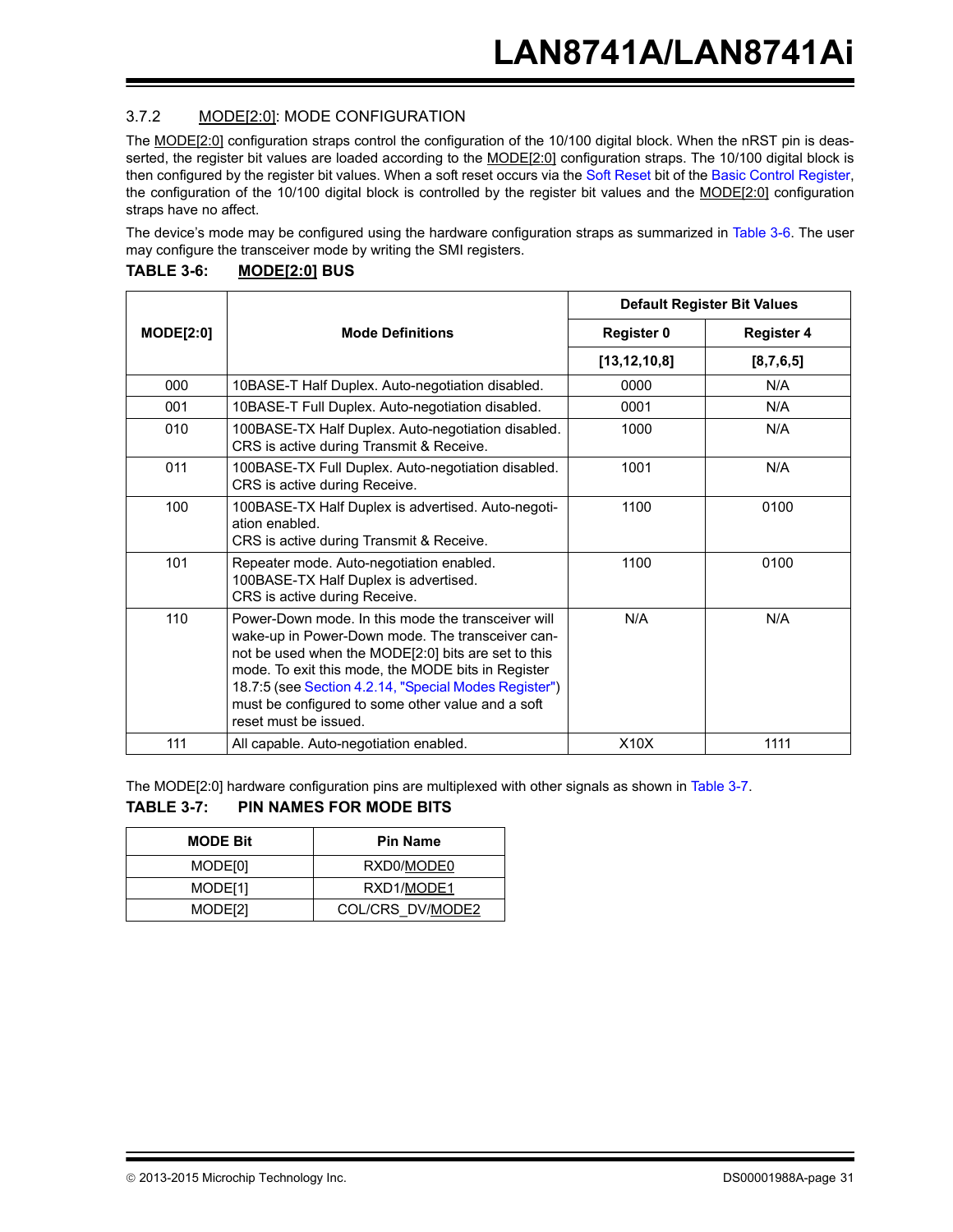## <span id="page-30-1"></span><span id="page-30-0"></span>3.7.2 MODE[2:0]: MODE CONFIGURATION

The MODE[2:0] configuration straps control the configuration of the 10/100 digital block. When the nRST pin is deasserted, the register bit values are loaded according to the MODE[2:0] configuration straps. The 10/100 digital block is then configured by the register bit values. When a soft reset occurs via the [Soft Reset](#page-45-5) bit of the [Basic Control Register,](#page-45-0) the configuration of the 10/100 digital block is controlled by the register bit values and the MODE[2:0] configuration straps have no affect.

The device's mode may be configured using the hardware configuration straps as summarized in [Table 3-6](#page-30-2). The user may configure the transceiver mode by writing the SMI registers.

## <span id="page-30-2"></span>**TABLE 3-6: MODE[2:0] BUS**

|           |                                                                                                                                                                                                                                                                                                                                                            |                   | <b>Default Register Bit Values</b> |
|-----------|------------------------------------------------------------------------------------------------------------------------------------------------------------------------------------------------------------------------------------------------------------------------------------------------------------------------------------------------------------|-------------------|------------------------------------|
| MODE[2:0] | <b>Mode Definitions</b>                                                                                                                                                                                                                                                                                                                                    | <b>Register 0</b> | <b>Register 4</b>                  |
|           |                                                                                                                                                                                                                                                                                                                                                            | [13, 12, 10, 8]   | [8,7,6,5]                          |
| 000       | 10BASE-T Half Duplex. Auto-negotiation disabled.                                                                                                                                                                                                                                                                                                           | 0000              | N/A                                |
| 001       | 10BASE-T Full Duplex. Auto-negotiation disabled.                                                                                                                                                                                                                                                                                                           | 0001              | N/A                                |
| 010       | 100BASE-TX Half Duplex. Auto-negotiation disabled.<br>CRS is active during Transmit & Receive.                                                                                                                                                                                                                                                             | 1000              | N/A                                |
| 011       | 100BASE-TX Full Duplex. Auto-negotiation disabled.<br>CRS is active during Receive.                                                                                                                                                                                                                                                                        | 1001              | N/A                                |
| 100       | 100BASE-TX Half Duplex is advertised. Auto-negoti-<br>ation enabled.<br>CRS is active during Transmit & Receive.                                                                                                                                                                                                                                           | 1100              | 0100                               |
| 101       | Repeater mode. Auto-negotiation enabled.<br>100BASE-TX Half Duplex is advertised.<br>CRS is active during Receive.                                                                                                                                                                                                                                         | 1100              | 0100                               |
| 110       | Power-Down mode. In this mode the transceiver will<br>wake-up in Power-Down mode. The transceiver can-<br>not be used when the MODE[2:0] bits are set to this<br>mode. To exit this mode, the MODE bits in Register<br>18.7:5 (see Section 4.2.14, "Special Modes Register")<br>must be configured to some other value and a soft<br>reset must be issued. | N/A               | N/A                                |
| 111       | All capable. Auto-negotiation enabled.                                                                                                                                                                                                                                                                                                                     | X10X              | 1111                               |

The MODE[2:0] hardware configuration pins are multiplexed with other signals as shown in [Table 3-7](#page-30-3).

## <span id="page-30-3"></span>**TABLE 3-7: PIN NAMES FOR MODE BITS**

| <b>MODE Bit</b> | <b>Pin Name</b>  |
|-----------------|------------------|
| MODE[0]         | RXD0/MODE0       |
| MODE[1]         | RXD1/MODE1       |
| MODE[2]         | COL/CRS DV/MODE2 |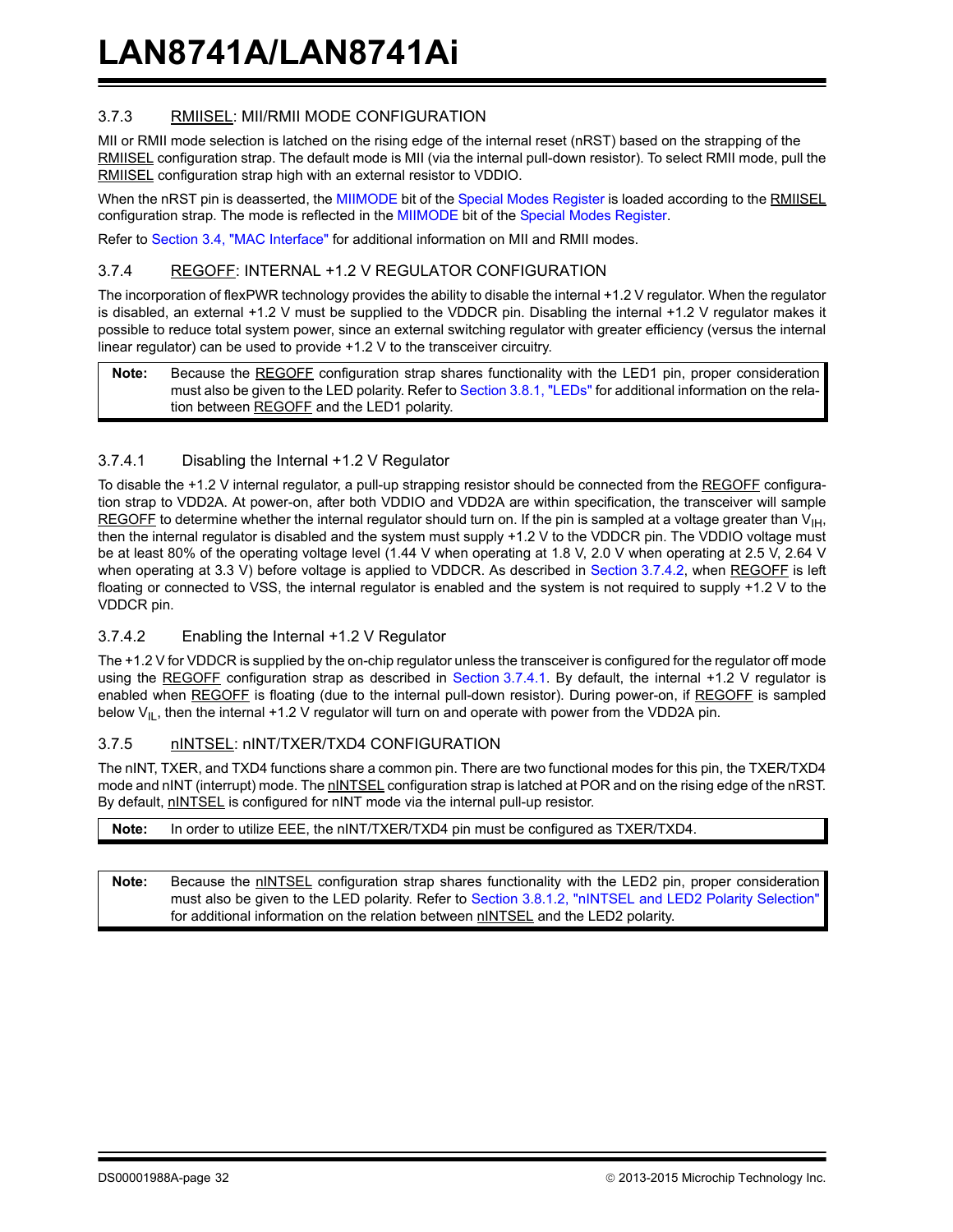## <span id="page-31-2"></span><span id="page-31-0"></span>3.7.3 RMIISEL: MII/RMII MODE CONFIGURATION

MII or RMII mode selection is latched on the rising edge of the internal reset (nRST) based on the strapping of the RMIISEL configuration strap. The default mode is MII (via the internal pull-down resistor). To select RMII mode, pull the RMIISEL configuration strap high with an external resistor to VDDIO.

When the nRST pin is deasserted, the [MIIMODE](#page-58-2) bit of the [Special Modes Register](#page-58-1) is loaded according to the RMIISEL configuration strap. The mode is reflected in the [MIIMODE](#page-58-2) bit of the [Special Modes Register.](#page-58-1)

Refer to [Section 3.4, "MAC Interface"](#page-23-0) for additional information on MII and RMII modes.

#### <span id="page-31-5"></span><span id="page-31-1"></span>3.7.4 REGOFF: INTERNAL +1.2 V REGULATOR CONFIGURATION

The incorporation of flexPWR technology provides the ability to disable the internal +1.2 V regulator. When the regulator is disabled, an external +1.2 V must be supplied to the VDDCR pin. Disabling the internal +1.2 V regulator makes it possible to reduce total system power, since an external switching regulator with greater efficiency (versus the internal linear regulator) can be used to provide +1.2 V to the transceiver circuitry.

**Note:** Because the REGOFF configuration strap shares functionality with the LED1 pin, proper consideration must also be given to the LED polarity. Refer to [Section 3.8.1, "LEDs"](#page-32-2) for additional information on the relation between REGOFF and the LED1 polarity.

## <span id="page-31-4"></span>3.7.4.1 Disabling the Internal +1.2 V Regulator

To disable the +1.2 V internal regulator, a pull-up strapping resistor should be connected from the REGOFF configuration strap to VDD2A. At power-on, after both VDDIO and VDD2A are within specification, the transceiver will sample REGOFF to determine whether the internal regulator should turn on. If the pin is sampled at a voltage greater than  $V_{H}$ , then the internal regulator is disabled and the system must supply +1.2 V to the VDDCR pin. The VDDIO voltage must be at least 80% of the operating voltage level (1.44 V when operating at 1.8 V, 2.0 V when operating at 2.5 V, 2.64 V when operating at 3.3 V) before voltage is applied to VDDCR. As described in [Section 3.7.4.2,](#page-31-3) when REGOFF is left floating or connected to VSS, the internal regulator is enabled and the system is not required to supply +1.2 V to the VDDCR pin.

## <span id="page-31-3"></span>3.7.4.2 Enabling the Internal +1.2 V Regulator

The +1.2 V for VDDCR is supplied by the on-chip regulator unless the transceiver is configured for the regulator off mode using the REGOFF configuration strap as described in [Section 3.7.4.1](#page-31-4). By default, the internal +1.2 V regulator is enabled when REGOFF is floating (due to the internal pull-down resistor). During power-on, if REGOFF is sampled below  $V_{II}$ , then the internal +1.2 V regulator will turn on and operate with power from the VDD2A pin.

#### <span id="page-31-6"></span>3.7.5 nINTSEL: nINT/TXER/TXD4 CONFIGURATION

The nINT, TXER, and TXD4 functions share a common pin. There are two functional modes for this pin, the TXER/TXD4 mode and nINT (interrupt) mode. The nINTSEL configuration strap is latched at POR and on the rising edge of the nRST. By default, nINTSEL is configured for nINT mode via the internal pull-up resistor.

**Note:** In order to utilize EEE, the nINT/TXER/TXD4 pin must be configured as TXER/TXD4.

**Note:** Because the nINTSEL configuration strap shares functionality with the LED2 pin, proper consideration must also be given to the LED polarity. Refer to [Section 3.8.1.2, "nINTSEL and LED2 Polarity Selection"](#page-33-1) for additional information on the relation between nINTSEL and the LED2 polarity.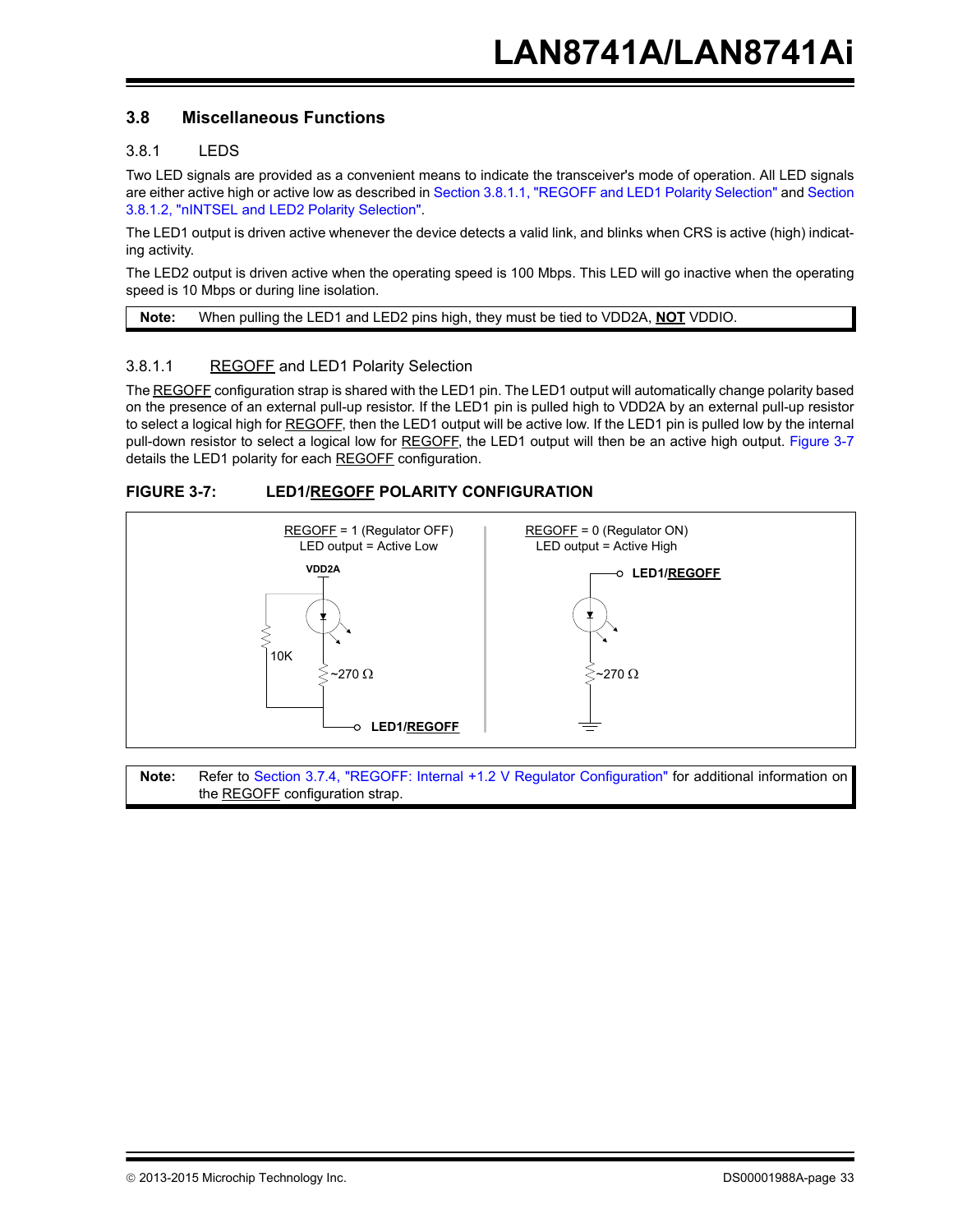## <span id="page-32-1"></span>**3.8 Miscellaneous Functions**

#### <span id="page-32-2"></span><span id="page-32-0"></span>3.8.1 LEDS

Two LED signals are provided as a convenient means to indicate the transceiver's mode of operation. All LED signals are either active high or active low as described in [Section 3.8.1.1, "REGOFF and LED1 Polarity Selection"](#page-32-3) and [Section](#page-33-1) [3.8.1.2, "nINTSEL and LED2 Polarity Selection".](#page-33-1)

The LED1 output is driven active whenever the device detects a valid link, and blinks when CRS is active (high) indicating activity.

The LED2 output is driven active when the operating speed is 100 Mbps. This LED will go inactive when the operating speed is 10 Mbps or during line isolation.

**Note:** When pulling the LED1 and LED2 pins high, they must be tied to VDD2A, **NOT** VDDIO.

#### <span id="page-32-3"></span>3.8.1.1 REGOFF and LED1 Polarity Selection

The REGOFF configuration strap is shared with the LED1 pin. The LED1 output will automatically change polarity based on the presence of an external pull-up resistor. If the LED1 pin is pulled high to VDD2A by an external pull-up resistor to select a logical high for REGOFF, then the LED1 output will be active low. If the LED1 pin is pulled low by the internal pull-down resistor to select a logical low for REGOFF, the LED1 output will then be an active high output. [Figure 3-7](#page-32-4) details the LED1 polarity for each REGOFF configuration.

#### <span id="page-32-4"></span>**FIGURE 3-7: LED1/REGOFF POLARITY CONFIGURATION**



**Note:** Refer to [Section 3.7.4, "REGOFF: Internal +1.2 V Regulator Configuration"](#page-31-5) for additional information on the **REGOFF** configuration strap.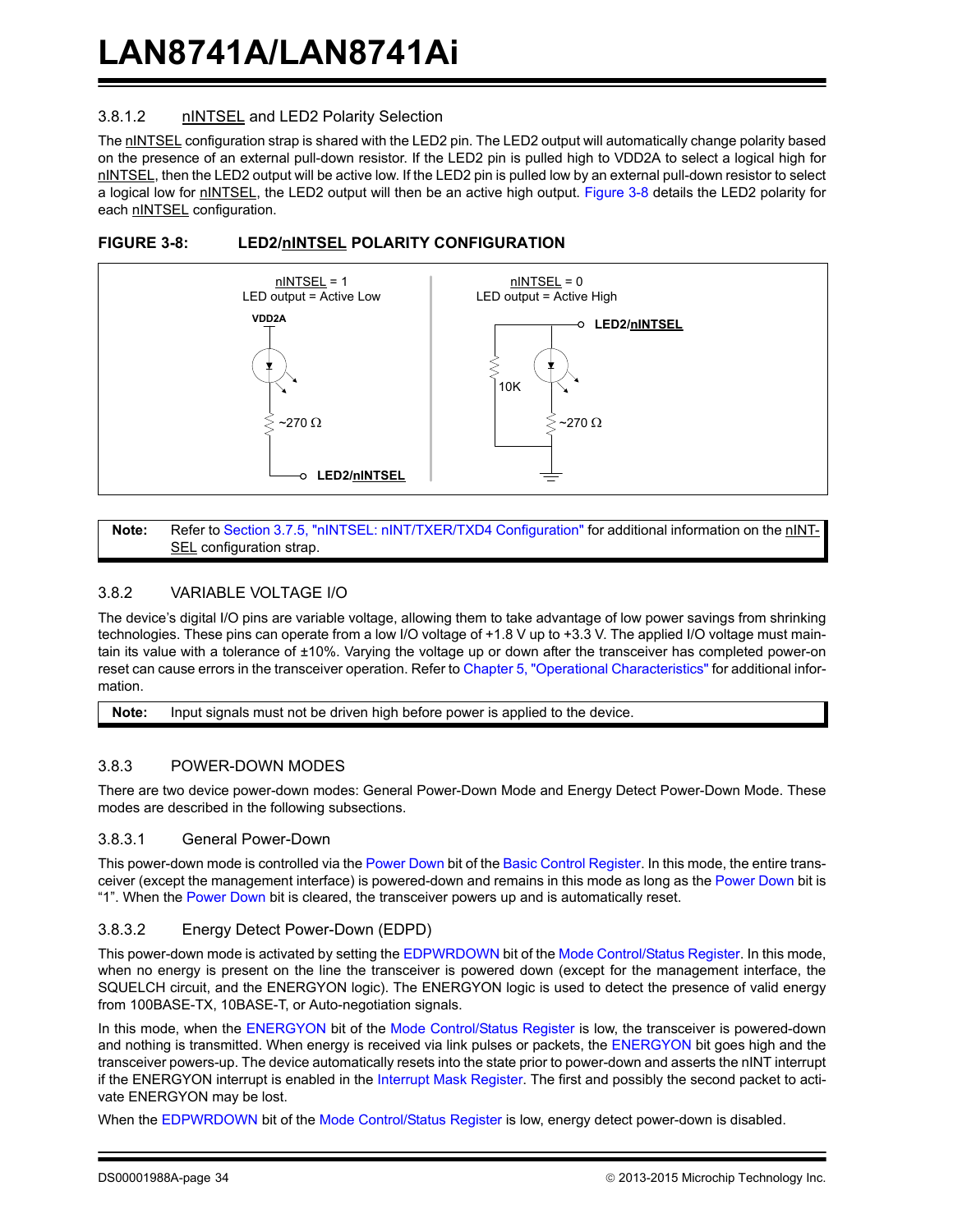## <span id="page-33-1"></span><span id="page-33-0"></span>3.8.1.2 nINTSEL and LED2 Polarity Selection

The nINTSEL configuration strap is shared with the LED2 pin. The LED2 output will automatically change polarity based on the presence of an external pull-down resistor. If the LED2 pin is pulled high to VDD2A to select a logical high for nINTSEL, then the LED2 output will be active low. If the LED2 pin is pulled low by an external pull-down resistor to select a logical low for nINTSEL, the LED2 output will then be an active high output. [Figure 3-8](#page-33-2) details the LED2 polarity for each nINTSEL configuration.



## <span id="page-33-2"></span>**FIGURE 3-8: LED2/nINTSEL POLARITY CONFIGURATION**

**Note:** Refer to [Section 3.7.5, "nINTSEL: nINT/TXER/TXD4 Configuration"](#page-31-6) for additional information on the nINT-SEL configuration strap.

## 3.8.2 VARIABLE VOLTAGE I/O

The device's digital I/O pins are variable voltage, allowing them to take advantage of low power savings from shrinking technologies. These pins can operate from a low I/O voltage of +1.8 V up to +3.3 V. The applied I/O voltage must maintain its value with a tolerance of ±10%. Varying the voltage up or down after the transceiver has completed power-on reset can cause errors in the transceiver operation. Refer to [Chapter 5, "Operational Characteristics"](#page-82-2) for additional information.

**Note:** Input signals must not be driven high before power is applied to the device.

## <span id="page-33-3"></span>3.8.3 POWER-DOWN MODES

There are two device power-down modes: General Power-Down Mode and Energy Detect Power-Down Mode. These modes are described in the following subsections.

#### 3.8.3.1 General Power-Down

This power-down mode is controlled via the [Power Down](#page-45-6) bit of the [Basic Control Register.](#page-45-0) In this mode, the entire trans-ceiver (except the management interface) is powered-down and remains in this mode as long as the [Power Down](#page-45-6) bit is "1". When the [Power Down](#page-45-6) bit is cleared, the transceiver powers up and is automatically reset.

## 3.8.3.2 Energy Detect Power-Down (EDPD)

This power-down mode is activated by setting the [EDPWRDOWN](#page-57-3) bit of the [Mode Control/Status Register.](#page-57-1) In this mode, when no energy is present on the line the transceiver is powered down (except for the management interface, the SQUELCH circuit, and the ENERGYON logic). The ENERGYON logic is used to detect the presence of valid energy from 100BASE-TX, 10BASE-T, or Auto-negotiation signals.

In this mode, when the [ENERGYON](#page-57-2) bit of the [Mode Control/Status Register](#page-57-1) is low, the transceiver is powered-down and nothing is transmitted. When energy is received via link pulses or packets, the [ENERGYON](#page-57-2) bit goes high and the transceiver powers-up. The device automatically resets into the state prior to power-down and asserts the nINT interrupt if the ENERGYON interrupt is enabled in the [Interrupt Mask Register](#page-62-0). The first and possibly the second packet to activate ENERGYON may be lost.

When the [EDPWRDOWN](#page-57-3) bit of the [Mode Control/Status Register](#page-57-1) is low, energy detect power-down is disabled.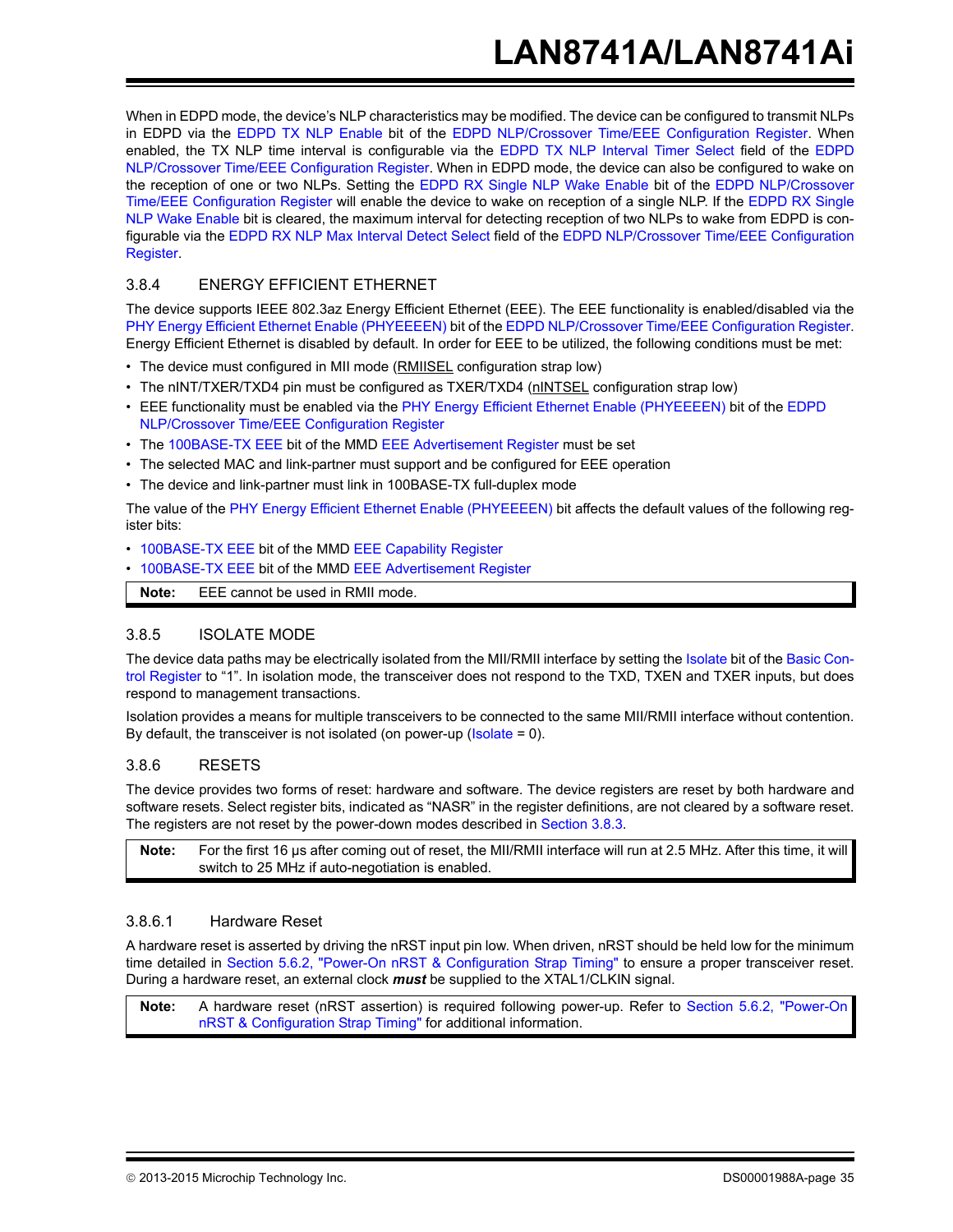When in EDPD mode, the device's NLP characteristics may be modified. The device can be configured to transmit NLPs in EDPD via the [EDPD TX NLP Enable](#page-56-2) bit of the [EDPD NLP/Crossover Time/EEE Configuration Register](#page-56-1). When enabled, the TX NLP time interval is configurable via the [EDPD TX NLP Interval Timer Select](#page-56-3) field of the [EDPD](#page-56-1) [NLP/Crossover Time/EEE Configuration Register.](#page-56-1) When in EDPD mode, the device can also be configured to wake on the reception of one or two NLPs. Setting the [EDPD RX Single NLP Wake Enable](#page-56-4) bit of the [EDPD NLP/Crossover](#page-56-1) [Time/EEE Configuration Register](#page-56-1) will enable the device to wake on reception of a single NLP. If the [EDPD RX Single](#page-56-4) [NLP Wake Enable](#page-56-4) bit is cleared, the maximum interval for detecting reception of two NLPs to wake from EDPD is configurable via the [EDPD RX NLP Max Interval Detect Select](#page-56-5) field of the [EDPD NLP/Crossover Time/EEE Configuration](#page-56-1) [Register](#page-56-1).

## 3.8.4 ENERGY EFFICIENT ETHERNET

The device supports IEEE 802.3az Energy Efficient Ethernet (EEE). The EEE functionality is enabled/disabled via the [PHY Energy Efficient Ethernet Enable \(PHYEEEEN\)](#page-56-6) bit of the [EDPD NLP/Crossover Time/EEE Configuration Register.](#page-56-1) Energy Efficient Ethernet is disabled by default. In order for EEE to be utilized, the following conditions must be met:

- The device must configured in MII mode (RMIISEL configuration strap low)
- The nINT/TXER/TXD4 pin must be configured as TXER/TXD4 (nINTSEL configuration strap low)
- EEE functionality must be enabled via the [PHY Energy Efficient Ethernet Enable \(PHYEEEEN\)](#page-56-6) bit of the [EDPD](#page-56-1)  [NLP/Crossover Time/EEE Configuration Register](#page-56-1)
- The [100BASE-TX EEE](#page-73-0) bit of the MMD [EEE Advertisement Register](#page-73-1) must be set
- The selected MAC and link-partner must support and be configured for EEE operation
- The device and link-partner must link in 100BASE-TX full-duplex mode

The value of the [PHY Energy Efficient Ethernet Enable \(PHYEEEEN\)](#page-56-6) bit affects the default values of the following register bits:

- [100BASE-TX EEE](#page-69-0) bit of the MMD [EEE Capability Register](#page-69-1)
- [100BASE-TX EEE](#page-73-0) bit of the MMD [EEE Advertisement Register](#page-73-1)

**Note:** EEE cannot be used in RMII mode.

## 3.8.5 ISOLATE MODE

The device data paths may be electrically isolated from the MII/RMII interface by setting the [Isolate](#page-45-7) bit of the [Basic Con](#page-45-0)[trol Register](#page-45-0) to "1". In isolation mode, the transceiver does not respond to the TXD, TXEN and TXER inputs, but does respond to management transactions.

Isolation provides a means for multiple transceivers to be connected to the same MII/RMII interface without contention. By default, the transceiver is not isolated (on power-up  $(Isolate = 0)$  $(Isolate = 0)$ .

## 3.8.6 RESETS

The device provides two forms of reset: hardware and software. The device registers are reset by both hardware and software resets. Select register bits, indicated as "NASR" in the register definitions, are not cleared by a software reset. The registers are not reset by the power-down modes described in [Section 3.8.3](#page-33-3).

**Note:** For the first 16 µs after coming out of reset, the MII/RMII interface will run at 2.5 MHz. After this time, it will switch to 25 MHz if auto-negotiation is enabled.

## 3.8.6.1 Hardware Reset

A hardware reset is asserted by driving the nRST input pin low. When driven, nRST should be held low for the minimum time detailed in [Section 5.6.2, "Power-On nRST & Configuration Strap Timing"](#page-87-0) to ensure a proper transceiver reset. During a hardware reset, an external clock *must* be supplied to the XTAL1/CLKIN signal.

**Note:** A hardware reset (nRST assertion) is required following power-up. Refer to [Section 5.6.2, "Power-On](#page-87-0) [nRST & Configuration Strap Timing"](#page-87-0) for additional information.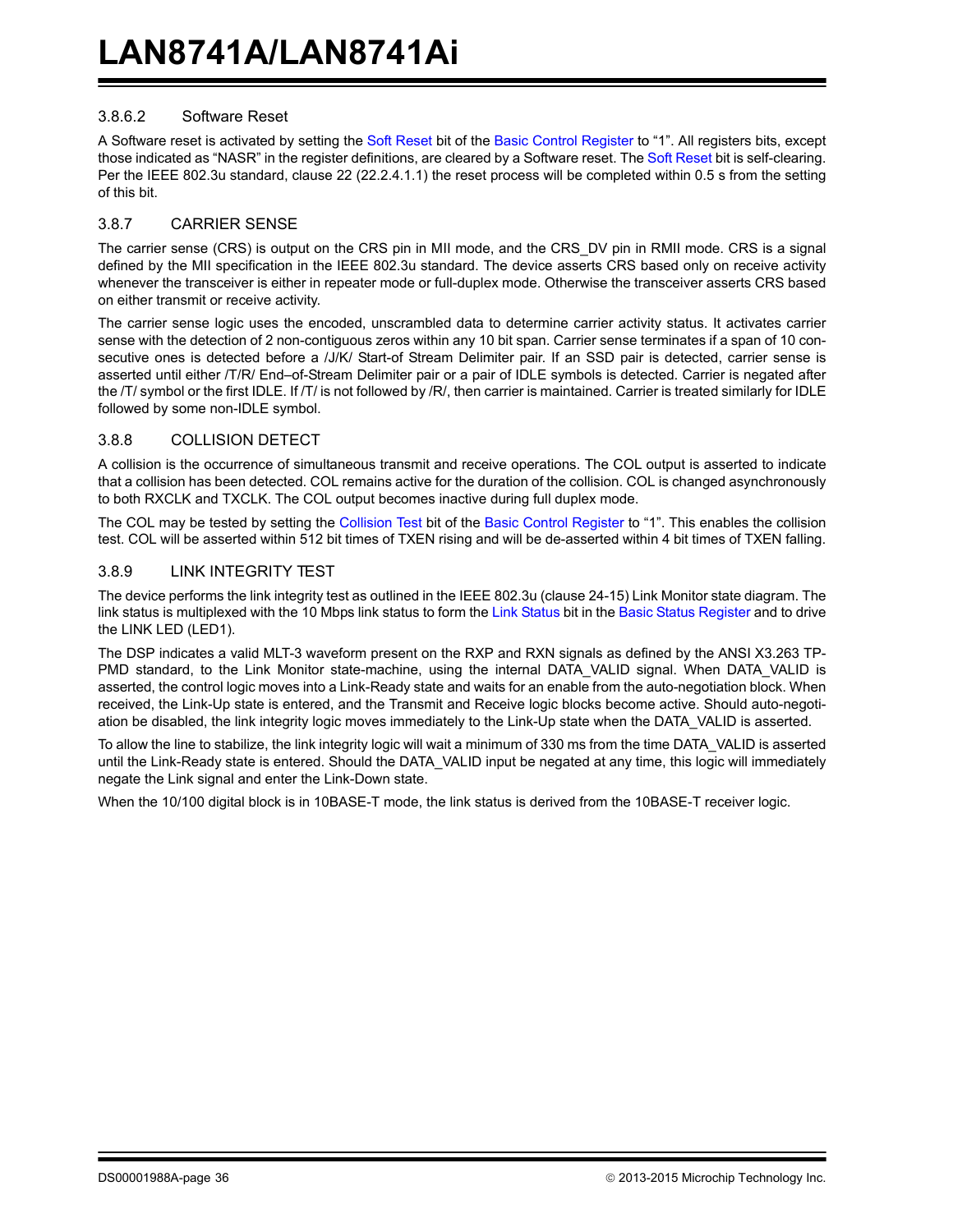## 3.8.6.2 Software Reset

A Software reset is activated by setting the [Soft Reset](#page-45-5) bit of the [Basic Control Register](#page-45-0) to "1". All registers bits, except those indicated as "NASR" in the register definitions, are cleared by a Software reset. The [Soft Reset](#page-45-5) bit is self-clearing. Per the IEEE 802.3u standard, clause 22 (22.2.4.1.1) the reset process will be completed within 0.5 s from the setting of this bit.

#### 3.8.7 CARRIER SENSE

The carrier sense (CRS) is output on the CRS pin in MII mode, and the CRS\_DV pin in RMII mode. CRS is a signal defined by the MII specification in the IEEE 802.3u standard. The device asserts CRS based only on receive activity whenever the transceiver is either in repeater mode or full-duplex mode. Otherwise the transceiver asserts CRS based on either transmit or receive activity.

The carrier sense logic uses the encoded, unscrambled data to determine carrier activity status. It activates carrier sense with the detection of 2 non-contiguous zeros within any 10 bit span. Carrier sense terminates if a span of 10 consecutive ones is detected before a /J/K/ Start-of Stream Delimiter pair. If an SSD pair is detected, carrier sense is asserted until either /T/R/ End–of-Stream Delimiter pair or a pair of IDLE symbols is detected. Carrier is negated after the /T/ symbol or the first IDLE. If /T/ is not followed by /R/, then carrier is maintained. Carrier is treated similarly for IDLE followed by some non-IDLE symbol.

## <span id="page-35-0"></span>3.8.8 COLLISION DETECT

A collision is the occurrence of simultaneous transmit and receive operations. The COL output is asserted to indicate that a collision has been detected. COL remains active for the duration of the collision. COL is changed asynchronously to both RXCLK and TXCLK. The COL output becomes inactive during full duplex mode.

The COL may be tested by setting the [Collision Test](#page-45-8) bit of the [Basic Control Register](#page-45-0) to "1". This enables the collision test. COL will be asserted within 512 bit times of TXEN rising and will be de-asserted within 4 bit times of TXEN falling.

#### 3.8.9 LINK INTEGRITY TEST

The device performs the link integrity test as outlined in the IEEE 802.3u (clause 24-15) Link Monitor state diagram. The link status is multiplexed with the 10 Mbps link status to form the [Link Status](#page-46-2) bit in the [Basic Status Register](#page-46-0) and to drive the LINK LED (LED1).

The DSP indicates a valid MLT-3 waveform present on the RXP and RXN signals as defined by the ANSI X3.263 TP-PMD standard, to the Link Monitor state-machine, using the internal DATA\_VALID signal. When DATA\_VALID is asserted, the control logic moves into a Link-Ready state and waits for an enable from the auto-negotiation block. When received, the Link-Up state is entered, and the Transmit and Receive logic blocks become active. Should auto-negotiation be disabled, the link integrity logic moves immediately to the Link-Up state when the DATA\_VALID is asserted.

To allow the line to stabilize, the link integrity logic will wait a minimum of 330 ms from the time DATA\_VALID is asserted until the Link-Ready state is entered. Should the DATA\_VALID input be negated at any time, this logic will immediately negate the Link signal and enter the Link-Down state.

When the 10/100 digital block is in 10BASE-T mode, the link status is derived from the 10BASE-T receiver logic.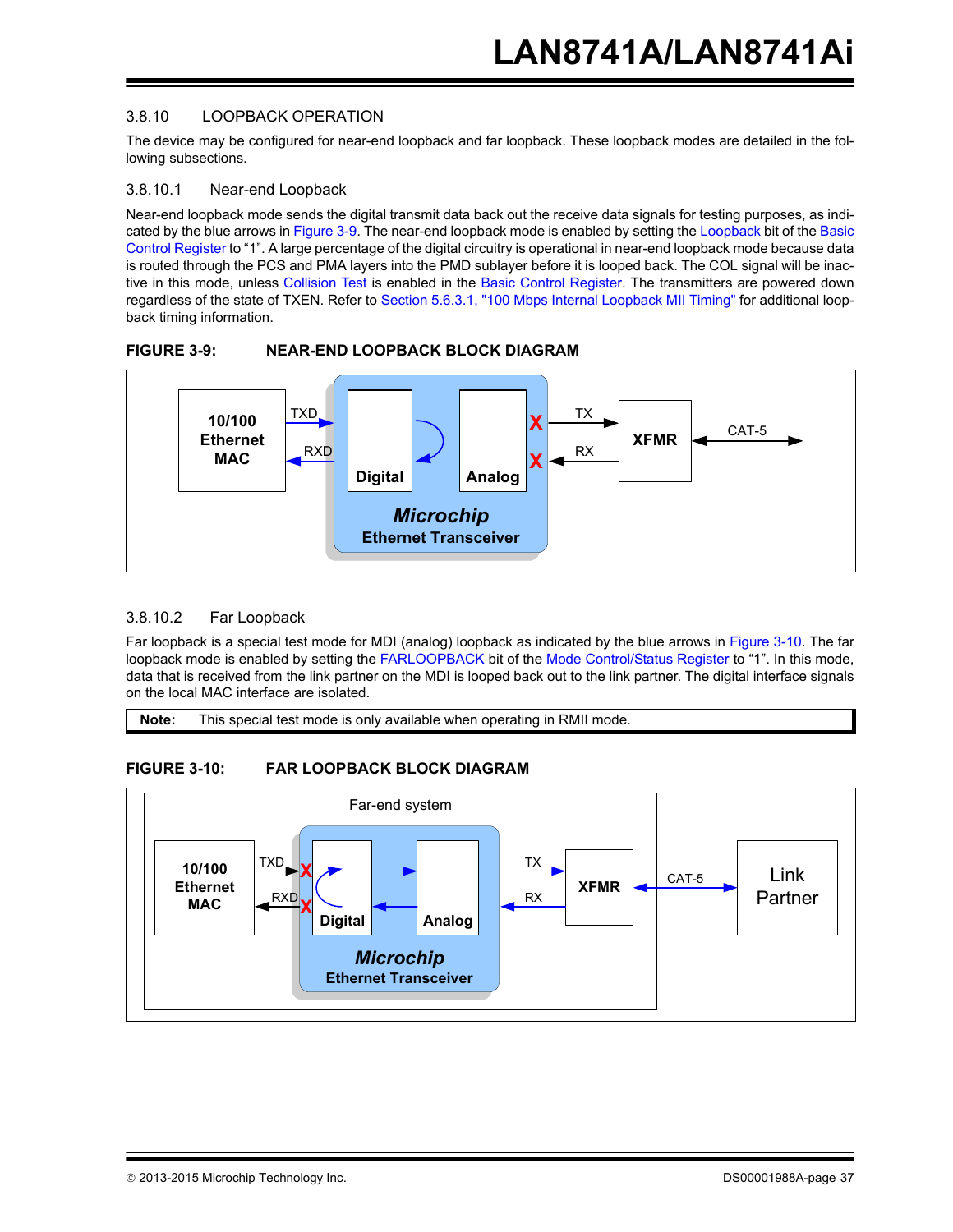#### 3.8.10 LOOPBACK OPERATION

The device may be configured for near-end loopback and far loopback. These loopback modes are detailed in the following subsections.

#### 3.8.10.1 Near-end Loopback

Near-end loopback mode sends the digital transmit data back out the receive data signals for testing purposes, as indicated by the blue arrows in [Figure 3-9](#page-36-0). The near-end loopback mode is enabled by setting the [Loopback](#page-45-0) bit of the [Basic](#page-45-1) [Control Register](#page-45-1) to "1". A large percentage of the digital circuitry is operational in near-end loopback mode because data is routed through the PCS and PMA layers into the PMD sublayer before it is looped back. The COL signal will be inac-tive in this mode, unless [Collision Test](#page-45-2) is enabled in the [Basic Control Register.](#page-45-1) The transmitters are powered down regardless of the state of TXEN. Refer to [Section 5.6.3.1, "100 Mbps Internal Loopback MII Timing"](#page-90-0) for additional loopback timing information.

<span id="page-36-0"></span>



#### <span id="page-36-2"></span>3.8.10.2 Far Loopback

Far loopback is a special test mode for MDI (analog) loopback as indicated by the blue arrows in [Figure 3-10](#page-36-1). The far loopback mode is enabled by setting the [FARLOOPBACK](#page-57-0) bit of the [Mode Control/Status Register](#page-57-1) to "1". In this mode, data that is received from the link partner on the MDI is looped back out to the link partner. The digital interface signals on the local MAC interface are isolated.

**Note:** This special test mode is only available when operating in RMII mode.

#### <span id="page-36-1"></span>**FIGURE 3-10: FAR LOOPBACK BLOCK DIAGRAM**

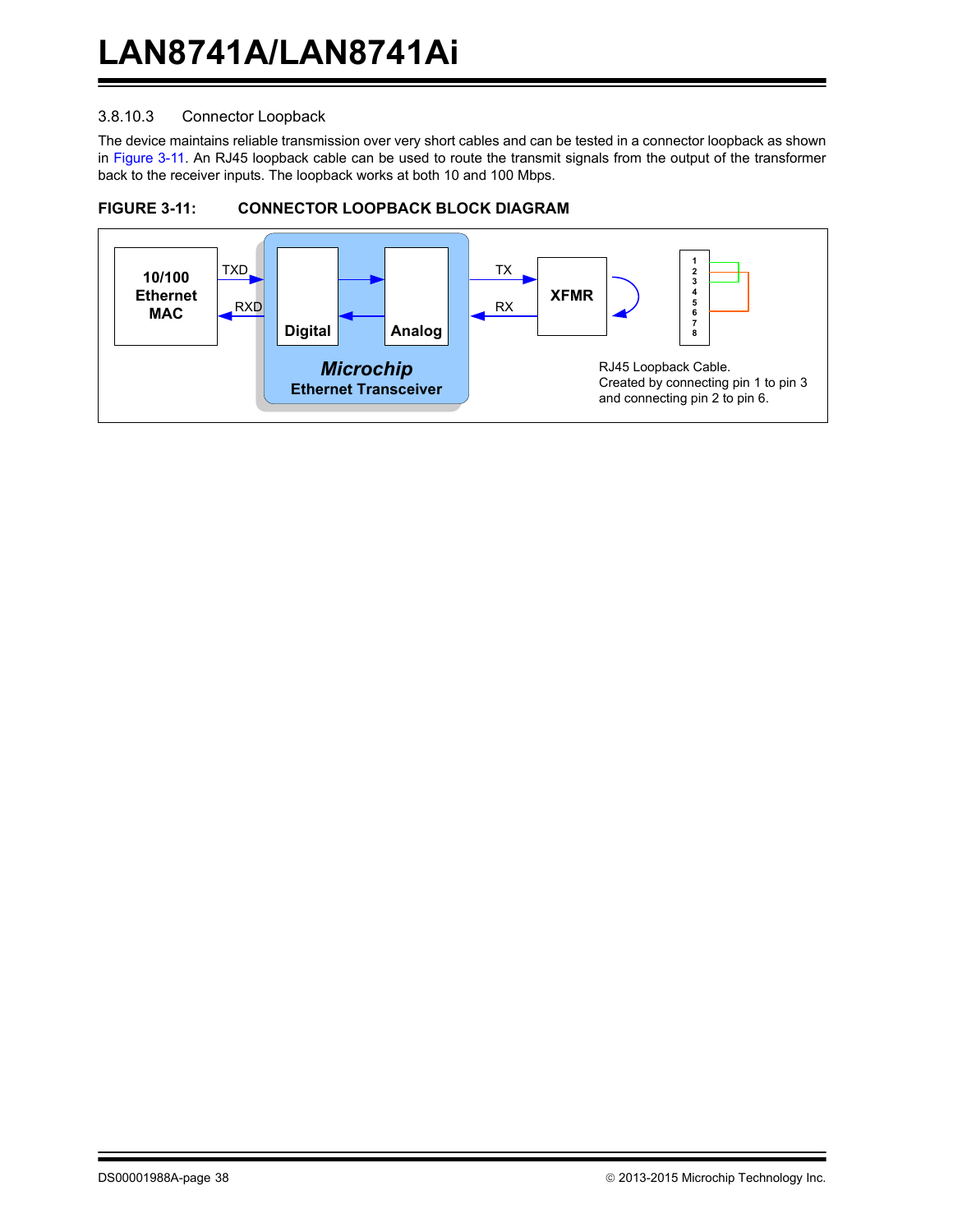## 3.8.10.3 Connector Loopback

The device maintains reliable transmission over very short cables and can be tested in a connector loopback as shown in [Figure 3-11.](#page-37-0) An RJ45 loopback cable can be used to route the transmit signals from the output of the transformer back to the receiver inputs. The loopback works at both 10 and 100 Mbps.

<span id="page-37-0"></span>

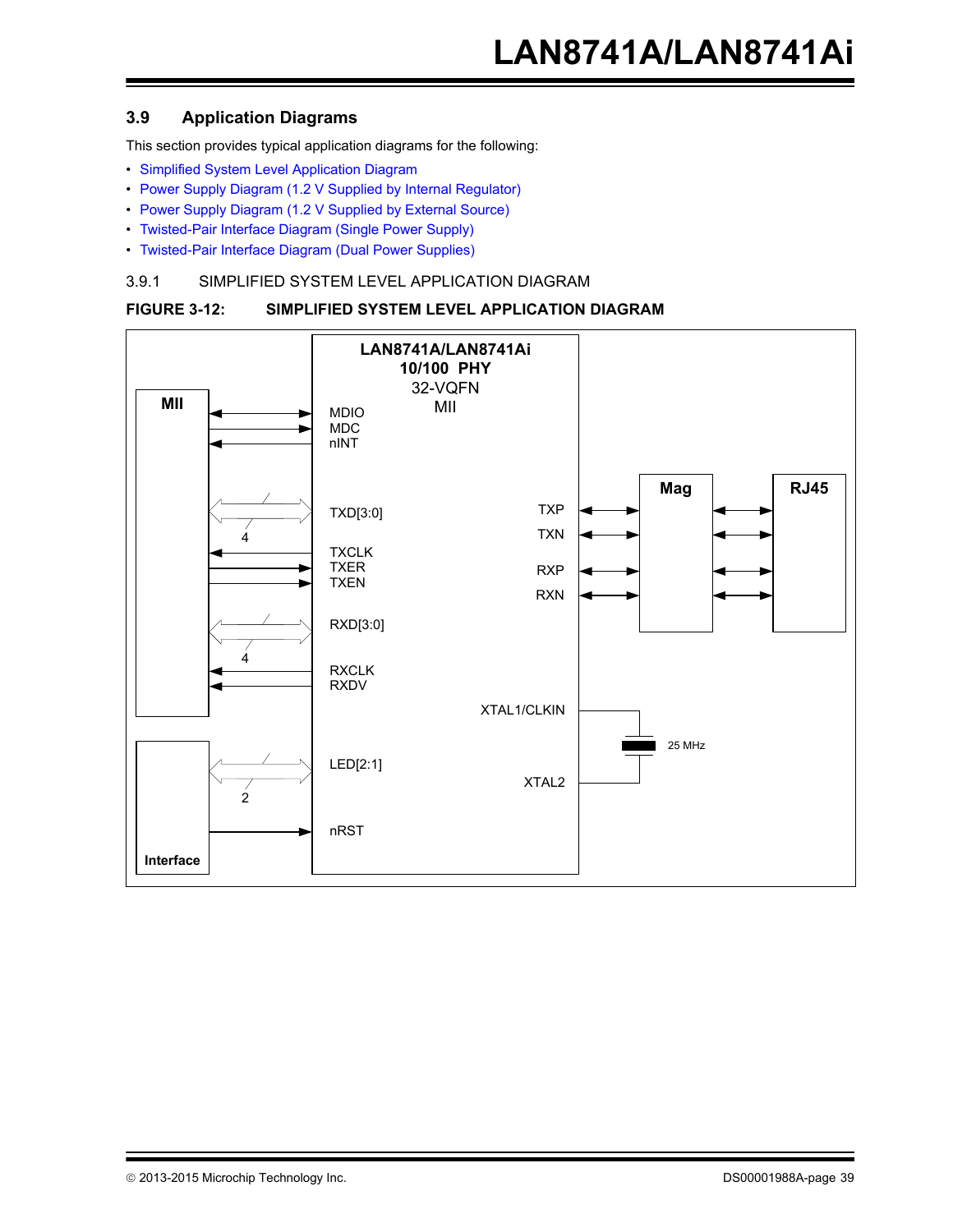## **3.9 Application Diagrams**

This section provides typical application diagrams for the following:

- [Simplified System Level Application Diagram](#page-38-0)
- [Power Supply Diagram \(1.2 V Supplied by Internal Regulator\)](#page-39-0)
- [Power Supply Diagram \(1.2 V Supplied by External Source\)](#page-40-0)
- [Twisted-Pair Interface Diagram \(Single Power Supply\)](#page-41-0)
- [Twisted-Pair Interface Diagram \(Dual Power Supplies\)](#page-42-0)

#### <span id="page-38-0"></span>3.9.1 SIMPLIFIED SYSTEM LEVEL APPLICATION DIAGRAM

#### **FIGURE 3-12: SIMPLIFIED SYSTEM LEVEL APPLICATION DIAGRAM**

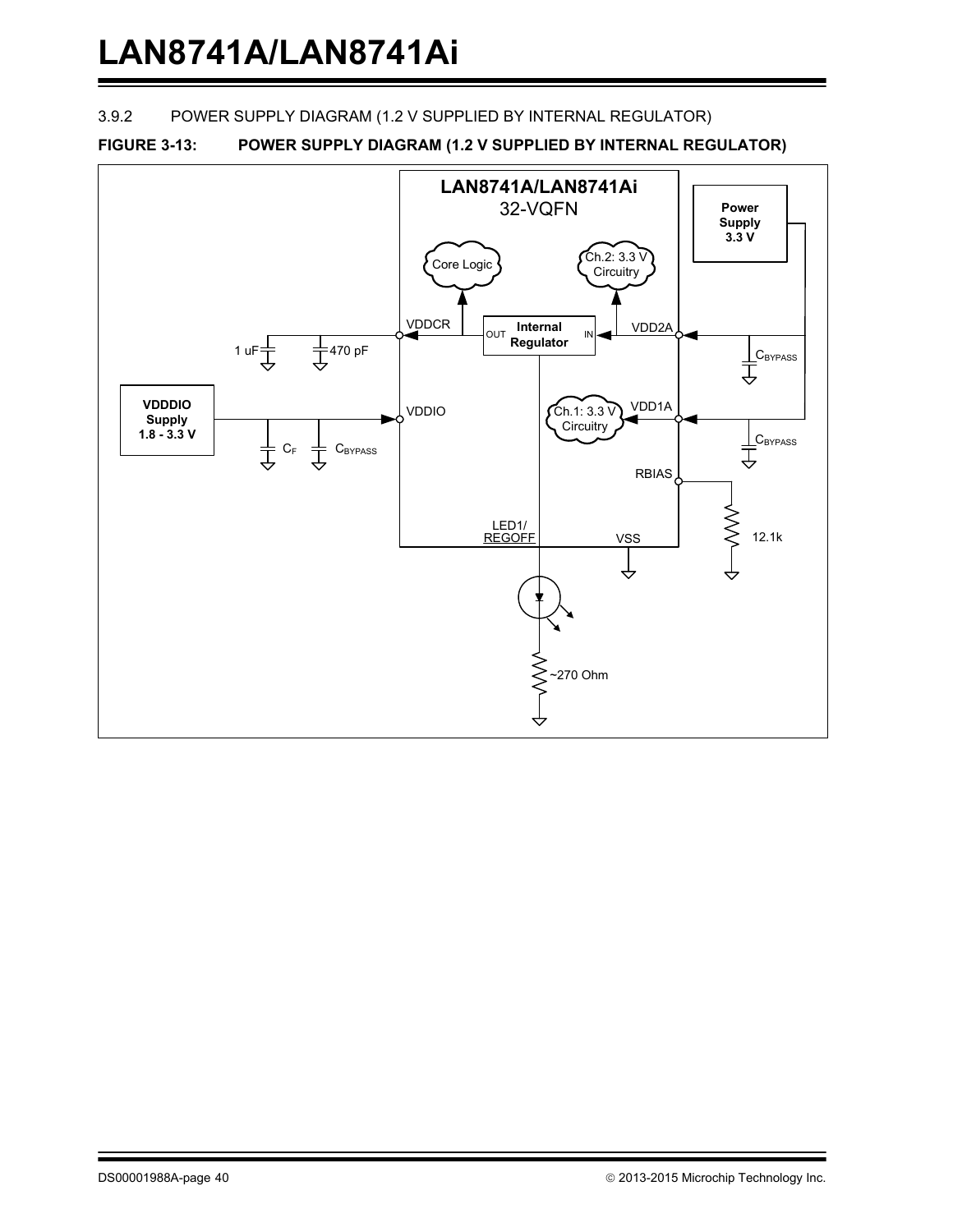# **LAN8741A/LAN8741Ai**

<span id="page-39-0"></span>3.9.2 POWER SUPPLY DIAGRAM (1.2 V SUPPLIED BY INTERNAL REGULATOR)

**FIGURE 3-13: POWER SUPPLY DIAGRAM (1.2 V SUPPLIED BY INTERNAL REGULATOR)**

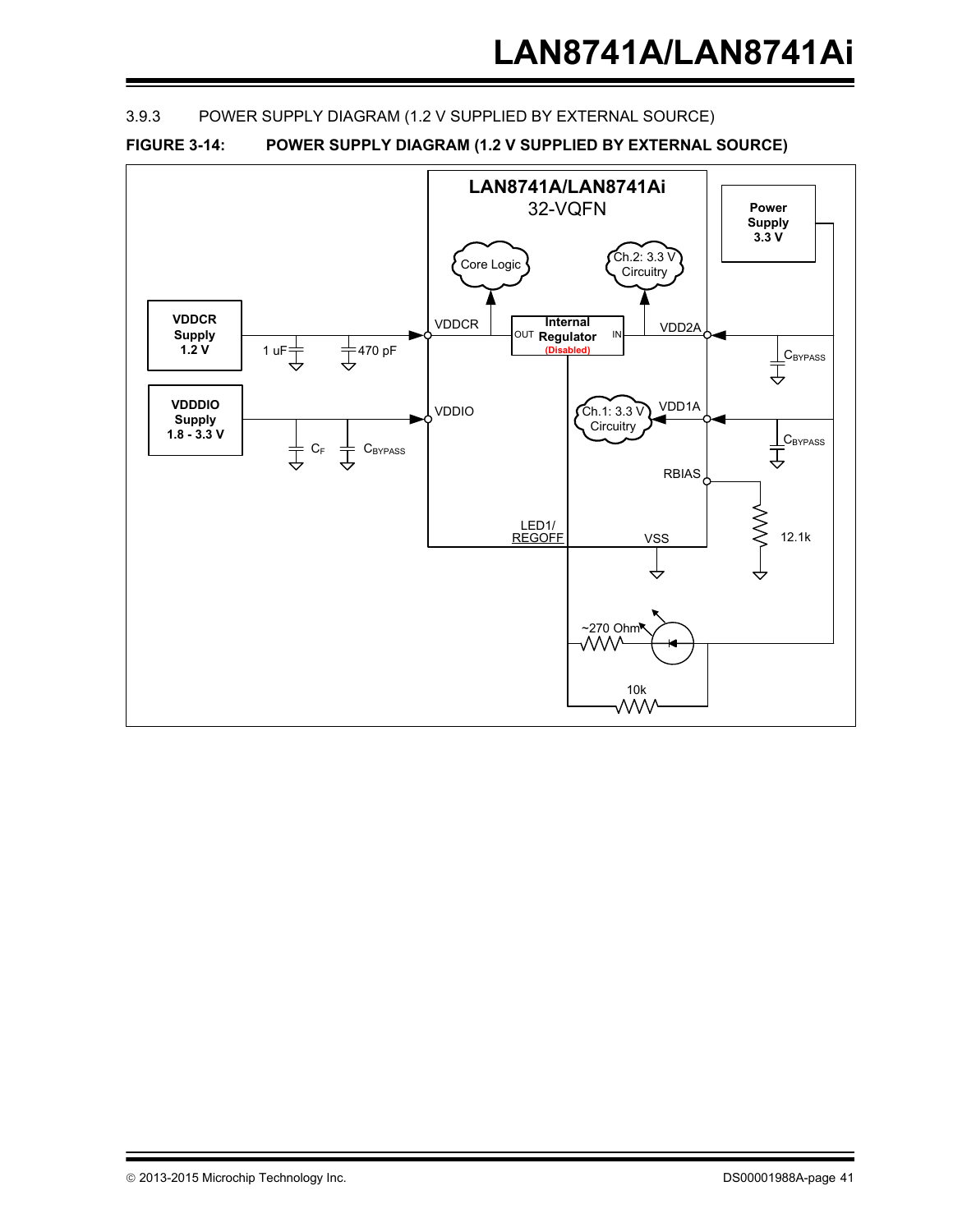<span id="page-40-0"></span>3.9.3 POWER SUPPLY DIAGRAM (1.2 V SUPPLIED BY EXTERNAL SOURCE)

**FIGURE 3-14: POWER SUPPLY DIAGRAM (1.2 V SUPPLIED BY EXTERNAL SOURCE)**

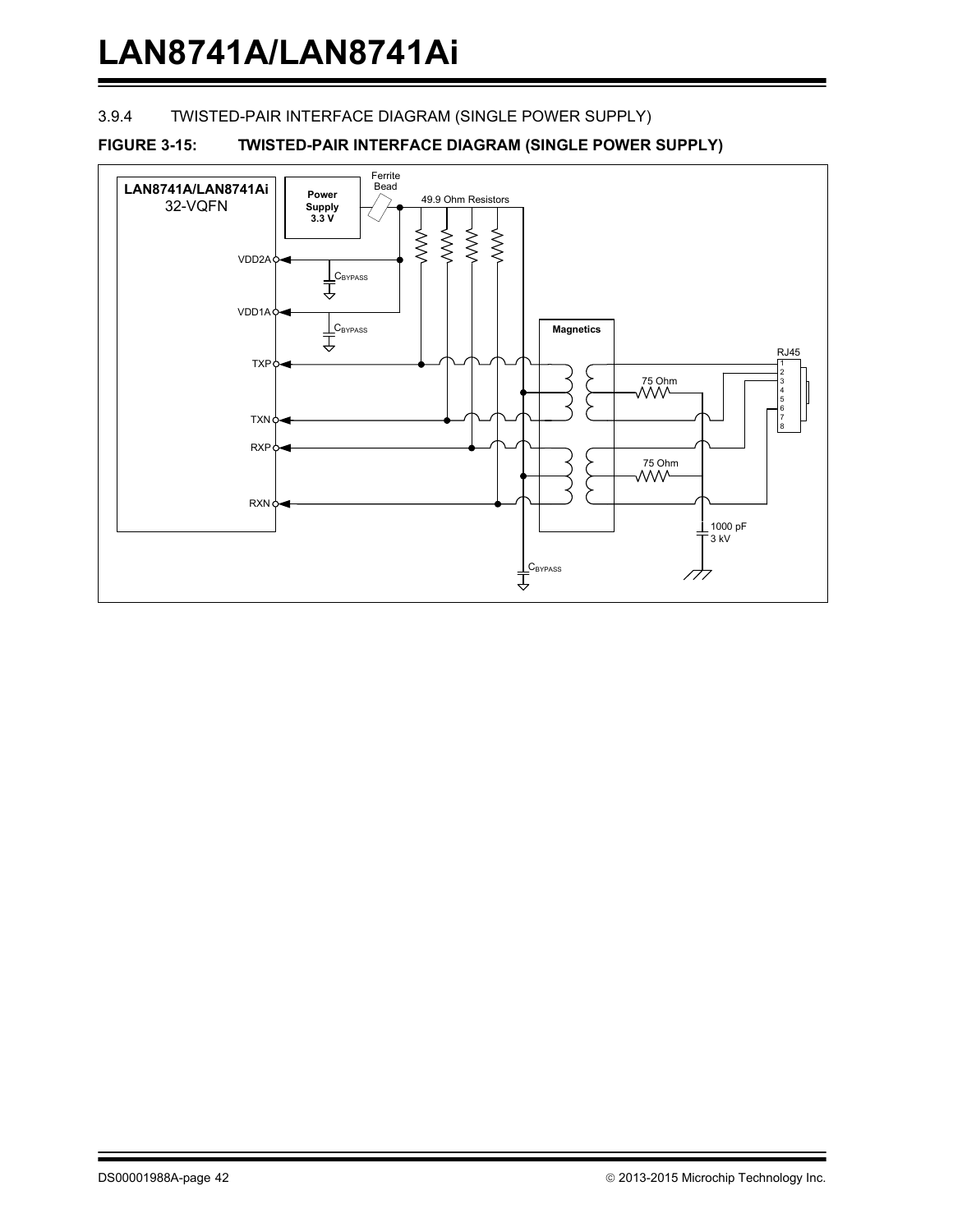<span id="page-41-0"></span>3.9.4 TWISTED-PAIR INTERFACE DIAGRAM (SINGLE POWER SUPPLY)

## **FIGURE 3-15: TWISTED-PAIR INTERFACE DIAGRAM (SINGLE POWER SUPPLY)**

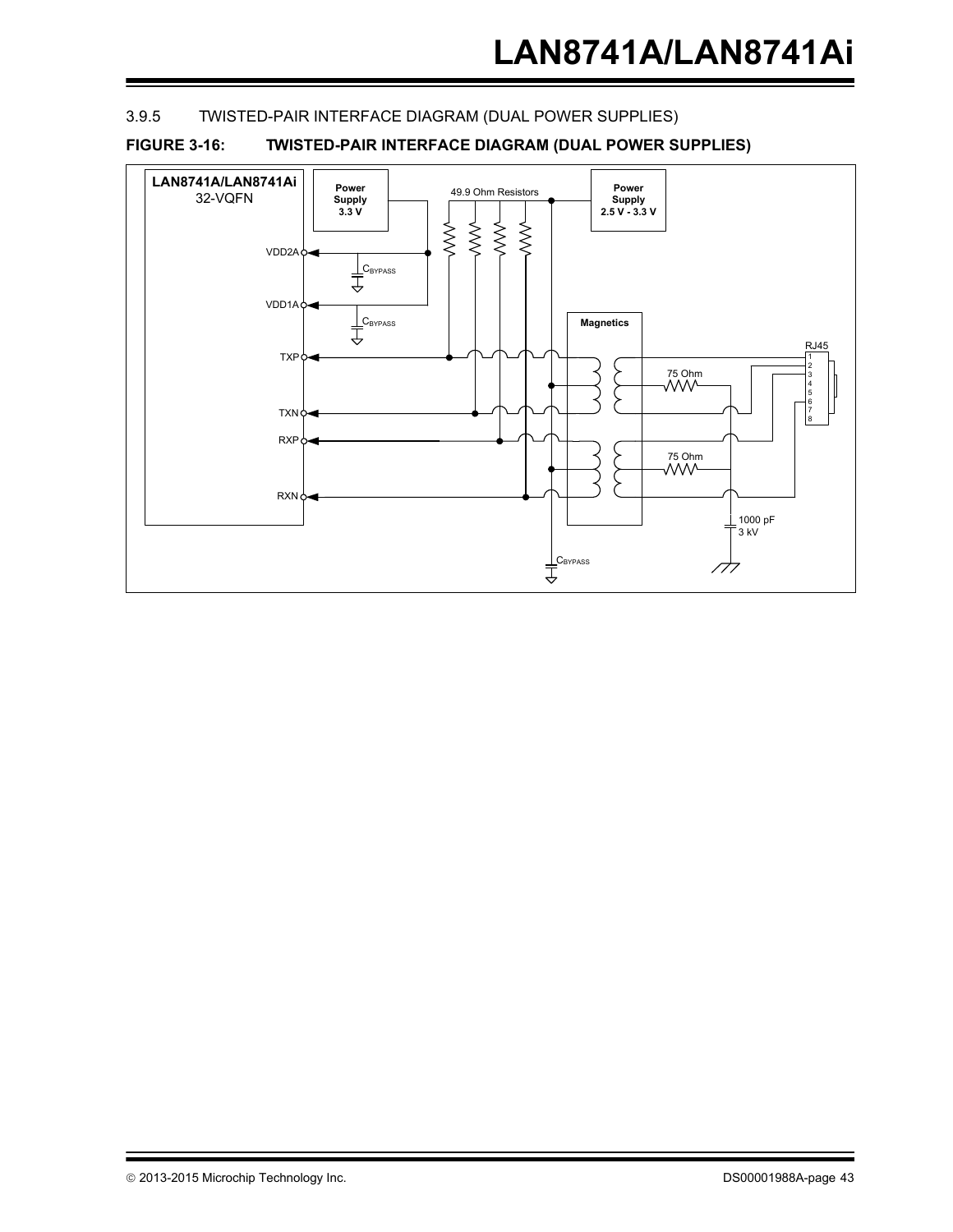#### <span id="page-42-0"></span>3.9.5 TWISTED-PAIR INTERFACE DIAGRAM (DUAL POWER SUPPLIES)

### **FIGURE 3-16: TWISTED-PAIR INTERFACE DIAGRAM (DUAL POWER SUPPLIES)**

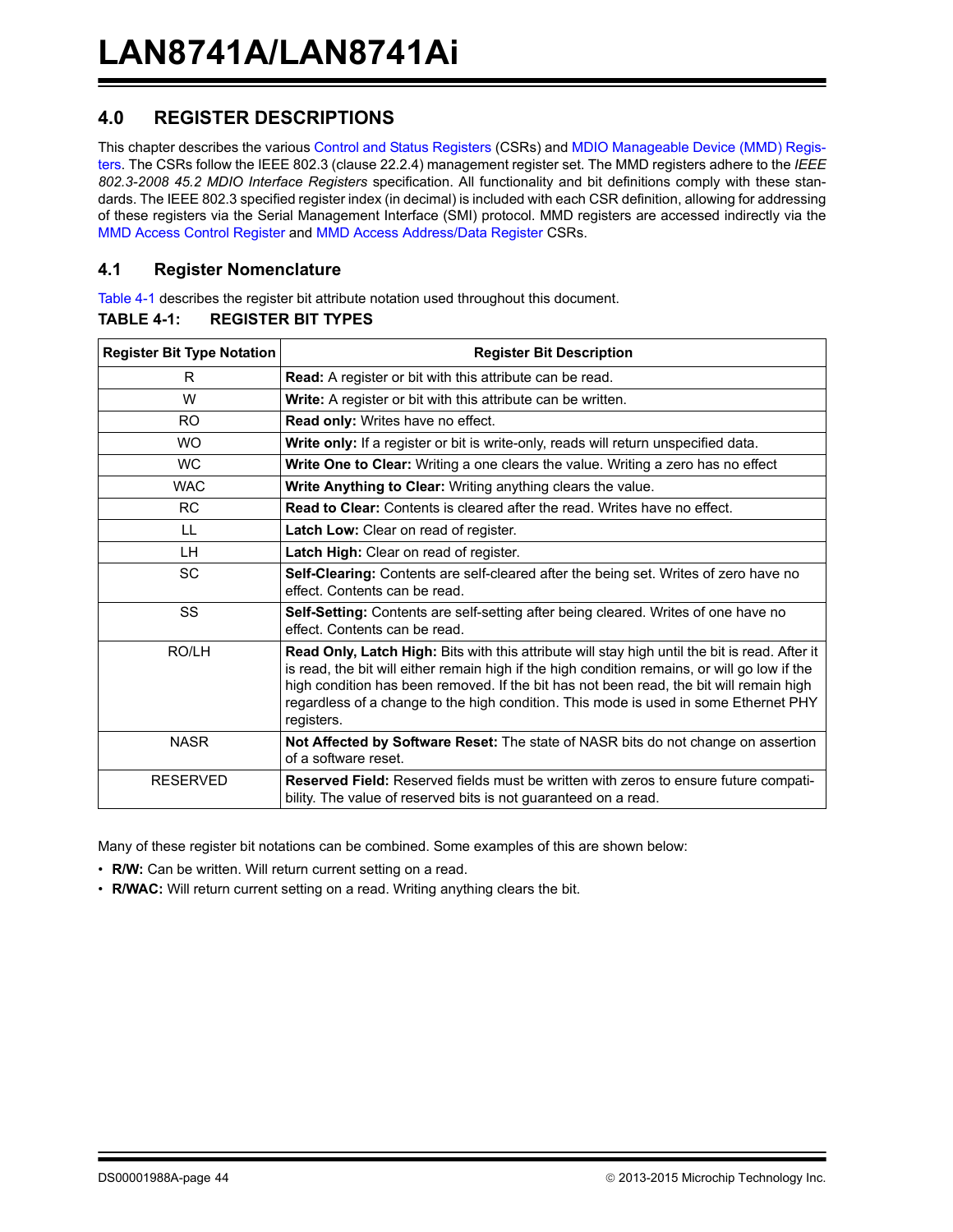## **4.0 REGISTER DESCRIPTIONS**

This chapter describes the various [Control and Status Registers](#page-44-0) (CSRs) and [MDIO Manageable Device \(MMD\) Regis](#page-64-0)[ters](#page-64-0). The CSRs follow the IEEE 802.3 (clause 22.2.4) management register set. The MMD registers adhere to the *IEEE 802.3-2008 45.2 MDIO Interface Registers* specification. All functionality and bit definitions comply with these standards. The IEEE 802.3 specified register index (in decimal) is included with each CSR definition, allowing for addressing of these registers via the Serial Management Interface (SMI) protocol. MMD registers are accessed indirectly via the [MMD Access Control Register](#page-54-0) and [MMD Access Address/Data Register](#page-55-0) CSRs.

## **4.1 Register Nomenclature**

[Table 4-1](#page-43-0) describes the register bit attribute notation used throughout this document.

<span id="page-43-0"></span>

| TABLE 4-1: | <b>REGISTER BIT TYPES</b> |
|------------|---------------------------|
|            |                           |

| <b>Register Bit Type Notation</b> | <b>Register Bit Description</b>                                                                                                                                                                                                                                                                                                                                                                  |
|-----------------------------------|--------------------------------------------------------------------------------------------------------------------------------------------------------------------------------------------------------------------------------------------------------------------------------------------------------------------------------------------------------------------------------------------------|
| R                                 | <b>Read:</b> A register or bit with this attribute can be read.                                                                                                                                                                                                                                                                                                                                  |
| W                                 | Write: A register or bit with this attribute can be written.                                                                                                                                                                                                                                                                                                                                     |
| R <sub>O</sub>                    | <b>Read only:</b> Writes have no effect.                                                                                                                                                                                                                                                                                                                                                         |
| <b>WO</b>                         | Write only: If a register or bit is write-only, reads will return unspecified data.                                                                                                                                                                                                                                                                                                              |
| WC.                               | Write One to Clear: Writing a one clears the value. Writing a zero has no effect                                                                                                                                                                                                                                                                                                                 |
| <b>WAC</b>                        | Write Anything to Clear: Writing anything clears the value.                                                                                                                                                                                                                                                                                                                                      |
| <b>RC</b>                         | <b>Read to Clear:</b> Contents is cleared after the read. Writes have no effect.                                                                                                                                                                                                                                                                                                                 |
| LL                                | Latch Low: Clear on read of register.                                                                                                                                                                                                                                                                                                                                                            |
| LH.                               | Latch High: Clear on read of register.                                                                                                                                                                                                                                                                                                                                                           |
| <b>SC</b>                         | <b>Self-Clearing:</b> Contents are self-cleared after the being set. Writes of zero have no<br>effect. Contents can be read.                                                                                                                                                                                                                                                                     |
| SS                                | Self-Setting: Contents are self-setting after being cleared. Writes of one have no<br>effect. Contents can be read.                                                                                                                                                                                                                                                                              |
| RO/LH                             | Read Only, Latch High: Bits with this attribute will stay high until the bit is read. After it<br>is read, the bit will either remain high if the high condition remains, or will go low if the<br>high condition has been removed. If the bit has not been read, the bit will remain high<br>regardless of a change to the high condition. This mode is used in some Ethernet PHY<br>registers. |
| <b>NASR</b>                       | Not Affected by Software Reset: The state of NASR bits do not change on assertion<br>of a software reset.                                                                                                                                                                                                                                                                                        |
| <b>RESERVED</b>                   | Reserved Field: Reserved fields must be written with zeros to ensure future compati-<br>bility. The value of reserved bits is not guaranteed on a read.                                                                                                                                                                                                                                          |

Many of these register bit notations can be combined. Some examples of this are shown below:

- **R/W:** Can be written. Will return current setting on a read.
- **R/WAC:** Will return current setting on a read. Writing anything clears the bit.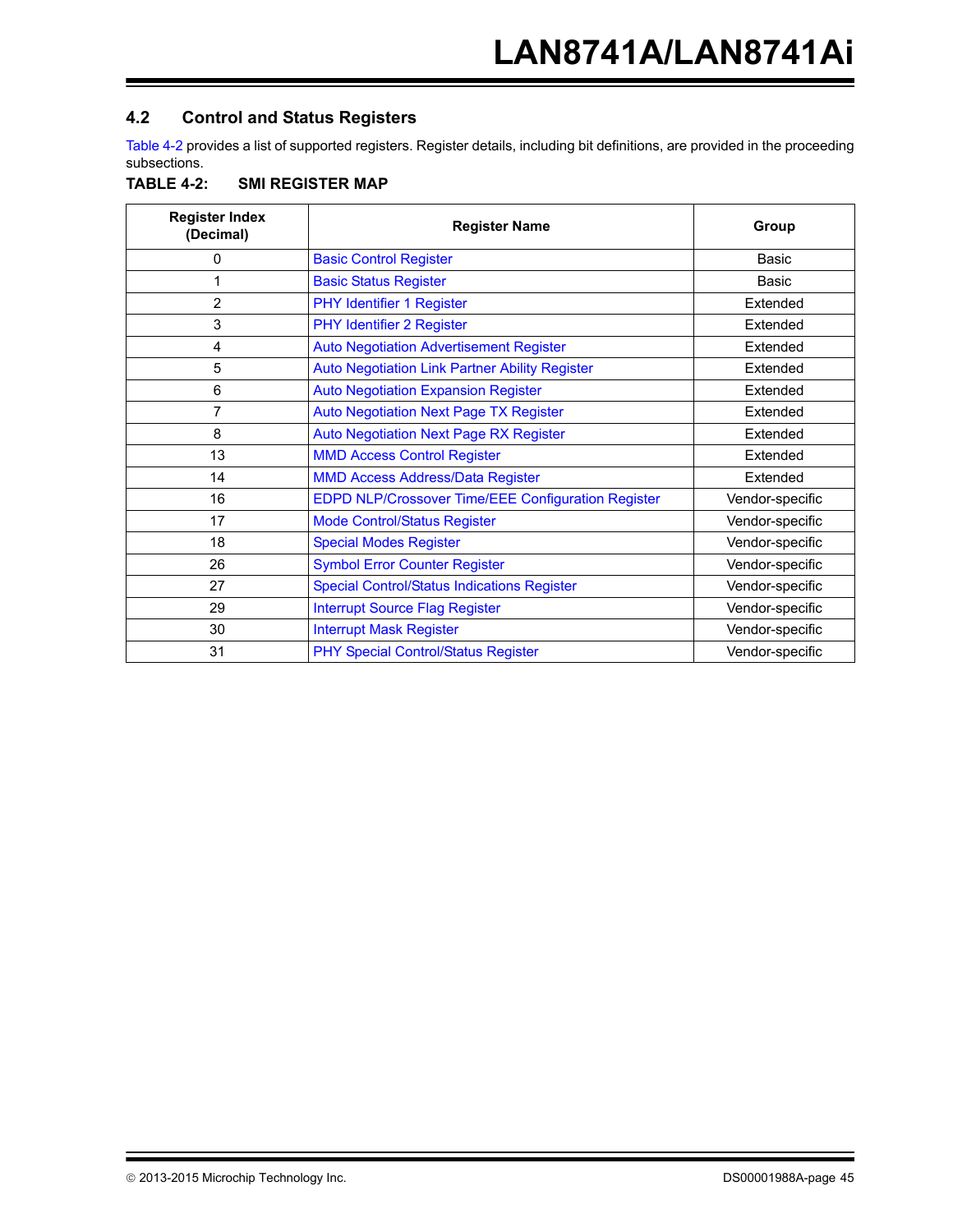## <span id="page-44-0"></span>**4.2 Control and Status Registers**

[Table 4-2](#page-44-1) provides a list of supported registers. Register details, including bit definitions, are provided in the proceeding subsections.

| <b>Register Index</b><br>(Decimal) | <b>Register Name</b>                                      | Group           |
|------------------------------------|-----------------------------------------------------------|-----------------|
| 0                                  | <b>Basic Control Register</b>                             | <b>Basic</b>    |
| 1                                  | <b>Basic Status Register</b>                              | <b>Basic</b>    |
| $\overline{2}$                     | <b>PHY Identifier 1 Register</b>                          | Extended        |
| 3                                  | <b>PHY Identifier 2 Register</b>                          | Extended        |
| 4                                  | <b>Auto Negotiation Advertisement Register</b>            | Extended        |
| 5                                  | <b>Auto Negotiation Link Partner Ability Register</b>     | Extended        |
| 6                                  | <b>Auto Negotiation Expansion Register</b>                | Extended        |
| 7                                  | <b>Auto Negotiation Next Page TX Register</b>             | Extended        |
| 8                                  | <b>Auto Negotiation Next Page RX Register</b>             | Extended        |
| 13                                 | <b>MMD Access Control Register</b>                        | Extended        |
| 14                                 | <b>MMD Access Address/Data Register</b>                   | Extended        |
| 16                                 | <b>EDPD NLP/Crossover Time/EEE Configuration Register</b> | Vendor-specific |
| 17                                 | <b>Mode Control/Status Register</b>                       | Vendor-specific |
| 18                                 | <b>Special Modes Register</b>                             | Vendor-specific |
| 26                                 | <b>Symbol Error Counter Register</b>                      | Vendor-specific |
| 27                                 | <b>Special Control/Status Indications Register</b>        | Vendor-specific |
| 29                                 | <b>Interrupt Source Flag Register</b>                     | Vendor-specific |
| 30                                 | <b>Interrupt Mask Register</b>                            | Vendor-specific |
| 31                                 | <b>PHY Special Control/Status Register</b>                | Vendor-specific |

### <span id="page-44-1"></span>**TABLE 4-2: SMI REGISTER MAP**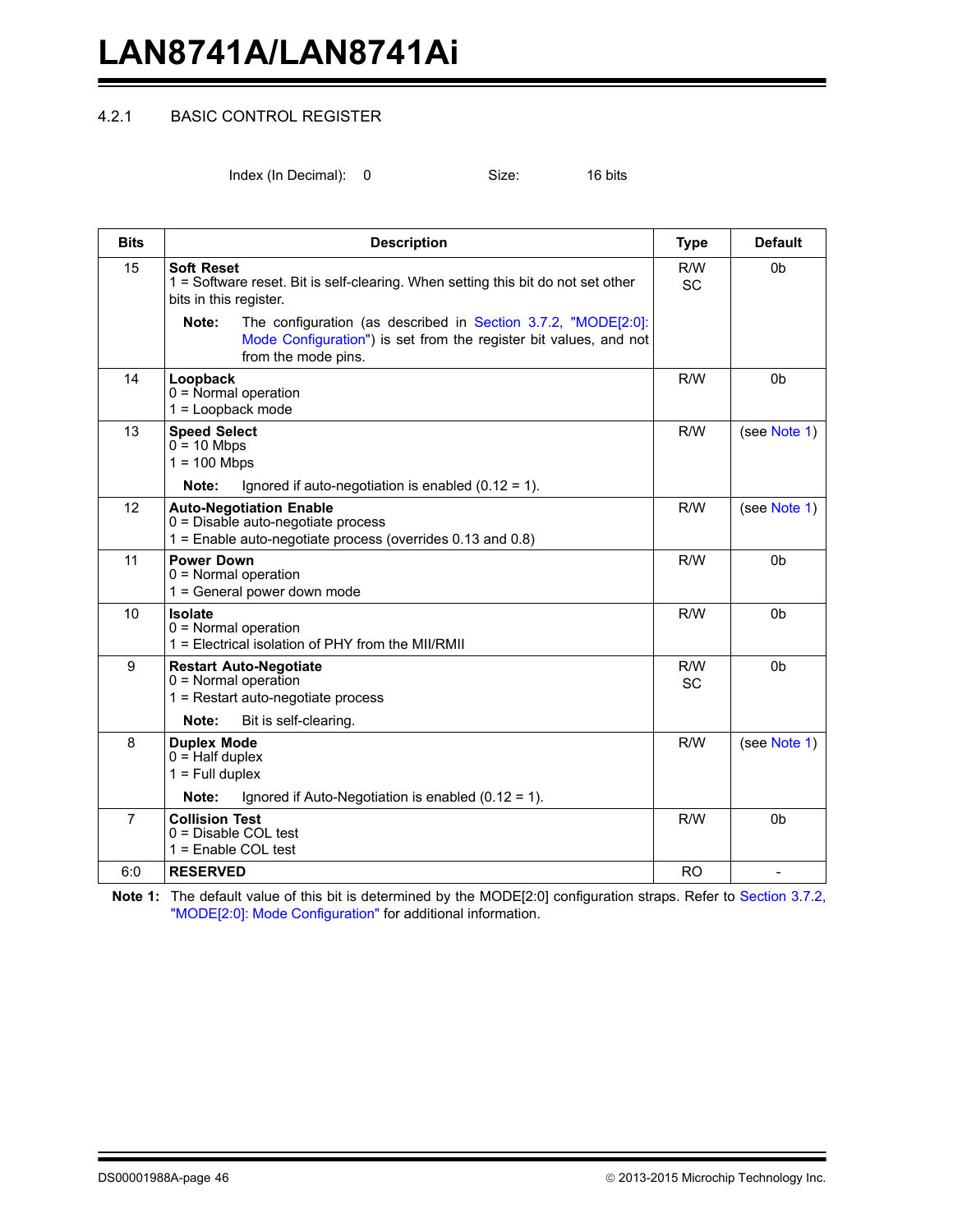## <span id="page-45-3"></span><span id="page-45-1"></span>4.2.1 BASIC CONTROL REGISTER

Index (In Decimal): 0 Size: 16 bits

<span id="page-45-0"></span>

| <b>Bits</b>    | <b>Description</b>                                                                                                                                                 | <b>Type</b>      | <b>Default</b> |
|----------------|--------------------------------------------------------------------------------------------------------------------------------------------------------------------|------------------|----------------|
| 15             | <b>Soft Reset</b><br>1 = Software reset. Bit is self-clearing. When setting this bit do not set other<br>bits in this register.                                    | R/W<br>SC        | 0 <sub>b</sub> |
|                | Note:<br>The configuration (as described in Section 3.7.2, "MODE[2:0]:<br>Mode Configuration") is set from the register bit values, and not<br>from the mode pins. |                  |                |
| 14             | Loopback<br>$0 = \text{Normal operation}$<br>$1 =$ Loopback mode                                                                                                   | R/W              | 0b             |
| 13             | <b>Speed Select</b><br>$0 = 10$ Mbps<br>$1 = 100$ Mbps                                                                                                             | R/W              | (see Note 1)   |
|                | Note:<br>Ignored if auto-negotiation is enabled $(0.12 = 1)$ .                                                                                                     |                  |                |
| 12             | <b>Auto-Negotiation Enable</b><br>$0 =$ Disable auto-negotiate process<br>1 = Enable auto-negotiate process (overrides 0.13 and 0.8)                               | R/W              | (see Note 1)   |
| 11             | <b>Power Down</b><br>$0 =$ Normal operation<br>1 = General power down mode                                                                                         | R/W              | 0b             |
| 10             | <b>Isolate</b><br>$0 =$ Normal operation<br>1 = Electrical isolation of PHY from the MII/RMII                                                                      | R/W              | 0b             |
| 9              | <b>Restart Auto-Negotiate</b><br>$0 =$ Normal operation<br>1 = Restart auto-negotiate process                                                                      | R/W<br><b>SC</b> | 0b             |
|                | Bit is self-clearing.<br>Note:                                                                                                                                     |                  |                |
| 8              | <b>Duplex Mode</b><br>$0 =$ Half duplex<br>$1 = Full$ duplex                                                                                                       | R/W              | (see Note 1)   |
|                | Note:<br>Ignored if Auto-Negotiation is enabled $(0.12 = 1)$ .                                                                                                     |                  |                |
| $\overline{7}$ | <b>Collision Test</b><br>$0 =$ Disable COL test<br>$1 =$ Enable COL test                                                                                           | R/W              | 0b             |
| 6:0            | <b>RESERVED</b>                                                                                                                                                    | <b>RO</b>        |                |

<span id="page-45-4"></span><span id="page-45-2"></span>**Note 1:** The default value of this bit is determined by the MODE[2:0] configuration straps. Refer to [Section 3.7.2,](#page-30-0) ["MODE\[2:0\]: Mode Configuration"](#page-30-0) for additional information.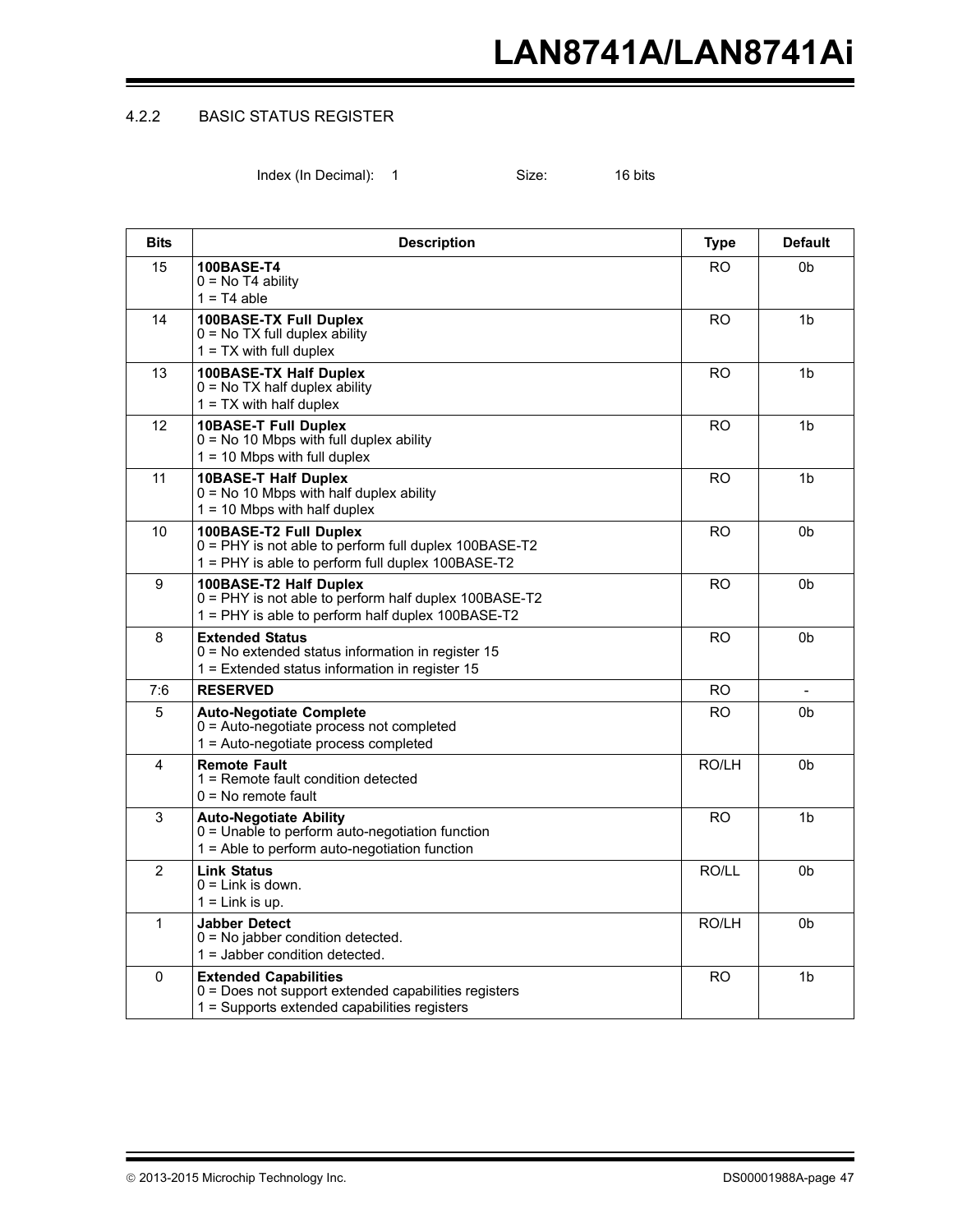#### <span id="page-46-0"></span>4.2.2 BASIC STATUS REGISTER

Index (In Decimal): 1 Size: 16 bits

| <b>Bits</b> | <b>Description</b>                                                                                                                   | Type           | <b>Default</b> |
|-------------|--------------------------------------------------------------------------------------------------------------------------------------|----------------|----------------|
| 15          | 100BASE-T4<br>$0 = No T4$ ability<br>$1 = T4$ able                                                                                   | RO.            | 0b             |
| 14          | 100BASE-TX Full Duplex<br>$0 = No TX$ full duplex ability<br>$1 = TX$ with full duplex                                               | <b>RO</b>      | 1 <sub>b</sub> |
| 13          | <b>100BASE-TX Half Duplex</b><br>$0 = No TX$ half duplex ability<br>$1 = TX$ with half duplex                                        | <b>RO</b>      | 1 <sub>b</sub> |
| 12          | <b>10BASE-T Full Duplex</b><br>$0 = No$ 10 Mbps with full duplex ability<br>$1 = 10$ Mbps with full duplex                           | RO             | 1b             |
| 11          | <b>10BASE-T Half Duplex</b><br>$0 = No$ 10 Mbps with half duplex ability<br>$1 = 10$ Mbps with half duplex                           | <b>RO</b>      | 1 <sub>b</sub> |
| 10          | 100BASE-T2 Full Duplex<br>0 = PHY is not able to perform full duplex 100BASE-T2<br>1 = PHY is able to perform full duplex 100BASE-T2 | R <sub>O</sub> | 0b             |
| 9           | 100BASE-T2 Half Duplex<br>0 = PHY is not able to perform half duplex 100BASE-T2<br>1 = PHY is able to perform half duplex 100BASE-T2 | <b>RO</b>      | 0b             |
| 8           | <b>Extended Status</b><br>0 = No extended status information in register 15<br>1 = Extended status information in register 15        | <b>RO</b>      | 0b             |
| 7:6         | <b>RESERVED</b>                                                                                                                      | <b>RO</b>      |                |
| 5           | <b>Auto-Negotiate Complete</b><br>$0 =$ Auto-negotiate process not completed<br>1 = Auto-negotiate process completed                 | <b>RO</b>      | 0b             |
| 4           | <b>Remote Fault</b><br>1 = Remote fault condition detected<br>$0 = No$ remote fault                                                  | RO/LH          | 0b             |
| 3           | <b>Auto-Negotiate Ability</b><br>0 = Unable to perform auto-negotiation function<br>1 = Able to perform auto-negotiation function    | RO             | 1b             |
| 2           | <b>Link Status</b><br>$0 =$ Link is down.<br>$1 =$ Link is up.                                                                       | RO/LL          | 0b             |
| 1           | <b>Jabber Detect</b><br>$0 = No$ jabber condition detected.<br>1 = Jabber condition detected.                                        | RO/LH          | 0b             |
| $\Omega$    | <b>Extended Capabilities</b><br>0 = Does not support extended capabilities registers<br>1 = Supports extended capabilities registers | R <sub>O</sub> | 1 <sub>b</sub> |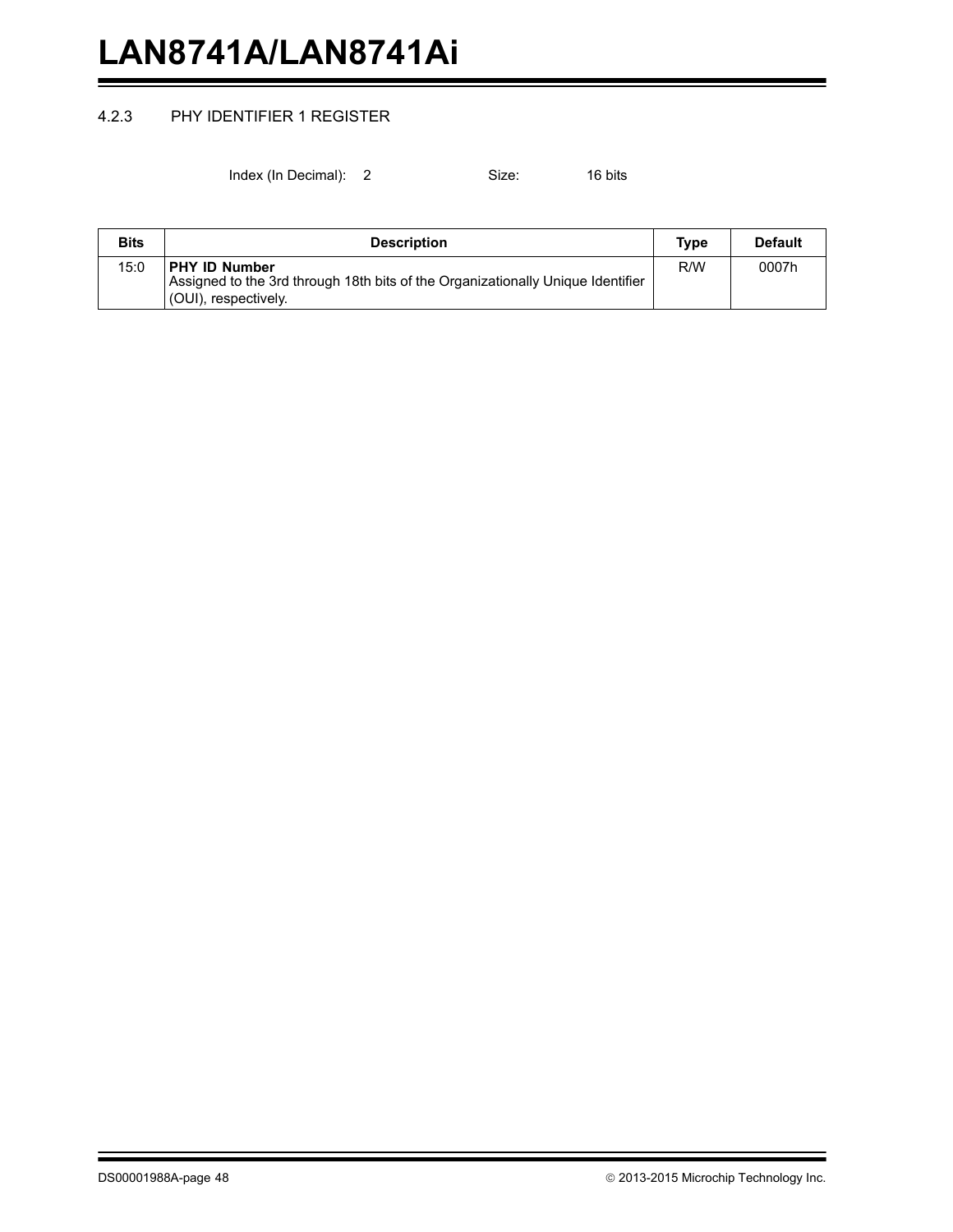## **LAN8741A/LAN8741Ai**

## <span id="page-47-0"></span>4.2.3 PHY IDENTIFIER 1 REGISTER

Index (In Decimal): 2 Size: 16 bits

| <b>Bits</b> | <b>Description</b>                                                                                                              | Type | <b>Default</b> |
|-------------|---------------------------------------------------------------------------------------------------------------------------------|------|----------------|
| 15:0        | <b>PHY ID Number</b><br>Assigned to the 3rd through 18th bits of the Organizationally Unique Identifier<br>(OUI), respectively. | R/W  | 0007h          |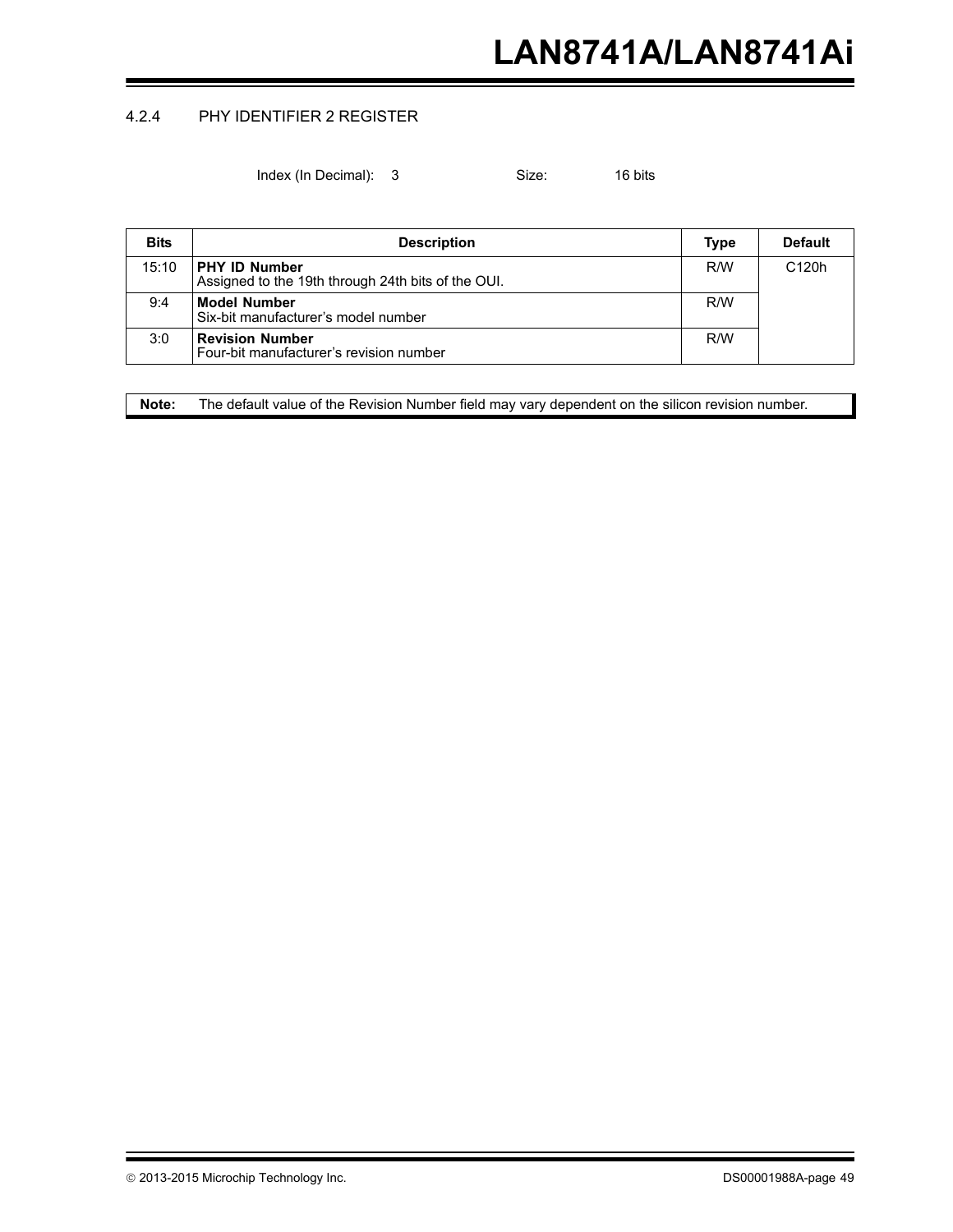#### <span id="page-48-0"></span>4.2.4 PHY IDENTIFIER 2 REGISTER

Index (In Decimal): 3 Size: 16 bits

| <b>Bits</b> | <b>Description</b>                                                         | <b>Type</b> | <b>Default</b>     |
|-------------|----------------------------------------------------------------------------|-------------|--------------------|
| 15:10       | <b>PHY ID Number</b><br>Assigned to the 19th through 24th bits of the OUI. | R/W         | C <sub>120</sub> h |
| 9:4         | <b>Model Number</b><br>Six-bit manufacturer's model number                 | R/W         |                    |
| 3:0         | <b>Revision Number</b><br>Four-bit manufacturer's revision number          | R/W         |                    |

**Note:** The default value of the Revision Number field may vary dependent on the silicon revision number.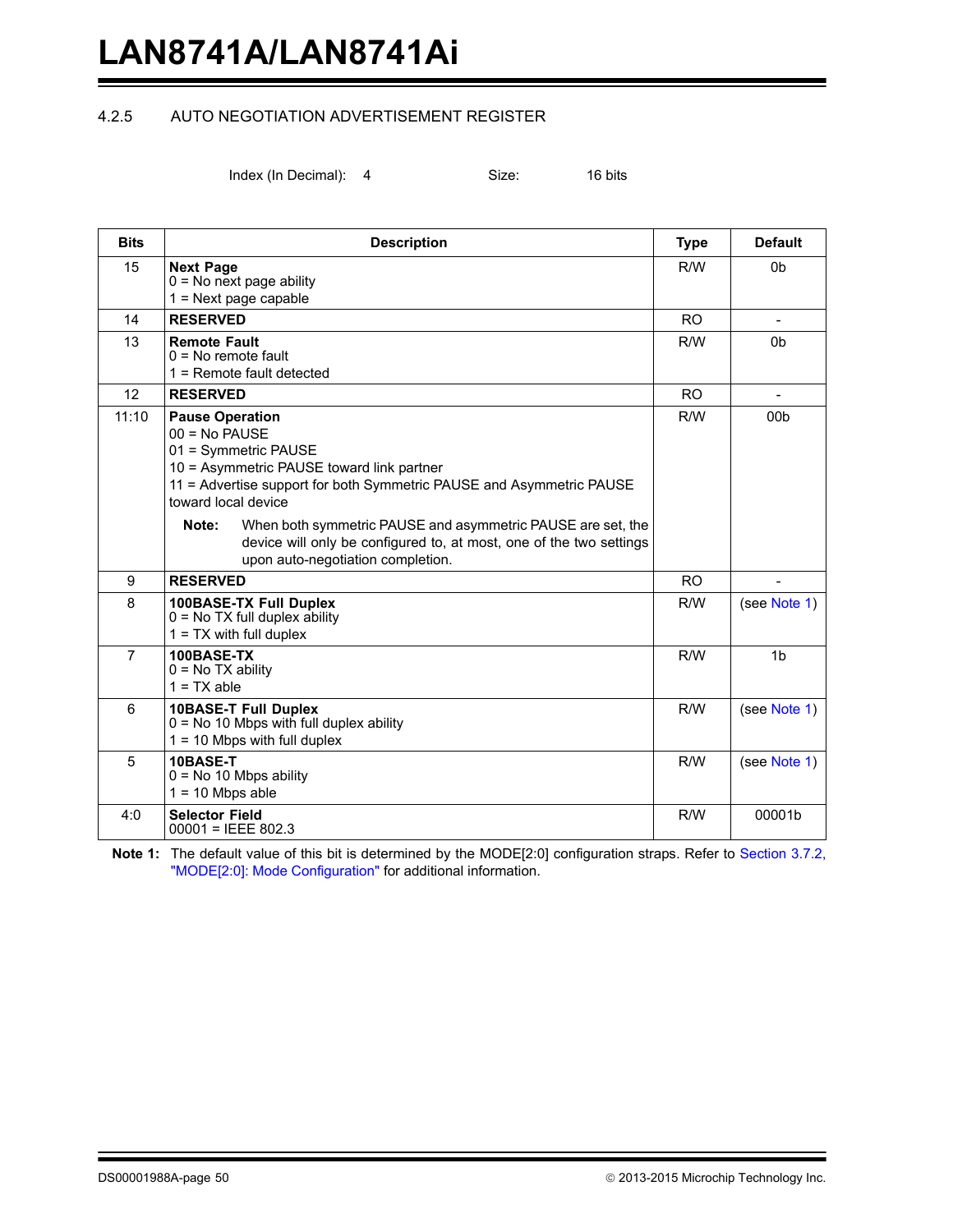## <span id="page-49-0"></span>4.2.5 AUTO NEGOTIATION ADVERTISEMENT REGISTER

Index (In Decimal): 4 Size: 16 bits

| <b>Bits</b>    | <b>Description</b>                                                                                                                                                                                            | <b>Type</b> | <b>Default</b>  |
|----------------|---------------------------------------------------------------------------------------------------------------------------------------------------------------------------------------------------------------|-------------|-----------------|
| 15             | <b>Next Page</b><br>$0 = No$ next page ability<br>$1 =$ Next page capable                                                                                                                                     | R/W         | 0 <sub>b</sub>  |
| 14             | <b>RESERVED</b>                                                                                                                                                                                               | <b>RO</b>   |                 |
| 13             | <b>Remote Fault</b><br>$0 = No$ remote fault<br>1 = Remote fault detected                                                                                                                                     | R/W         | 0 <sub>b</sub>  |
| 12             | <b>RESERVED</b>                                                                                                                                                                                               | <b>RO</b>   |                 |
| 11:10          | <b>Pause Operation</b><br>$00 = No PAUSE$<br>01 = Symmetric PAUSE<br>10 = Asymmetric PAUSE toward link partner<br>11 = Advertise support for both Symmetric PAUSE and Asymmetric PAUSE<br>toward local device | R/W         | 00 <sub>b</sub> |
|                | When both symmetric PAUSE and asymmetric PAUSE are set, the<br>Note:<br>device will only be configured to, at most, one of the two settings<br>upon auto-negotiation completion.                              |             |                 |
| 9              | <b>RESERVED</b>                                                                                                                                                                                               | <b>RO</b>   |                 |
| 8              | <b>100BASE-TX Full Duplex</b><br>$0 = No TX$ full duplex ability<br>$1 = TX$ with full duplex                                                                                                                 | R/W         | (see Note 1)    |
| $\overline{7}$ | 100BASE-TX<br>$0 = No TX$ ability<br>$1 = TX$ able                                                                                                                                                            | R/W         | 1 <sub>b</sub>  |
| 6              | <b>10BASE-T Full Duplex</b><br>$0 = No$ 10 Mbps with full duplex ability<br>$1 = 10$ Mbps with full duplex                                                                                                    | R/W         | (see Note 1)    |
| 5              | 10BASE-T<br>$0 = No$ 10 Mbps ability<br>$1 = 10$ Mbps able                                                                                                                                                    | R/W         | (see Note 1)    |
| 4:0            | <b>Selector Field</b><br>$00001 = IEEE 802.3$                                                                                                                                                                 | R/W         | 00001b          |

<span id="page-49-1"></span>**Note 1:** The default value of this bit is determined by the MODE[2:0] configuration straps. Refer to [Section 3.7.2,](#page-30-0) ["MODE\[2:0\]: Mode Configuration"](#page-30-0) for additional information.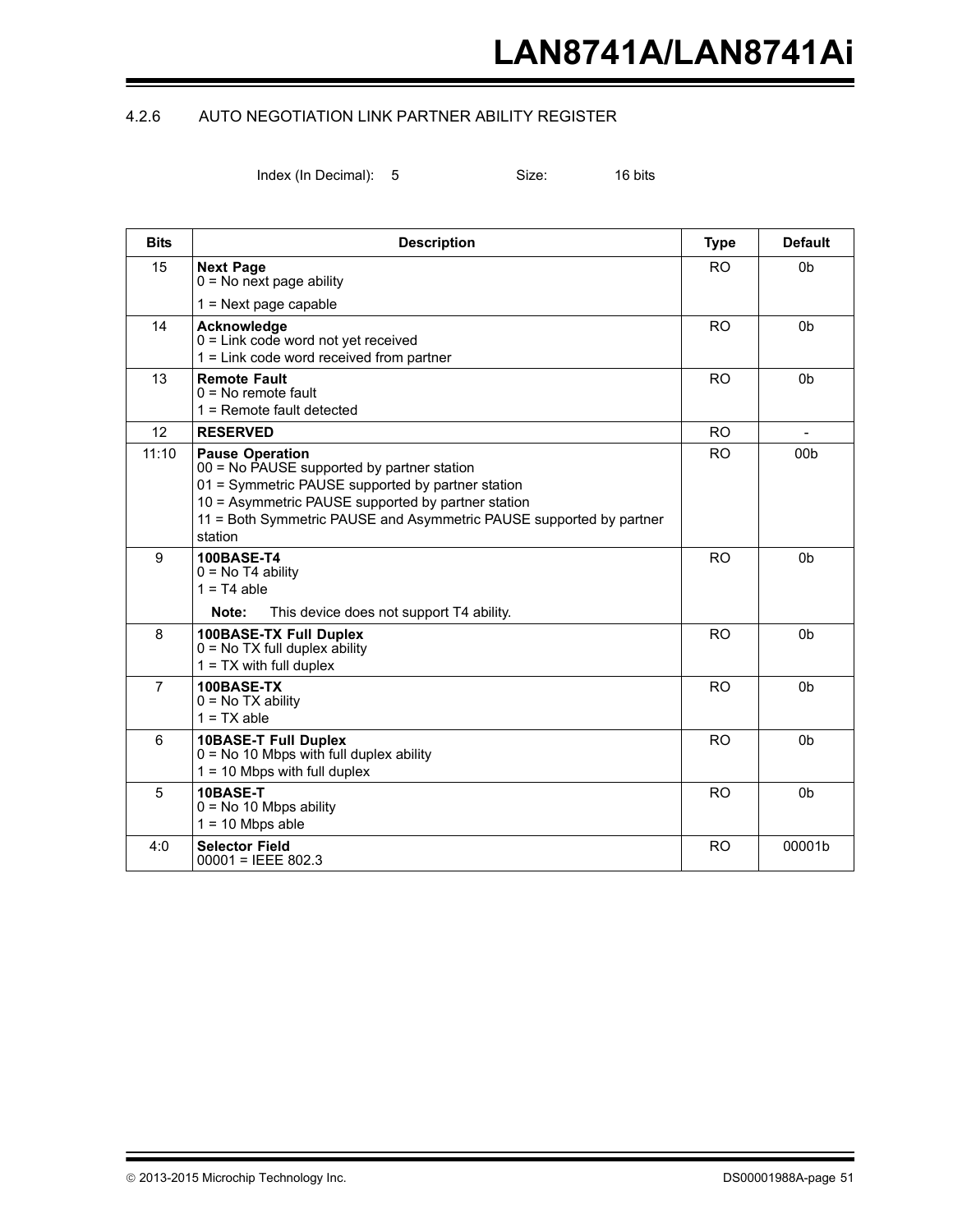#### <span id="page-50-0"></span>4.2.6 AUTO NEGOTIATION LINK PARTNER ABILITY REGISTER

Index (In Decimal): 5 Size: 16 bits

| <b>Bits</b>    | <b>Description</b>                                                                                                                                                                                                                                                | <b>Type</b>    | <b>Default</b>  |
|----------------|-------------------------------------------------------------------------------------------------------------------------------------------------------------------------------------------------------------------------------------------------------------------|----------------|-----------------|
| 15             | <b>Next Page</b><br>$0 = No$ next page ability                                                                                                                                                                                                                    | <b>RO</b>      | 0 <sub>b</sub>  |
|                | $1 =$ Next page capable                                                                                                                                                                                                                                           |                |                 |
| 14             | Acknowledge<br>$0 =$ Link code word not yet received<br>1 = Link code word received from partner                                                                                                                                                                  | <b>RO</b>      | 0 <sub>b</sub>  |
| 13             | <b>Remote Fault</b><br>$0 = No$ remote fault<br>$1 =$ Remote fault detected                                                                                                                                                                                       | <b>RO</b>      | 0 <sub>b</sub>  |
| 12             | <b>RESERVED</b>                                                                                                                                                                                                                                                   | <b>RO</b>      | $\overline{a}$  |
| 11:10          | <b>Pause Operation</b><br>00 = No PAUSE supported by partner station<br>01 = Symmetric PAUSE supported by partner station<br>10 = Asymmetric PAUSE supported by partner station<br>11 = Both Symmetric PAUSE and Asymmetric PAUSE supported by partner<br>station | <b>RO</b>      | 00 <sub>b</sub> |
| 9              | 100BASE-T4<br>$0 = No T4$ ability<br>$1 = T4$ able<br>This device does not support T4 ability.<br>Note:                                                                                                                                                           | <b>RO</b>      | 0 <sub>b</sub>  |
| 8              | <b>100BASE-TX Full Duplex</b><br>$0 = No TX$ full duplex ability<br>$1 = TX$ with full duplex                                                                                                                                                                     | <b>RO</b>      | 0 <sub>b</sub>  |
| $\overline{7}$ | 100BASE-TX<br>$0 = No TX$ ability<br>$1 = TX$ able                                                                                                                                                                                                                | <b>RO</b>      | 0 <sub>b</sub>  |
| 6              | <b>10BASE-T Full Duplex</b><br>$0 = No$ 10 Mbps with full duplex ability<br>$1 = 10$ Mbps with full duplex                                                                                                                                                        | R <sub>O</sub> | 0b              |
| 5              | 10BASE-T<br>$0 = No$ 10 Mbps ability<br>$1 = 10$ Mbps able                                                                                                                                                                                                        | R <sub>O</sub> | 0 <sub>b</sub>  |
| 4:0            | <b>Selector Field</b><br>$00001 = IEEE 802.3$                                                                                                                                                                                                                     | <b>RO</b>      | 00001b          |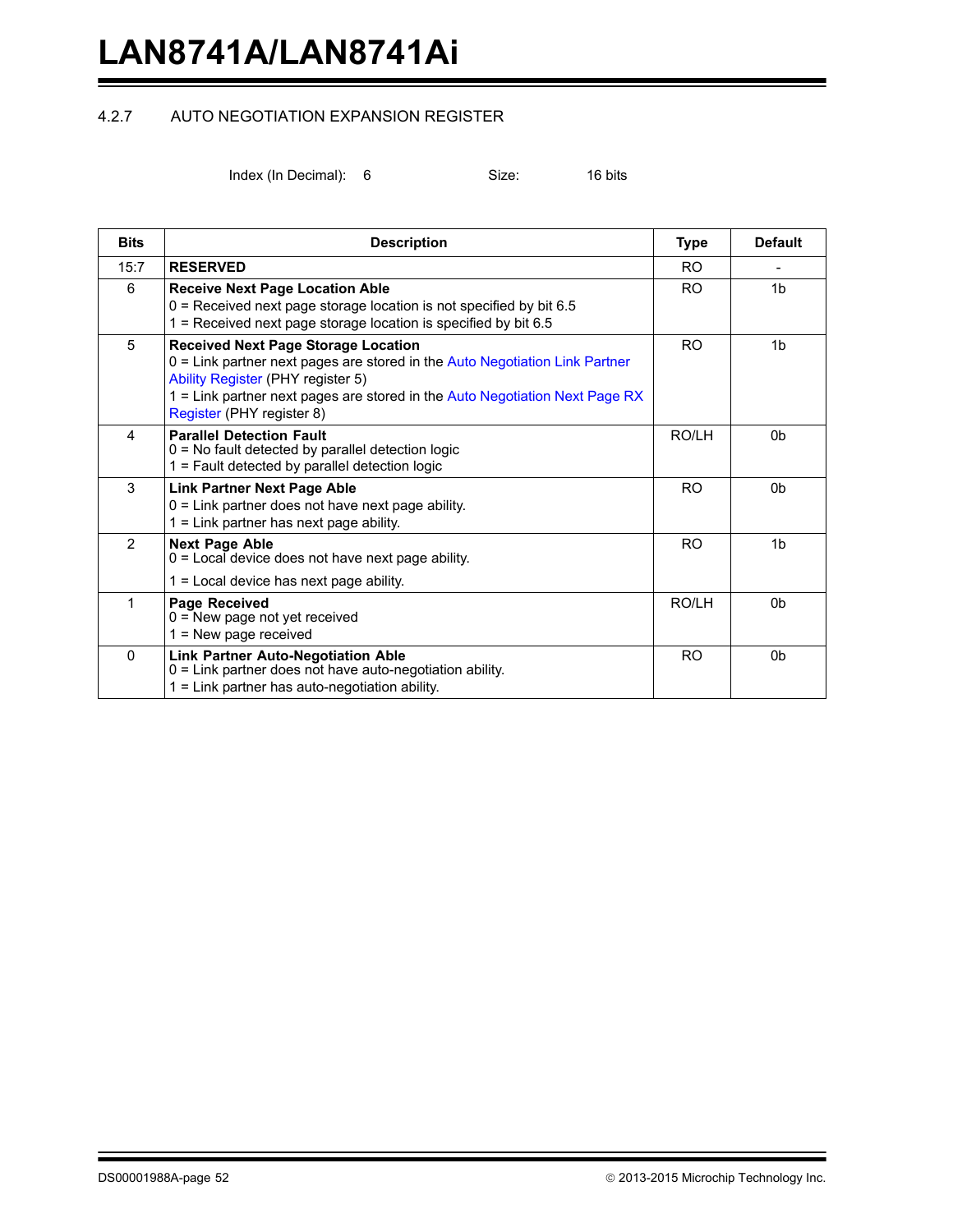## <span id="page-51-0"></span>4.2.7 AUTO NEGOTIATION EXPANSION REGISTER

Index (In Decimal): 6 Size: 16 bits

| <b>Bits</b>  | <b>Description</b>                                                                                                                                                                                                                                                         | <b>Type</b>    | <b>Default</b> |
|--------------|----------------------------------------------------------------------------------------------------------------------------------------------------------------------------------------------------------------------------------------------------------------------------|----------------|----------------|
| 15:7         | <b>RESERVED</b>                                                                                                                                                                                                                                                            | <b>RO</b>      |                |
| 6            | <b>Receive Next Page Location Able</b><br>$0$ = Received next page storage location is not specified by bit 6.5<br>1 = Received next page storage location is specified by bit 6.5                                                                                         | R <sub>O</sub> | 1 <sub>b</sub> |
| 5            | <b>Received Next Page Storage Location</b><br>0 = Link partner next pages are stored in the Auto Negotiation Link Partner<br>Ability Register (PHY register 5)<br>1 = Link partner next pages are stored in the Auto Negotiation Next Page RX<br>Register (PHY register 8) | <b>RO</b>      | 1 <sub>b</sub> |
| 4            | <b>Parallel Detection Fault</b><br>0 = No fault detected by parallel detection logic<br>1 = Fault detected by parallel detection logic                                                                                                                                     | RO/LH          | 0 <sub>b</sub> |
| 3            | <b>Link Partner Next Page Able</b><br>$0 =$ Link partner does not have next page ability.<br>$1 =$ Link partner has next page ability.                                                                                                                                     | <b>RO</b>      | 0 <sub>b</sub> |
| 2            | <b>Next Page Able</b><br>$0 =$ Local device does not have next page ability.<br>$1 =$ Local device has next page ability.                                                                                                                                                  | RO             | 1 <sub>b</sub> |
| 1            | Page Received<br>$0 =$ New page not yet received<br>$1 =$ New page received                                                                                                                                                                                                | RO/LH          | 0 <sub>b</sub> |
| $\mathbf{0}$ | <b>Link Partner Auto-Negotiation Able</b><br>$0 =$ Link partner does not have auto-negotiation ability.<br>1 = Link partner has auto-negotiation ability.                                                                                                                  | R <sub>O</sub> | 0 <sub>b</sub> |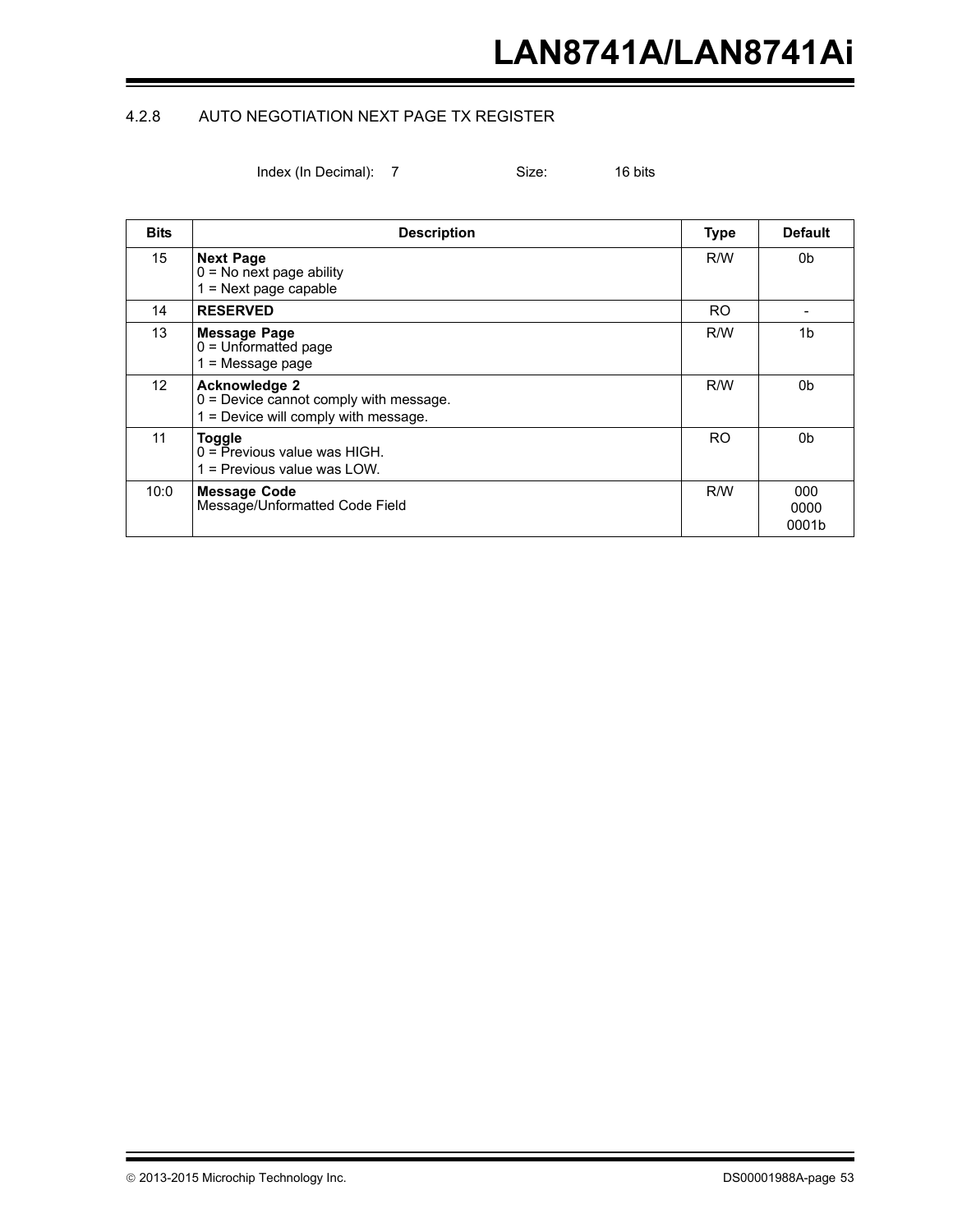#### <span id="page-52-0"></span>4.2.8 AUTO NEGOTIATION NEXT PAGE TX REGISTER

Index (In Decimal): 7 Size: 16 bits

| <b>Bits</b>     | <b>Description</b>                                                                                       | <b>Type</b> | <b>Default</b>       |
|-----------------|----------------------------------------------------------------------------------------------------------|-------------|----------------------|
| 15              | <b>Next Page</b><br>$0 = No$ next page ability<br>$1 =$ Next page capable                                | R/W         | 0b                   |
| 14              | <b>RESERVED</b>                                                                                          | RO.         |                      |
| 13              | Message Page<br>$0 =$ Unformatted page<br>$1 =$ Message page                                             | R/W         | 1 <sub>b</sub>       |
| 12 <sup>2</sup> | <b>Acknowledge 2</b><br>$0 =$ Device cannot comply with message.<br>1 = Device will comply with message. | R/W         | 0b                   |
| 11              | <b>Toggle</b><br>$0 = \overline{P}$ revious value was HIGH.<br>1 = Previous value was LOW.               | RO.         | 0b                   |
| 10:0            | <b>Message Code</b><br>Message/Unformatted Code Field                                                    | R/W         | 000<br>0000<br>0001b |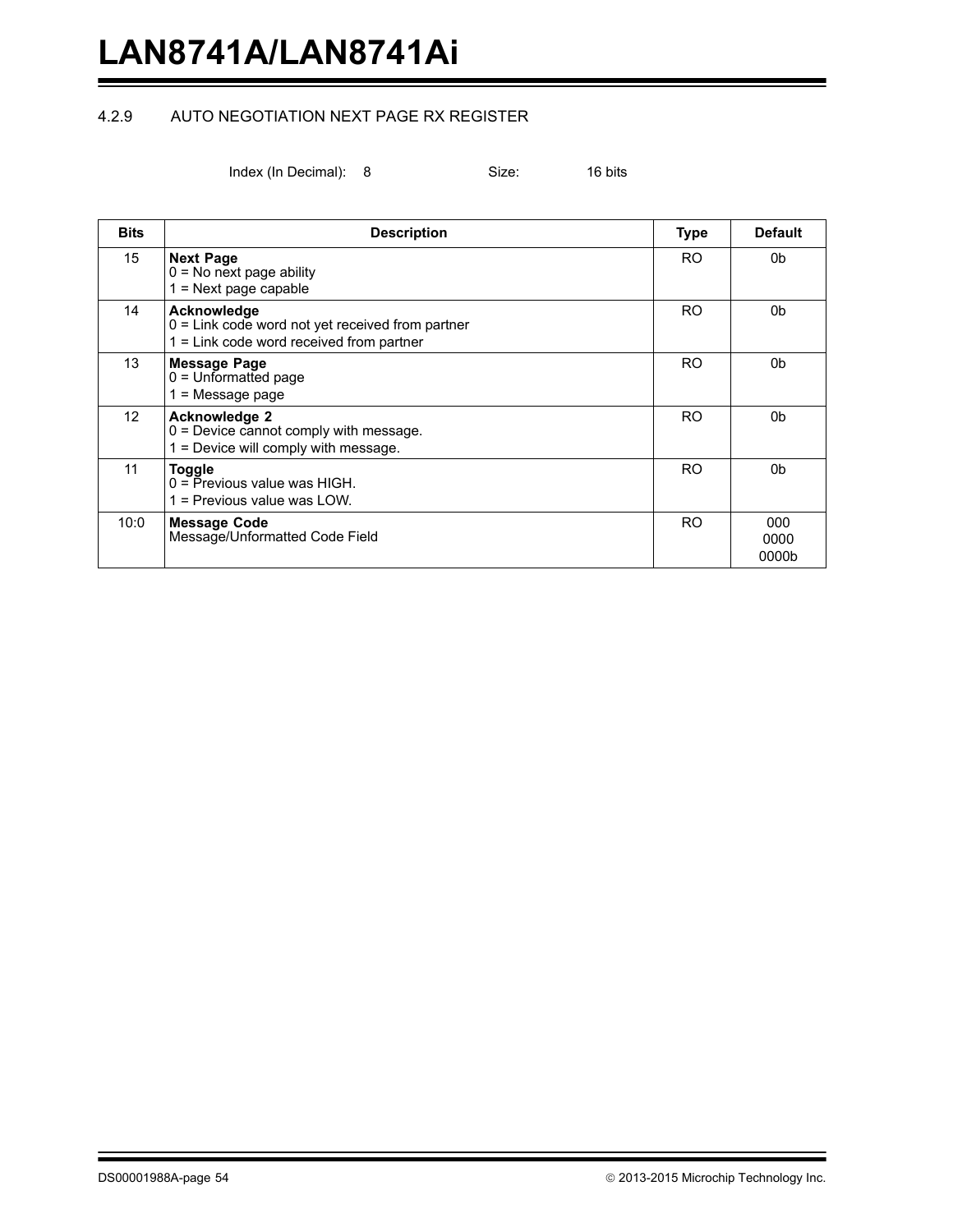## <span id="page-53-0"></span>4.2.9 AUTO NEGOTIATION NEXT PAGE RX REGISTER

Index (In Decimal): 8 Size: 16 bits

| <b>Bits</b>     | <b>Description</b>                                                                                              | <b>Type</b>    | <b>Default</b>       |
|-----------------|-----------------------------------------------------------------------------------------------------------------|----------------|----------------------|
| 15              | <b>Next Page</b><br>$0 = No$ next page ability<br>$1 =$ Next page capable                                       | R <sub>O</sub> | 0b                   |
| 14              | Acknowledge<br>$0 =$ Link code word not yet received from partner<br>$1 =$ Link code word received from partner | R <sub>O</sub> | 0b                   |
| 13              | Message Page<br>$0 =$ Unformatted page<br>$1 = Message page$                                                    | <b>RO</b>      | 0b                   |
| 12 <sup>2</sup> | <b>Acknowledge 2</b><br>$0 =$ Device cannot comply with message.<br>$1 =$ Device will comply with message.      | R <sub>O</sub> | 0b                   |
| 11              | Toggle<br>0 = Previous value was HIGH.<br>1 = Previous value was LOW.                                           | R <sub>O</sub> | 0b                   |
| 10:0            | <b>Message Code</b><br>Message/Unformatted Code Field                                                           | R <sub>O</sub> | 000<br>0000<br>0000b |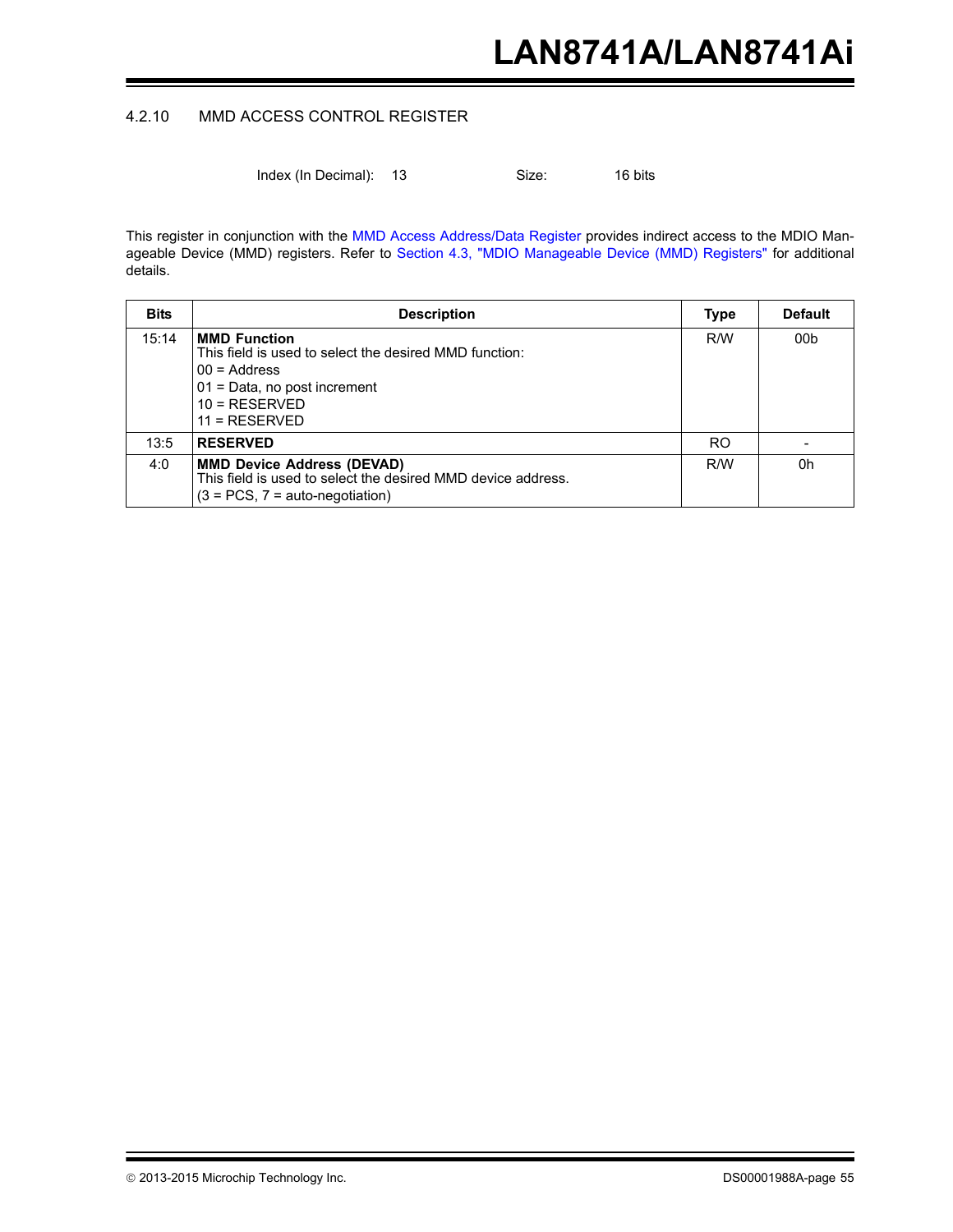#### <span id="page-54-0"></span>4.2.10 MMD ACCESS CONTROL REGISTER

```
Index (In Decimal): 13 Size: 16 bits
```
This register in conjunction with the [MMD Access Address/Data Register](#page-55-0) provides indirect access to the MDIO Manageable Device (MMD) registers. Refer to [Section 4.3, "MDIO Manageable Device \(MMD\) Registers"](#page-64-0) for additional details.

<span id="page-54-2"></span><span id="page-54-1"></span>

| <b>Bits</b> | <b>Description</b>                                                                                                                                                    | <b>Type</b>    | <b>Default</b>  |
|-------------|-----------------------------------------------------------------------------------------------------------------------------------------------------------------------|----------------|-----------------|
| 15:14       | <b>MMD Function</b><br>This field is used to select the desired MMD function:<br>$00 =$ Address<br>01 = Data, no post increment<br>$10 = RESERVED$<br>$11 = RESERVED$ | R/W            | 00 <sub>b</sub> |
| 13:5        | <b>RESERVED</b>                                                                                                                                                       | R <sub>O</sub> |                 |
| 4:0         | <b>MMD Device Address (DEVAD)</b><br>This field is used to select the desired MMD device address.<br>$(3 = PCS, 7 = auto-negotiation)$                                | R/W            | 0h              |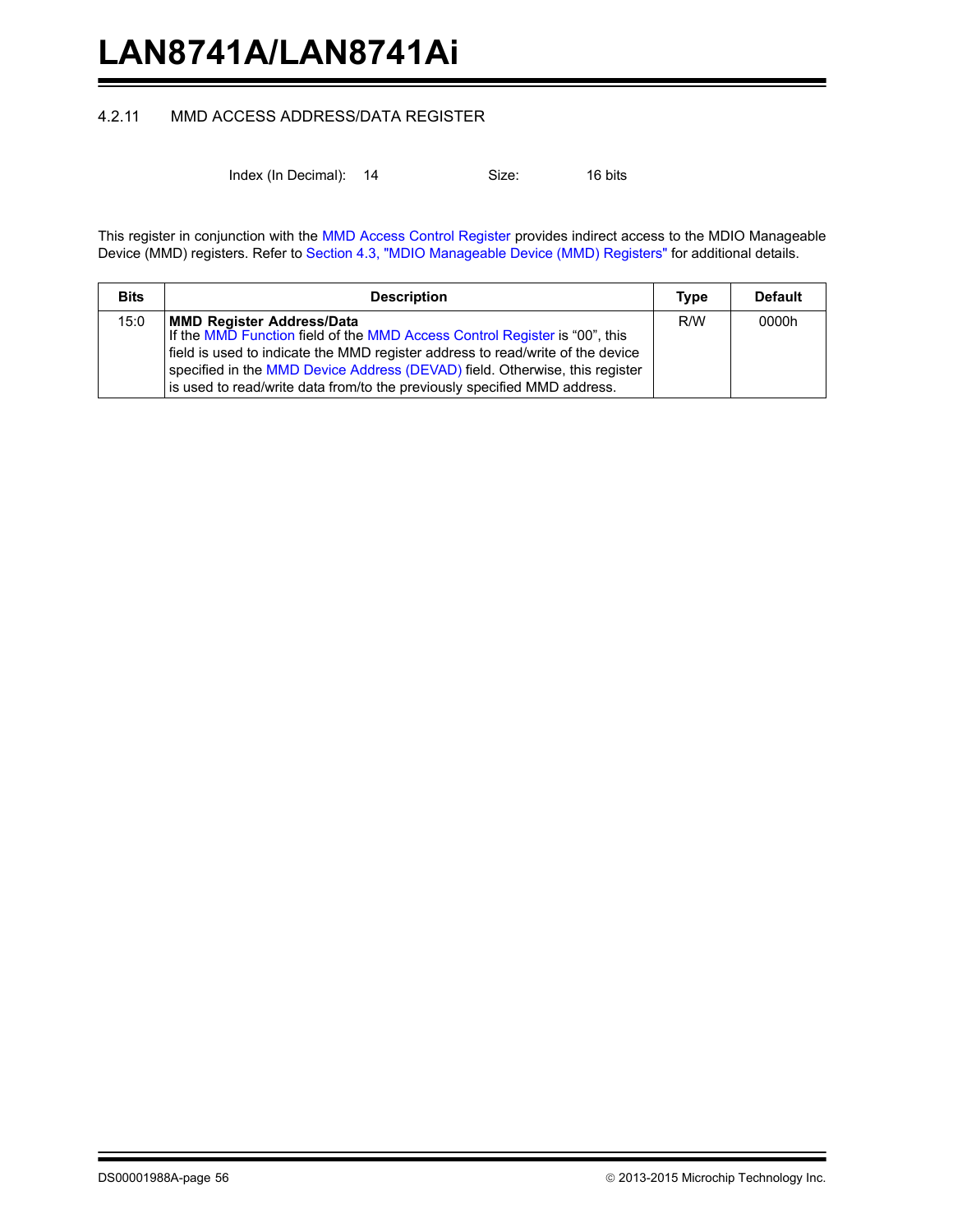# **LAN8741A/LAN8741Ai**

## <span id="page-55-0"></span>4.2.11 MMD ACCESS ADDRESS/DATA REGISTER

```
Index (In Decimal): 14 Size: 16 bits
```
This register in conjunction with the [MMD Access Control Register](#page-54-0) provides indirect access to the MDIO Manageable Device (MMD) registers. Refer to [Section 4.3, "MDIO Manageable Device \(MMD\) Registers"](#page-64-0) for additional details.

| <b>Bits</b> | <b>Description</b>                                                                                                                                                                                                                                                                                                                                          | <b>Type</b> | <b>Default</b> |
|-------------|-------------------------------------------------------------------------------------------------------------------------------------------------------------------------------------------------------------------------------------------------------------------------------------------------------------------------------------------------------------|-------------|----------------|
| 15:0        | <b>MMD Register Address/Data</b><br>If the MMD Function field of the MMD Access Control Register is "00", this<br>field is used to indicate the MMD register address to read/write of the device<br>specified in the MMD Device Address (DEVAD) field. Otherwise, this register<br>is used to read/write data from/to the previously specified MMD address. | R/W         | 0000h          |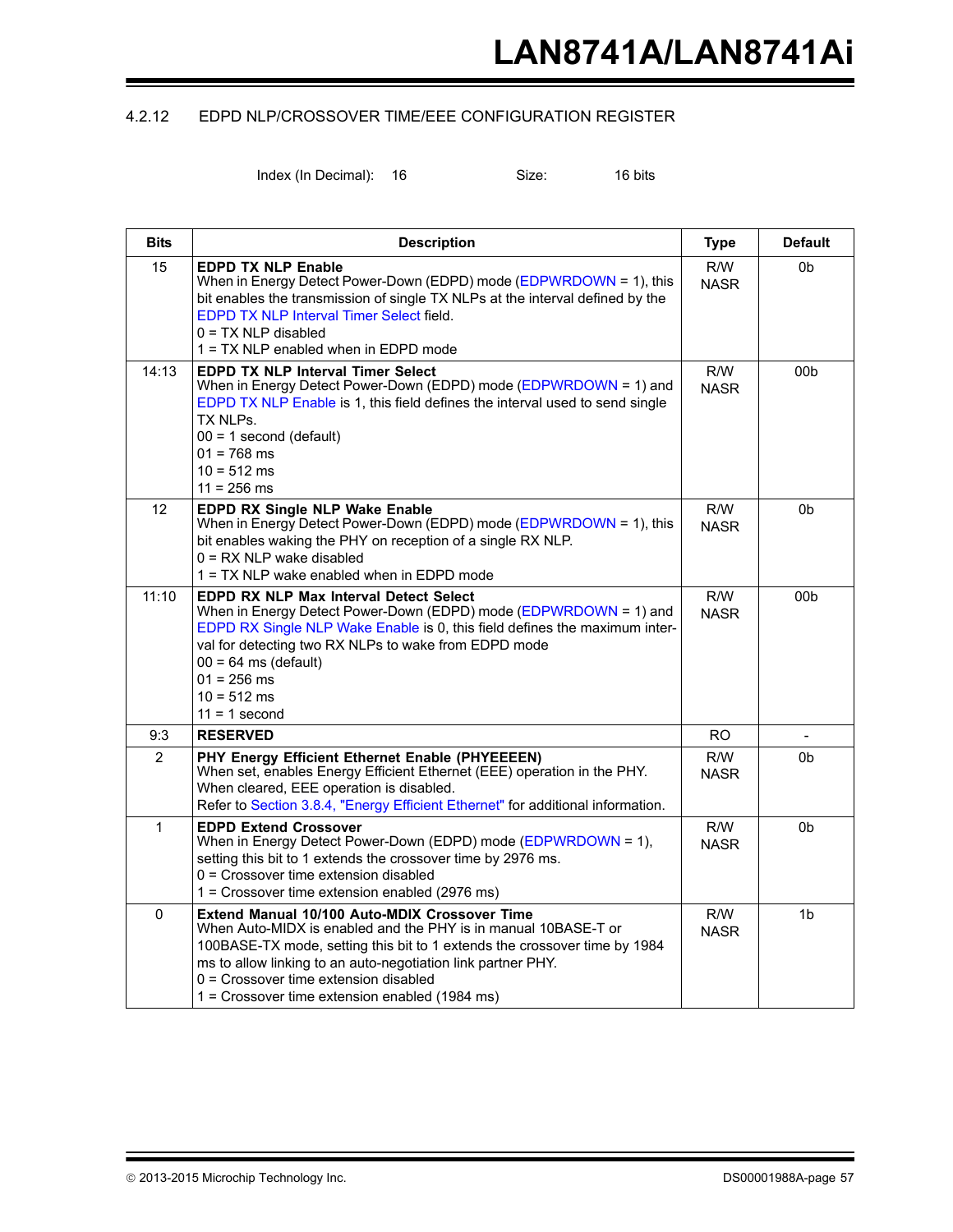#### <span id="page-56-0"></span>4.2.12 EDPD NLP/CROSSOVER TIME/EEE CONFIGURATION REGISTER

Index (In Decimal): 16 Size: 16 bits

<span id="page-56-4"></span><span id="page-56-3"></span><span id="page-56-2"></span><span id="page-56-1"></span>

| <b>Bits</b>    | <b>Description</b>                                                                                                                                                                                                                                                                                                                                      | <b>Type</b>        | <b>Default</b>  |
|----------------|---------------------------------------------------------------------------------------------------------------------------------------------------------------------------------------------------------------------------------------------------------------------------------------------------------------------------------------------------------|--------------------|-----------------|
| 15             | <b>EDPD TX NLP Enable</b><br>When in Energy Detect Power-Down (EDPD) mode (EDPWRDOWN = 1), this<br>bit enables the transmission of single TX NLPs at the interval defined by the<br>EDPD TX NLP Interval Timer Select field.<br>$0 = TX$ NLP disabled                                                                                                   | R/W<br><b>NASR</b> | 0b              |
|                | 1 = TX NLP enabled when in EDPD mode                                                                                                                                                                                                                                                                                                                    |                    |                 |
| 14:13          | <b>EDPD TX NLP Interval Timer Select</b><br>When in Energy Detect Power-Down (EDPD) mode (EDPWRDOWN = 1) and<br>EDPD TX NLP Enable is 1, this field defines the interval used to send single<br>TX NLPs.<br>$00 = 1$ second (default)<br>$01 = 768$ ms<br>$10 = 512$ ms<br>$11 = 256$ ms                                                                | R/W<br><b>NASR</b> | 00 <sub>b</sub> |
| 12             | <b>EDPD RX Single NLP Wake Enable</b><br>When in Energy Detect Power-Down (EDPD) mode (EDPWRDOWN = 1), this<br>bit enables waking the PHY on reception of a single RX NLP.<br>$0 = RX$ NLP wake disabled<br>1 = TX NLP wake enabled when in EDPD mode                                                                                                   | R/W<br><b>NASR</b> | 0b              |
| 11:10          | <b>EDPD RX NLP Max Interval Detect Select</b><br>When in Energy Detect Power-Down (EDPD) mode (EDPWRDOWN = 1) and<br>EDPD RX Single NLP Wake Enable is 0, this field defines the maximum inter-<br>val for detecting two RX NLPs to wake from EDPD mode<br>$00 = 64$ ms (default)<br>$01 = 256$ ms<br>$10 = 512$ ms<br>$11 = 1$ second                  | R/W<br><b>NASR</b> | 00 <sub>b</sub> |
| 9:3            | <b>RESERVED</b>                                                                                                                                                                                                                                                                                                                                         | <b>RO</b>          |                 |
| $\overline{2}$ | PHY Energy Efficient Ethernet Enable (PHYEEEEN)<br>When set, enables Energy Efficient Ethernet (EEE) operation in the PHY.<br>When cleared, EEE operation is disabled.<br>Refer to Section 3.8.4, "Energy Efficient Ethernet" for additional information.                                                                                               | R/W<br><b>NASR</b> | 0b              |
| $\mathbf{1}$   | <b>EDPD Extend Crossover</b><br>When in Energy Detect Power-Down (EDPD) mode (EDPWRDOWN = 1),<br>setting this bit to 1 extends the crossover time by 2976 ms.<br>0 = Crossover time extension disabled<br>1 = Crossover time extension enabled (2976 ms)                                                                                                | R/W<br><b>NASR</b> | 0b              |
| $\Omega$       | Extend Manual 10/100 Auto-MDIX Crossover Time<br>When Auto-MIDX is enabled and the PHY is in manual 10BASE-T or<br>100BASE-TX mode, setting this bit to 1 extends the crossover time by 1984<br>ms to allow linking to an auto-negotiation link partner PHY.<br>0 = Crossover time extension disabled<br>1 = Crossover time extension enabled (1984 ms) | R/W<br><b>NASR</b> | 1 <sub>b</sub>  |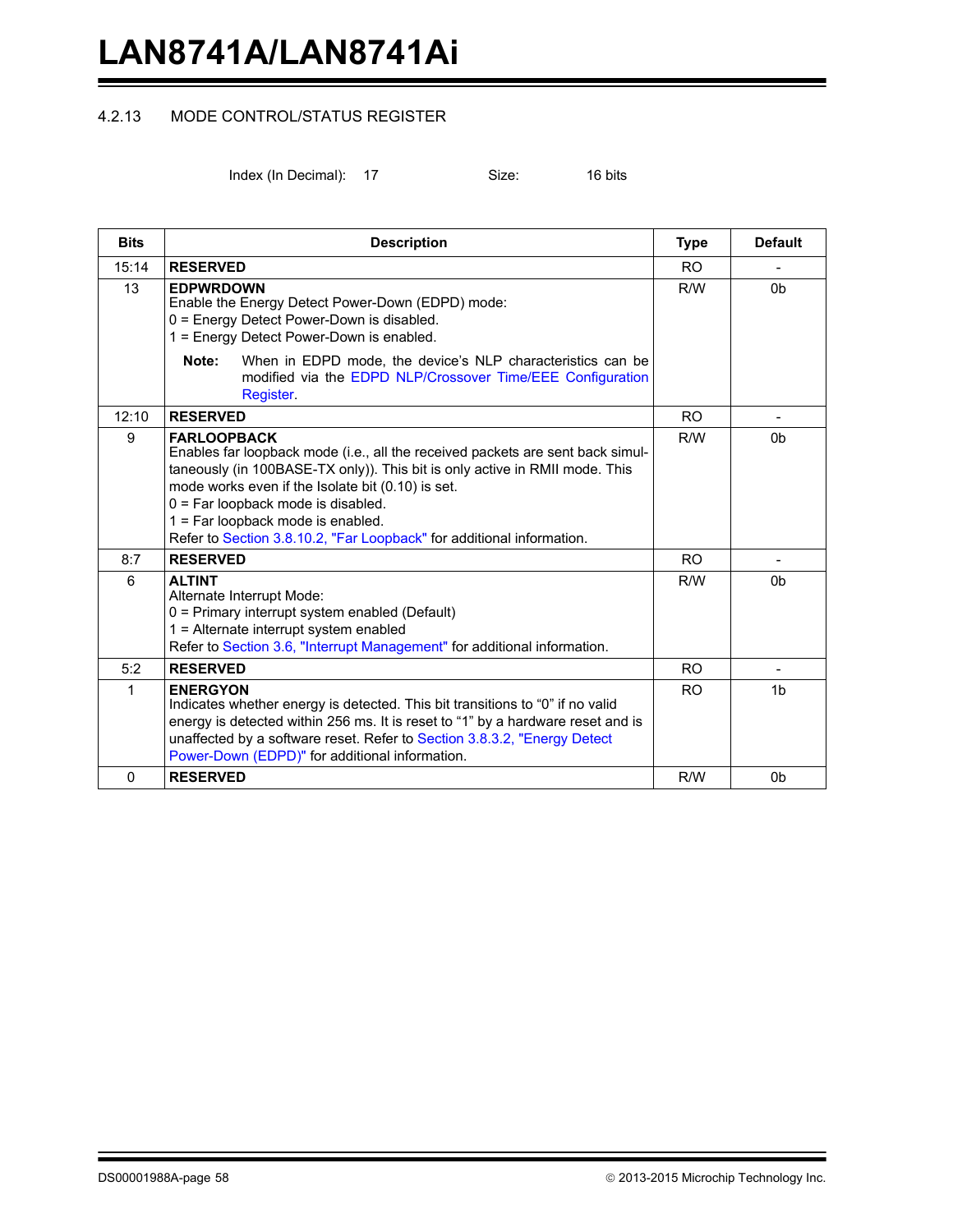## <span id="page-57-2"></span><span id="page-57-1"></span>4.2.13 MODE CONTROL/STATUS REGISTER

Index (In Decimal): 17 Size: 16 bits

<span id="page-57-3"></span><span id="page-57-0"></span>**Bits Description Description Description Default** 15:14 **RESERVED** RO - 13 **EDPWRDOWN** Enable the Energy Detect Power-Down (EDPD) mode: 0 = Energy Detect Power-Down is disabled. 1 = Energy Detect Power-Down is enabled. **Note:** When in EDPD mode, the device's NLP characteristics can be modified via the [EDPD NLP/Crossover Time/EEE Configuration](#page-56-0) [Register.](#page-56-0)  $R/W$  0b 12:10 **RESERVED** RO - 9 **FARLOOPBACK** Enables far loopback mode (i.e., all the received packets are sent back simultaneously (in 100BASE-TX only)). This bit is only active in RMII mode. This mode works even if the Isolate bit (0.10) is set. 0 = Far loopback mode is disabled. 1 = Far loopback mode is enabled. Refer to [Section 3.8.10.2, "Far Loopback"](#page-36-2) for additional information.  $R/W$  0b 8:7 **| RESERVED** | RO | -6 **ALTINT** Alternate Interrupt Mode: 0 = Primary interrupt system enabled (Default) 1 = Alternate interrupt system enabled Refer to [Section 3.6, "Interrupt Management"](#page-27-0) for additional information.  $R/W$  0b 5:2 **RESERVED** RO - 1 **ENERGYON** Indicates whether energy is detected. This bit transitions to "0" if no valid energy is detected within 256 ms. It is reset to "1" by a hardware reset and is unaffected by a software reset. Refer to [Section 3.8.3.2, "Energy Detect](#page-33-0)  [Power-Down \(EDPD\)"](#page-33-0) for additional information. RO | 1b 0 RESERVED **RESERVED**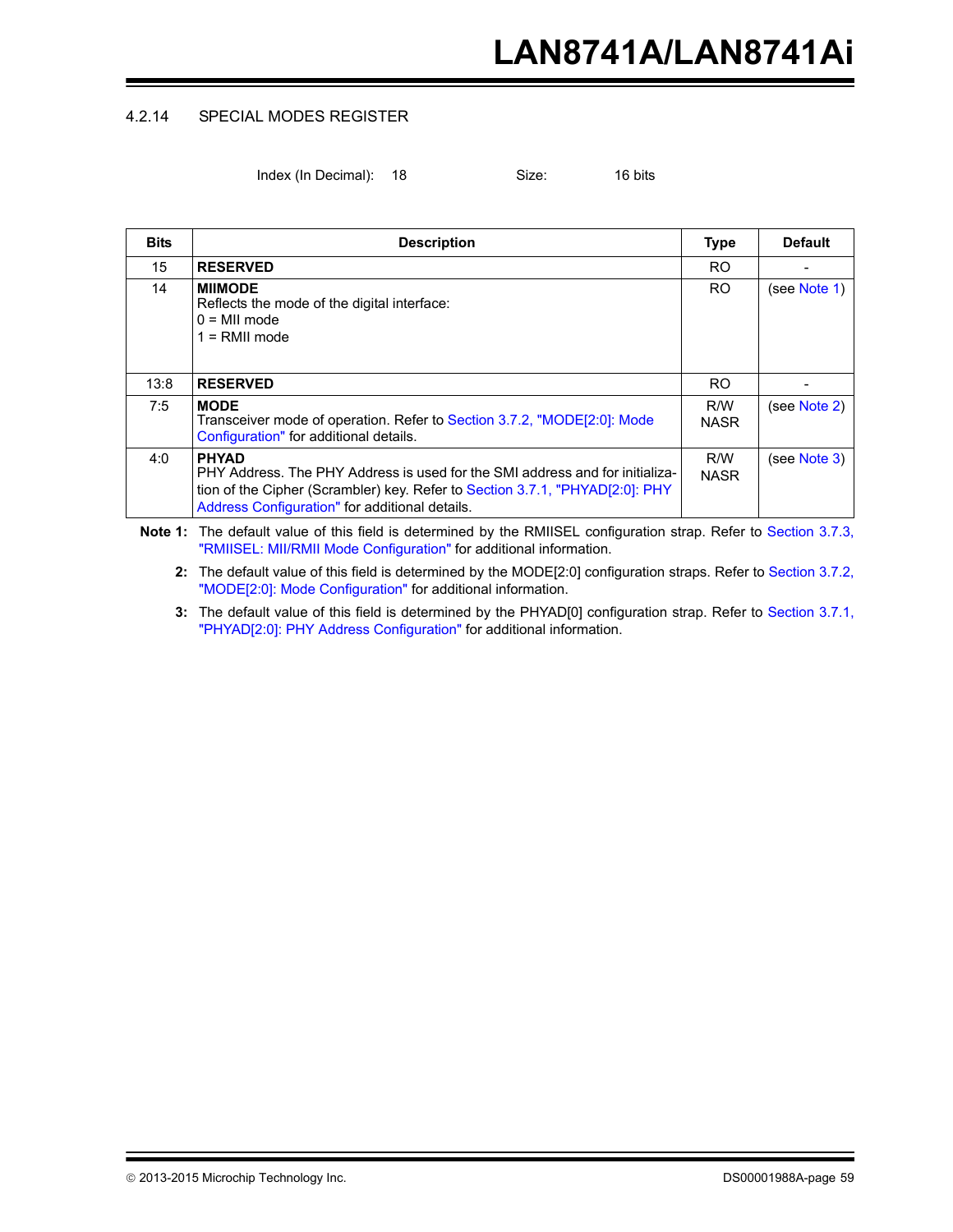#### <span id="page-58-0"></span>4.2.14 SPECIAL MODES REGISTER

Index (In Decimal): 18 Size: 16 bits

| <b>Bits</b> | <b>Description</b>                                                                                                                                                                                                             |                    | <b>Default</b> |
|-------------|--------------------------------------------------------------------------------------------------------------------------------------------------------------------------------------------------------------------------------|--------------------|----------------|
| 15          | <b>RESERVED</b>                                                                                                                                                                                                                | <b>RO</b>          |                |
| 14          | <b>MIIMODE</b><br>Reflects the mode of the digital interface:<br>$0 = MII$ mode<br>$1 = RMI$ mode                                                                                                                              | R <sub>O</sub>     | (see Note 1)   |
| 13:8        | <b>RESERVED</b>                                                                                                                                                                                                                | <b>RO</b>          |                |
| 7:5         | <b>MODE</b><br>Transceiver mode of operation. Refer to Section 3.7.2, "MODE[2:0]: Mode<br>Configuration" for additional details.                                                                                               | R/W<br><b>NASR</b> | (see Note 2)   |
| 4:0         | <b>PHYAD</b><br>PHY Address. The PHY Address is used for the SMI address and for initializa-<br>tion of the Cipher (Scrambler) key. Refer to Section 3.7.1, "PHYAD[2:0]: PHY<br>Address Configuration" for additional details. | R/W<br><b>NASR</b> | (see Note 3)   |

<span id="page-58-3"></span><span id="page-58-2"></span>**Note 1:** The default value of this field is determined by the RMIISEL configuration strap. Refer to [Section 3.7.3,](#page-31-0) ["RMIISEL: MII/RMII Mode Configuration"](#page-31-0) for additional information.

**2:** The default value of this field is determined by the MODE[2:0] configuration straps. Refer to [Section 3.7.2,](#page-30-0) ["MODE\[2:0\]: Mode Configuration"](#page-30-0) for additional information.

<span id="page-58-1"></span>**3:** The default value of this field is determined by the PHYAD[0] configuration strap. Refer to [Section 3.7.1,](#page-29-0) ["PHYAD\[2:0\]: PHY Address Configuration"](#page-29-0) for additional information.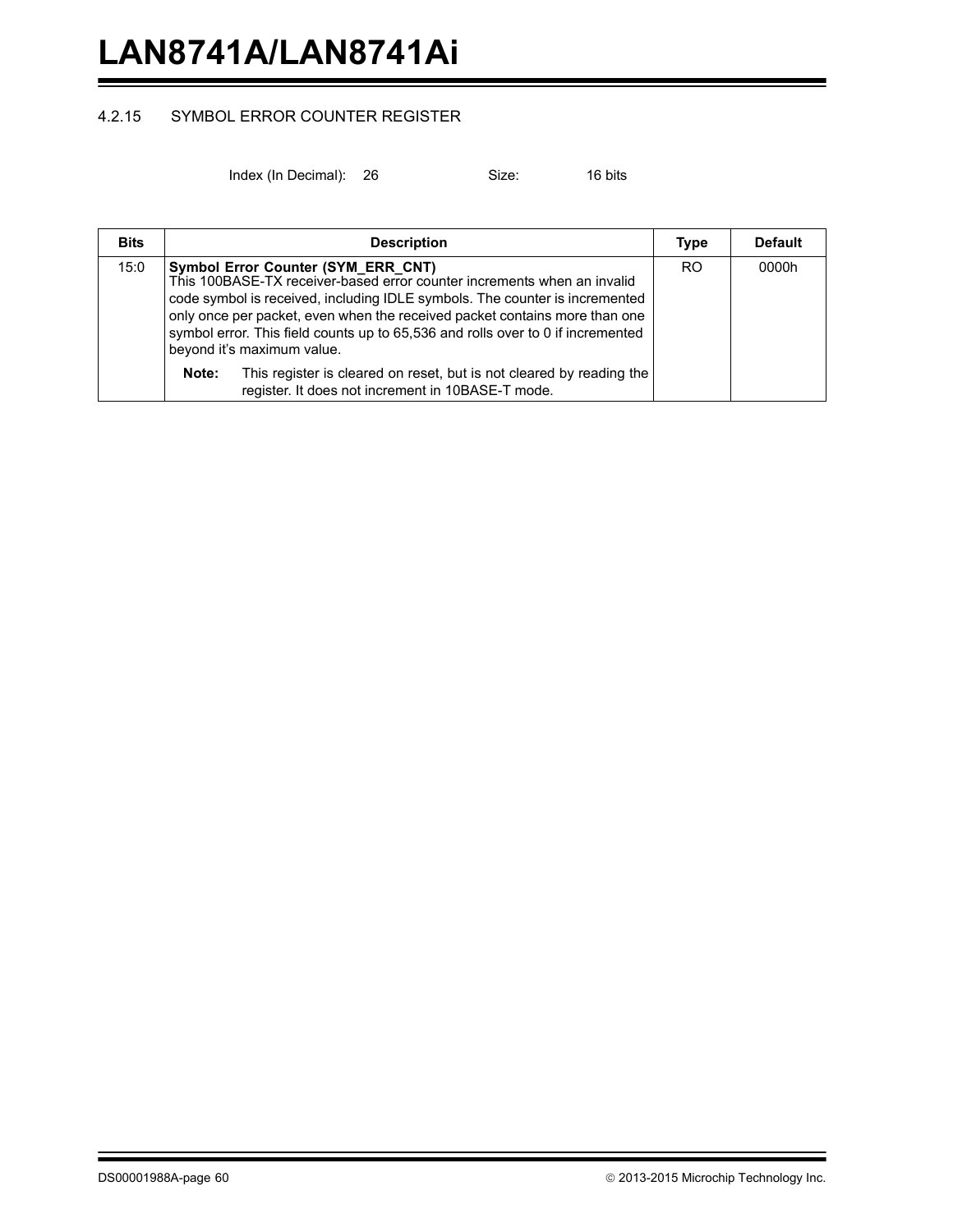## <span id="page-59-0"></span>4.2.15 SYMBOL ERROR COUNTER REGISTER

Index (In Decimal): 26 Size: 16 bits

**Bits Description Description Description Default** 15:0 **Symbol Error Counter (SYM\_ERR\_CNT)** This 100BASE-TX receiver-based error counter increments when an invalid code symbol is received, including IDLE symbols. The counter is incremented only once per packet, even when the received packet contains more than one symbol error. This field counts up to 65,536 and rolls over to 0 if incremented beyond it's maximum value. **Note:** This register is cleared on reset, but is not cleared by reading the register. It does not increment in 10BASE-T mode. RO 0000h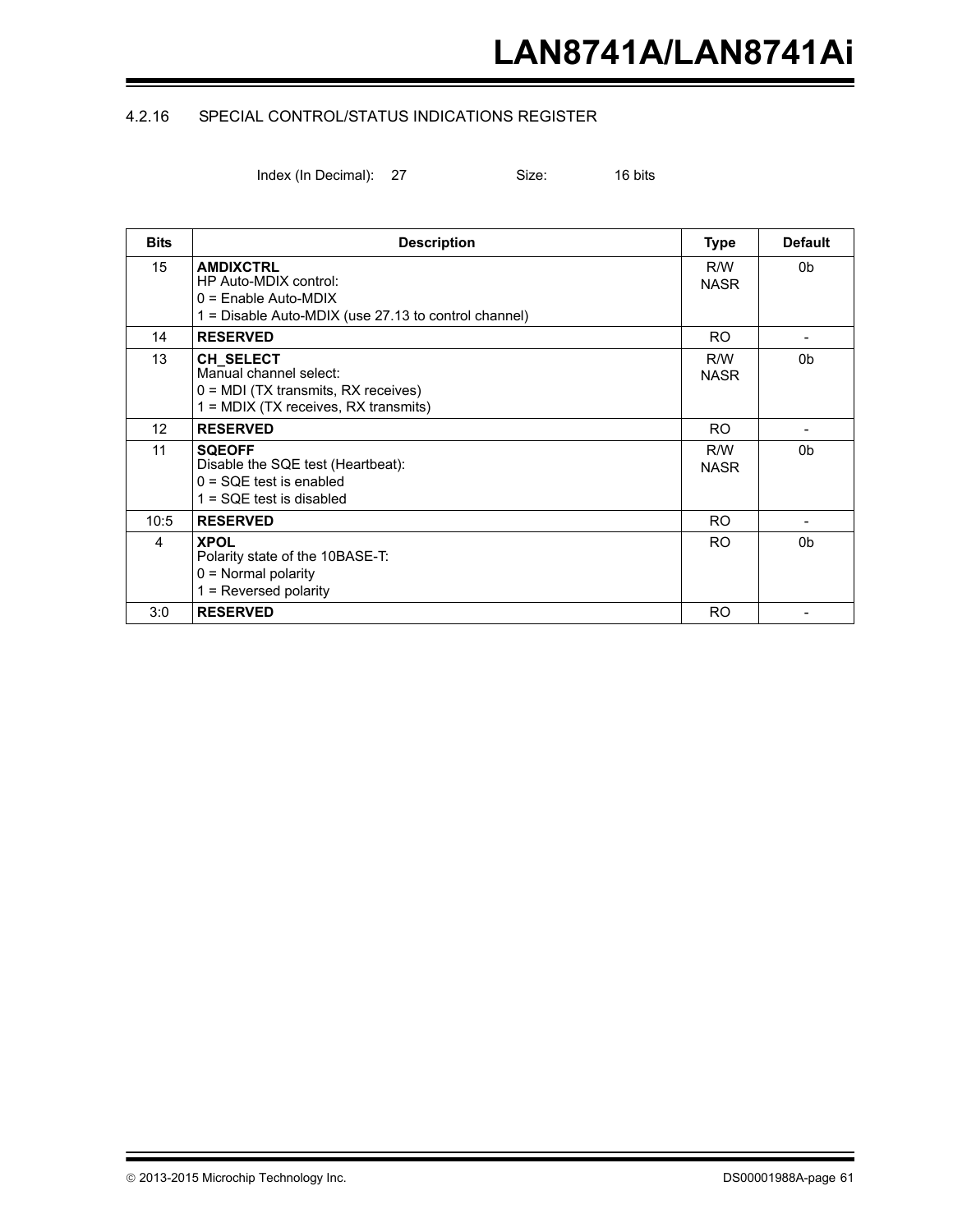#### <span id="page-60-0"></span>4.2.16 SPECIAL CONTROL/STATUS INDICATIONS REGISTER

Index (In Decimal): 27 Size: 16 bits

| <b>Bits</b>     | <b>Description</b>                                                                                                          | <b>Type</b>        | <b>Default</b> |
|-----------------|-----------------------------------------------------------------------------------------------------------------------------|--------------------|----------------|
| 15              | <b>AMDIXCTRL</b><br>HP Auto-MDIX control:<br>$0 =$ Enable Auto-MDIX<br>1 = Disable Auto-MDIX (use 27.13 to control channel) | R/W<br><b>NASR</b> | 0b             |
| 14              | <b>RESERVED</b>                                                                                                             | <b>RO</b>          |                |
| 13              | CH_SELECT<br>Manual channel select:<br>$0 = MDI$ (TX transmits, RX receives)<br>1 = MDIX (TX receives, RX transmits)        | R/W<br><b>NASR</b> | 0b             |
| 12 <sup>2</sup> | <b>RESERVED</b>                                                                                                             | RO.                |                |
| 11              | <b>SQEOFF</b><br>Disable the SQE test (Heartbeat):<br>$0 = SOE$ test is enabled<br>$1 = SOE$ test is disabled               | R/W<br><b>NASR</b> | 0b             |
| 10:5            | <b>RESERVED</b>                                                                                                             | <b>RO</b>          |                |
| 4               | <b>XPOL</b><br>Polarity state of the 10BASE-T:<br>$0 =$ Normal polarity<br>$1 =$ Reversed polarity                          | RO.                | 0b             |
| 3:0             | <b>RESERVED</b>                                                                                                             | <b>RO</b>          |                |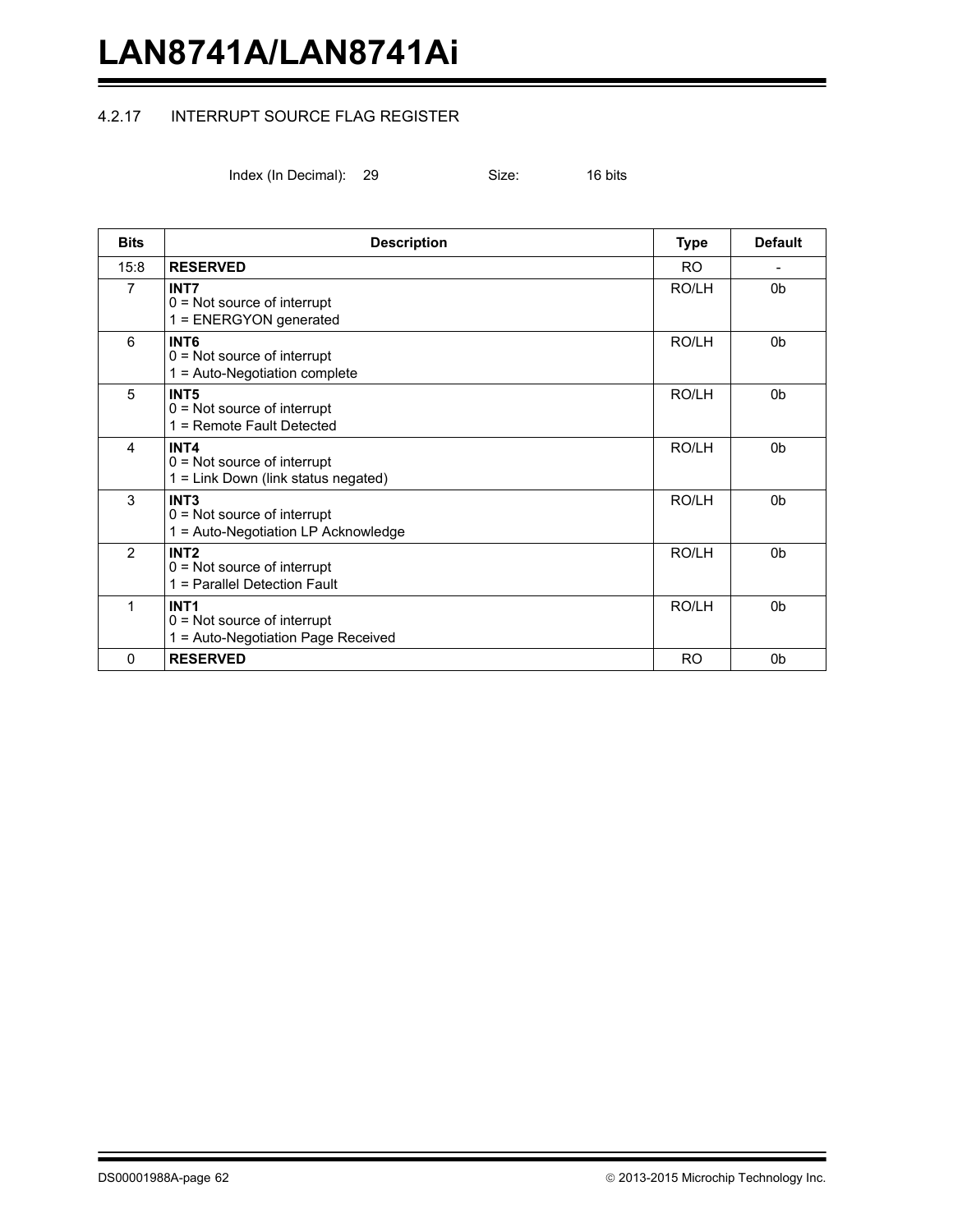## **LAN8741A/LAN8741Ai**

## <span id="page-61-0"></span>4.2.17 INTERRUPT SOURCE FLAG REGISTER

Index (In Decimal): 29 Size: 16 bits

| <b>Bits</b>             | <b>Description</b>                                                                       | <b>Type</b> | <b>Default</b> |
|-------------------------|------------------------------------------------------------------------------------------|-------------|----------------|
| 15:8                    | <b>RESERVED</b>                                                                          | <b>RO</b>   |                |
| $\overline{7}$          | <b>INT7</b><br>$0 = Not source of interrupt$<br>1 = ENERGYON generated                   | RO/LH       | 0b             |
| 6                       | INT <sub>6</sub><br>$0 = Not source of interrupt$<br>1 = Auto-Negotiation complete       | RO/LH       | 0 <sub>b</sub> |
| 5                       | INT <sub>5</sub><br>$0 = Not source of interrupt$<br>1 = Remote Fault Detected           | RO/LH       | 0b             |
| $\overline{\mathbf{4}}$ | INT4<br>$0 = Not source of interrupt$<br>1 = Link Down (link status negated)             | RO/LH       | 0 <sub>b</sub> |
| 3                       | INT <sub>3</sub><br>$0 = Not source of interrupt$<br>1 = Auto-Negotiation LP Acknowledge | RO/LH       | 0 <sub>b</sub> |
| $\overline{2}$          | INT <sub>2</sub><br>$0 = Not source of interrupt$<br>1 = Parallel Detection Fault        | RO/LH       | 0 <sub>b</sub> |
| 1                       | INT <sub>1</sub><br>$0 = Not$ source of interrupt<br>1 = Auto-Negotiation Page Received  | RO/LH       | 0 <sub>b</sub> |
| 0                       | <b>RESERVED</b>                                                                          | <b>RO</b>   | 0b             |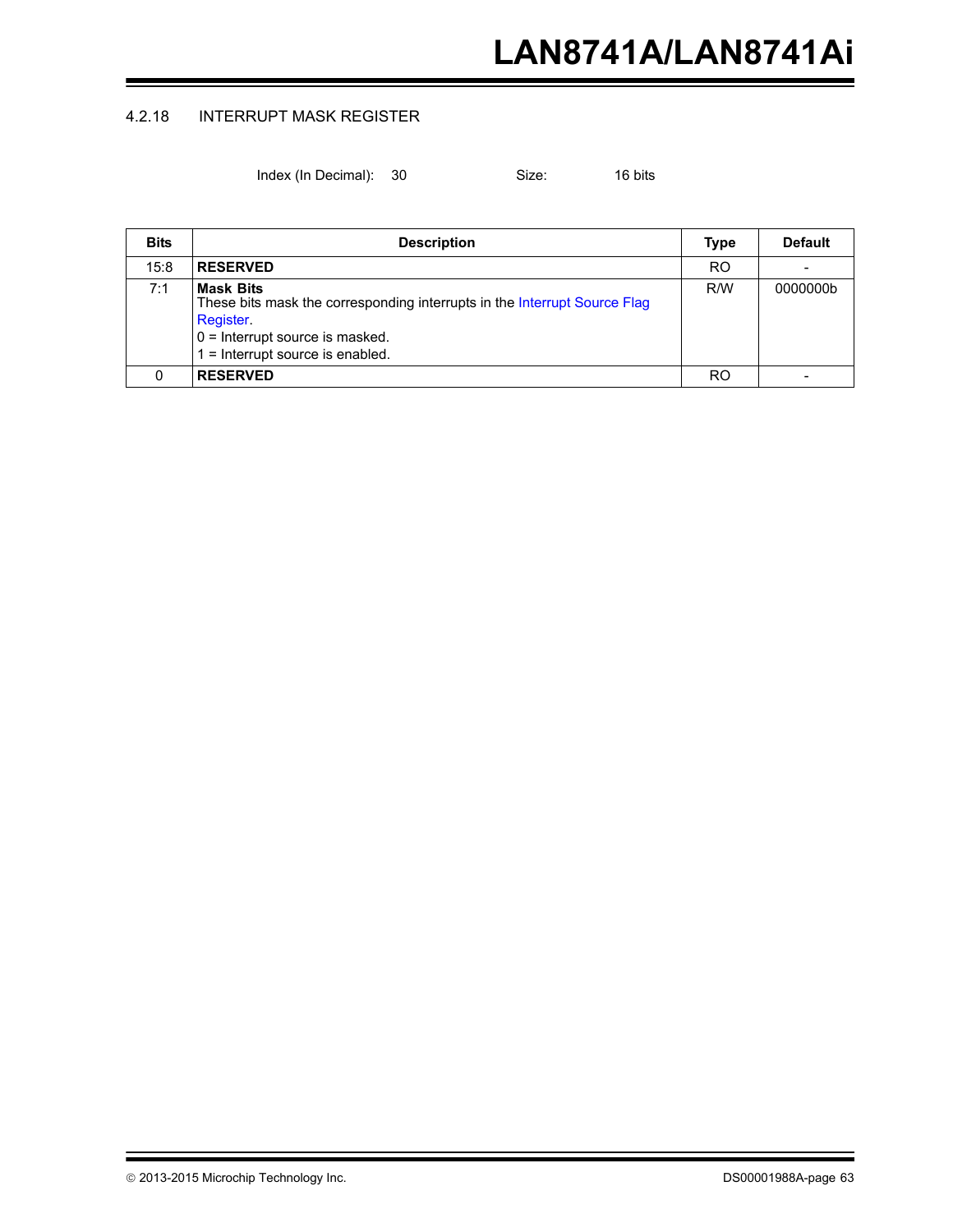#### <span id="page-62-0"></span>4.2.18 INTERRUPT MASK REGISTER

Index (In Decimal): 30 Size: 16 bits

| <b>Bits</b> | <b>Description</b>                                                                                                                                                                  | <b>Type</b>    | <b>Default</b> |
|-------------|-------------------------------------------------------------------------------------------------------------------------------------------------------------------------------------|----------------|----------------|
| 15:8        | <b>RESERVED</b>                                                                                                                                                                     | R <sub>O</sub> |                |
| 7:1         | <b>Mask Bits</b><br>These bits mask the corresponding interrupts in the Interrupt Source Flag<br>Register.<br>0 = Interrupt source is masked.<br>$1 =$ Interrupt source is enabled. | R/W            | 0000000b       |
|             | <b>RESERVED</b>                                                                                                                                                                     | R <sub>O</sub> |                |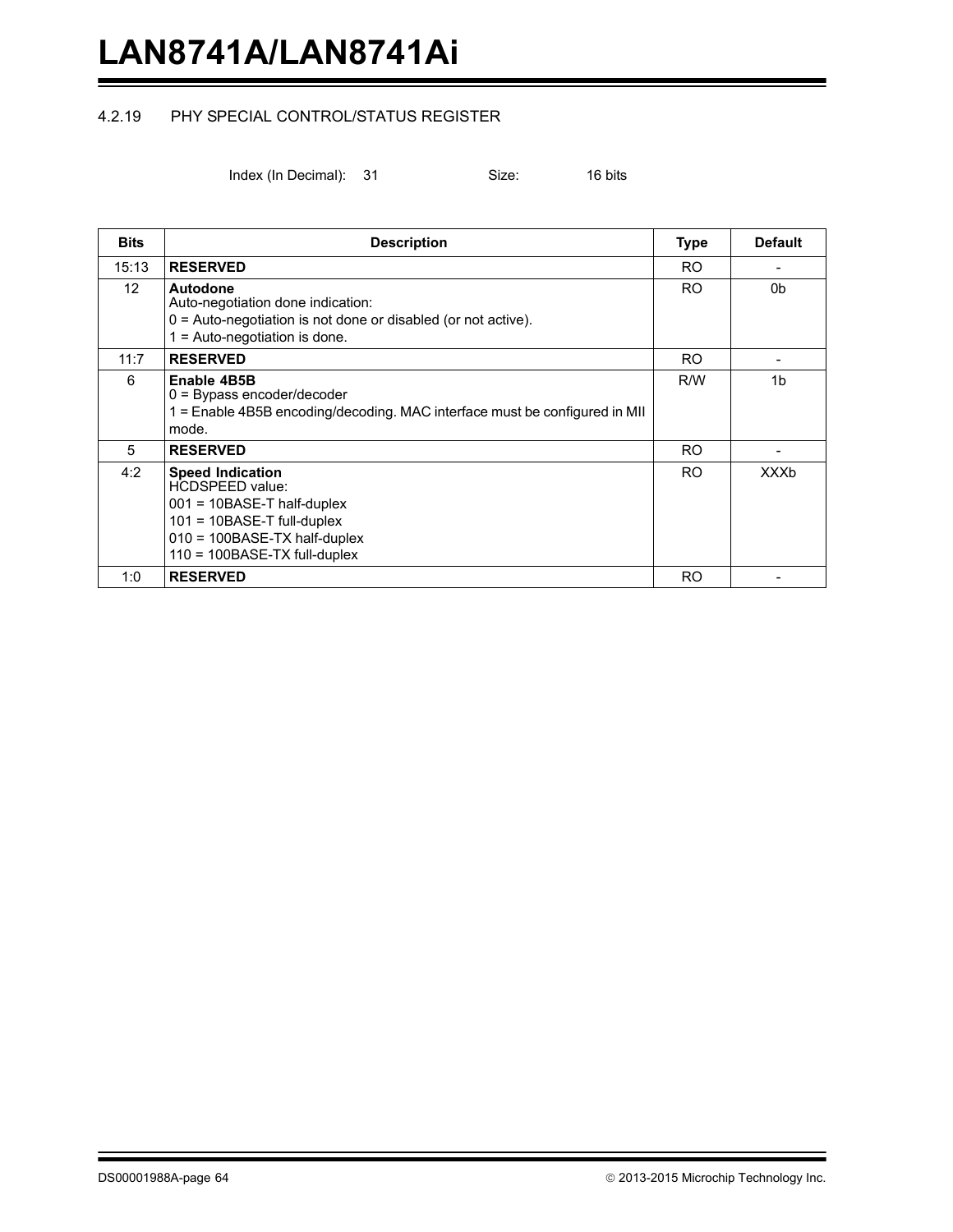## **LAN8741A/LAN8741Ai**

## <span id="page-63-0"></span>4.2.19 PHY SPECIAL CONTROL/STATUS REGISTER

Index (In Decimal): 31 Size: 16 bits

| <b>Bits</b>       | <b>Description</b>                                                                                                                                                             | Type           | <b>Default</b> |
|-------------------|--------------------------------------------------------------------------------------------------------------------------------------------------------------------------------|----------------|----------------|
| 15:13             | <b>RESERVED</b>                                                                                                                                                                | RO.            |                |
| $12 \overline{ }$ | <b>Autodone</b><br>Auto-negotiation done indication:<br>$0 =$ Auto-negotiation is not done or disabled (or not active).<br>$1 =$ Auto-negotiation is done.                     | R <sub>O</sub> | 0b             |
| 11:7              | <b>RESERVED</b>                                                                                                                                                                | R <sub>O</sub> |                |
| 6                 | Enable 4B5B<br>$0 = Bypass encoder/decoder$<br>1 = Enable 4B5B encoding/decoding. MAC interface must be configured in MII<br>mode.                                             | R/W            | 1b             |
| 5                 | <b>RESERVED</b>                                                                                                                                                                | R <sub>O</sub> |                |
| 4:2               | <b>Speed Indication</b><br>HCDSPEED value:<br>$001 = 10BASE-T$ half-duplex<br>$101 = 10BASE-T$ full-duplex<br>$010 = 100BASE-TX$ half-duplex<br>$110 = 100BASE-TX$ full-duplex | RO.            | <b>XXXb</b>    |
| 1:0               | <b>RESERVED</b>                                                                                                                                                                | R <sub>O</sub> |                |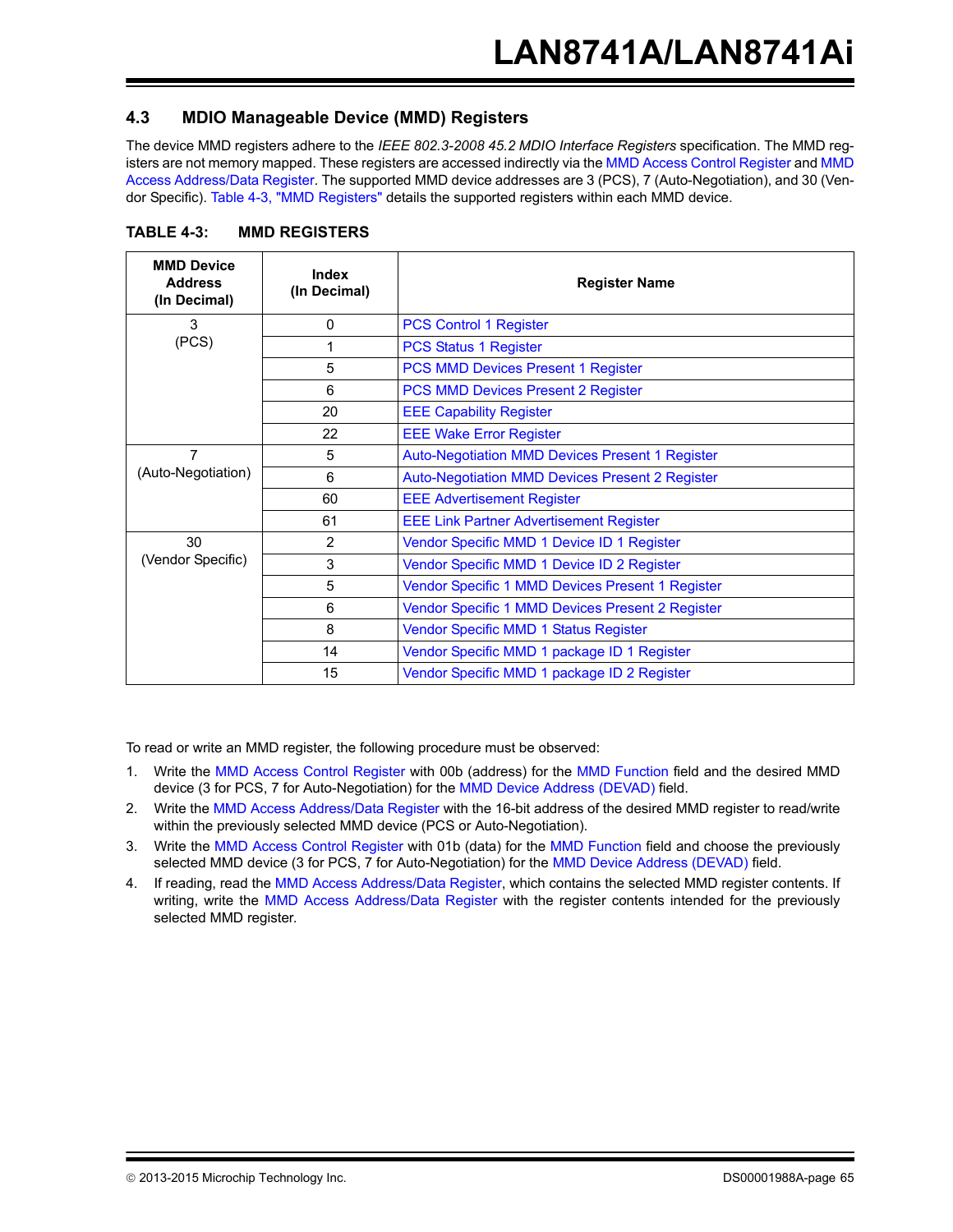## <span id="page-64-0"></span>**4.3 MDIO Manageable Device (MMD) Registers**

The device MMD registers adhere to the *IEEE 802.3-2008 45.2 MDIO Interface Registers* specification. The MMD registers are not memory mapped. These registers are accessed indirectly via the [MMD Access Control Register](#page-54-0) and [MMD](#page-55-0) [Access Address/Data Register](#page-55-0). The supported MMD device addresses are 3 (PCS), 7 (Auto-Negotiation), and 30 (Vendor Specific). [Table 4-3, "MMD Registers"](#page-64-1) details the supported registers within each MMD device.

| <b>MMD Device</b><br><b>Address</b><br>(In Decimal) | Index<br>(In Decimal) | <b>Register Name</b>                                   |
|-----------------------------------------------------|-----------------------|--------------------------------------------------------|
| 3                                                   | 0                     | <b>PCS Control 1 Register</b>                          |
| (PCS)                                               | 1                     | <b>PCS Status 1 Register</b>                           |
|                                                     | 5                     | <b>PCS MMD Devices Present 1 Register</b>              |
|                                                     | 6                     | PCS MMD Devices Present 2 Register                     |
|                                                     | 20                    | <b>EEE Capability Register</b>                         |
|                                                     | 22                    | <b>EEE Wake Error Register</b>                         |
| 7                                                   | 5                     | <b>Auto-Negotiation MMD Devices Present 1 Register</b> |
| (Auto-Negotiation)                                  | 6                     | <b>Auto-Negotiation MMD Devices Present 2 Register</b> |
|                                                     | 60                    | <b>EEE Advertisement Register</b>                      |
|                                                     | 61                    | <b>EEE Link Partner Advertisement Register</b>         |
| 30                                                  | $\overline{2}$        | Vendor Specific MMD 1 Device ID 1 Register             |
| (Vendor Specific)                                   | 3                     | Vendor Specific MMD 1 Device ID 2 Register             |
|                                                     | 5                     | Vendor Specific 1 MMD Devices Present 1 Register       |
|                                                     | 6                     | Vendor Specific 1 MMD Devices Present 2 Register       |
|                                                     | 8                     | <b>Vendor Specific MMD 1 Status Register</b>           |
|                                                     | 14                    | Vendor Specific MMD 1 package ID 1 Register            |
|                                                     | 15                    | Vendor Specific MMD 1 package ID 2 Register            |

<span id="page-64-1"></span>**TABLE 4-3: MMD REGISTERS**

To read or write an MMD register, the following procedure must be observed:

- 1. Write the [MMD Access Control Register](#page-54-0) with 00b (address) for the [MMD Function](#page-54-1) field and the desired MMD device (3 for PCS, 7 for Auto-Negotiation) for the [MMD Device Address \(DEVAD\)](#page-54-2) field.
- 2. Write the [MMD Access Address/Data Register](#page-55-0) with the 16-bit address of the desired MMD register to read/write within the previously selected MMD device (PCS or Auto-Negotiation).
- 3. Write the [MMD Access Control Register](#page-54-0) with 01b (data) for the [MMD Function](#page-54-1) field and choose the previously selected MMD device (3 for PCS, 7 for Auto-Negotiation) for the [MMD Device Address \(DEVAD\)](#page-54-2) field.
- 4. If reading, read the [MMD Access Address/Data Register,](#page-55-0) which contains the selected MMD register contents. If writing, write the [MMD Access Address/Data Register](#page-55-0) with the register contents intended for the previously selected MMD register.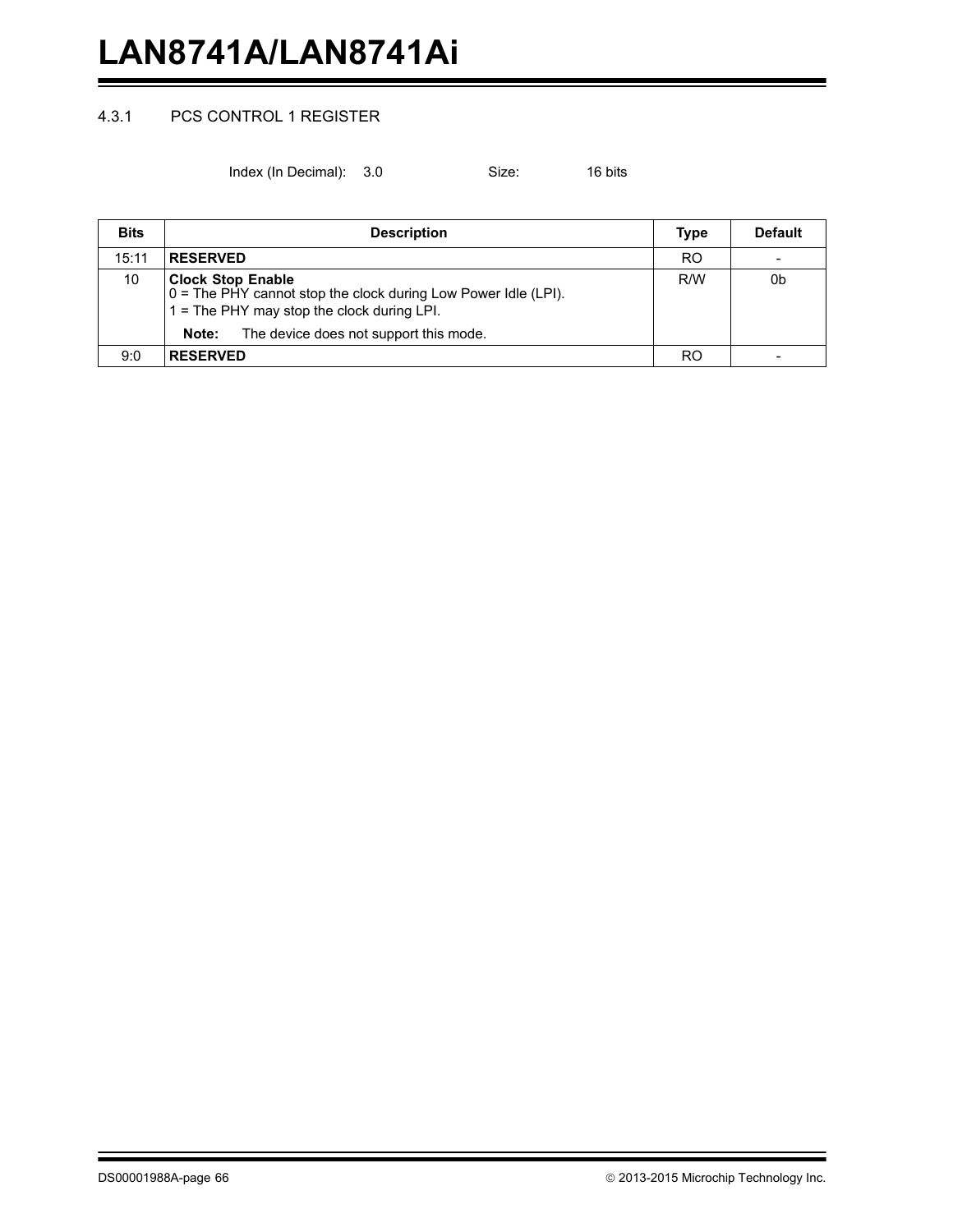## <span id="page-65-0"></span>4.3.1 PCS CONTROL 1 REGISTER

Index (In Decimal): 3.0 Size: 16 bits

| <b>Bits</b> | <b>Description</b>                                                                                                                         | <b>Type</b> | <b>Default</b> |
|-------------|--------------------------------------------------------------------------------------------------------------------------------------------|-------------|----------------|
| 15:11       | <b>RESERVED</b>                                                                                                                            | RO.         |                |
| 10          | <b>Clock Stop Enable</b><br>$0 =$ The PHY cannot stop the clock during Low Power Idle (LPI).<br>1 = The PHY may stop the clock during LPI. | R/W         | 0b             |
|             | The device does not support this mode.<br>Note:                                                                                            |             |                |
| 9:0         | <b>RESERVED</b>                                                                                                                            | RO          |                |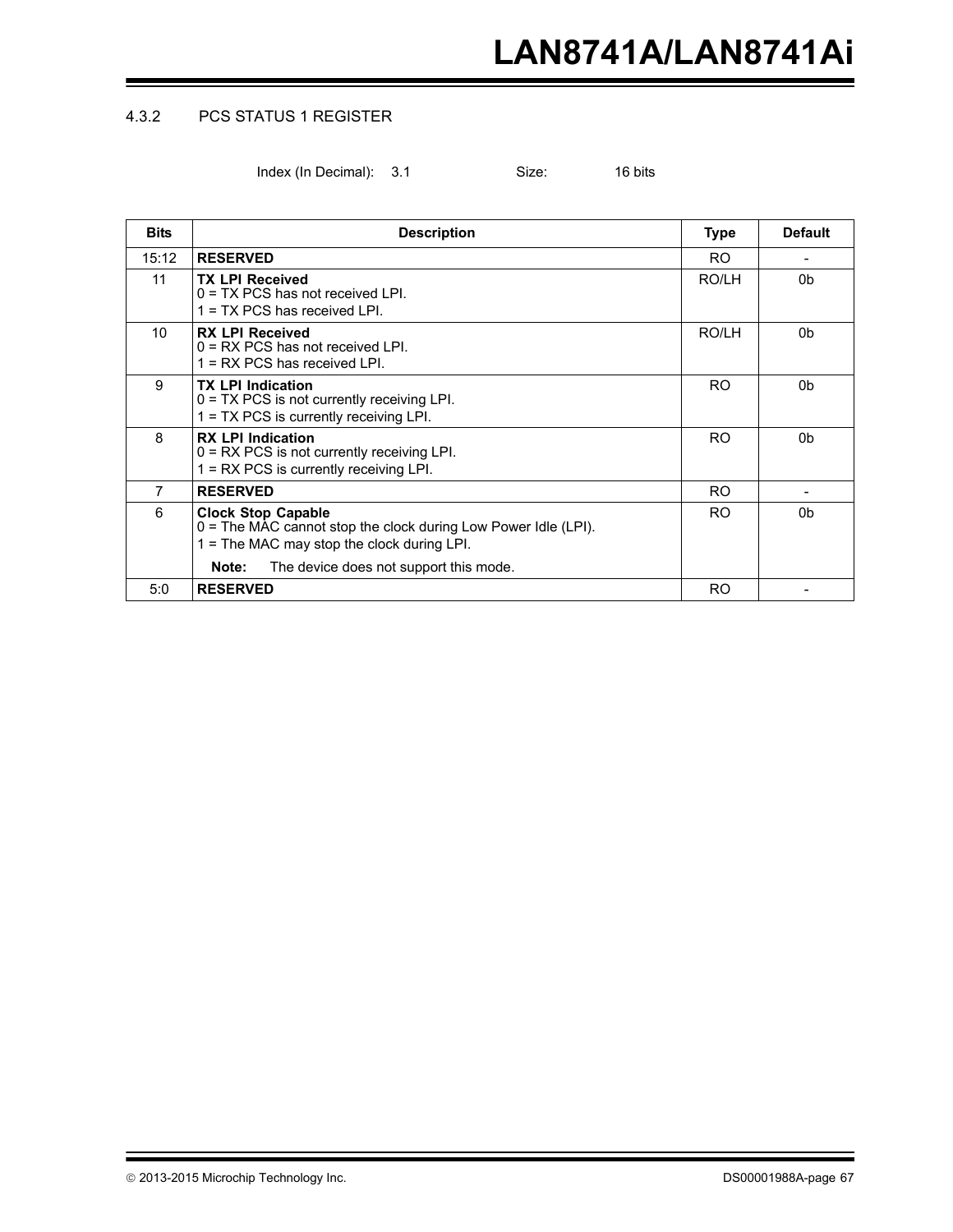#### <span id="page-66-0"></span>4.3.2 PCS STATUS 1 REGISTER

Index (In Decimal): 3.1 Size: 16 bits

| <b>Bits</b> | <b>Description</b>                                                                                                                          | <b>Type</b> | <b>Default</b> |
|-------------|---------------------------------------------------------------------------------------------------------------------------------------------|-------------|----------------|
| 15:12       | <b>RESERVED</b>                                                                                                                             | RO.         |                |
| 11          | <b>TX LPI Received</b><br>$0 = TX PCS$ has not received LPI.<br>$1 = TX PCS$ has received LPI.                                              | RO/LH       | 0b             |
| 10          | <b>RX LPI Received</b><br>$0 = RX PCS$ has not received LPI.<br>$1 = RX PCS$ has received LPI.                                              | RO/LH       | 0b             |
| 9           | <b>TX LPI Indication</b><br>$0 = TX PCS$ is not currently receiving LPI.<br>$1 = TX PCS$ is currently receiving LPI.                        | <b>RO</b>   | 0b             |
| 8           | <b>RX LPI Indication</b><br>$0 = RX PCS$ is not currently receiving LPI.<br>$1 = RX PCS$ is currently receiving LPI.                        | RO.         | 0b             |
| 7           | <b>RESERVED</b>                                                                                                                             | RO.         |                |
| 6           | <b>Clock Stop Capable</b><br>0 = The MAC cannot stop the clock during Low Power Idle (LPI).<br>$1 =$ The MAC may stop the clock during LPI. | RO.         | 0b             |
|             | Note:<br>The device does not support this mode.                                                                                             |             |                |
| 5:0         | <b>RESERVED</b>                                                                                                                             | <b>RO</b>   |                |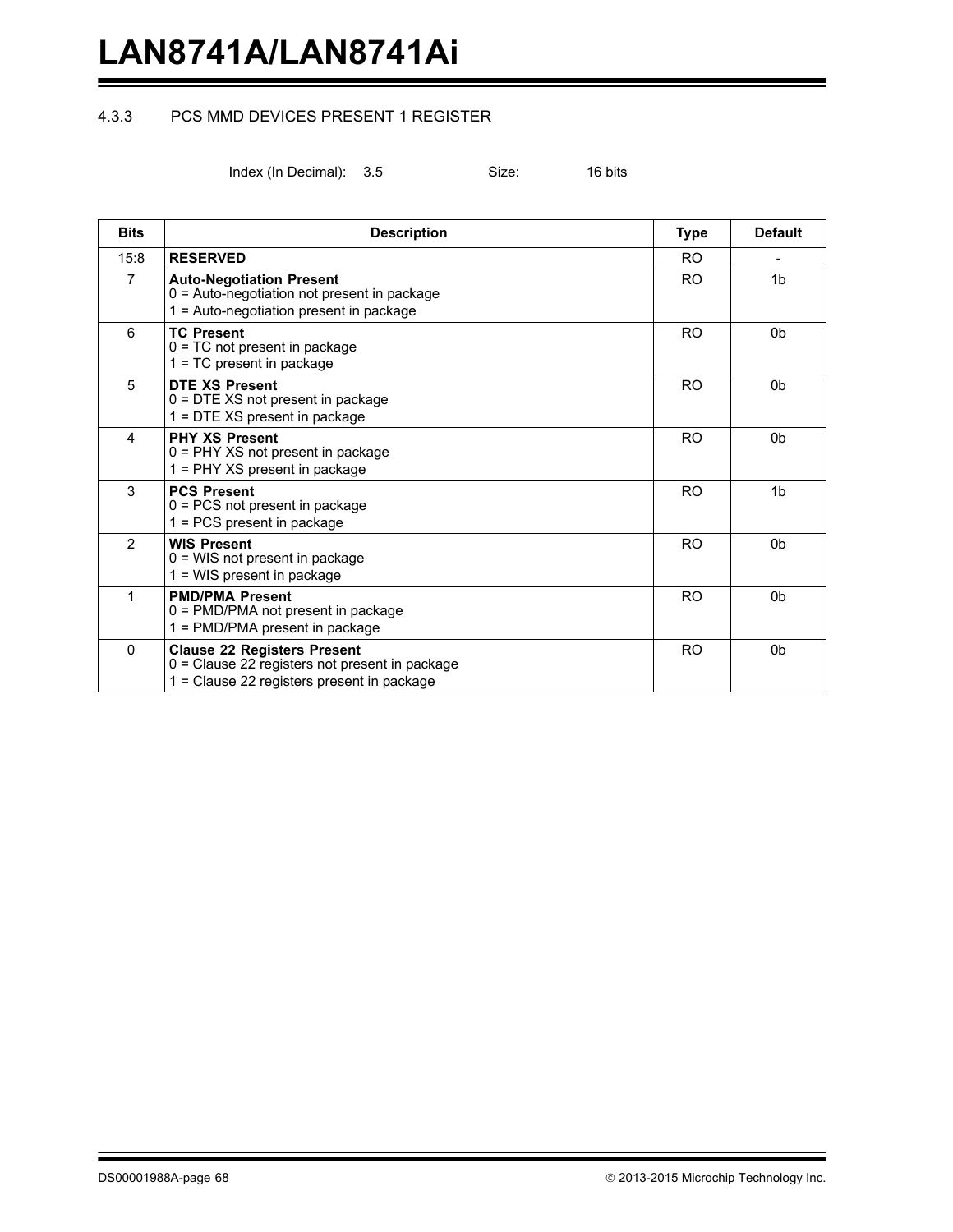## <span id="page-67-0"></span>4.3.3 PCS MMD DEVICES PRESENT 1 REGISTER

Index (In Decimal): 3.5 Size: 16 bits

**Bits | CONSIDENT DESCRIPTION CONSIDENTS | Type Default** 15:8 **RESERVED RESERVED** 7 **Auto-Negotiation Present** 0 = Auto-negotiation not present in package 1 = Auto-negotiation present in package RO 1b 6 **TC Present** 0 = TC not present in package 1 = TC present in package RO 0b 5 **DTE XS Present** 0 = DTE XS not present in package 1 = DTE XS present in package RO 0b 4 **PHY XS Present** 0 = PHY XS not present in package 1 = PHY XS present in package RO 0b 3 **PCS Present** 0 = PCS not present in package 1 = PCS present in package RO 1b 2 **WIS Present** 0 = WIS not present in package 1 = WIS present in package RO 0b 1 **PMD/PMA Present** 0 = PMD/PMA not present in package 1 = PMD/PMA present in package RO 0b 0 **Clause 22 Registers Present** 0 = Clause 22 registers not present in package 1 = Clause 22 registers present in package RO 0b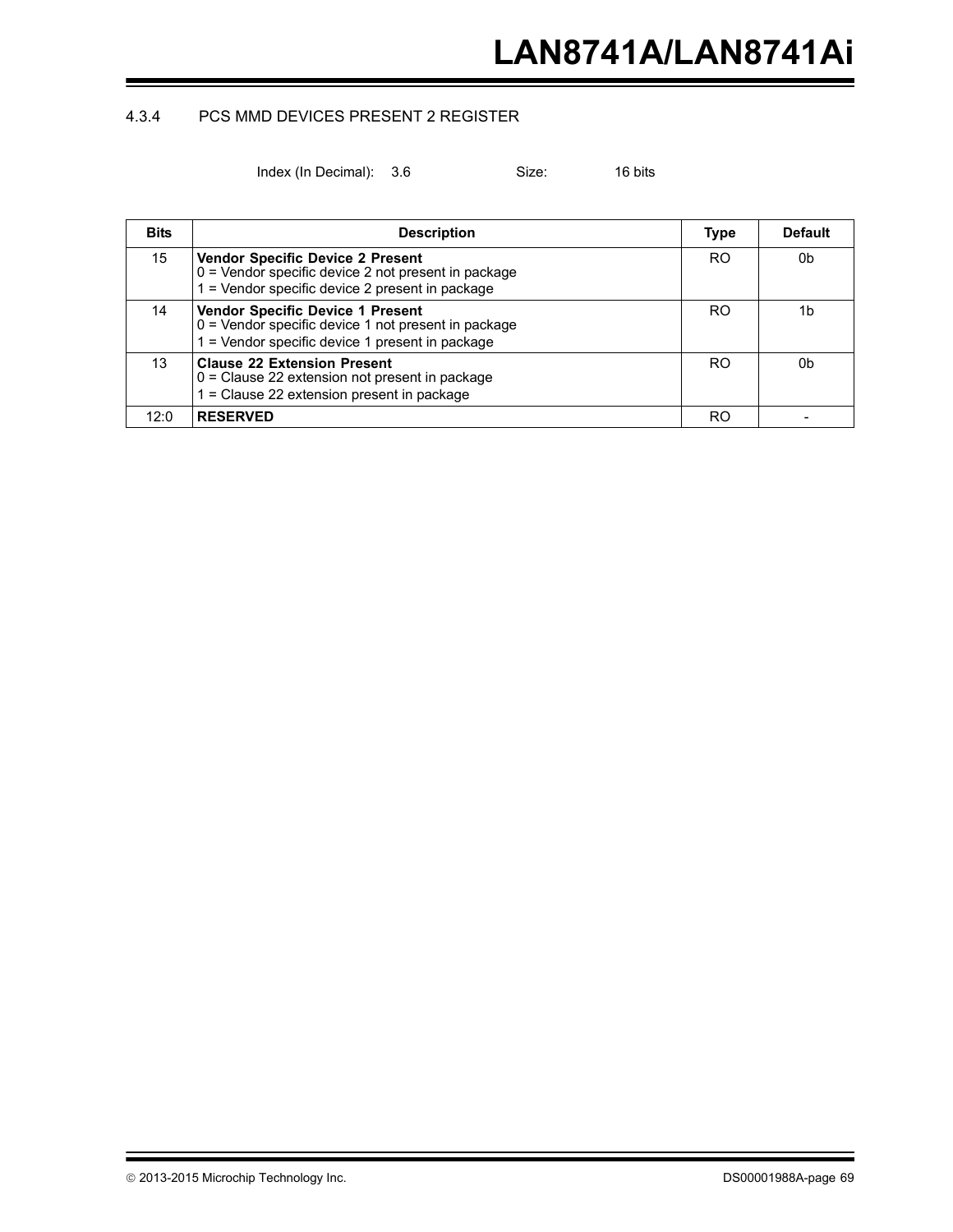#### <span id="page-68-0"></span>4.3.4 PCS MMD DEVICES PRESENT 2 REGISTER

Index (In Decimal): 3.6 Size: 16 bits

| <b>Bits</b> | <b>Description</b>                                                                                                                                  | <b>Type</b>    | <b>Default</b> |
|-------------|-----------------------------------------------------------------------------------------------------------------------------------------------------|----------------|----------------|
| 15          | <b>Vendor Specific Device 2 Present</b><br>$0 =$ Vendor specific device 2 not present in package<br>1 = Vendor specific device 2 present in package | R <sub>O</sub> | 0b             |
| 14          | <b>Vendor Specific Device 1 Present</b><br>0 = Vendor specific device 1 not present in package<br>1 = Vendor specific device 1 present in package   | RO             | 1b             |
| 13          | <b>Clause 22 Extension Present</b><br>$0 =$ Clause 22 extension not present in package<br>1 = Clause 22 extension present in package                | R <sub>O</sub> | 0b             |
| 12:0        | <b>RESERVED</b>                                                                                                                                     | RO             |                |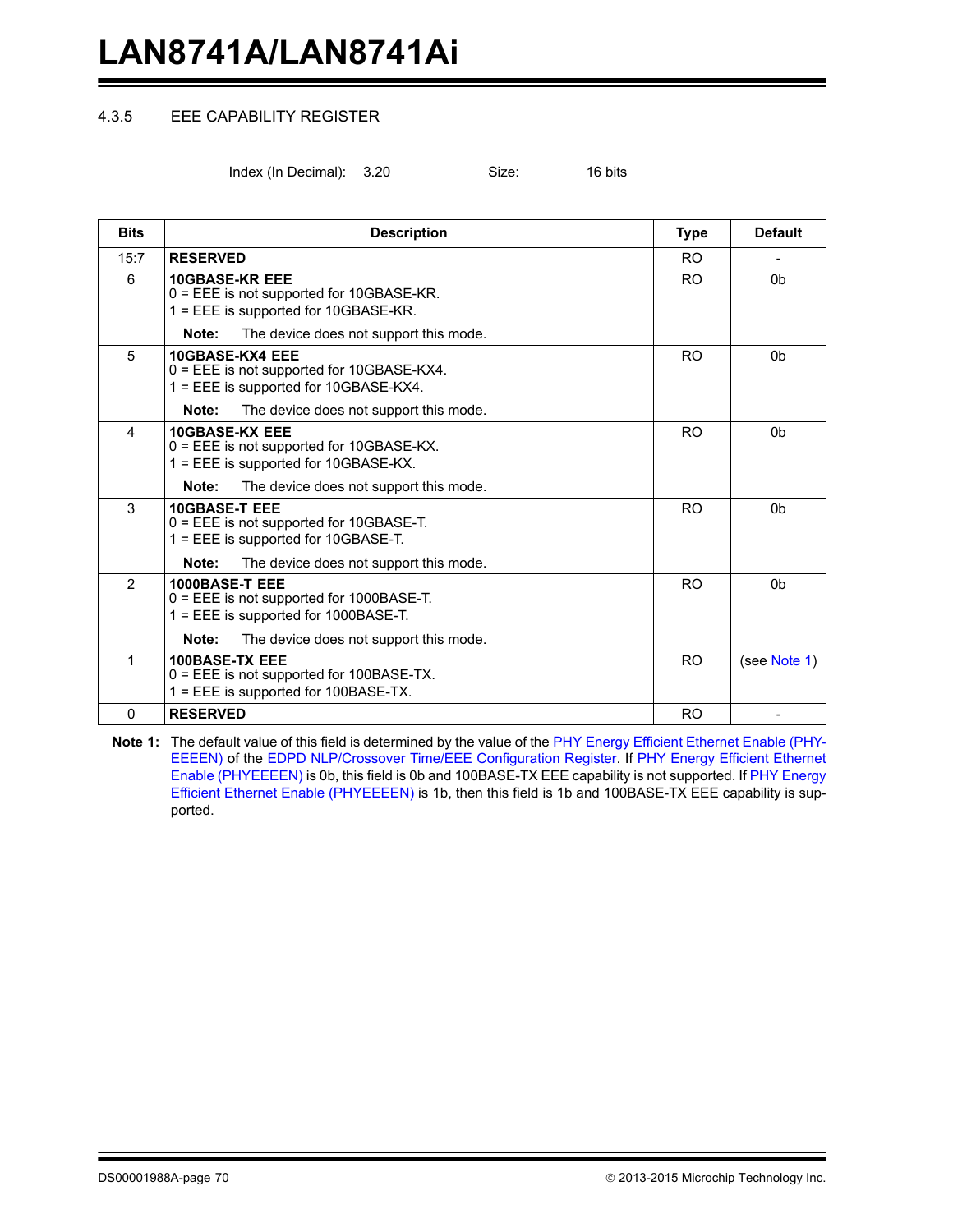## <span id="page-69-0"></span>4.3.5 EEE CAPABILITY REGISTER

Index (In Decimal): 3.20 Size: 16 bits

| <b>Bits</b>    | <b>Description</b>                                                                                          | <b>Type</b>    | <b>Default</b> |
|----------------|-------------------------------------------------------------------------------------------------------------|----------------|----------------|
| 15:7           | <b>RESERVED</b>                                                                                             | R <sub>O</sub> |                |
| 6              | <b>10GBASE-KR EEE</b><br>$0 = EEE$ is not supported for 10GBASE-KR.<br>1 = EEE is supported for 10GBASE-KR. | R <sub>O</sub> | 0 <sub>b</sub> |
|                | Note:<br>The device does not support this mode.                                                             |                |                |
| 5              | 10GBASE-KX4 EEE<br>0 = EEE is not supported for 10GBASE-KX4.<br>1 = EEE is supported for 10GBASE-KX4.       | <b>RO</b>      | 0 <sub>b</sub> |
|                | The device does not support this mode.<br>Note:                                                             |                |                |
| 4              | <b>10GBASE-KX EEE</b><br>0 = EEE is not supported for 10GBASE-KX.<br>1 = EEE is supported for 10GBASE-KX.   | R <sub>O</sub> | 0 <sub>b</sub> |
|                | Note:<br>The device does not support this mode.                                                             |                |                |
| 3              | <b>10GBASE-T EEE</b><br>$0 = EEE$ is not supported for 10GBASE-T.<br>1 = EEE is supported for 10GBASE-T.    | <b>RO</b>      | 0 <sub>b</sub> |
|                | Note:<br>The device does not support this mode.                                                             |                |                |
| $\overline{2}$ | 1000BASE-T EEE<br>$0 = EEE$ is not supported for 1000BASE-T.<br>1 = EEE is supported for 1000BASE-T.        | <b>RO</b>      | 0 <sub>b</sub> |
|                | The device does not support this mode.<br>Note:                                                             |                |                |
| 1              | 100BASE-TX EEE<br>$0 = EEE$ is not supported for 100BASE-TX.<br>1 = EEE is supported for 100BASE-TX.        | <b>RO</b>      | (see Note 1)   |
| 0              | <b>RESERVED</b>                                                                                             | R <sub>O</sub> |                |

<span id="page-69-1"></span>**Note 1:** The default value of this field is determined by the value of the [PHY Energy Efficient Ethernet Enable \(PHY-](#page-56-4)[EEEEN\)](#page-56-4) of the [EDPD NLP/Crossover Time/EEE Configuration Register](#page-56-0). If [PHY Energy Efficient Ethernet](#page-56-4) [Enable \(PHYEEEEN\)](#page-56-4) is 0b, this field is 0b and 100BASE-TX EEE capability is not supported. If [PHY Energy](#page-56-4) [Efficient Ethernet Enable \(PHYEEEEN\)](#page-56-4) is 1b, then this field is 1b and 100BASE-TX EEE capability is supported.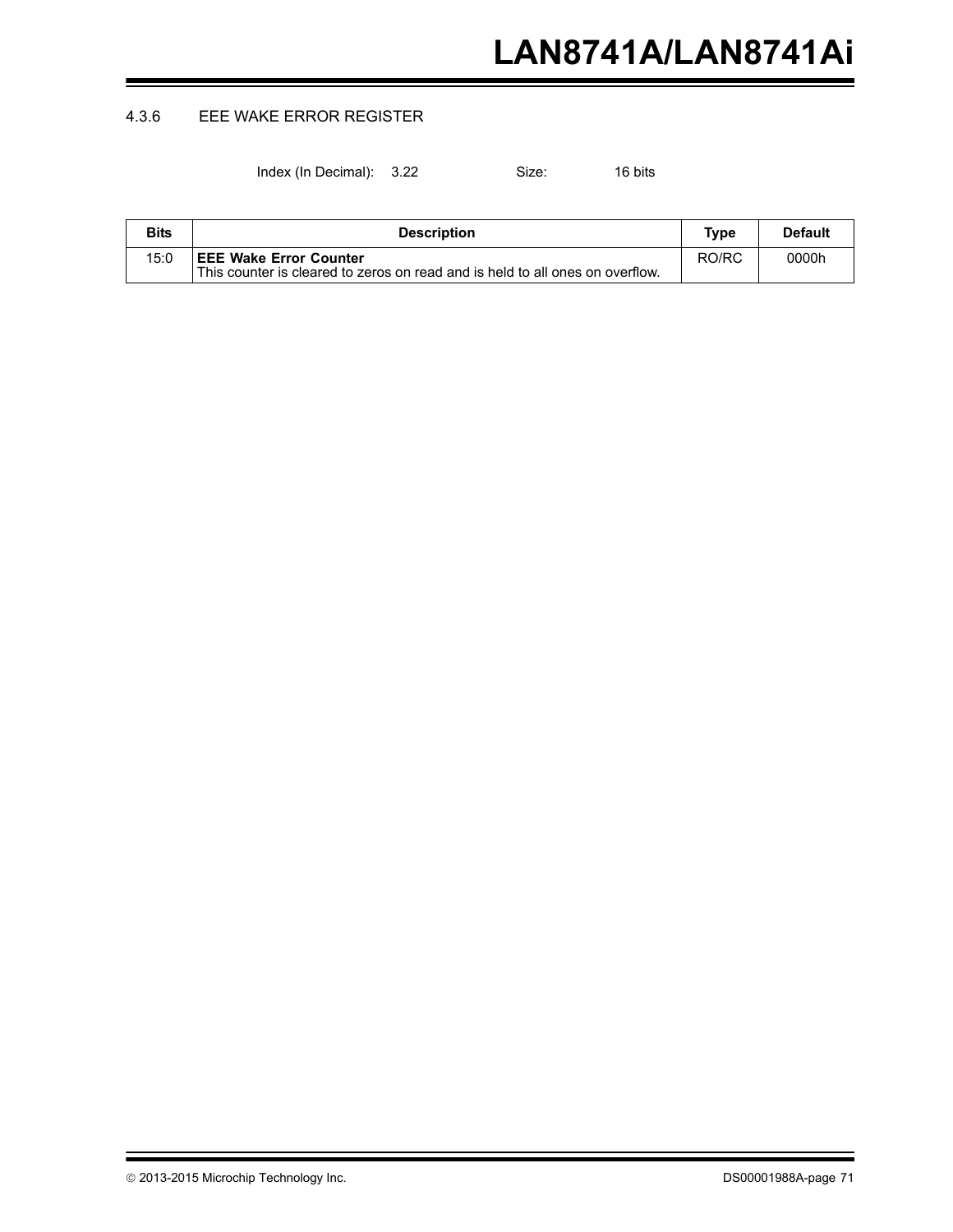#### <span id="page-70-0"></span>4.3.6 EEE WAKE ERROR REGISTER

Index (In Decimal): 3.22 Size: 16 bits

| <b>Bits</b> | <b>Description</b>                                                                                              | <b>Type</b> | <b>Default</b> |
|-------------|-----------------------------------------------------------------------------------------------------------------|-------------|----------------|
| 15:0        | <b>IEEE Wake Error Counter</b><br>This counter is cleared to zeros on read and is held to all ones on overflow. | RO/RC       | 0000h          |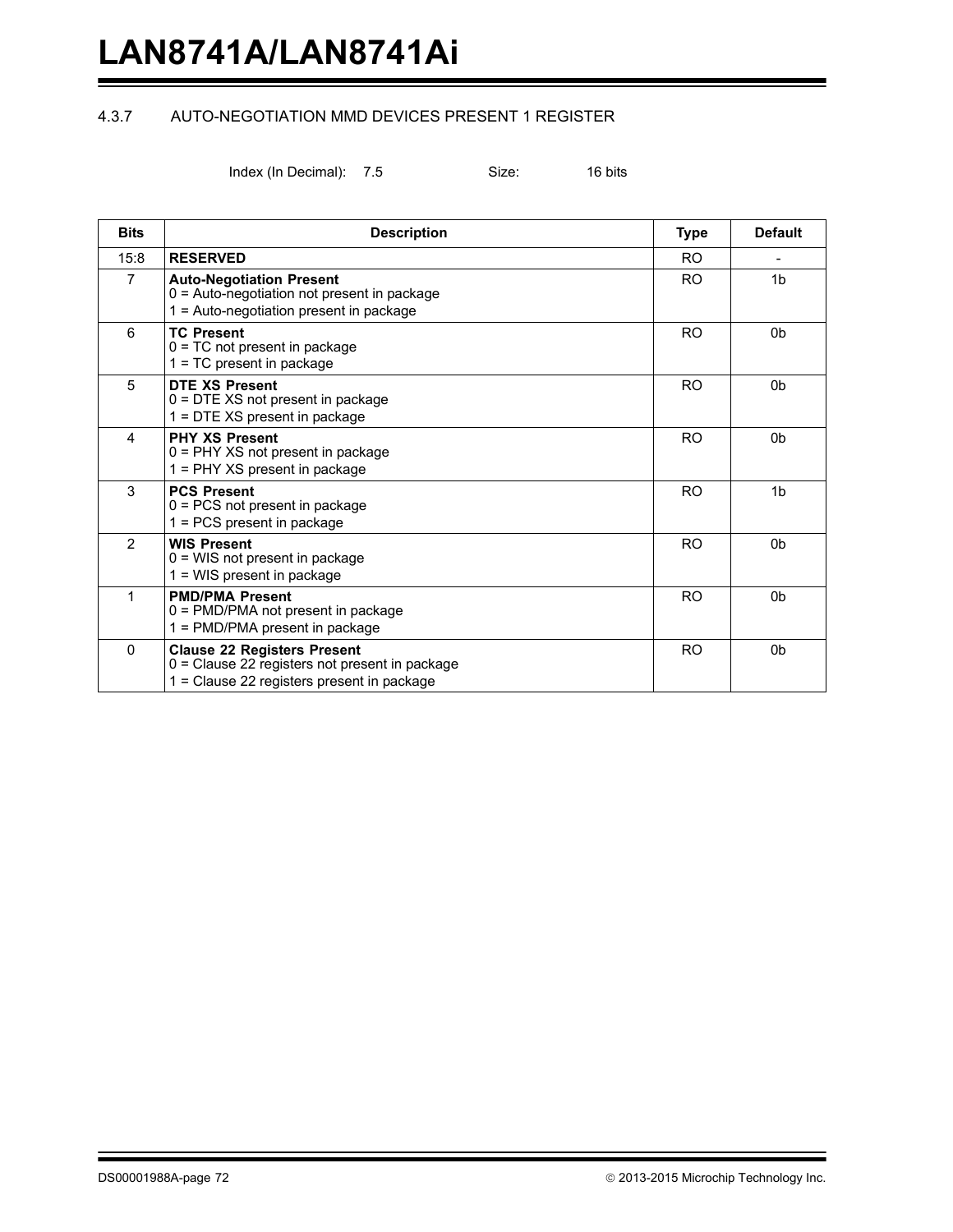## <span id="page-71-0"></span>4.3.7 AUTO-NEGOTIATION MMD DEVICES PRESENT 1 REGISTER

Index (In Decimal): 7.5 Size: 16 bits

| <b>Bits</b>    | <b>Description</b>                                                                                                                   | <b>Type</b>    | <b>Default</b> |
|----------------|--------------------------------------------------------------------------------------------------------------------------------------|----------------|----------------|
| 15:8           | <b>RESERVED</b>                                                                                                                      | R <sub>O</sub> |                |
| $\overline{7}$ | <b>Auto-Negotiation Present</b><br>0 = Auto-negotiation not present in package<br>1 = Auto-negotiation present in package            | R <sub>O</sub> | 1 <sub>b</sub> |
| 6              | <b>TC Present</b><br>$0 = TC$ not present in package<br>$1 = TC$ present in package                                                  | R <sub>O</sub> | 0b             |
| 5              | <b>DTE XS Present</b><br>0 = DTE XS not present in package<br>1 = DTE XS present in package                                          | <b>RO</b>      | 0b             |
| 4              | <b>PHY XS Present</b><br>$0 =$ PHY XS not present in package<br>1 = PHY XS present in package                                        | <b>RO</b>      | 0 <sub>b</sub> |
| 3              | <b>PCS Present</b><br>$0 = PCS$ not present in package<br>$1 = PCS$ present in package                                               | <b>RO</b>      | 1 <sub>b</sub> |
| $\overline{2}$ | <b>WIS Present</b><br>$0 = WIS$ not present in package<br>1 = WIS present in package                                                 | <b>RO</b>      | 0 <sub>b</sub> |
| 1              | <b>PMD/PMA Present</b><br>$0 =$ PMD/PMA not present in package<br>1 = PMD/PMA present in package                                     | RO             | 0b             |
| $\Omega$       | <b>Clause 22 Registers Present</b><br>$0 =$ Clause 22 registers not present in package<br>1 = Clause 22 registers present in package | R <sub>O</sub> | 0 <sub>b</sub> |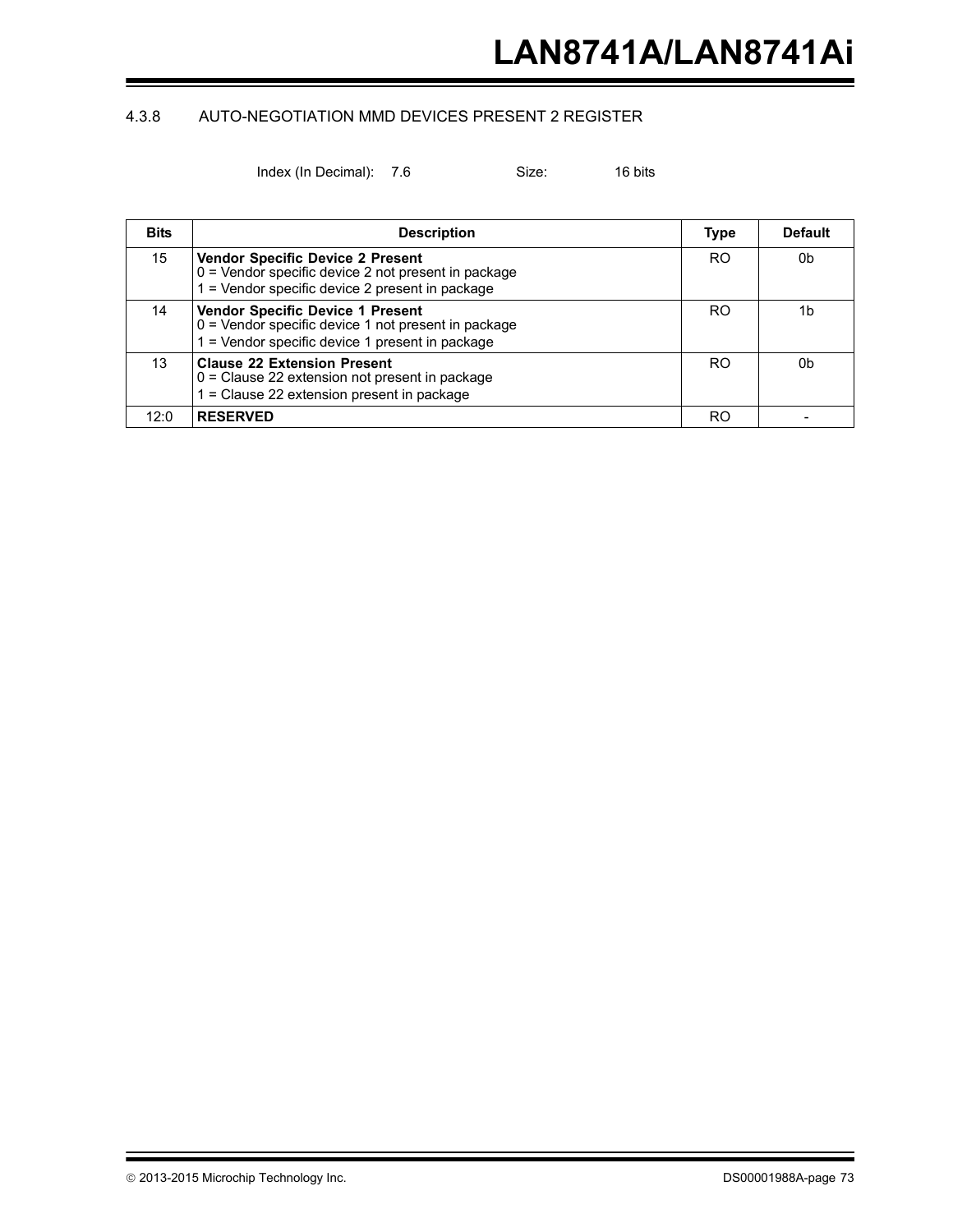#### 4.3.8 AUTO-NEGOTIATION MMD DEVICES PRESENT 2 REGISTER

Index (In Decimal): 7.6 Size: 16 bits

| <b>Bits</b> | <b>Description</b>                                                                                                                                  | <b>Type</b> | <b>Default</b> |
|-------------|-----------------------------------------------------------------------------------------------------------------------------------------------------|-------------|----------------|
| 15          | <b>Vendor Specific Device 2 Present</b><br>0 = Vendor specific device 2 not present in package<br>1 = Vendor specific device 2 present in package   | RO          | 0b             |
| 14          | <b>Vendor Specific Device 1 Present</b><br>$0 =$ Vendor specific device 1 not present in package<br>1 = Vendor specific device 1 present in package | RO          | 1b             |
| 13          | <b>Clause 22 Extension Present</b><br>0 = Clause 22 extension not present in package<br>1 = Clause 22 extension present in package                  | RO          | 0b             |
| 12:0        | <b>RESERVED</b>                                                                                                                                     | RO          |                |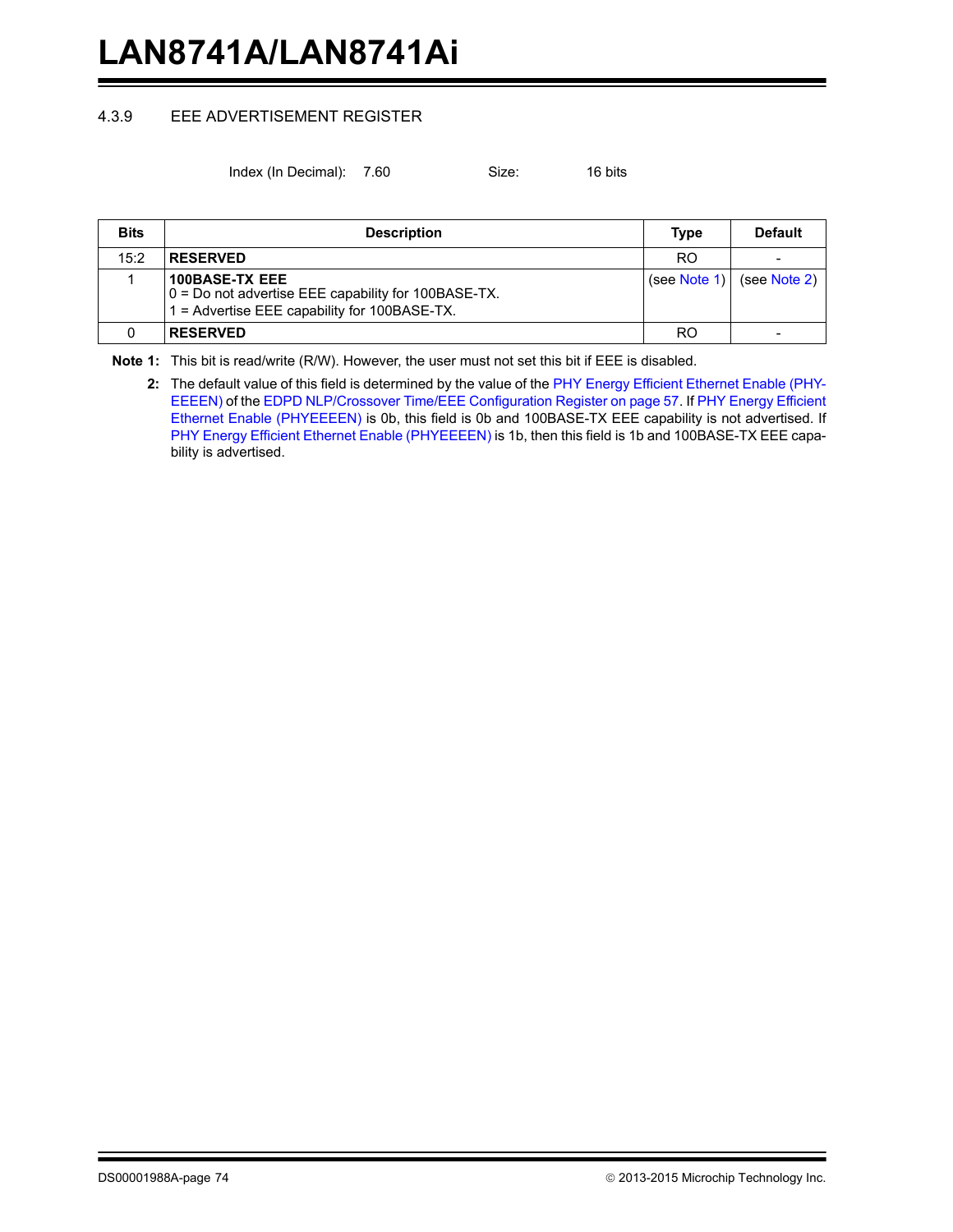#### 4.3.9 EEE ADVERTISEMENT REGISTER

Index (In Decimal): 7.60 Size: 16 bits

| <b>Bits</b> | <b>Description</b>                                                                                                             | <b>Type</b>    | <b>Default</b>              |
|-------------|--------------------------------------------------------------------------------------------------------------------------------|----------------|-----------------------------|
| 15:2        | <b>RESERVED</b>                                                                                                                | R <sub>O</sub> |                             |
|             | <b>100BASE-TX EEE</b><br>$0 = Do$ not advertise EEE capability for 100BASE-TX.<br>1 = Advertise EEE capability for 100BASE-TX. |                | $(see Note 1)$ (see Note 2) |
|             | <b>RESERVED</b>                                                                                                                | RO             |                             |

<span id="page-73-1"></span><span id="page-73-0"></span>**Note 1:** This bit is read/write (R/W). However, the user must not set this bit if EEE is disabled.

**2:** The default value of this field is determined by the value of the [PHY Energy Efficient Ethernet Enable \(PHY-](#page-56-0)[EEEEN\)](#page-56-0) of the [EDPD NLP/Crossover Time/EEE Configuration Register on page 57.](#page-56-1) If [PHY Energy Efficient](#page-56-0) [Ethernet Enable \(PHYEEEEN\)](#page-56-0) is 0b, this field is 0b and 100BASE-TX EEE capability is not advertised. If [PHY Energy Efficient Ethernet Enable \(PHYEEEEN\)](#page-56-0) is 1b, then this field is 1b and 100BASE-TX EEE capability is advertised.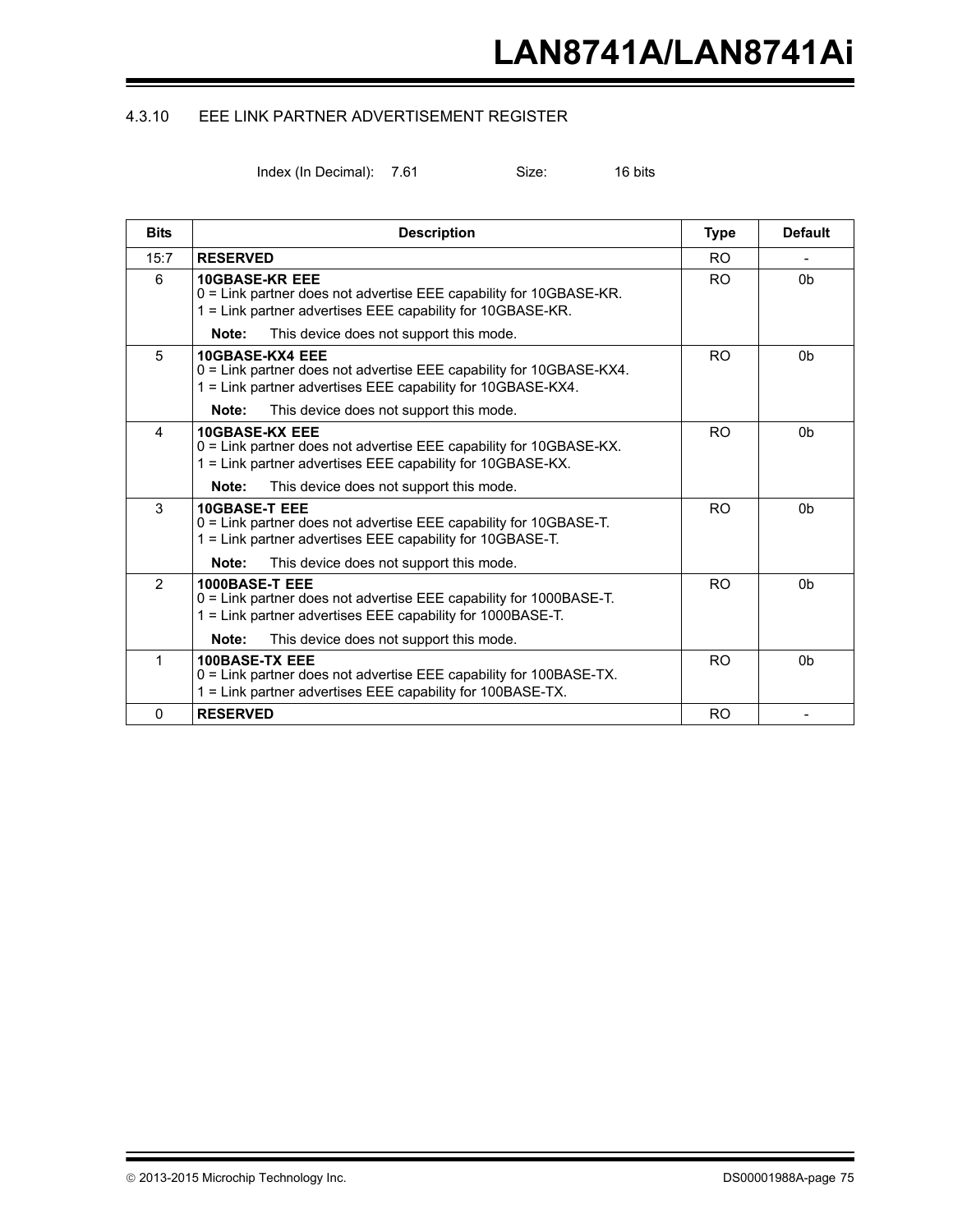#### 4.3.10 EEE LINK PARTNER ADVERTISEMENT REGISTER

Index (In Decimal): 7.61 Size: 16 bits

| <b>Bits</b>    | <b>Description</b>                                                                                                                                          | <b>Type</b>    | <b>Default</b> |
|----------------|-------------------------------------------------------------------------------------------------------------------------------------------------------------|----------------|----------------|
| 15:7           | <b>RESERVED</b>                                                                                                                                             | R <sub>O</sub> |                |
| 6              | <b>10GBASE-KR EEE</b><br>$0 =$ Link partner does not advertise EEE capability for 10GBASE-KR.<br>1 = Link partner advertises EEE capability for 10GBASE-KR. | R <sub>O</sub> | 0 <sub>b</sub> |
|                | This device does not support this mode.<br>Note:                                                                                                            |                |                |
| 5              | 10GBASE-KX4 EEE<br>0 = Link partner does not advertise EEE capability for 10GBASE-KX4.<br>1 = Link partner advertises EEE capability for 10GBASE-KX4.       | R <sub>O</sub> | 0 <sub>b</sub> |
|                | This device does not support this mode.<br>Note:                                                                                                            |                |                |
| 4              | <b>10GBASE-KX EEE</b><br>0 = Link partner does not advertise EEE capability for 10GBASE-KX.<br>1 = Link partner advertises EEE capability for 10GBASE-KX.   | <b>RO</b>      | 0b             |
|                | Note:<br>This device does not support this mode.                                                                                                            |                |                |
| 3              | <b>10GBASE-T EEE</b><br>0 = Link partner does not advertise EEE capability for 10GBASE-T.<br>1 = Link partner advertises EEE capability for 10GBASE-T.      | R <sub>O</sub> | 0 <sub>b</sub> |
|                | Note:<br>This device does not support this mode.                                                                                                            |                |                |
| $\overline{2}$ | 1000BASE-T EEE<br>0 = Link partner does not advertise EEE capability for 1000BASE-T.<br>1 = Link partner advertises EEE capability for 1000BASE-T.          | R <sub>O</sub> | 0 <sub>b</sub> |
|                | This device does not support this mode.<br>Note:                                                                                                            |                |                |
| 1              | <b>100BASE-TX EEE</b><br>0 = Link partner does not advertise EEE capability for 100BASE-TX.<br>1 = Link partner advertises EEE capability for 100BASE-TX.   | R <sub>O</sub> | 0b             |
| 0              | <b>RESERVED</b>                                                                                                                                             | R <sub>O</sub> |                |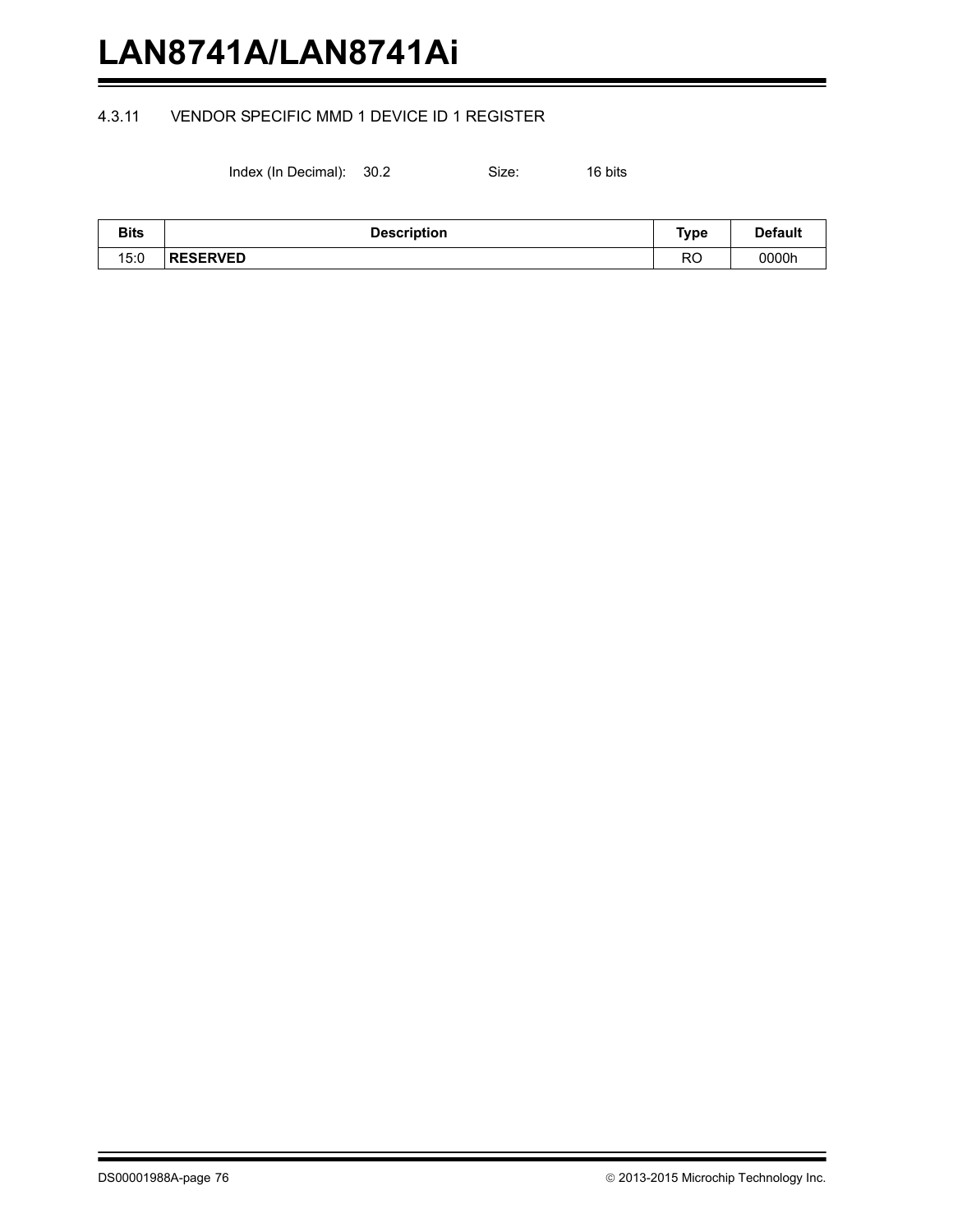# **LAN8741A/LAN8741Ai**

#### 4.3.11 VENDOR SPECIFIC MMD 1 DEVICE ID 1 REGISTER

Index (In Decimal): 30.2 Size: 16 bits

| <b>Bits</b> | <b>Description</b> | Type | <b>Default</b> |
|-------------|--------------------|------|----------------|
| 15:0        | <b>RESERVED</b>    | RC   | 0000h          |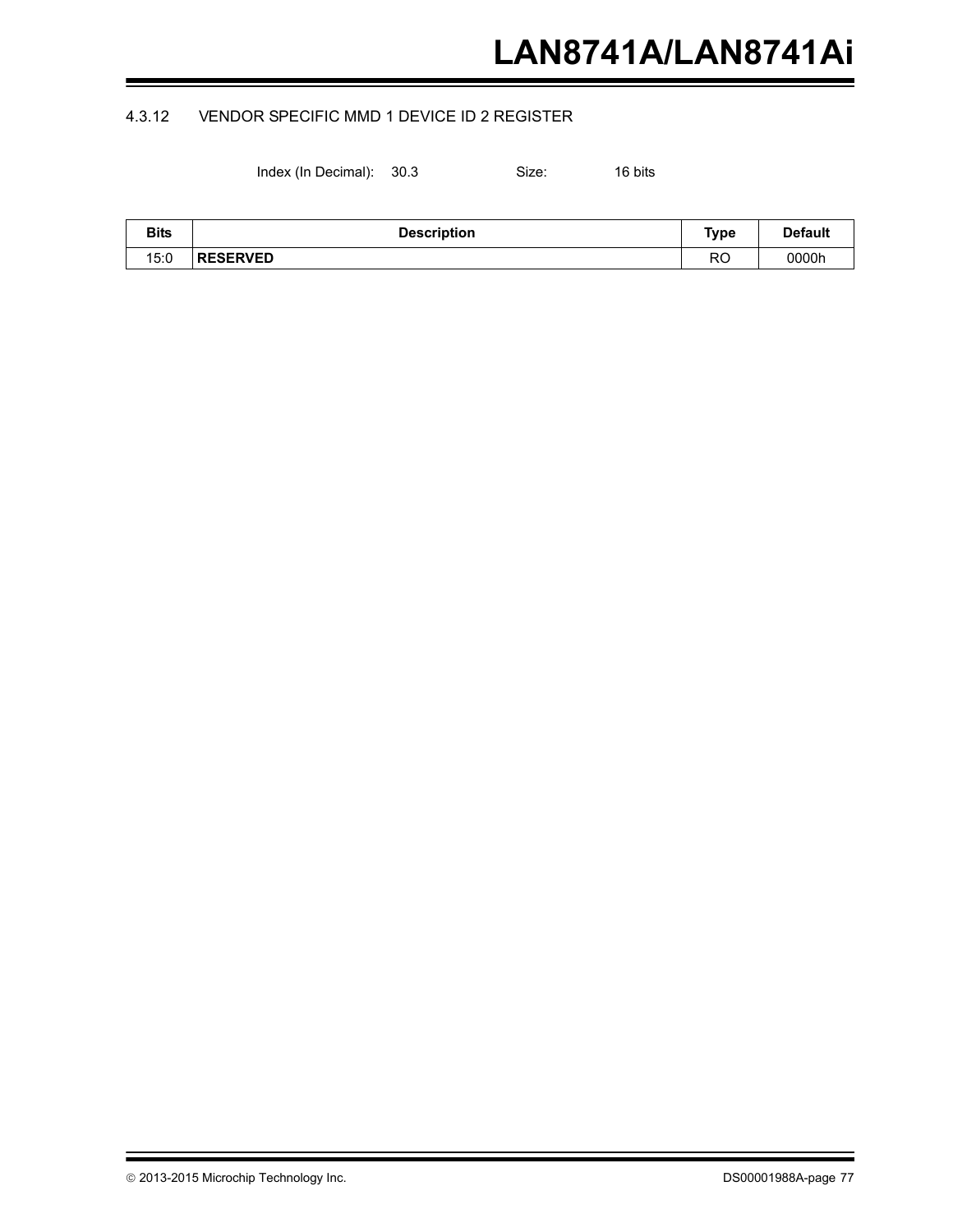#### 4.3.12 VENDOR SPECIFIC MMD 1 DEVICE ID 2 REGISTER

Index (In Decimal): 30.3 Size: 16 bits

| <b>Bits</b> | <b>Description</b> | Type      | <b>Default</b> |
|-------------|--------------------|-----------|----------------|
| 15:0        | <b>RESERVED</b>    | <b>RC</b> | 0000h          |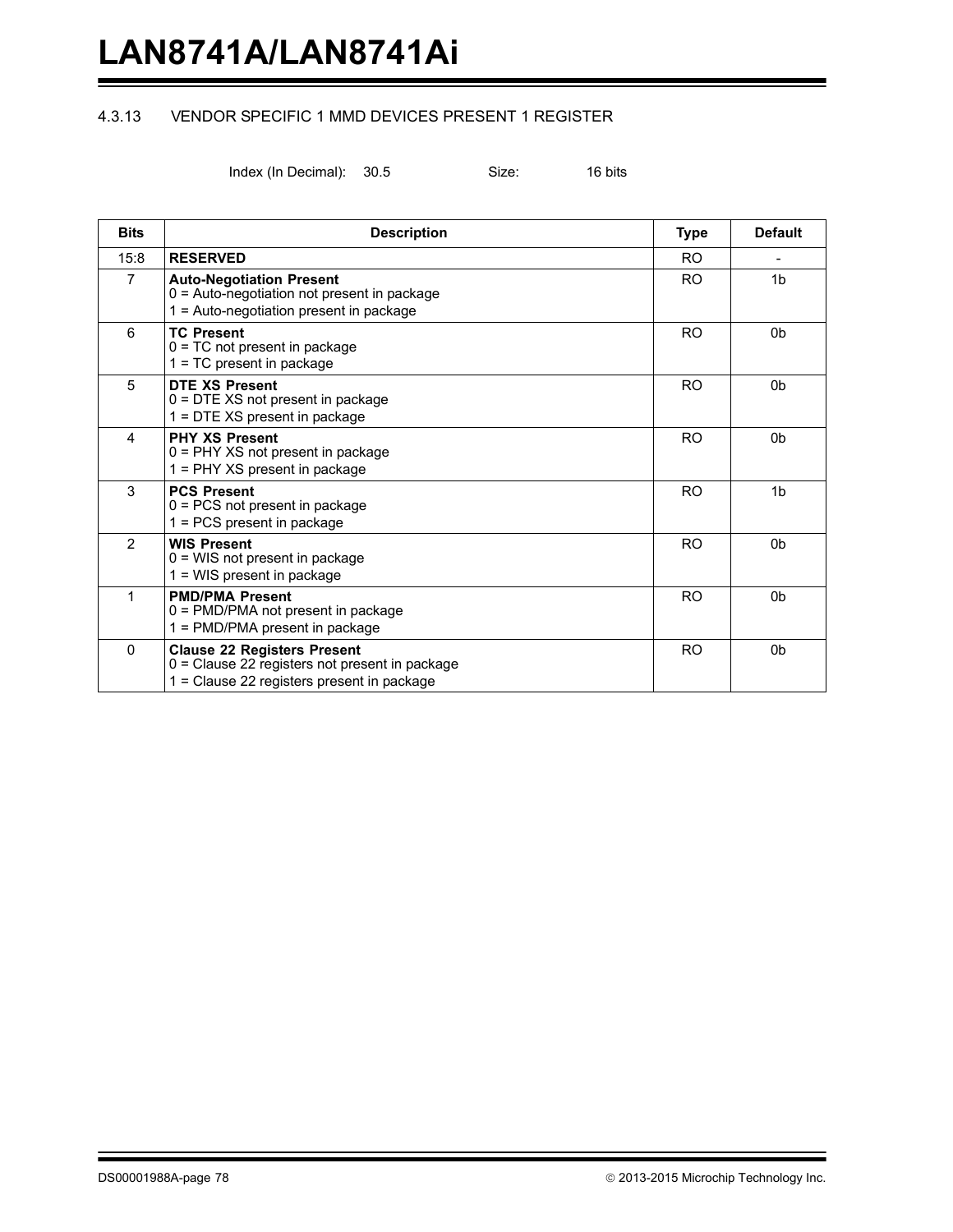#### 4.3.13 VENDOR SPECIFIC 1 MMD DEVICES PRESENT 1 REGISTER

Index (In Decimal): 30.5 Size: 16 bits

| <b>Bits</b>    | <b>Description</b>                                                                                                                 | <b>Type</b>    | <b>Default</b> |
|----------------|------------------------------------------------------------------------------------------------------------------------------------|----------------|----------------|
| 15:8           | <b>RESERVED</b>                                                                                                                    | R <sub>O</sub> |                |
| $\overline{7}$ | <b>Auto-Negotiation Present</b><br>$0 =$ Auto-negotiation not present in package<br>1 = Auto-negotiation present in package        | <b>RO</b>      | 1 <sub>b</sub> |
| 6              | <b>TC Present</b><br>$0 = TC$ not present in package<br>$1 = TC$ present in package                                                | R <sub>O</sub> | 0b             |
| 5              | <b>DTE XS Present</b><br>0 = DTE XS not present in package<br>1 = DTE XS present in package                                        | <b>RO</b>      | 0b             |
| 4              | <b>PHY XS Present</b><br>$0 =$ PHY XS not present in package<br>1 = PHY XS present in package                                      | <b>RO</b>      | 0b             |
| 3              | <b>PCS Present</b><br>$0 = PCS$ not present in package<br>$1 = PCS$ present in package                                             | <b>RO</b>      | 1 <sub>b</sub> |
| $\overline{2}$ | <b>WIS Present</b><br>$0 = WIS$ not present in package<br>1 = WIS present in package                                               | R <sub>O</sub> | 0b             |
| 1              | <b>PMD/PMA Present</b><br>$0 =$ PMD/PMA not present in package<br>1 = PMD/PMA present in package                                   | R <sub>O</sub> | 0b             |
| $\Omega$       | <b>Clause 22 Registers Present</b><br>0 = Clause 22 registers not present in package<br>1 = Clause 22 registers present in package | R <sub>O</sub> | 0b             |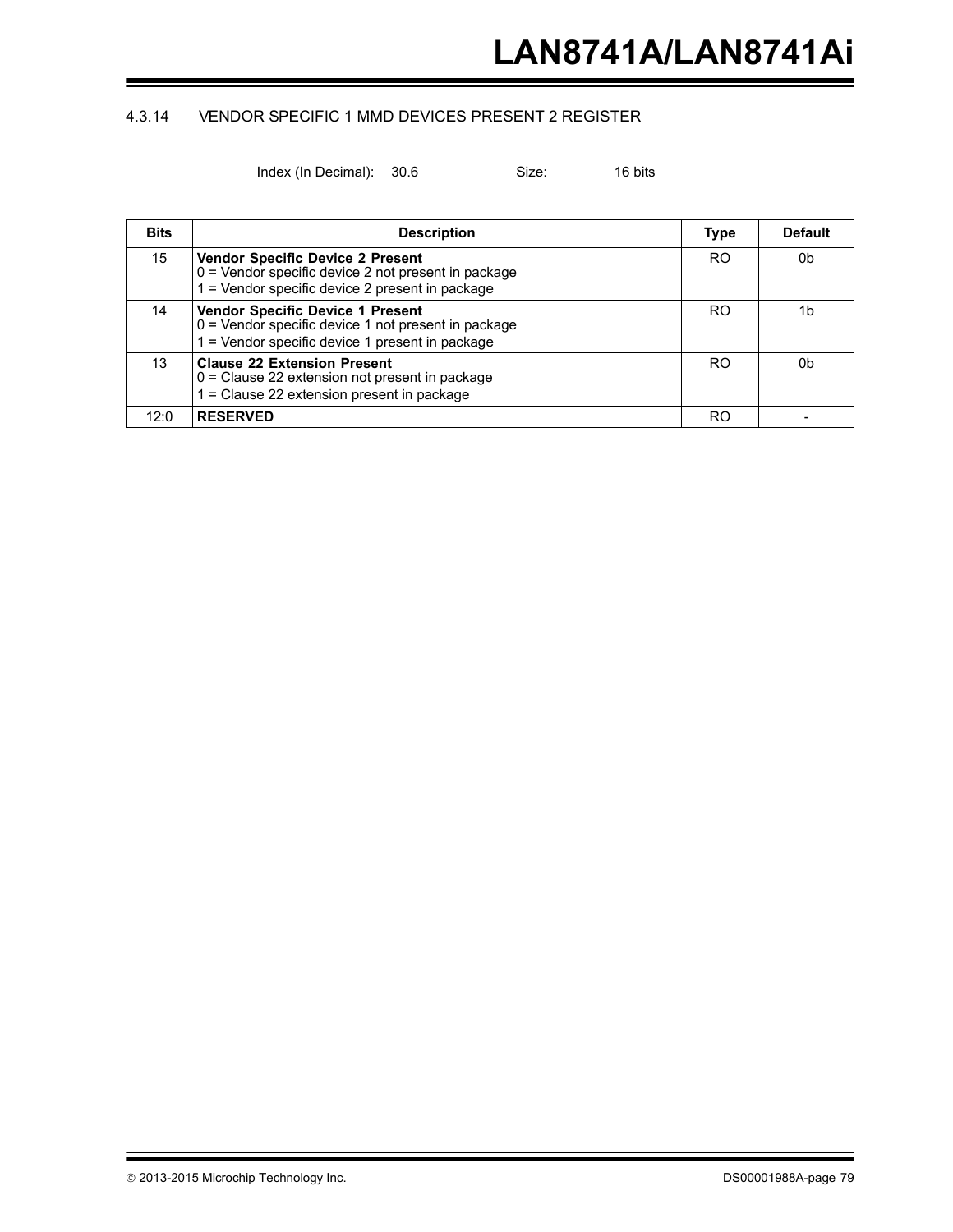#### 4.3.14 VENDOR SPECIFIC 1 MMD DEVICES PRESENT 2 REGISTER

Index (In Decimal): 30.6 Size: 16 bits

| <b>Bits</b> | <b>Description</b>                                                                                                                                | <b>Type</b>    | <b>Default</b> |
|-------------|---------------------------------------------------------------------------------------------------------------------------------------------------|----------------|----------------|
| 15          | <b>Vendor Specific Device 2 Present</b><br>0 = Vendor specific device 2 not present in package<br>1 = Vendor specific device 2 present in package | R <sub>O</sub> | 0b             |
| 14          | <b>Vendor Specific Device 1 Present</b><br>0 = Vendor specific device 1 not present in package<br>1 = Vendor specific device 1 present in package | RO             | 1b             |
| 13          | <b>Clause 22 Extension Present</b><br>$0 =$ Clause 22 extension not present in package<br>1 = Clause 22 extension present in package              | R <sub>O</sub> | 0b             |
| 12:0        | <b>RESERVED</b>                                                                                                                                   | RO             |                |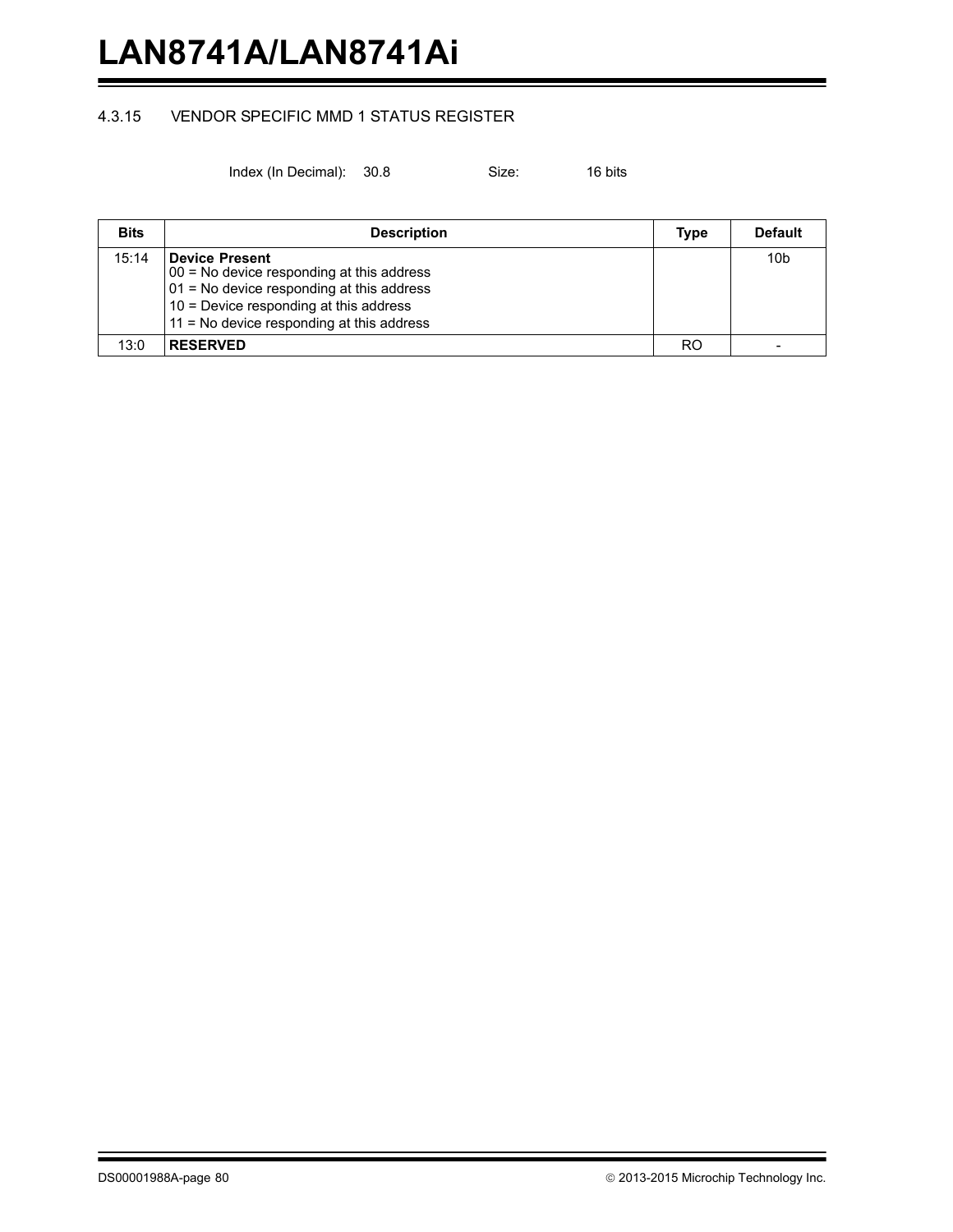#### 4.3.15 VENDOR SPECIFIC MMD 1 STATUS REGISTER

Index (In Decimal): 30.8 Size: 16 bits

| <b>Bits</b> | <b>Description</b>                                                                                                                                                                                             | <b>Type</b>    | <b>Default</b>  |
|-------------|----------------------------------------------------------------------------------------------------------------------------------------------------------------------------------------------------------------|----------------|-----------------|
| 15:14       | <b>Device Present</b><br>$00$ = No device responding at this address<br>$01$ = No device responding at this address<br>$10$ = Device responding at this address<br>$11$ = No device responding at this address |                | 10 <sub>b</sub> |
| 13:0        | <b>RESERVED</b>                                                                                                                                                                                                | R <sub>O</sub> |                 |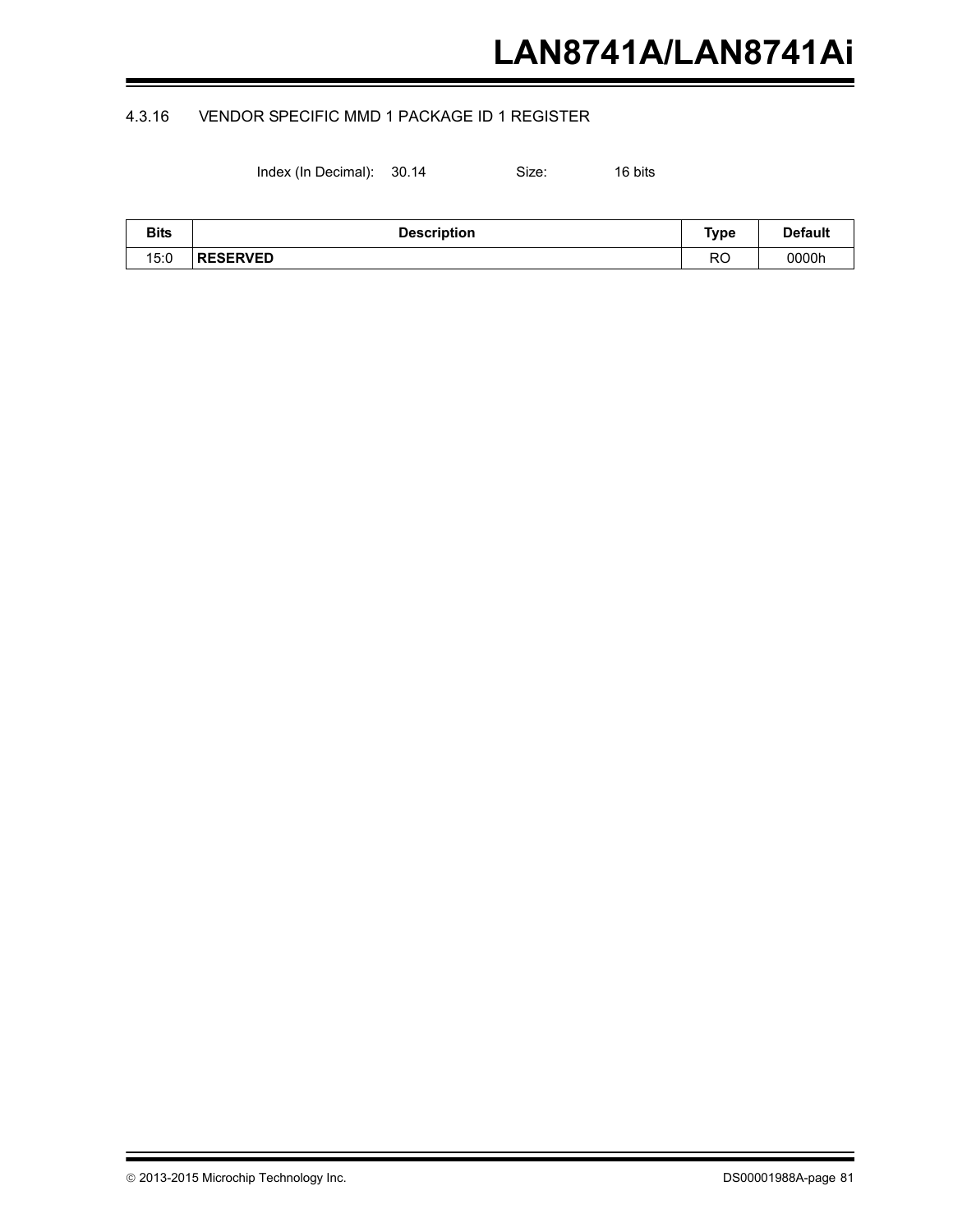#### 4.3.16 VENDOR SPECIFIC MMD 1 PACKAGE ID 1 REGISTER

Index (In Decimal): 30.14 Size: 16 bits

| <b>Bits</b> | <b>Description</b> | Type      | <b>Default</b> |
|-------------|--------------------|-----------|----------------|
| 15:0        | <b>RESERVED</b>    | <b>RC</b> | 0000h          |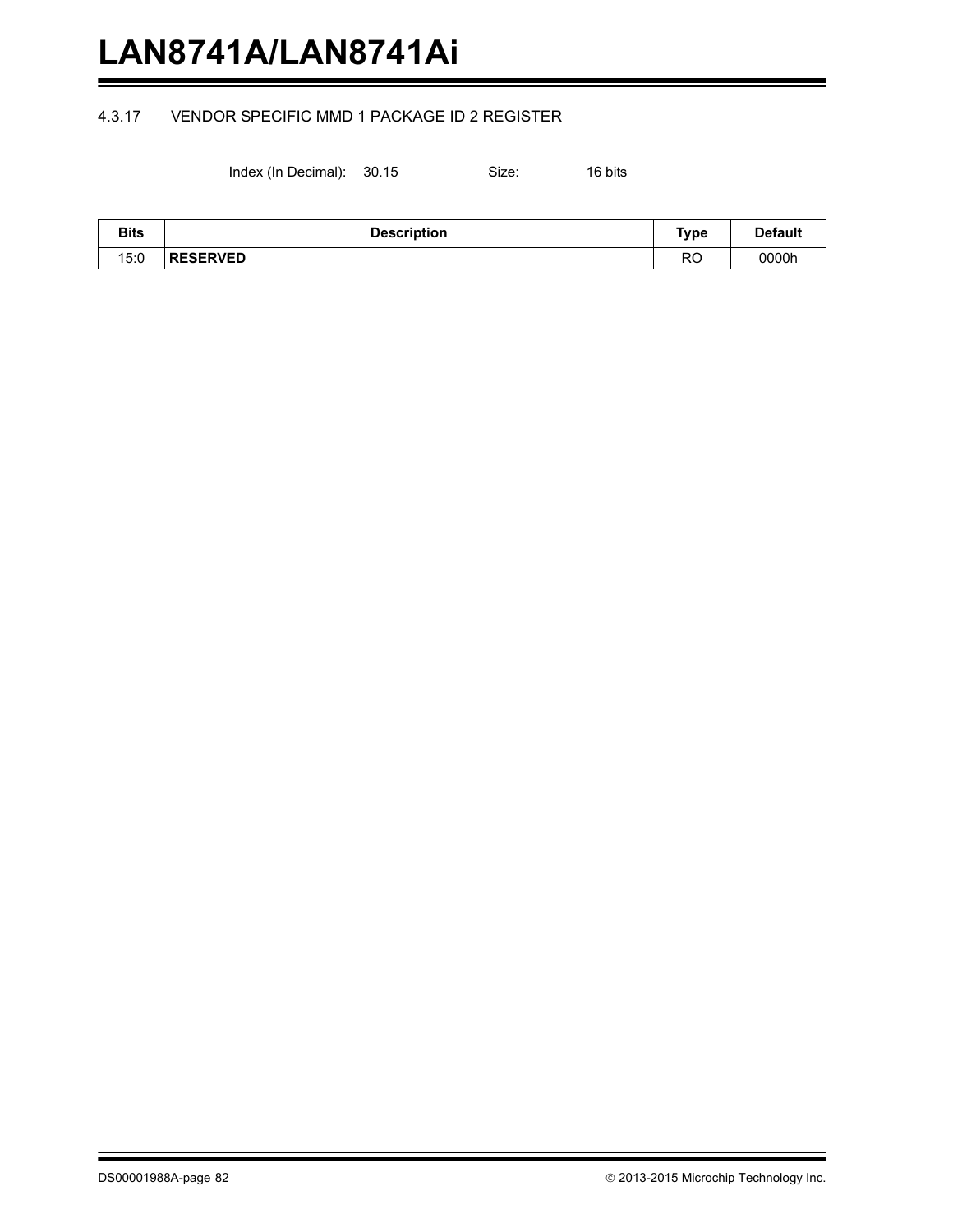# **LAN8741A/LAN8741Ai**

#### 4.3.17 VENDOR SPECIFIC MMD 1 PACKAGE ID 2 REGISTER

Index (In Decimal): 30.15 Size: 16 bits

| <b>Bits</b> | <b>Description</b> | <b>Type</b> | <b>Default</b> |
|-------------|--------------------|-------------|----------------|
| 15:0        | <b>RESERVED</b>    | RC          | 0000h          |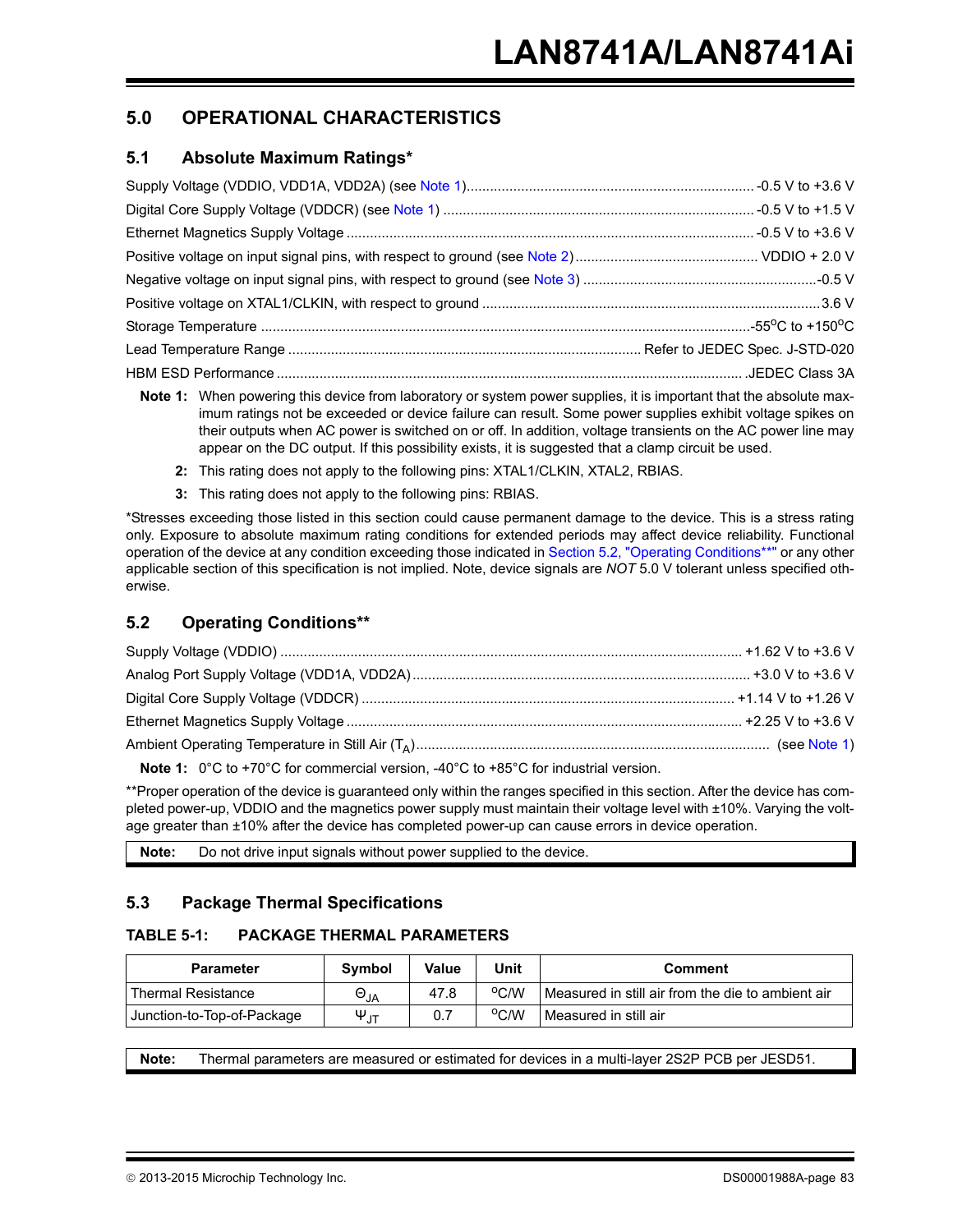## <span id="page-82-5"></span>**5.0 OPERATIONAL CHARACTERISTICS**

### <span id="page-82-6"></span>**5.1 Absolute Maximum Ratings\***

- <span id="page-82-2"></span>**Note 1:** When powering this device from laboratory or system power supplies, it is important that the absolute maximum ratings not be exceeded or device failure can result. Some power supplies exhibit voltage spikes on their outputs when AC power is switched on or off. In addition, voltage transients on the AC power line may appear on the DC output. If this possibility exists, it is suggested that a clamp circuit be used.
	- **2:** This rating does not apply to the following pins: XTAL1/CLKIN, XTAL2, RBIAS.
	- **3:** This rating does not apply to the following pins: RBIAS.

<span id="page-82-4"></span><span id="page-82-3"></span>\*Stresses exceeding those listed in this section could cause permanent damage to the device. This is a stress rating only. Exposure to absolute maximum rating conditions for extended periods may affect device reliability. Functional operation of the device at any condition exceeding those indicated in [Section 5.2, "Operating Conditions\\*\\*"](#page-82-0) or any other applicable section of this specification is not implied. Note, device signals are *NOT* 5.0 V tolerant unless specified otherwise.

### <span id="page-82-0"></span>**5.2 Operating Conditions\*\***

<span id="page-82-1"></span>**Note 1:** 0°C to +70°C for commercial version, -40°C to +85°C for industrial version.

\*\*Proper operation of the device is guaranteed only within the ranges specified in this section. After the device has completed power-up, VDDIO and the magnetics power supply must maintain their voltage level with ±10%. Varying the voltage greater than ±10% after the device has completed power-up can cause errors in device operation.

<span id="page-82-7"></span>**Note:** Do not drive input signals without power supplied to the device.

## **5.3 Package Thermal Specifications**

#### <span id="page-82-8"></span>**TABLE 5-1: PACKAGE THERMAL PARAMETERS**

| <b>Parameter</b>           | <b>Symbol</b>      | Value | Unit | Comment                                             |
|----------------------------|--------------------|-------|------|-----------------------------------------------------|
| <b>Thermal Resistance</b>  | $\Theta_{JA}$      | 47.8  | °C/W | l Measured in still air from the die to ambient air |
| Junction-to-Top-of-Package | $\Psi_{\text{JT}}$ | 0.7   | °C/W | l Measured in still air                             |

**Note:** Thermal parameters are measured or estimated for devices in a multi-layer 2S2P PCB per JESD51.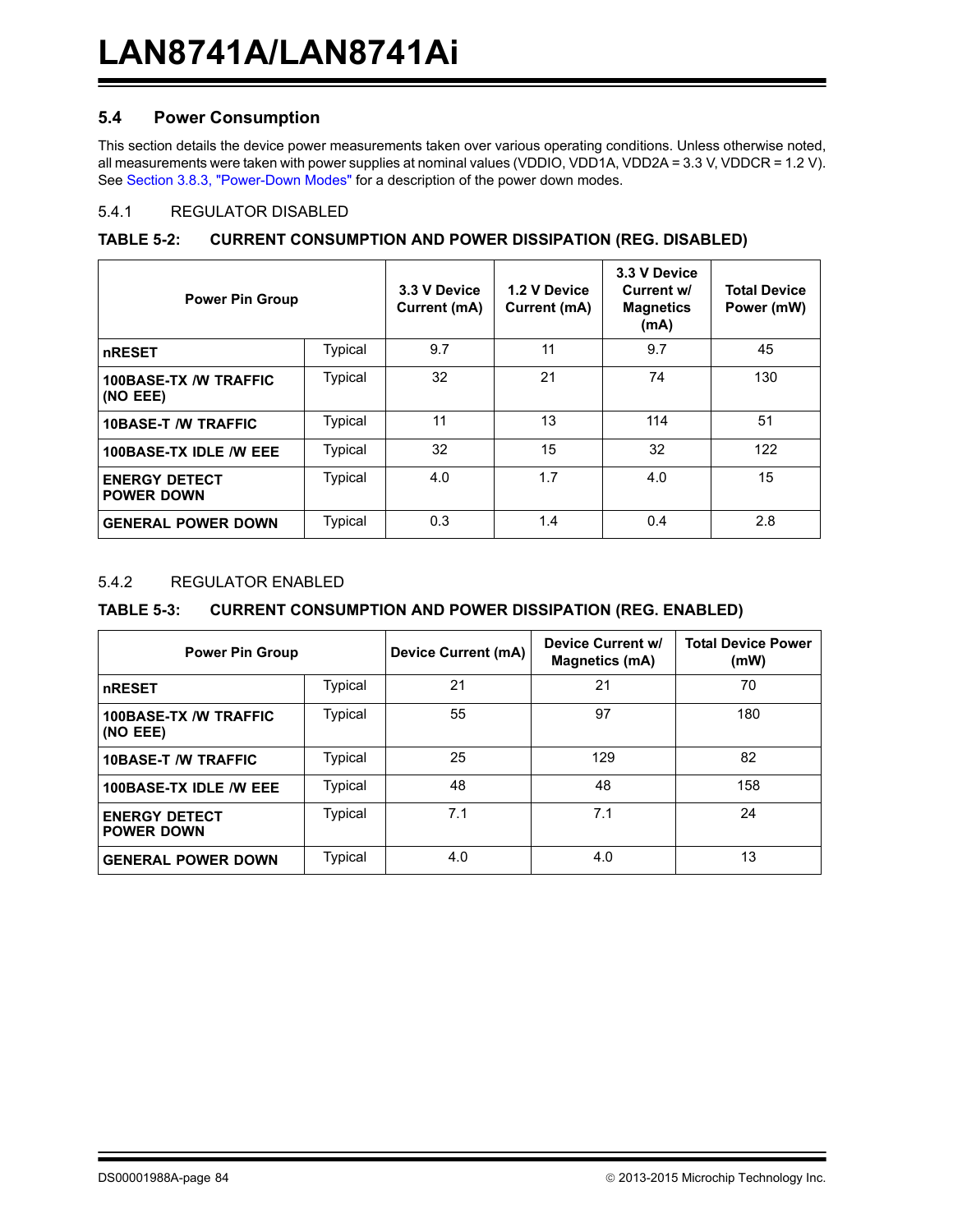#### <span id="page-83-0"></span>**5.4 Power Consumption**

This section details the device power measurements taken over various operating conditions. Unless otherwise noted, all measurements were taken with power supplies at nominal values (VDDIO, VDD1A, VDD2A = 3.3 V, VDDCR = 1.2 V). See [Section 3.8.3, "Power-Down Modes"](#page-33-0) for a description of the power down modes.

#### 5.4.1 REGULATOR DISABLED

#### **TABLE 5-2: CURRENT CONSUMPTION AND POWER DISSIPATION (REG. DISABLED)**

| <b>Power Pin Group</b>                    |                | 3.3 V Device<br>Current (mA) | 1.2 V Device<br>Current (mA) | 3.3 V Device<br>Current w/<br><b>Magnetics</b><br>(mA) | <b>Total Device</b><br>Power (mW) |
|-------------------------------------------|----------------|------------------------------|------------------------------|--------------------------------------------------------|-----------------------------------|
| nRESET                                    | <b>Typical</b> | 9.7                          | 11                           | 9.7                                                    | 45                                |
| <b>100BASE-TX /W TRAFFIC</b><br>(NO EEE)  | <b>Typical</b> | 32                           | 21                           | 74                                                     | 130                               |
| <b>10BASE-T /W TRAFFIC</b>                | <b>Typical</b> | 11                           | 13                           | 114                                                    | 51                                |
| 100BASE-TX IDLE /W EEE                    | Typical        | 32                           | 15                           | 32                                                     | 122                               |
| <b>ENERGY DETECT</b><br><b>POWER DOWN</b> | <b>Typical</b> | 4.0                          | 1.7                          | 4.0                                                    | 15                                |
| <b>GENERAL POWER DOWN</b>                 | <b>Typical</b> | 0.3                          | 1.4                          | 0.4                                                    | 2.8                               |

#### 5.4.2 REGULATOR ENABLED

#### **TABLE 5-3: CURRENT CONSUMPTION AND POWER DISSIPATION (REG. ENABLED)**

| <b>Power Pin Group</b>                    |         | <b>Device Current (mA)</b> | Device Current w/<br><b>Magnetics (mA)</b> | <b>Total Device Power</b><br>(mW) |
|-------------------------------------------|---------|----------------------------|--------------------------------------------|-----------------------------------|
| nRESET                                    | Typical | 21                         | 21                                         | 70                                |
| <b>100BASE-TX /W TRAFFIC</b><br>(NO EEE)  | Typical | 55                         | 97                                         | 180                               |
| <b>10BASE-T /W TRAFFIC</b>                | Typical | 25                         | 129                                        | 82                                |
| 100BASE-TX IDLE /W EEE                    | Typical | 48                         | 48                                         | 158                               |
| <b>ENERGY DETECT</b><br><b>POWER DOWN</b> | Typical | 7.1                        | 7.1                                        | 24                                |
| <b>GENERAL POWER DOWN</b>                 | Typical | 4.0                        | 4.0                                        | 13                                |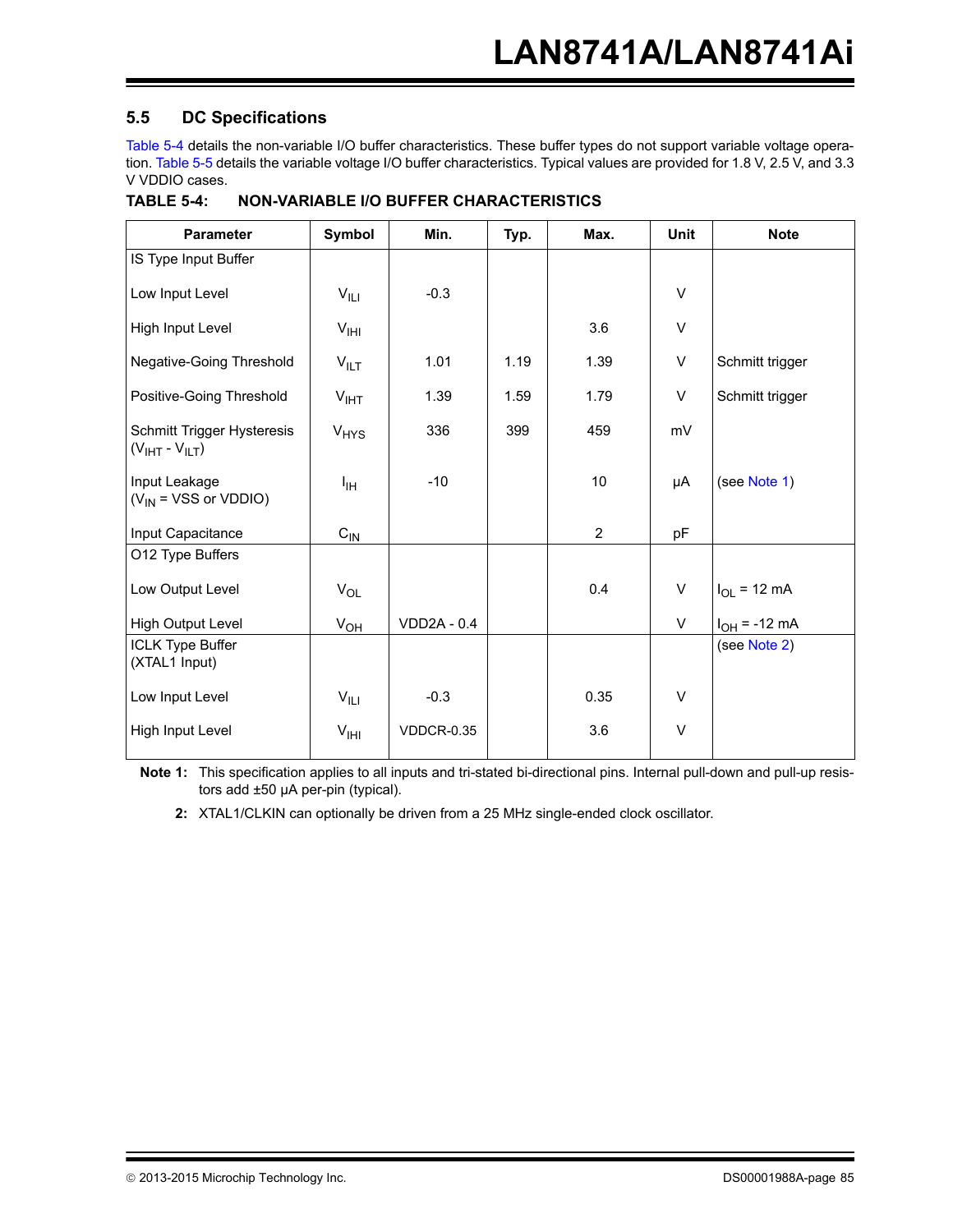## <span id="page-84-3"></span>**5.5 DC Specifications**

[Table 5-4](#page-84-0) details the non-variable I/O buffer characteristics. These buffer types do not support variable voltage operation. [Table 5-5](#page-85-0) details the variable voltage I/O buffer characteristics. Typical values are provided for 1.8 V, 2.5 V, and 3.3 V VDDIO cases.

| <b>Parameter</b>                                    | Symbol                        | Min.               | Typ. | Max.           | Unit   | <b>Note</b>       |
|-----------------------------------------------------|-------------------------------|--------------------|------|----------------|--------|-------------------|
| IS Type Input Buffer                                |                               |                    |      |                |        |                   |
| Low Input Level                                     | $V_{\parallel L}$             | $-0.3$             |      |                | $\vee$ |                   |
| High Input Level                                    | V <sub>HH</sub>               |                    |      | 3.6            | $\vee$ |                   |
| Negative-Going Threshold                            | $V_{\parallel LT}$            | 1.01               | 1.19 | 1.39           | V      | Schmitt trigger   |
| Positive-Going Threshold                            | $V_{IHT}$                     | 1.39               | 1.59 | 1.79           | $\vee$ | Schmitt trigger   |
| Schmitt Trigger Hysteresis<br>$(VIHT - VILT)$       | $V_{HYS}$                     | 336                | 399  | 459            | mV     |                   |
| Input Leakage<br>$(V_{IN} = VSS \text{ or } VDDIO)$ | ŀщ                            | $-10$              |      | 10             | μA     | (see Note 1)      |
| Input Capacitance                                   | $C_{\text{IN}}$               |                    |      | $\overline{2}$ | pF     |                   |
| O12 Type Buffers                                    |                               |                    |      |                |        |                   |
| Low Output Level                                    | $V_{OL}$                      |                    |      | 0.4            | V      | $I_{OL}$ = 12 mA  |
| <b>High Output Level</b>                            | $V_{OH}$                      | <b>VDD2A - 0.4</b> |      |                | V      | $I_{OH}$ = -12 mA |
| ICLK Type Buffer<br>(XTAL1 Input)                   |                               |                    |      |                |        | (see Note 2)      |
| Low Input Level                                     | $V_{\parallel\perp\parallel}$ | $-0.3$             |      | 0.35           | V      |                   |
| High Input Level                                    | V <sub>HH</sub>               | VDDCR-0.35         |      | 3.6            | V      |                   |

<span id="page-84-0"></span>**TABLE 5-4: NON-VARIABLE I/O BUFFER CHARACTERISTICS**

<span id="page-84-2"></span><span id="page-84-1"></span>**Note 1:** This specification applies to all inputs and tri-stated bi-directional pins. Internal pull-down and pull-up resistors add ±50 µA per-pin (typical).

**2:** XTAL1/CLKIN can optionally be driven from a 25 MHz single-ended clock oscillator.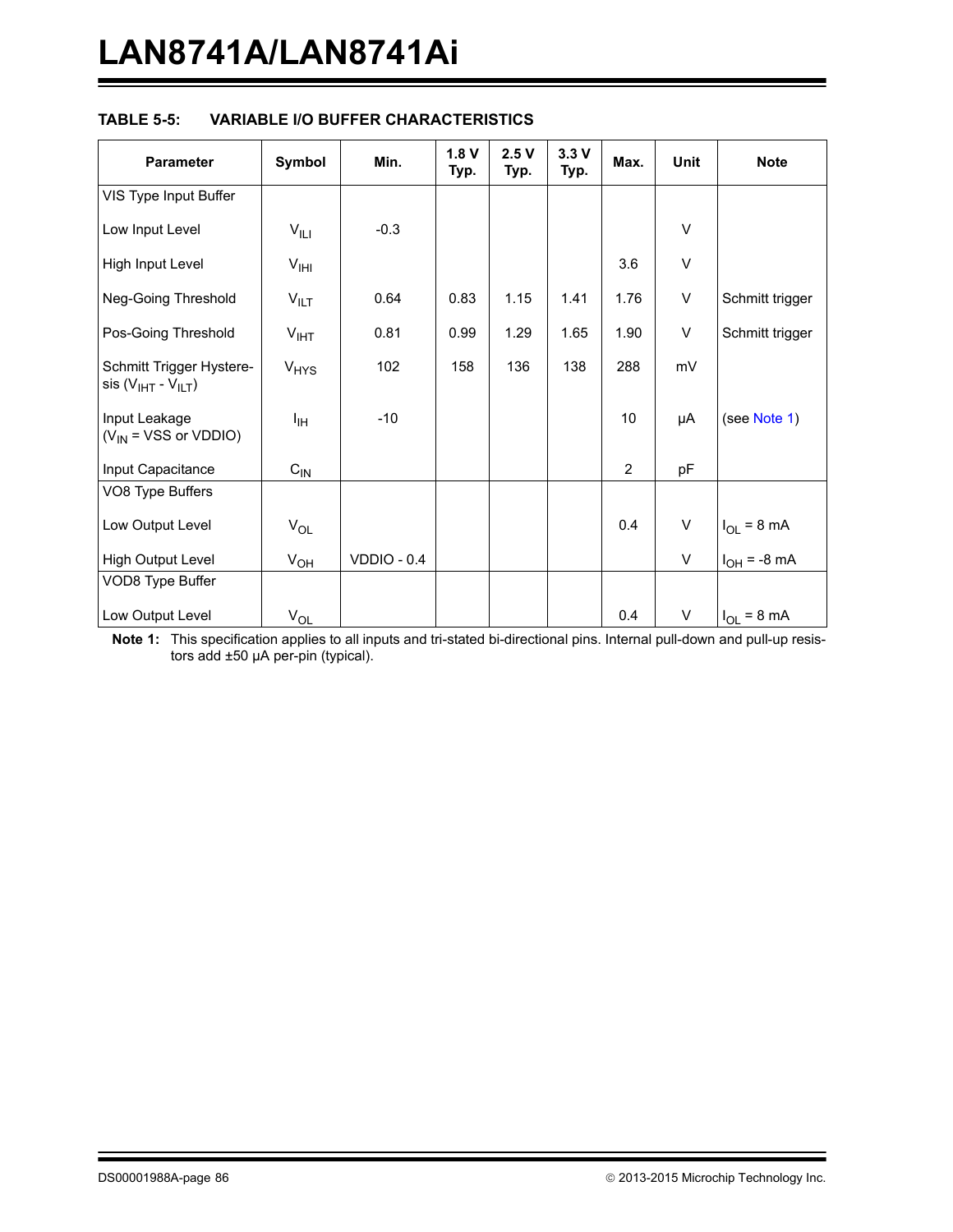| Parameter                                             | Symbol                 | Min.        | 1.8V<br>Typ. | 2.5V<br>Typ. | 3.3V<br>Typ. | Max.           | Unit    | <b>Note</b>      |
|-------------------------------------------------------|------------------------|-------------|--------------|--------------|--------------|----------------|---------|------------------|
| VIS Type Input Buffer                                 |                        |             |              |              |              |                |         |                  |
| Low Input Level                                       | $V_{\parallel L}$      | $-0.3$      |              |              |              |                | $\sf V$ |                  |
| High Input Level                                      | $V_{\text{IHI}}$       |             |              |              |              | 3.6            | V       |                  |
| Neg-Going Threshold                                   | $V_{\text{ILT}}$       | 0.64        | 0.83         | 1.15         | 1.41         | 1.76           | V       | Schmitt trigger  |
| Pos-Going Threshold                                   | $V_{IHT}$              | 0.81        | 0.99         | 1.29         | 1.65         | 1.90           | V       | Schmitt trigger  |
| Schmitt Trigger Hystere-<br>sis $(V_{IHT} - V_{ILT})$ | <b>V<sub>HYS</sub></b> | 102         | 158          | 136          | 138          | 288            | mV      |                  |
| Input Leakage<br>$(V_{IN} = VSS \text{ or } VDDIO)$   | Iн                     | $-10$       |              |              |              | 10             | μA      | (see Note 1)     |
| Input Capacitance                                     | $C_{I\underline{N}}$   |             |              |              |              | $\overline{2}$ | pF      |                  |
| VO8 Type Buffers                                      |                        |             |              |              |              |                |         |                  |
| Low Output Level                                      | $V_{OL}$               |             |              |              |              | 0.4            | V       | $I_{OL}$ = 8 mA  |
| High Output Level                                     | $V_{OH}$               | VDDIO - 0.4 |              |              |              |                | V       | $I_{OH} = -8$ mA |
| VOD8 Type Buffer                                      |                        |             |              |              |              |                |         |                  |
| Low Output Level                                      | $V_{OL}$               |             |              |              |              | 0.4            | V       | $I_{OL}$ = 8 mA  |

#### <span id="page-85-0"></span>**TABLE 5-5: VARIABLE I/O BUFFER CHARACTERISTICS**

<span id="page-85-1"></span>Note 1: This specification applies to all inputs and tri-stated bi-directional pins. Internal pull-down and pull-up resistors add ±50 µA per-pin (typical).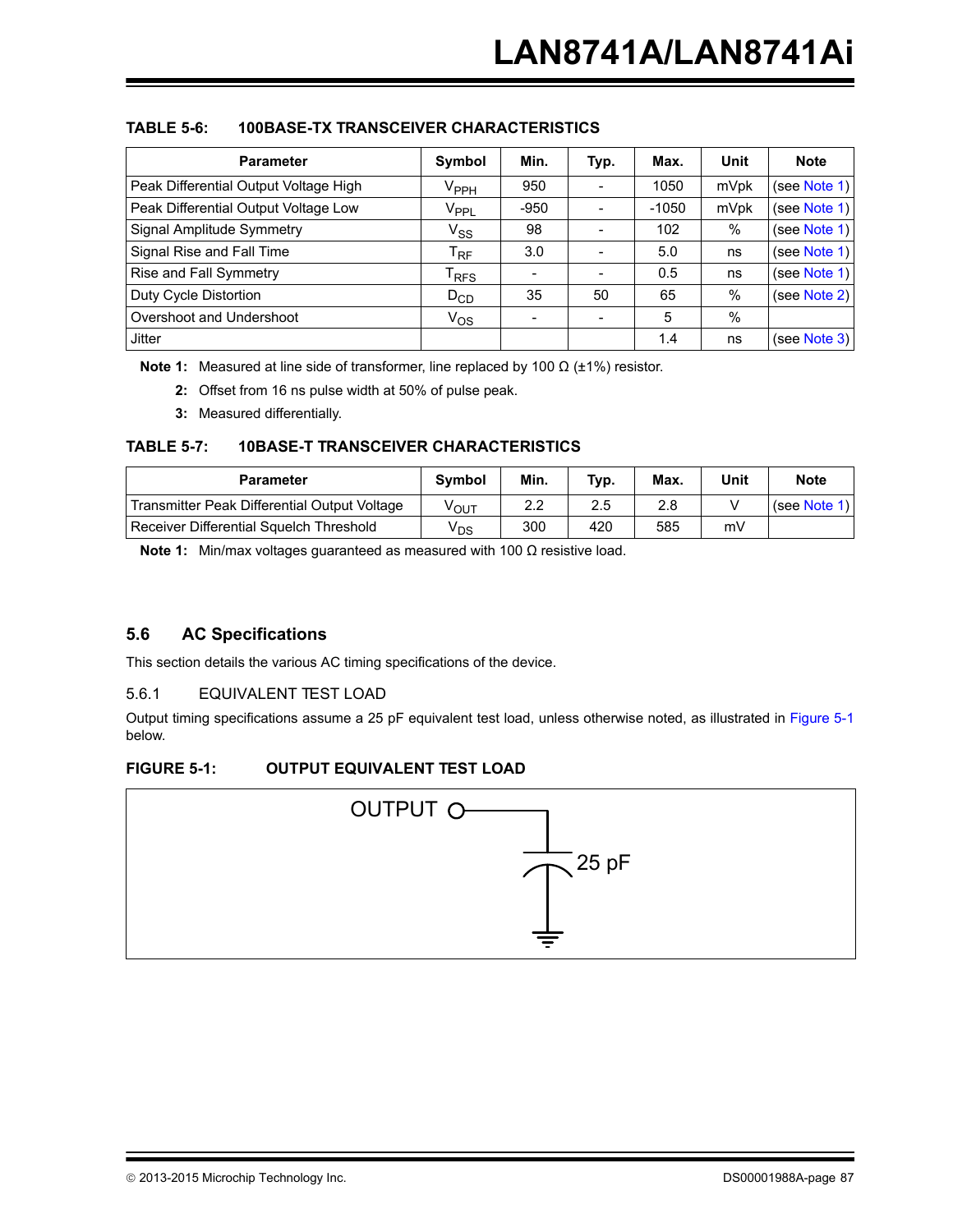#### **TABLE 5-6: 100BASE-TX TRANSCEIVER CHARACTERISTICS**

| <b>Parameter</b>                      | Symbol                      | Min.   | Typ.                         | Max.    | Unit | <b>Note</b>  |
|---------------------------------------|-----------------------------|--------|------------------------------|---------|------|--------------|
| Peak Differential Output Voltage High | $\rm V_{PPH}$               | 950    |                              | 1050    | mVpk | (see Note 1) |
| Peak Differential Output Voltage Low  | $\mathsf{V}_{\mathsf{PPL}}$ | $-950$ |                              | $-1050$ | mVpk | (see Note 1) |
| Signal Amplitude Symmetry             | $V_{SS}$                    | 98     |                              | 102     | %    | (see Note 1) |
| Signal Rise and Fall Time             | $T_{\sf RF}$                | 3.0    | $\qquad \qquad \blacksquare$ | 5.0     | ns   | (see Note 1) |
| Rise and Fall Symmetry                | $\mathsf{T}_{\mathsf{RFS}}$ |        | $\overline{\phantom{a}}$     | 0.5     | ns   | (see Note 1) |
| Duty Cycle Distortion                 | $D_{CD}$                    | 35     | 50                           | 65      | $\%$ | (see Note 2) |
| Overshoot and Undershoot              | $V_{OS}$                    |        | $\overline{\phantom{a}}$     | 5       | %    |              |
| <b>Jitter</b>                         |                             |        |                              | 1.4     | ns   | (see Note 3) |

<span id="page-86-1"></span><span id="page-86-0"></span>**Note 1:** Measured at line side of transformer, line replaced by 100 Ω (±1%) resistor.

- **2:** Offset from 16 ns pulse width at 50% of pulse peak.
- **3:** Measured differentially.

#### <span id="page-86-2"></span>**TABLE 5-7: 10BASE-T TRANSCEIVER CHARACTERISTICS**

| <b>Parameter</b>                             | <b>Symbol</b>    | Min. | Тур. | Max. | Unit | <b>Note</b>      |
|----------------------------------------------|------------------|------|------|------|------|------------------|
| Transmitter Peak Differential Output Voltage | V <sub>OUT</sub> | 2.2  | 2.5  | 2.8  |      | l (see Note 1) l |
| Receiver Differential Squelch Threshold      | ∨ps              | 300  | 420  | 585  | mV   |                  |

<span id="page-86-3"></span>**Note 1:** Min/max voltages guaranteed as measured with 100 Ω resistive load.

#### <span id="page-86-5"></span>**5.6 AC Specifications**

This section details the various AC timing specifications of the device.

#### 5.6.1 EQUIVALENT TEST LOAD

Output timing specifications assume a 25 pF equivalent test load, unless otherwise noted, as illustrated in [Figure 5-1](#page-86-4) below.

#### <span id="page-86-4"></span>**FIGURE 5-1: OUTPUT EQUIVALENT TEST LOAD**

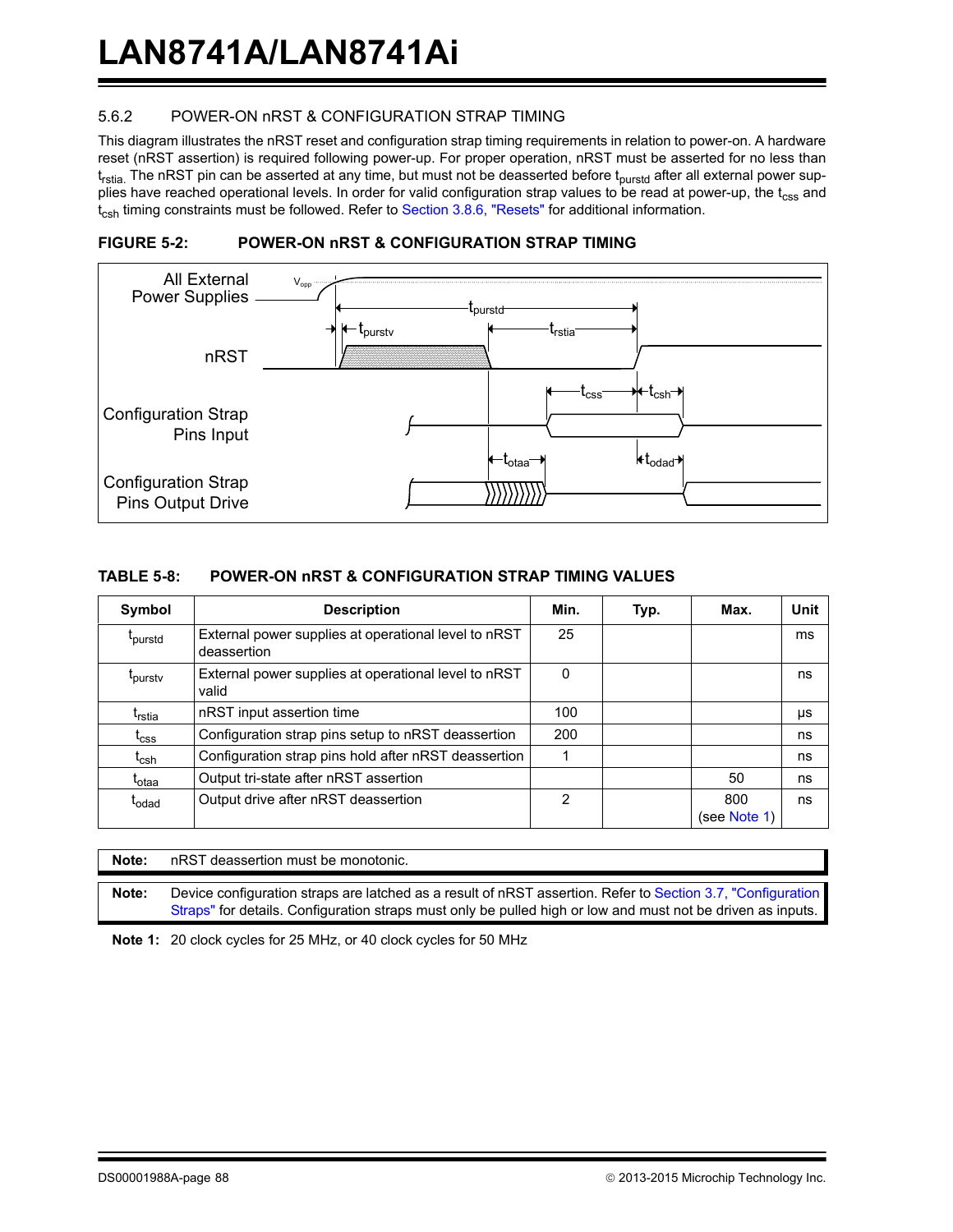#### 5.6.2 POWER-ON nRST & CONFIGURATION STRAP TIMING

This diagram illustrates the nRST reset and configuration strap timing requirements in relation to power-on. A hardware reset (nRST assertion) is required following power-up. For proper operation, nRST must be asserted for no less than  $t_{rstia}$ . The nRST pin can be asserted at any time, but must not be deasserted before  $t_{purstd}$  after all external power supplies have reached operational levels. In order for valid configuration strap values to be read at power-up, the  $t_{\rm ess}$  and  $t_{\text{csh}}$  timing constraints must be followed. Refer to [Section 3.8.6, "Resets"](#page-34-0) for additional information.



#### **FIGURE 5-2: POWER-ON nRST & CONFIGURATION STRAP TIMING**

#### **TABLE 5-8: POWER-ON nRST & CONFIGURATION STRAP TIMING VALUES**

| Symbol                      | <b>Description</b>                                                  | Min.     | Typ. | Max.                | Unit |
|-----------------------------|---------------------------------------------------------------------|----------|------|---------------------|------|
| <sup>L</sup> purstd         | External power supplies at operational level to nRST<br>deassertion | 25       |      |                     | ms   |
| <sup>L</sup> purstv         | External power supplies at operational level to nRST<br>valid       | $\Omega$ |      |                     | ns   |
| t <sub>rstia</sub>          | nRST input assertion time                                           | 100      |      |                     | μs   |
| $\mathfrak{r}_{\text{CSS}}$ | Configuration strap pins setup to nRST deassertion                  | 200      |      |                     | ns   |
| t <sub>csh</sub>            | Configuration strap pins hold after nRST deassertion                |          |      |                     | ns   |
| t <sub>otaa</sub>           | Output tri-state after nRST assertion                               |          |      | 50                  | ns   |
| t <sub>odad</sub>           | Output drive after nRST deassertion                                 | 2        |      | 800<br>(see Note 1) | ns   |

**Note:** nRST deassertion must be monotonic.

**Note:** Device configuration straps are latched as a result of nRST assertion. Refer to [Section 3.7, "Configuration](#page-29-0) [Straps"](#page-29-0) for details. Configuration straps must only be pulled high or low and must not be driven as inputs.

<span id="page-87-0"></span>**Note 1:** 20 clock cycles for 25 MHz, or 40 clock cycles for 50 MHz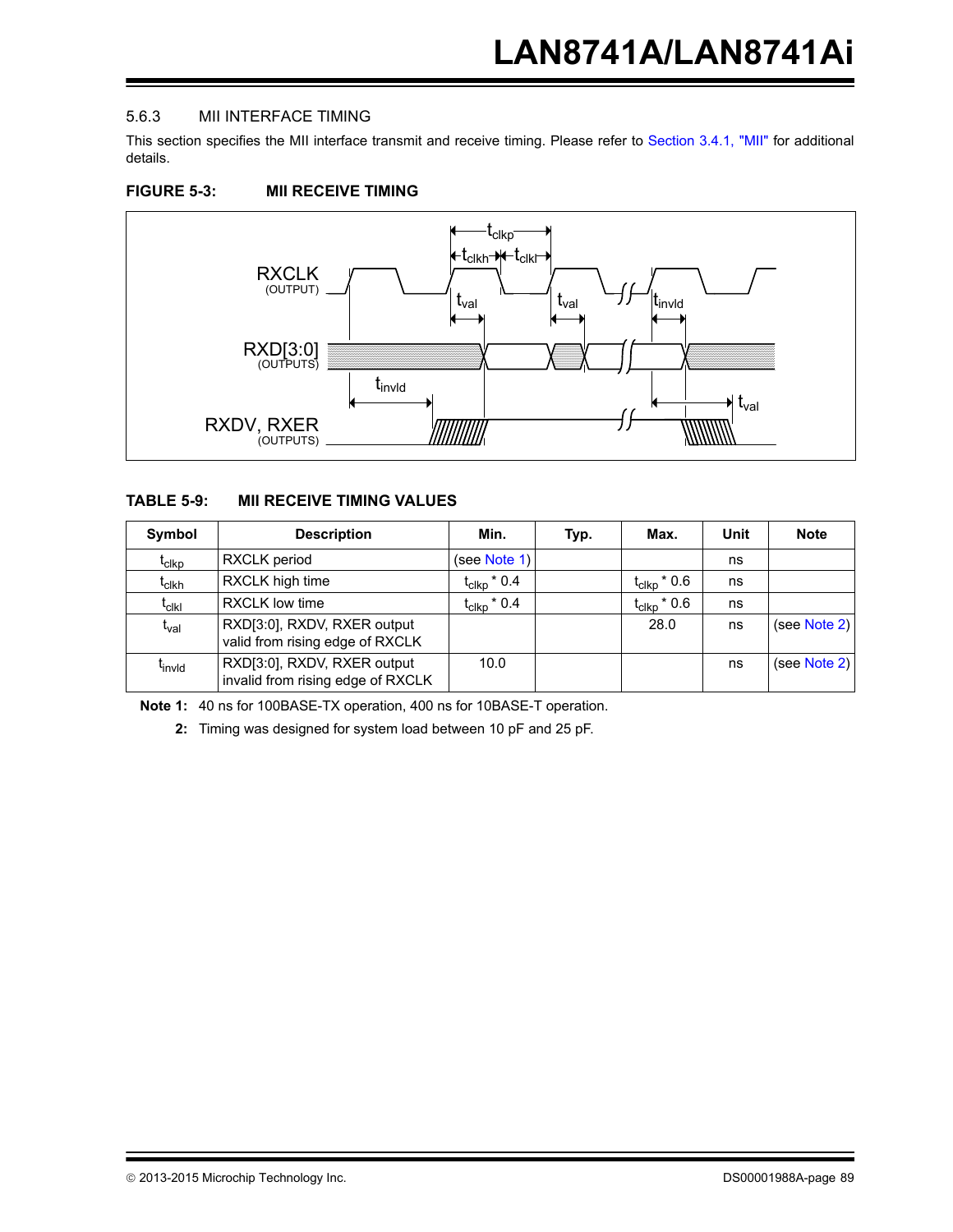#### 5.6.3 MII INTERFACE TIMING

This section specifies the MII interface transmit and receive timing. Please refer to [Section 3.4.1, "MII"](#page-23-0) for additional details.

#### **FIGURE 5-3: MII RECEIVE TIMING**



#### **TABLE 5-9: MII RECEIVE TIMING VALUES**

| Symbol                       | <b>Description</b>                                               | Min.                      | Typ. | Max.                    | Unit | <b>Note</b>  |
|------------------------------|------------------------------------------------------------------|---------------------------|------|-------------------------|------|--------------|
| t <sub>clkp</sub>            | RXCLK period                                                     | (see Note 1)              |      |                         | ns   |              |
| t <sub>clkh</sub>            | RXCLK high time                                                  | $t_{\text{clkp}}$ $*$ 0.4 |      | t <sub>clkp</sub> * 0.6 | ns   |              |
| $\mathfrak{t}_{\text{clkl}}$ | <b>RXCLK</b> low time                                            | $t_{\text{clkp}}$ $*$ 0.4 |      | t <sub>clkp</sub> * 0.6 | ns   |              |
| t <sub>val</sub>             | RXD[3:0], RXDV, RXER output<br>valid from rising edge of RXCLK   |                           |      | 28.0                    | ns   | (see Note 2) |
| t <sub>invld</sub>           | RXD[3:0], RXDV, RXER output<br>invalid from rising edge of RXCLK | 10.0                      |      |                         | ns   | (see Note 2) |

<span id="page-88-1"></span><span id="page-88-0"></span>**Note 1:** 40 ns for 100BASE-TX operation, 400 ns for 10BASE-T operation.

**2:** Timing was designed for system load between 10 pF and 25 pF.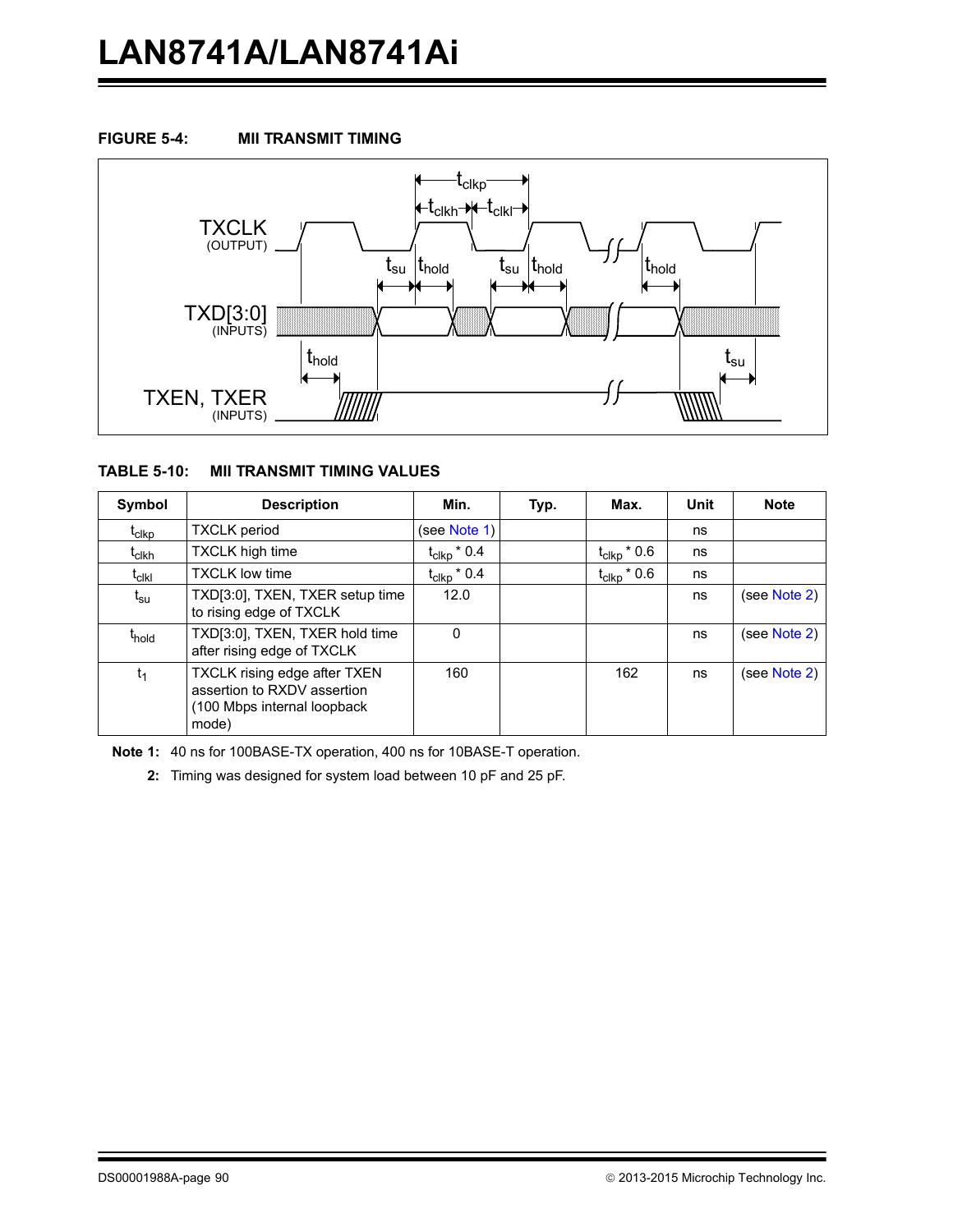#### **FIGURE 5-4: MII TRANSMIT TIMING**



#### **TABLE 5-10: MII TRANSMIT TIMING VALUES**

| Symbol                       | <b>Description</b>                                                                                   | Min.                  | Typ. | Max.                  | Unit | <b>Note</b>  |
|------------------------------|------------------------------------------------------------------------------------------------------|-----------------------|------|-----------------------|------|--------------|
| t <sub>clkp</sub>            | <b>TXCLK</b> period                                                                                  | (see Note 1)          |      |                       | ns   |              |
| $t_{\text{Clkh}}$            | <b>TXCLK</b> high time                                                                               | $t_{\sf{Clkp}}$ * 0.4 |      | $t_{\sf{Clkp}}$ * 0.6 | ns   |              |
| $\mathfrak{t}_{\text{Clkl}}$ | <b>TXCLK</b> low time                                                                                | $t_{\sf{Clkp}}$ * 0.4 |      | $t_{\sf{Clkp}}$ * 0.6 | ns   |              |
| $\mathfrak{t}_{\mathsf{su}}$ | TXD[3:0], TXEN, TXER setup time<br>to rising edge of TXCLK                                           | 12.0                  |      |                       | ns   | (see Note 2) |
| t <sub>hold</sub>            | TXD[3:0], TXEN, TXER hold time<br>after rising edge of TXCLK                                         | $\Omega$              |      |                       | ns   | (see Note 2) |
| $t_1$                        | TXCLK rising edge after TXEN<br>assertion to RXDV assertion<br>(100 Mbps internal loopback)<br>mode) | 160                   |      | 162                   | ns   | (see Note 2) |

<span id="page-89-1"></span><span id="page-89-0"></span>**Note 1:** 40 ns for 100BASE-TX operation, 400 ns for 10BASE-T operation.

**2:** Timing was designed for system load between 10 pF and 25 pF.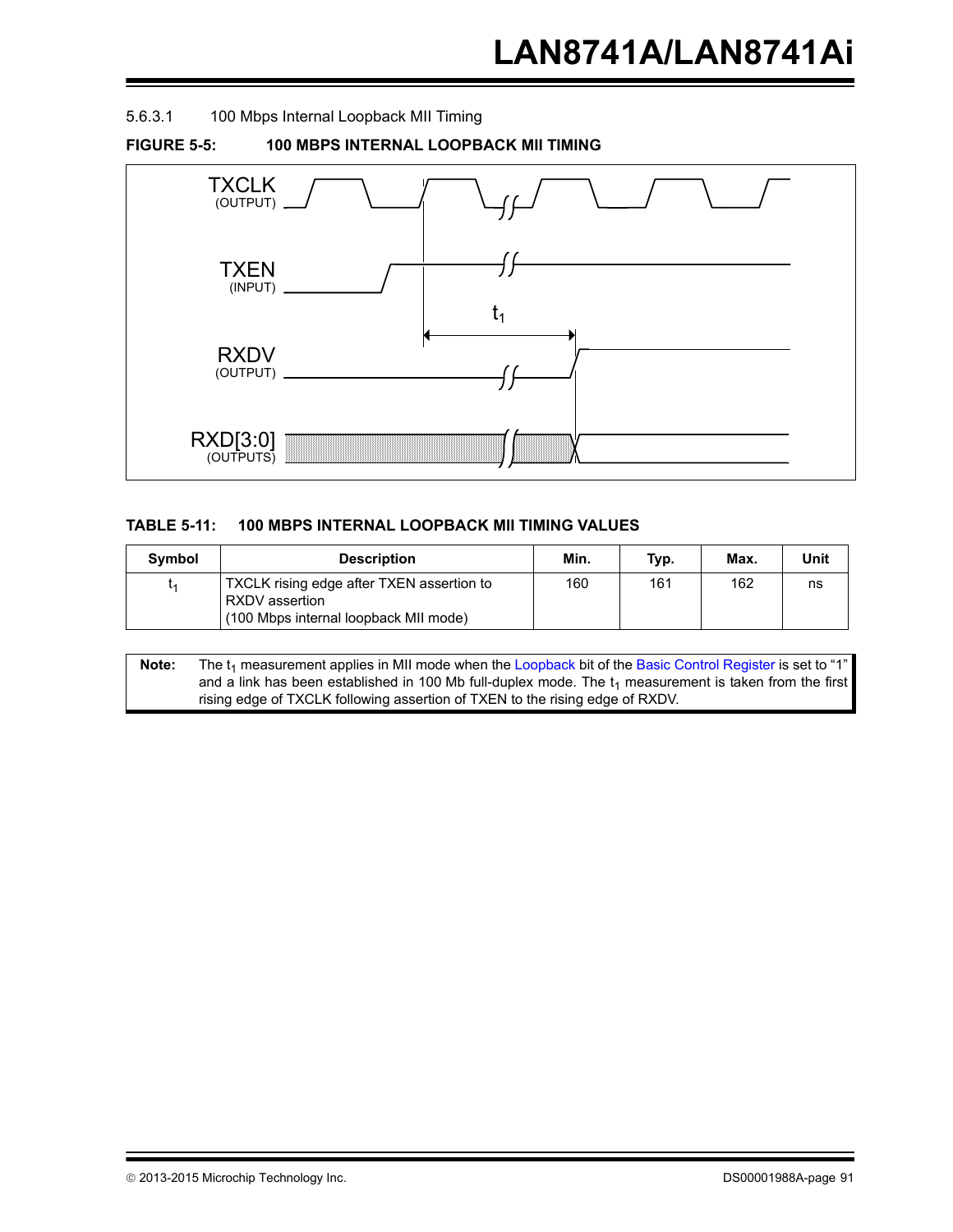#### <span id="page-90-0"></span>5.6.3.1 100 Mbps Internal Loopback MII Timing





#### **TABLE 5-11: 100 MBPS INTERNAL LOOPBACK MII TIMING VALUES**

| Symbol | <b>Description</b>                                                                                            | Min. | Typ. | Max. | Unit |
|--------|---------------------------------------------------------------------------------------------------------------|------|------|------|------|
|        | <b>TXCLK</b> rising edge after TXEN assertion to<br>I RXDV assertion<br>(100 Mbps internal loopback MII mode) | 160  | 161  | 162  | ns   |

Note: The t<sub>1</sub> measurement applies in MII mode when the [Loopback](#page-45-0) bit of the [Basic Control Register](#page-45-1) is set to "1" and a link has been established in 100 Mb full-duplex mode. The  $t_1$  measurement is taken from the first rising edge of TXCLK following assertion of TXEN to the rising edge of RXDV.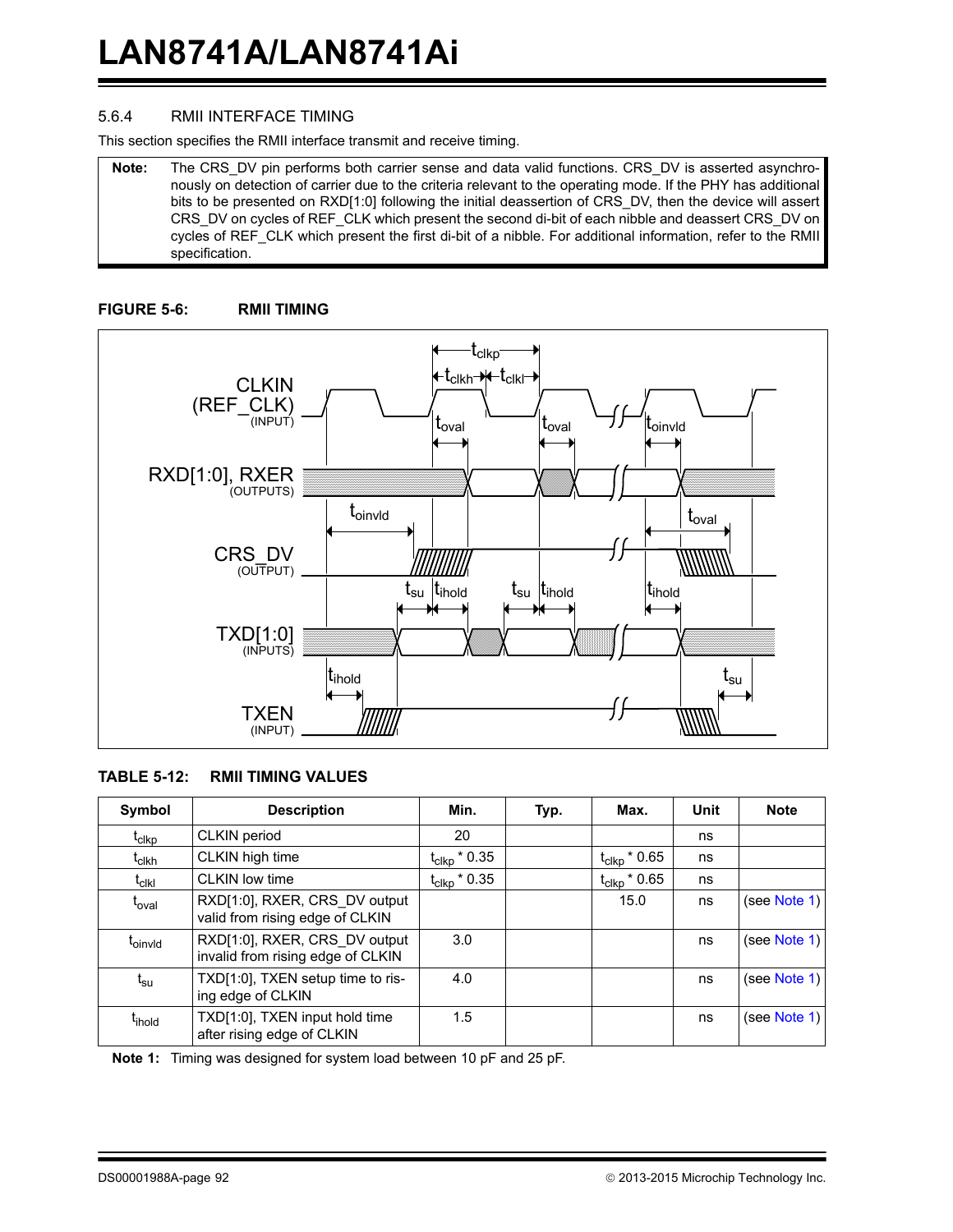#### <span id="page-91-1"></span>5.6.4 RMII INTERFACE TIMING

This section specifies the RMII interface transmit and receive timing.

**Note:** The CRS DV pin performs both carrier sense and data valid functions. CRS DV is asserted asynchronously on detection of carrier due to the criteria relevant to the operating mode. If the PHY has additional bits to be presented on RXD[1:0] following the initial deassertion of CRS\_DV, then the device will assert CRS\_DV on cycles of REF\_CLK which present the second di-bit of each nibble and deassert CRS\_DV on cycles of REF\_CLK which present the first di-bit of a nibble. For additional information, refer to the RMII specification.





#### **TABLE 5-12: RMII TIMING VALUES**

| Symbol                       | <b>Description</b>                                                 | Min.                     | Typ. | Max.                                | Unit | <b>Note</b>  |
|------------------------------|--------------------------------------------------------------------|--------------------------|------|-------------------------------------|------|--------------|
| t <sub>clkp</sub>            | CLKIN period                                                       | 20                       |      |                                     | ns   |              |
| t <sub>clkh</sub>            | CLKIN high time                                                    | $t_{\sf{clkp}}$ * 0.35   |      | $\mathrm{t_{\mathrm{clkp}}}$ * 0.65 | ns   |              |
| $t_{c}$ <sub>Ikl</sub>       | CLKIN low time                                                     | $t_{\text{clkp}}$ * 0.35 |      | $\mathrm{t_{\mathrm{clkp}}}$ * 0.65 | ns   |              |
| t <sub>oval</sub>            | RXD[1:0], RXER, CRS DV output<br>valid from rising edge of CLKIN   |                          |      | 15.0                                | ns   | (see Note 1) |
| t <sub>oinvid</sub>          | RXD[1:0], RXER, CRS DV output<br>invalid from rising edge of CLKIN | 3.0                      |      |                                     | ns   | (see Note 1) |
| $\mathfrak{t}_{\mathsf{su}}$ | TXD[1:0], TXEN setup time to ris-<br>ing edge of CLKIN             | 4.0                      |      |                                     | ns   | (see Note 1) |
| t <sub>ihold</sub>           | TXD[1:0], TXEN input hold time<br>after rising edge of CLKIN       | 1.5                      |      |                                     | ns   | (see Note 1) |

<span id="page-91-0"></span>**Note 1:** Timing was designed for system load between 10 pF and 25 pF.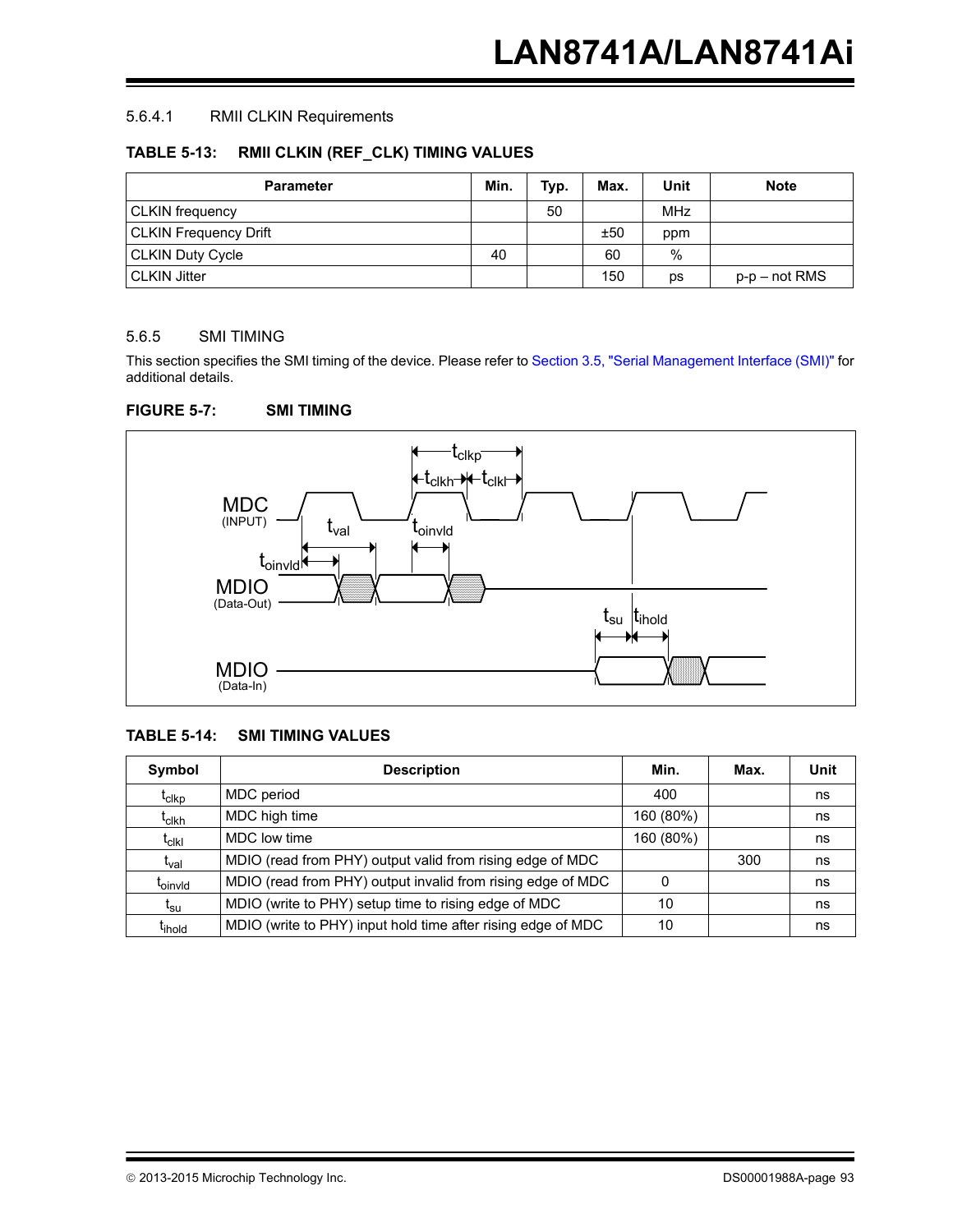#### 5.6.4.1 RMII CLKIN Requirements

#### **TABLE 5-13: RMII CLKIN (REF\_CLK) TIMING VALUES**

| <b>Parameter</b>       | Min. | Typ. | Max. | Unit       | <b>Note</b>     |
|------------------------|------|------|------|------------|-----------------|
| <b>CLKIN</b> frequency |      | 50   |      | <b>MHz</b> |                 |
| CLKIN Frequency Drift  |      |      | ±50  | ppm        |                 |
| CLKIN Duty Cycle       | 40   |      | 60   | $\%$       |                 |
| <b>CLKIN Jitter</b>    |      |      | 150  | ps         | $p-p - not RMS$ |

#### 5.6.5 SMI TIMING

This section specifies the SMI timing of the device. Please refer to [Section 3.5, "Serial Management Interface \(SMI\)"](#page-26-0) for additional details.

#### **FIGURE 5-7: SMI TIMING**



#### **TABLE 5-14: SMI TIMING VALUES**

| Symbol                       | <b>Description</b>                                           | Min.      | Max. | Unit |
|------------------------------|--------------------------------------------------------------|-----------|------|------|
| t <sub>clkp</sub>            | MDC period                                                   | 400       |      | ns   |
| t <sub>clkh</sub>            | MDC high time                                                | 160 (80%) |      | ns   |
| $\mathfrak{t}_{\text{clkl}}$ | MDC low time                                                 | 160 (80%) |      | ns   |
| $t_{\mathsf{val}}$           | MDIO (read from PHY) output valid from rising edge of MDC    |           | 300  | ns   |
| t <sub>oinvid</sub>          | MDIO (read from PHY) output invalid from rising edge of MDC  |           |      | ns   |
| $t_{\rm su}$                 | MDIO (write to PHY) setup time to rising edge of MDC         | 10        |      | ns   |
| t <sub>ihold</sub>           | MDIO (write to PHY) input hold time after rising edge of MDC | 10        |      | ns   |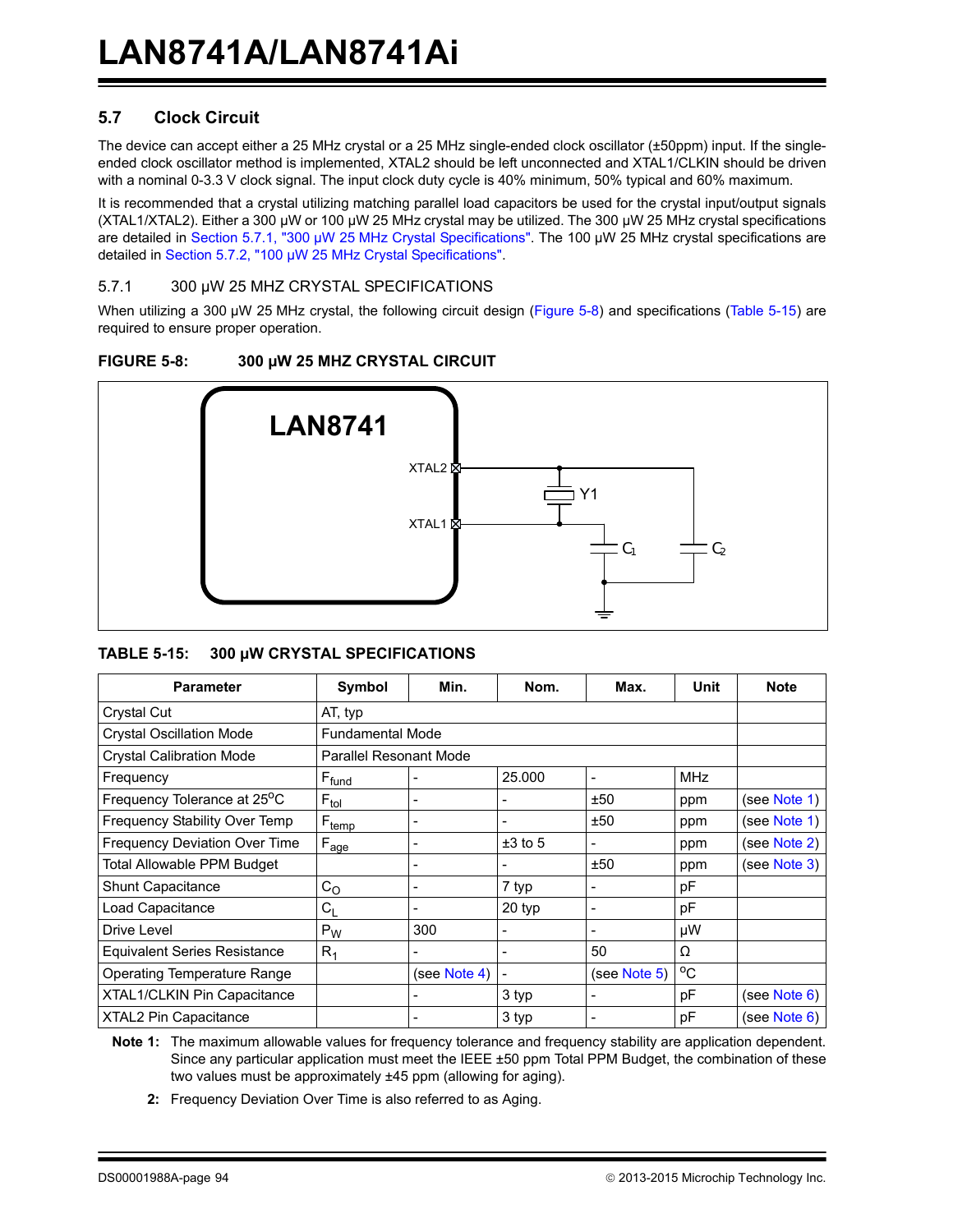## <span id="page-93-5"></span>**5.7 Clock Circuit**

The device can accept either a 25 MHz crystal or a 25 MHz single-ended clock oscillator (±50ppm) input. If the singleended clock oscillator method is implemented, XTAL2 should be left unconnected and XTAL1/CLKIN should be driven with a nominal 0-3.3 V clock signal. The input clock duty cycle is 40% minimum, 50% typical and 60% maximum.

It is recommended that a crystal utilizing matching parallel load capacitors be used for the crystal input/output signals (XTAL1/XTAL2). Either a 300 µW or 100 µW 25 MHz crystal may be utilized. The 300 µW 25 MHz crystal specifications are detailed in [Section 5.7.1, "300 µW 25 MHz Crystal Specifications".](#page-93-0) The 100 µW 25 MHz crystal specifications are detailed in [Section 5.7.2, "100 µW 25 MHz Crystal Specifications".](#page-94-0)

#### <span id="page-93-0"></span>5.7.1 300 µW 25 MHZ CRYSTAL SPECIFICATIONS

When utilizing a 300  $\mu$ W 25 MHz crystal, the following circuit design [\(Figure 5-8](#page-93-4)) and specifications [\(Table 5-15\)](#page-93-1) are required to ensure proper operation.

<span id="page-93-4"></span>



<span id="page-93-1"></span>

|  |  | TABLE 5-15: 300 µW CRYSTAL SPECIFICATIONS |
|--|--|-------------------------------------------|
|--|--|-------------------------------------------|

| <b>Parameter</b>                     | Symbol                        | Min.                     | Nom.                     | Max.         | Unit         | <b>Note</b>  |
|--------------------------------------|-------------------------------|--------------------------|--------------------------|--------------|--------------|--------------|
| Crystal Cut                          | AT, typ                       |                          |                          |              |              |              |
| <b>Crystal Oscillation Mode</b>      | <b>Fundamental Mode</b>       |                          |                          |              |              |              |
| <b>Crystal Calibration Mode</b>      | <b>Parallel Resonant Mode</b> |                          |                          |              |              |              |
| Frequency                            | $F_{fund}$                    |                          | 25,000                   |              | <b>MHz</b>   |              |
| Frequency Tolerance at 25°C          | $F_{tol}$                     | $\overline{\phantom{0}}$ |                          | ±50          | ppm          | (see Note 1) |
| Frequency Stability Over Temp        | $F_{\text{temp}}$             | $\overline{\phantom{0}}$ |                          | ±50          | ppm          | (see Note 1) |
| <b>Frequency Deviation Over Time</b> | $F_{\text{age}}$              |                          | $±3$ to 5                |              | ppm          | (see Note 2) |
| <b>Total Allowable PPM Budget</b>    |                               | $\overline{\phantom{0}}$ |                          | ±50          | ppm          | (see Note 3) |
| <b>Shunt Capacitance</b>             | $\mathrm{C}_\mathrm{O}$       | $\overline{\phantom{a}}$ | 7 typ                    |              | pF           |              |
| Load Capacitance                     | $C_L$                         |                          | 20 typ                   |              | pF           |              |
| Drive Level                          | $P_W$                         | 300                      | $\overline{\phantom{0}}$ |              | μW           |              |
| <b>Equivalent Series Resistance</b>  | $R_1$                         |                          |                          | 50           | Ω            |              |
| <b>Operating Temperature Range</b>   |                               | (see Note 4)             |                          | (see Note 5) | $^{\circ}$ C |              |
| XTAL1/CLKIN Pin Capacitance          |                               |                          | 3 typ                    |              | pF           | (see Note 6) |
| <b>XTAL2 Pin Capacitance</b>         |                               |                          | 3 typ                    |              | pF           | (see Note 6) |

<span id="page-93-2"></span>**Note 1:** The maximum allowable values for frequency tolerance and frequency stability are application dependent. Since any particular application must meet the IEEE ±50 ppm Total PPM Budget, the combination of these two values must be approximately ±45 ppm (allowing for aging).

<span id="page-93-3"></span>**2:** Frequency Deviation Over Time is also referred to as Aging.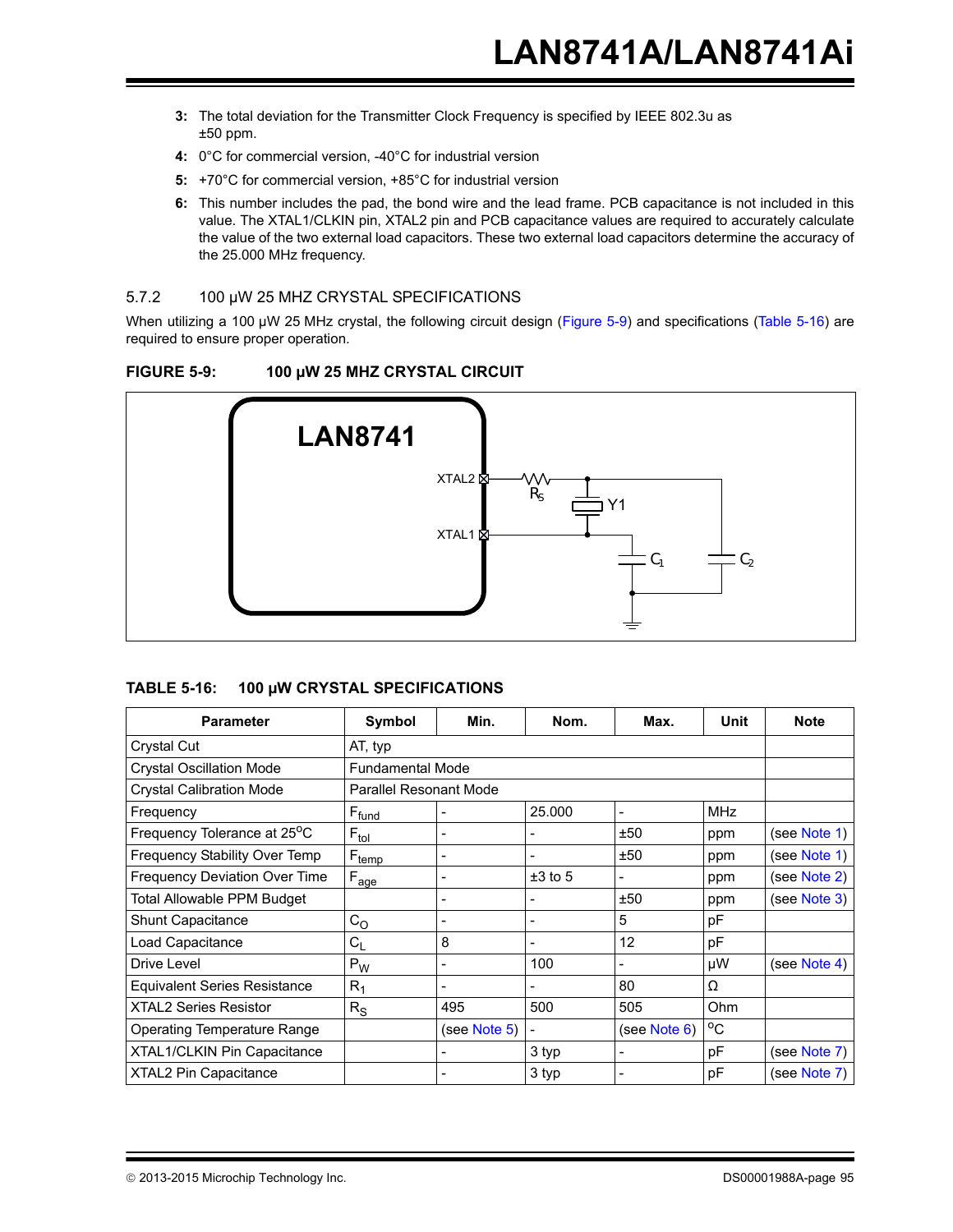- <span id="page-94-1"></span>**3:** The total deviation for the Transmitter Clock Frequency is specified by IEEE 802.3u as ±50 ppm.
- <span id="page-94-4"></span>**4:** 0°C for commercial version, -40°C for industrial version
- <span id="page-94-2"></span>**5:** +70°C for commercial version, +85°C for industrial version
- <span id="page-94-3"></span>**6:** This number includes the pad, the bond wire and the lead frame. PCB capacitance is not included in this value. The XTAL1/CLKIN pin, XTAL2 pin and PCB capacitance values are required to accurately calculate the value of the two external load capacitors. These two external load capacitors determine the accuracy of the 25.000 MHz frequency.

#### <span id="page-94-0"></span>5.7.2 100 µW 25 MHZ CRYSTAL SPECIFICATIONS

When utilizing a 100 µW 25 MHz crystal, the following circuit design [\(Figure 5-9](#page-94-6)) and specifications [\(Table 5-16\)](#page-94-5) are required to ensure proper operation.

#### <span id="page-94-6"></span>**FIGURE 5-9: 100 µW 25 MHZ CRYSTAL CIRCUIT**



#### <span id="page-94-5"></span>**TABLE 5-16: 100 µW CRYSTAL SPECIFICATIONS**

| <b>Parameter</b>                         | Symbol                        | Min.         | Nom.      | Max.                         | Unit         | <b>Note</b>  |
|------------------------------------------|-------------------------------|--------------|-----------|------------------------------|--------------|--------------|
| <b>Crystal Cut</b>                       | AT, typ                       |              |           |                              |              |              |
| <b>Crystal Oscillation Mode</b>          | <b>Fundamental Mode</b>       |              |           |                              |              |              |
| <b>Crystal Calibration Mode</b>          | <b>Parallel Resonant Mode</b> |              |           |                              |              |              |
| Frequency                                | $F_{\text{fund}}$             |              | 25.000    | $\qquad \qquad \blacksquare$ | <b>MHz</b>   |              |
| Frequency Tolerance at 25 <sup>o</sup> C | $F_{tol}$                     | ۰            |           | ±50                          | ppm          | (see Note 1) |
| Frequency Stability Over Temp            | $F_{temp}$                    | ۰            |           | ±50                          | ppm          | (see Note 1) |
| <b>Frequency Deviation Over Time</b>     | $F_{\text{age}}$              | ۰            | $±3$ to 5 | -                            | ppm          | (see Note 2) |
| Total Allowable PPM Budget               |                               | -            |           | ±50                          | ppm          | (see Note 3) |
| <b>Shunt Capacitance</b>                 | $C_{\rm O}$                   | ۰            | ٠         | 5                            | pF           |              |
| Load Capacitance                         | C <sub>1</sub>                | 8            |           | 12                           | pF           |              |
| Drive Level                              | $P_W$                         | ۰            | 100       |                              | μW           | (see Note 4) |
| <b>Equivalent Series Resistance</b>      | $R_1$                         | ۰            |           | 80                           | Ω            |              |
| <b>XTAL2 Series Resistor</b>             | $R_S$                         | 495          | 500       | 505                          | Ohm          |              |
| <b>Operating Temperature Range</b>       |                               | (see Note 5) |           | (see Note 6)                 | $^{\circ}$ C |              |
| XTAL1/CLKIN Pin Capacitance              |                               |              | 3 typ     |                              | pF           | (see Note 7) |
| <b>XTAL2 Pin Capacitance</b>             |                               |              | 3 typ     |                              | pF           | (see Note 7) |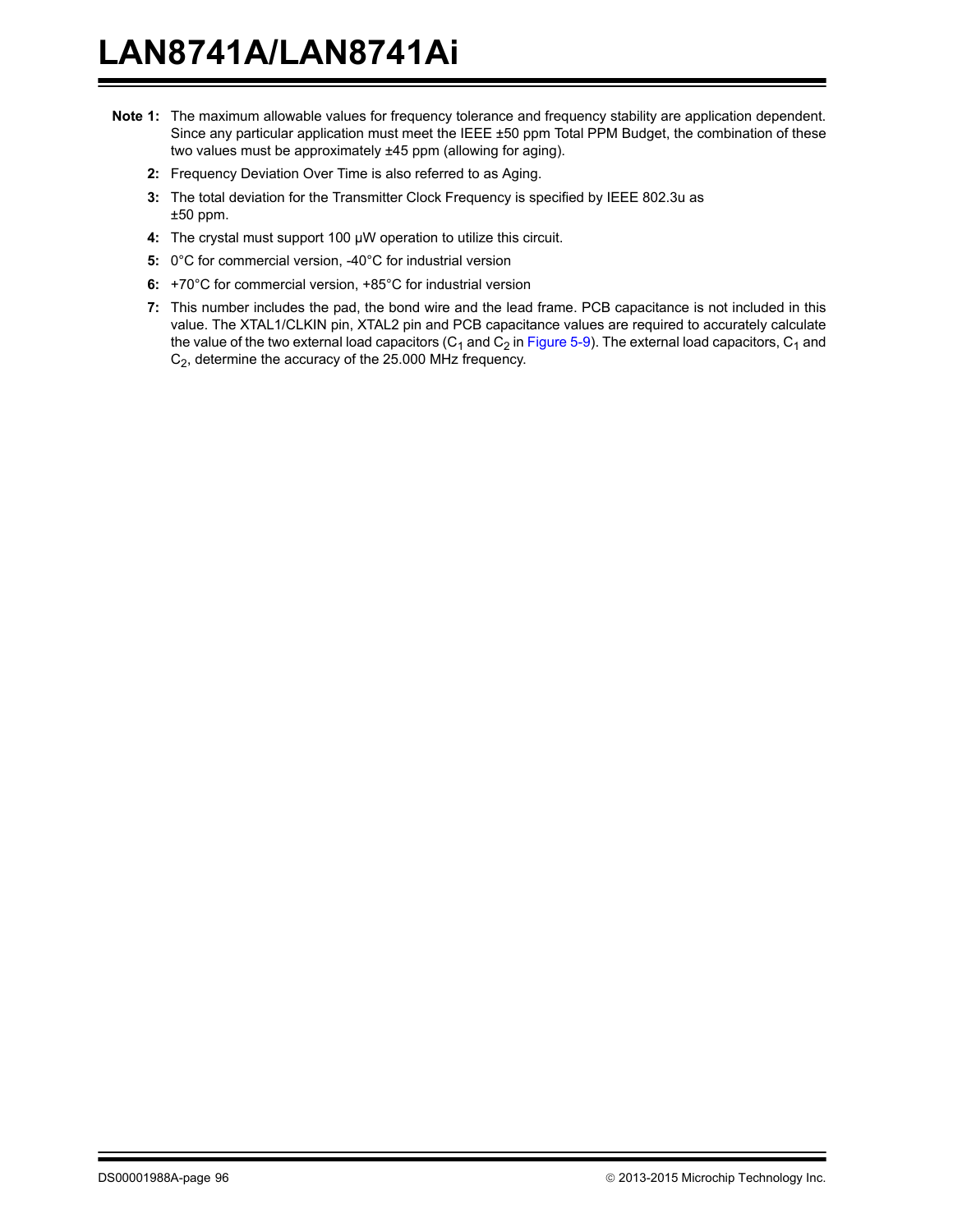- <span id="page-95-6"></span><span id="page-95-5"></span><span id="page-95-4"></span><span id="page-95-3"></span><span id="page-95-2"></span><span id="page-95-1"></span><span id="page-95-0"></span>**Note 1:** The maximum allowable values for frequency tolerance and frequency stability are application dependent. Since any particular application must meet the IEEE ±50 ppm Total PPM Budget, the combination of these two values must be approximately ±45 ppm (allowing for aging).
	- **2:** Frequency Deviation Over Time is also referred to as Aging.
	- **3:** The total deviation for the Transmitter Clock Frequency is specified by IEEE 802.3u as ±50 ppm.
	- **4:** The crystal must support 100 µW operation to utilize this circuit.
	- **5:** 0°C for commercial version, -40°C for industrial version
	- **6:** +70°C for commercial version, +85°C for industrial version
	- **7:** This number includes the pad, the bond wire and the lead frame. PCB capacitance is not included in this value. The XTAL1/CLKIN pin, XTAL2 pin and PCB capacitance values are required to accurately calculate the value of the two external load capacitors ( $C_1$  and  $C_2$  in [Figure 5-9\)](#page-94-6). The external load capacitors,  $C_1$  and  $C_2$ , determine the accuracy of the 25.000 MHz frequency.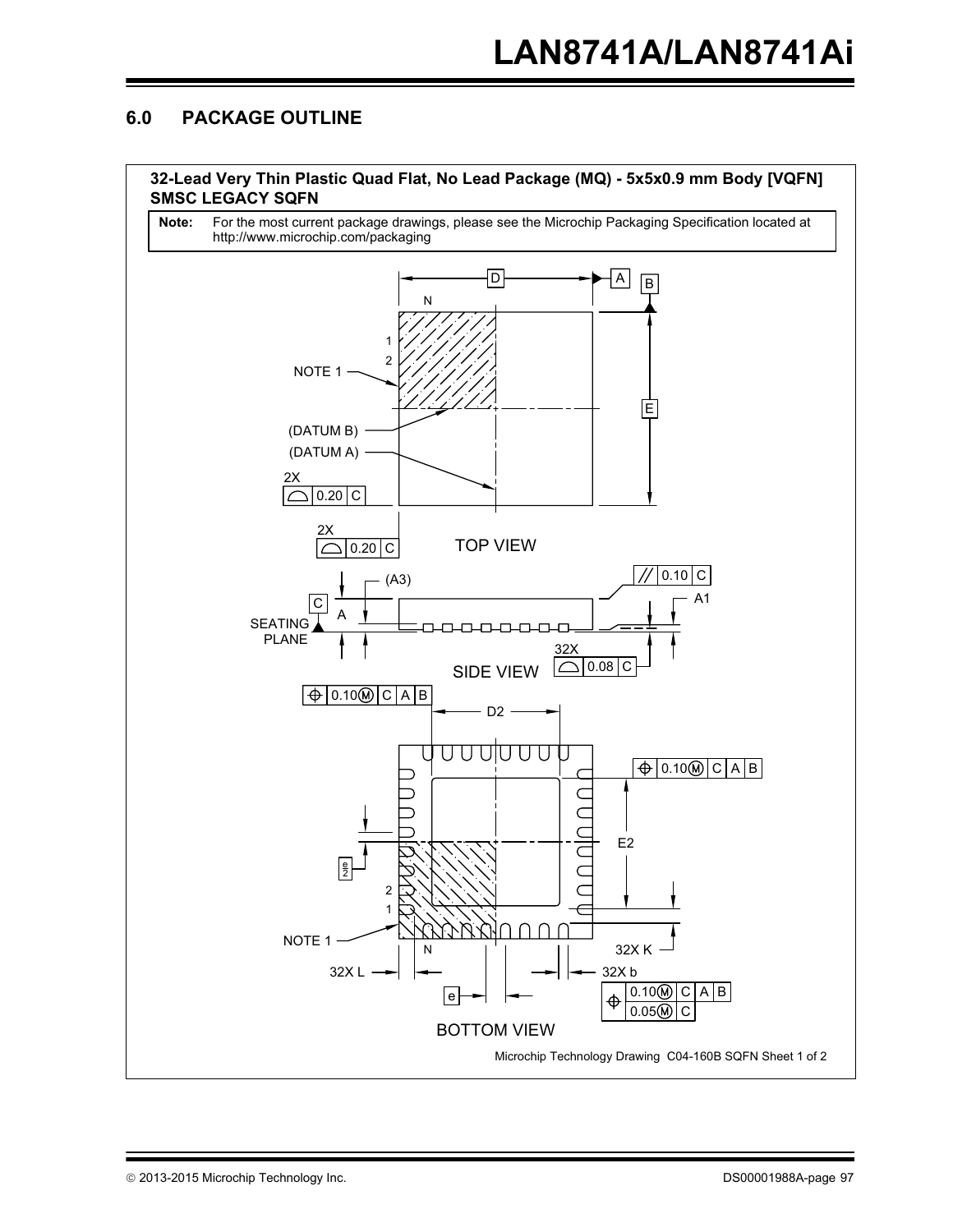## <span id="page-96-0"></span>**6.0 PACKAGE OUTLINE**

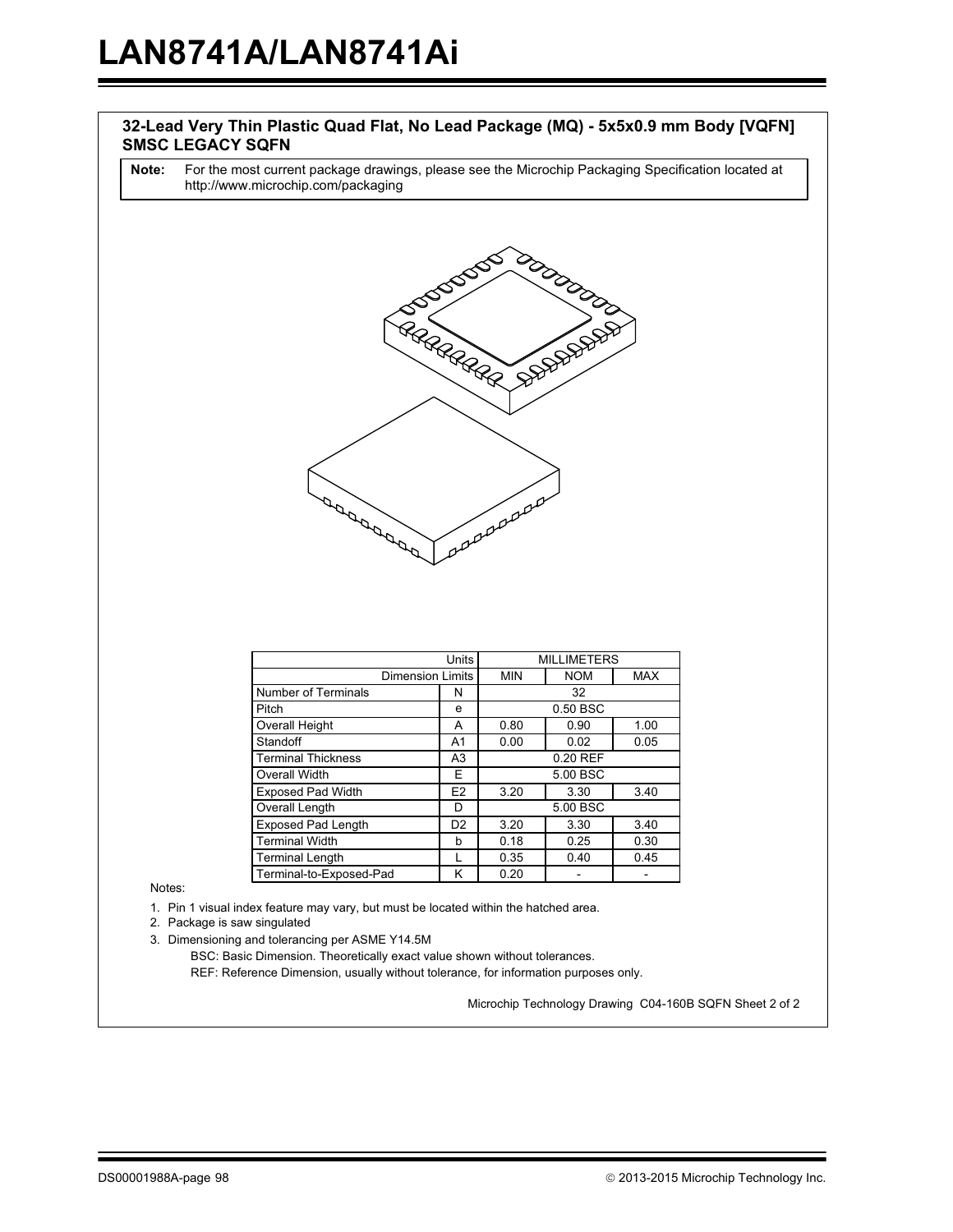#### **32-Lead Very Thin Plastic Quad Flat, No Lead Package (MQ) - 5x5x0.9 mm Body [VQFN] SMSC LEGACY SQFN**

For the most current package drawings, please see the Microchip Packaging Specification located at http://www.microchip.com/packaging **Note:**



|                           | Units          |            | <b>MILLIMETERS</b> |            |  |
|---------------------------|----------------|------------|--------------------|------------|--|
| <b>Dimension Limits</b>   |                | <b>MIN</b> | <b>NOM</b>         | <b>MAX</b> |  |
| Number of Terminals       | N              |            | 32                 |            |  |
| Pitch                     | e              |            | 0.50 BSC           |            |  |
| <b>Overall Height</b>     | A              | 0.80       | 0.90               | 1.00       |  |
| Standoff                  | A1             | 0.00       | 0.02               | 0.05       |  |
| <b>Terminal Thickness</b> | A3             | 0.20 REF   |                    |            |  |
| Overall Width             | E              | 5.00 BSC   |                    |            |  |
| <b>Exposed Pad Width</b>  | E <sub>2</sub> | 3.20       | 3.30               | 3.40       |  |
| Overall Length            | D              | 5.00 BSC   |                    |            |  |
| <b>Exposed Pad Length</b> | D <sub>2</sub> | 3.20       | 3.30               | 3.40       |  |
| <b>Terminal Width</b>     | b              | 0.18       | 0.25               | 0.30       |  |
| <b>Terminal Length</b>    |                | 0.35       | 0.40               | 0.45       |  |
| Terminal-to-Exposed-Pad   | κ              | 0.20       |                    |            |  |

Notes:

1. Pin 1 visual index feature may vary, but must be located within the hatched area.

2. Package is saw singulated

3. Dimensioning and tolerancing per ASME Y14.5M

REF: Reference Dimension, usually without tolerance, for information purposes only. BSC: Basic Dimension. Theoretically exact value shown without tolerances.

Microchip Technology Drawing C04-160B SQFN Sheet 2 of 2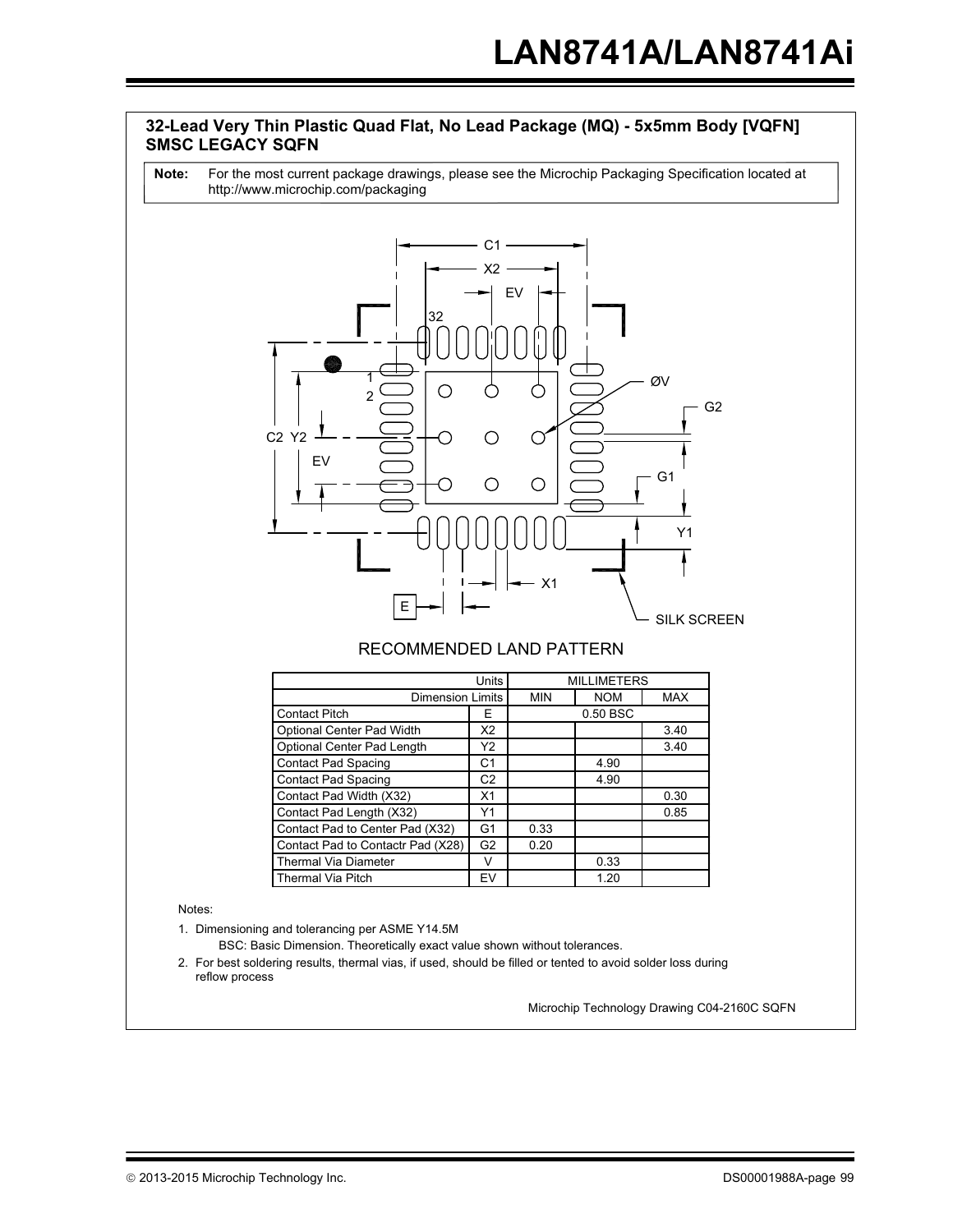#### **32-Lead Very Thin Plastic Quad Flat, No Lead Package (MQ) - 5x5mm Body [VQFN] SMSC LEGACY SQFN**

For the most current package drawings, please see the Microchip Packaging Specification located at http://www.microchip.com/packaging **Note:**



#### RECOMMENDED LAND PATTERN

| Units                             |                |            | <b>MILLIMETERS</b> |            |  |
|-----------------------------------|----------------|------------|--------------------|------------|--|
| <b>Dimension Limits</b>           |                | <b>MIN</b> | <b>NOM</b>         | <b>MAX</b> |  |
| <b>Contact Pitch</b>              | F              |            | 0.50 BSC           |            |  |
| Optional Center Pad Width         | X2             |            |                    | 3.40       |  |
| Optional Center Pad Length        | Y2             |            |                    | 3.40       |  |
| <b>Contact Pad Spacing</b>        | C <sub>1</sub> |            | 4.90               |            |  |
| <b>Contact Pad Spacing</b>        | C <sub>2</sub> |            | 4.90               |            |  |
| Contact Pad Width (X32)           | X1             |            |                    | 0.30       |  |
| Contact Pad Length (X32)          | Y1             |            |                    | 0.85       |  |
| Contact Pad to Center Pad (X32)   | G <sub>1</sub> | 0.33       |                    |            |  |
| Contact Pad to Contactr Pad (X28) | G <sub>2</sub> | 0.20       |                    |            |  |
| <b>Thermal Via Diameter</b>       | V              |            | 0.33               |            |  |
| <b>Thermal Via Pitch</b>          | EV             |            | 1.20               |            |  |

#### Notes:

1. Dimensioning and tolerancing per ASME Y14.5M

BSC: Basic Dimension. Theoretically exact value shown without tolerances.

2. For best soldering results, thermal vias, if used, should be filled or tented to avoid solder loss during reflow process

Microchip Technology Drawing C04-2160C SQFN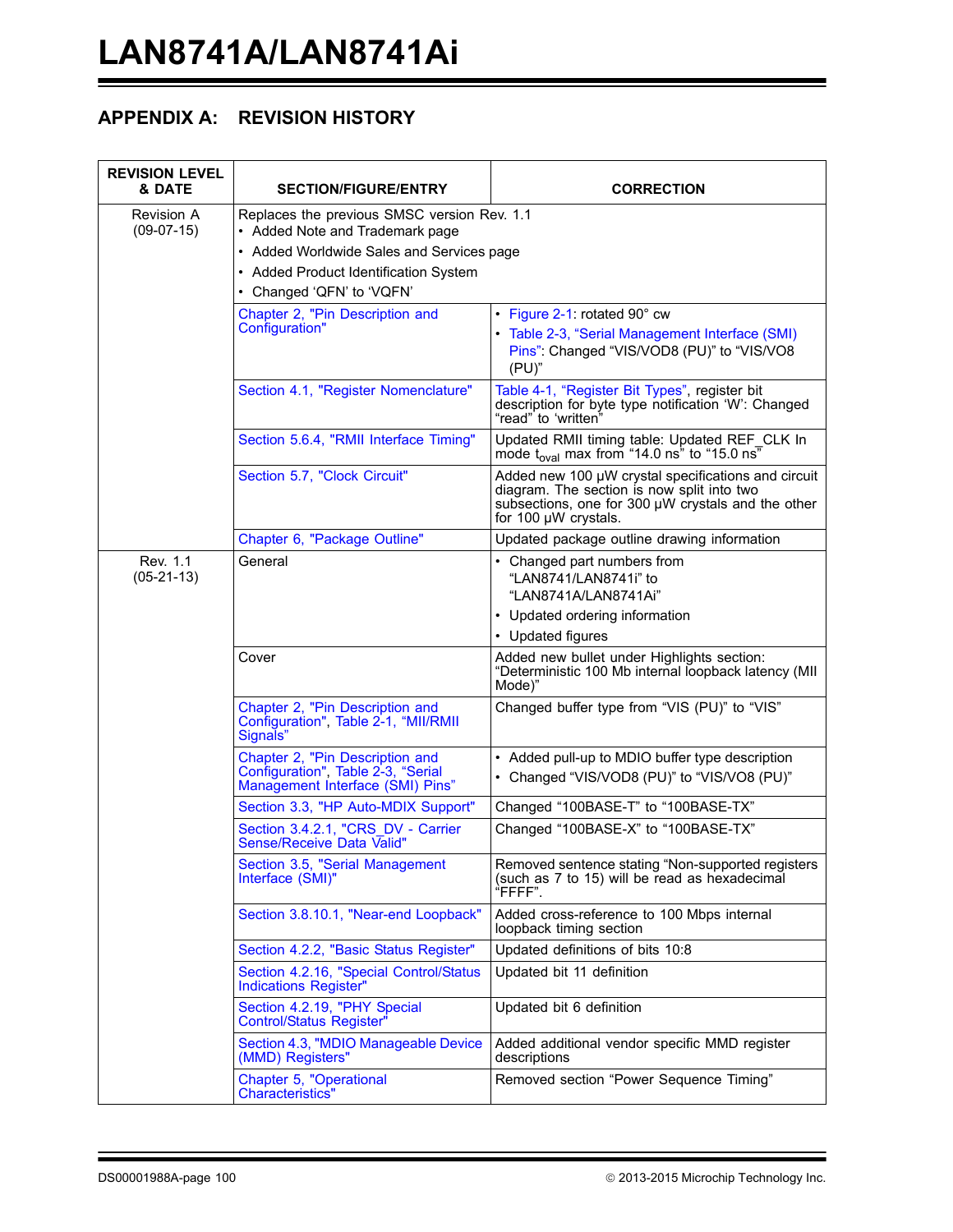## **APPENDIX A: REVISION HISTORY**

| <b>REVISION LEVEL</b><br>& DATE   | <b>SECTION/FIGURE/ENTRY</b>                                                                                                                                                                       | <b>CORRECTION</b>                                                                                                                                                               |  |
|-----------------------------------|---------------------------------------------------------------------------------------------------------------------------------------------------------------------------------------------------|---------------------------------------------------------------------------------------------------------------------------------------------------------------------------------|--|
| <b>Revision A</b><br>$(09-07-15)$ | Replaces the previous SMSC version Rev. 1.1<br>• Added Note and Trademark page<br>• Added Worldwide Sales and Services page<br>• Added Product Identification System<br>• Changed 'QFN' to 'VQFN' |                                                                                                                                                                                 |  |
|                                   | Chapter 2, "Pin Description and<br>Configuration"                                                                                                                                                 | • Figure 2-1: rotated 90° cw<br>• Table 2-3, "Serial Management Interface (SMI)<br>Pins": Changed "VIS/VOD8 (PU)" to "VIS/VO8<br>$(PU)^"$                                       |  |
|                                   | Section 4.1, "Register Nomenclature"                                                                                                                                                              | Table 4-1, "Register Bit Types", register bit<br>description for byte type notification 'W': Changed<br>"read" to 'written'                                                     |  |
|                                   | Section 5.6.4, "RMII Interface Timing"                                                                                                                                                            | Updated RMII timing table: Updated REF_CLK In<br>mode $t_{\text{oval}}$ max from "14.0 ns" to "15.0 ns"                                                                         |  |
|                                   | Section 5.7, "Clock Circuit"                                                                                                                                                                      | Added new 100 µW crystal specifications and circuit<br>diagram. The section is now split into two<br>subsections, one for 300 µW crystals and the other<br>for 100 µW crystals. |  |
|                                   | Chapter 6, "Package Outline"                                                                                                                                                                      | Updated package outline drawing information                                                                                                                                     |  |
| Rev. 1.1<br>$(05-21-13)$          | General                                                                                                                                                                                           | • Changed part numbers from<br>"LAN8741/LAN8741i" to<br>"LAN8741A/LAN8741Ai"                                                                                                    |  |
|                                   |                                                                                                                                                                                                   | • Updated ordering information<br>• Updated figures                                                                                                                             |  |
|                                   | Cover                                                                                                                                                                                             | Added new bullet under Highlights section:<br>"Deterministic 100 Mb internal loopback latency (MII<br>Mode)"                                                                    |  |
|                                   | Chapter 2, "Pin Description and<br>Configuration", Table 2-1, "MII/RMII<br>Signals"                                                                                                               | Changed buffer type from "VIS (PU)" to "VIS"                                                                                                                                    |  |
|                                   | Chapter 2, "Pin Description and<br>Configuration", Table 2-3, "Serial<br>Management Interface (SMI) Pins"                                                                                         | • Added pull-up to MDIO buffer type description<br>• Changed "VIS/VOD8 (PU)" to "VIS/VO8 (PU)"                                                                                  |  |
|                                   | Section 3.3, "HP Auto-MDIX Support"                                                                                                                                                               | Changed "100BASE-T" to "100BASE-TX"                                                                                                                                             |  |
|                                   | Section 3.4.2.1, "CRS DV - Carrier<br>Sense/Receive Data Valid"                                                                                                                                   | Changed "100BASE-X" to "100BASE-TX"                                                                                                                                             |  |
|                                   | Section 3.5, "Serial Management<br>Interface (SMI)"                                                                                                                                               | Removed sentence stating "Non-supported registers<br>(such as 7 to 15) will be read as hexadecimal<br>"FFFFF".                                                                  |  |
|                                   | Section 3.8.10.1, "Near-end Loopback"                                                                                                                                                             | Added cross-reference to 100 Mbps internal<br>loopback timing section                                                                                                           |  |
|                                   | Section 4.2.2, "Basic Status Register"                                                                                                                                                            | Updated definitions of bits 10:8                                                                                                                                                |  |
|                                   | Section 4.2.16, "Special Control/Status<br><b>Indications Register"</b>                                                                                                                           | Updated bit 11 definition                                                                                                                                                       |  |
|                                   | Section 4.2.19, "PHY Special<br>Control/Status Register"                                                                                                                                          | Updated bit 6 definition                                                                                                                                                        |  |
|                                   | Section 4.3, "MDIO Manageable Device<br>(MMD) Registers"                                                                                                                                          | Added additional vendor specific MMD register<br>descriptions                                                                                                                   |  |
|                                   | Chapter 5, "Operational<br>Characteristics"                                                                                                                                                       | Removed section "Power Sequence Timing"                                                                                                                                         |  |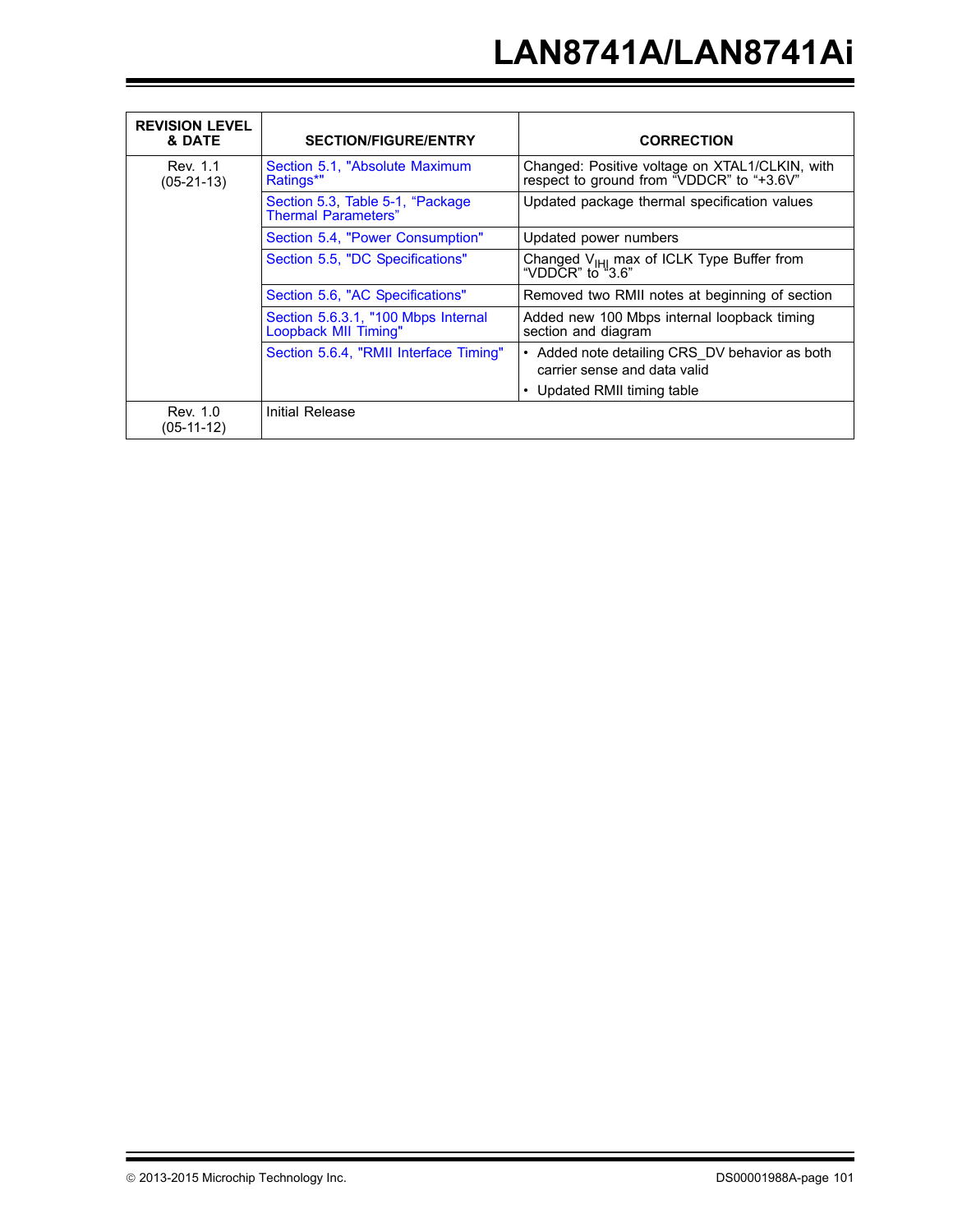| <b>REVISION LEVEL</b><br>& DATE | <b>SECTION/FIGURE/ENTRY</b>                                     | <b>CORRECTION</b>                                                                           |
|---------------------------------|-----------------------------------------------------------------|---------------------------------------------------------------------------------------------|
| Rev. 1.1<br>$(05-21-13)$        | Section 5.1, "Absolute Maximum"<br>Ratings*"                    | Changed: Positive voltage on XTAL1/CLKIN, with<br>respect to ground from "VDDCR" to "+3.6V" |
|                                 | Section 5.3, Table 5-1, "Package"<br><b>Thermal Parameters"</b> | Updated package thermal specification values                                                |
|                                 | Section 5.4, "Power Consumption"                                | Updated power numbers                                                                       |
|                                 | Section 5.5, "DC Specifications"                                | Changed V <sub>IHI</sub> max of ICLK Type Buffer from<br>"VDDCR" to $"3.6"$                 |
|                                 | Section 5.6, "AC Specifications"                                | Removed two RMII notes at beginning of section                                              |
|                                 | Section 5.6.3.1, "100 Mbps Internal<br>Loopback MII Timing"     | Added new 100 Mbps internal loopback timing<br>section and diagram                          |
|                                 | Section 5.6.4, "RMII Interface Timing"                          | • Added note detailing CRS DV behavior as both<br>carrier sense and data valid              |
|                                 |                                                                 | • Updated RMII timing table                                                                 |
| Rev. 1.0<br>(05-11-12)          | Initial Release                                                 |                                                                                             |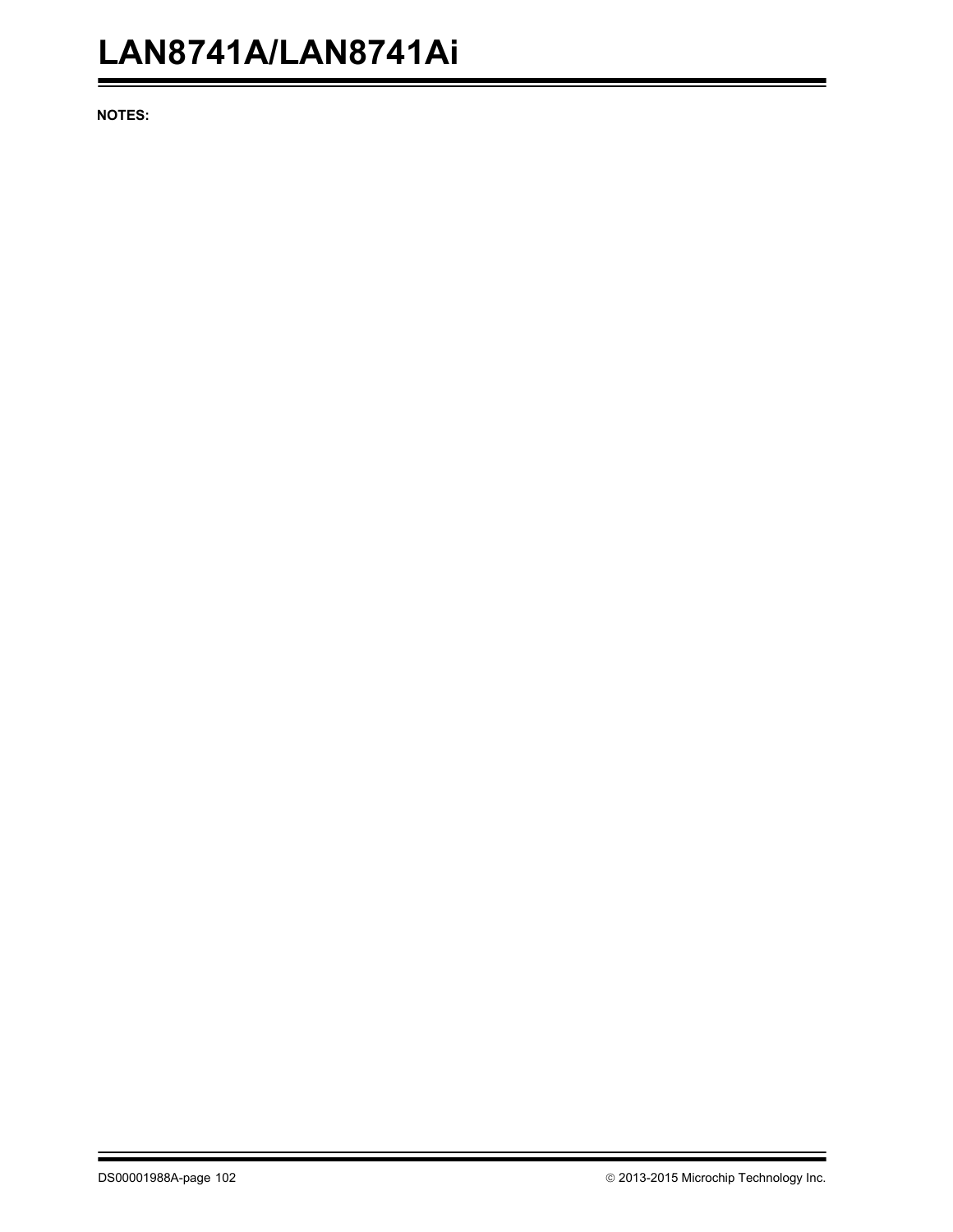## **LAN8741A/LAN8741Ai**

**NOTES:**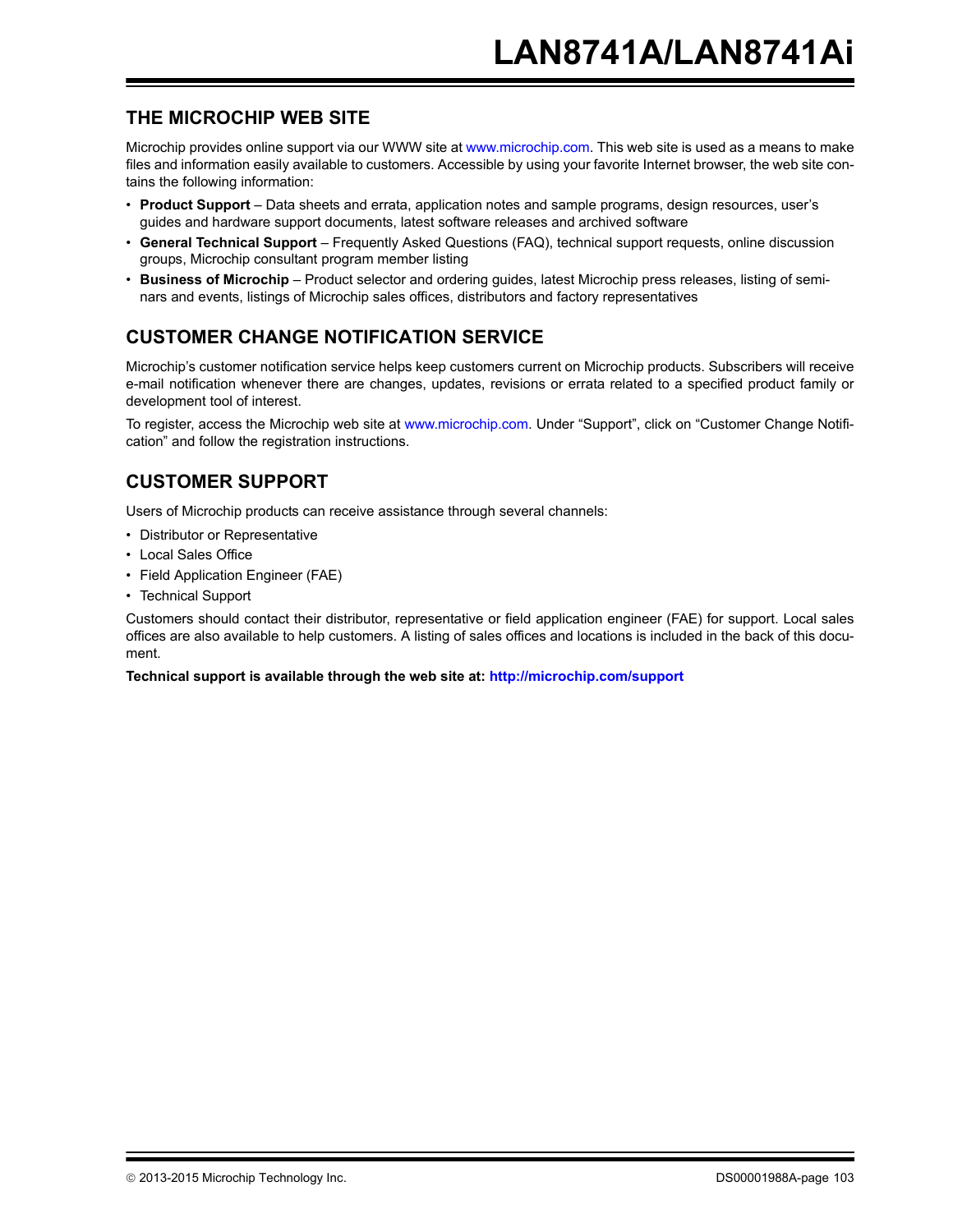## **THE MICROCHIP WEB SITE**

[Microchip provides online support via our WWW site at w](http://www.microchip.com)ww.microchip.com. This web site is used as a means to make files and information easily available to customers. Accessible by using your favorite Internet browser, the web site contains the following information:

- **Product Support** Data sheets and errata, application notes and sample programs, design resources, user's guides and hardware support documents, latest software releases and archived software
- **General Technical Support** Frequently Asked Questions (FAQ), technical support requests, online discussion groups, Microchip consultant program member listing
- **Business of Microchip** Product selector and ordering guides, latest Microchip press releases, listing of seminars and events, listings of Microchip sales offices, distributors and factory representatives

## **CUSTOMER CHANGE NOTIFICATION SERVICE**

Microchip's customer notification service helps keep customers current on Microchip products. Subscribers will receive e-mail notification whenever there are changes, updates, revisions or errata related to a specified product family or development tool of interest.

[To register, access the Microchip web site at](http://www.microchip.com) www.microchip.com. Under "Support", click on "Customer Change Notification" and follow the registration instructions.

## **CUSTOMER SUPPORT**

Users of Microchip products can receive assistance through several channels:

- Distributor or Representative
- Local Sales Office
- Field Application Engineer (FAE)
- Technical Support

Customers should contact their distributor, representative or field application engineer (FAE) for support. Local sales offices are also available to help customers. A listing of sales offices and locations is included in the back of this document.

**[Technical support is available through the web site at: h](http://www.microchip.com)ttp://microchip.com/support**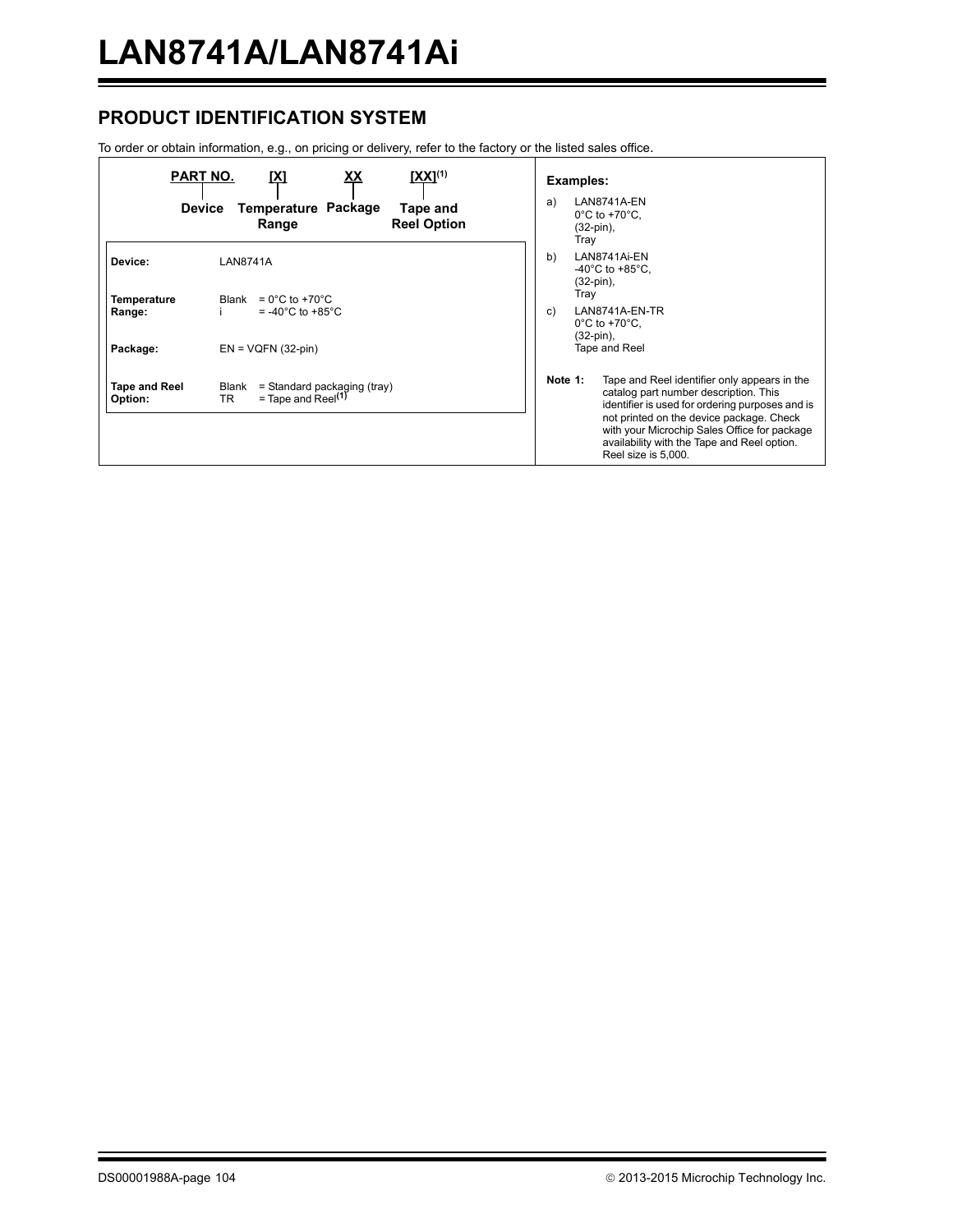## **PRODUCT IDENTIFICATION SYSTEM**

To order or obtain information, e.g., on pricing or delivery, refer to the factory or the listed sales office.

| PART NO.                        | $[XX]^{(1)}$<br>XХ<br><u>[X]</u>                                                    | Examples:                                                                                                                                                                                                                                                                                                             |
|---------------------------------|-------------------------------------------------------------------------------------|-----------------------------------------------------------------------------------------------------------------------------------------------------------------------------------------------------------------------------------------------------------------------------------------------------------------------|
| <b>Device</b>                   | <b>Temperature Package</b><br>Tape and<br><b>Reel Option</b><br>Range               | LAN8741A-EN<br>a)<br>$0^{\circ}$ C to +70 $^{\circ}$ C.<br>$(32-pin)$ ,<br>Tray                                                                                                                                                                                                                                       |
| Device:                         | <b>LAN8741A</b>                                                                     | b)<br>LAN8741Ai-EN<br>-40 $^{\circ}$ C to +85 $^{\circ}$ C,<br>$(32-pin)$ ,                                                                                                                                                                                                                                           |
| <b>Temperature</b><br>Range:    | Blank = $0^{\circ}$ C to +70 $^{\circ}$ C<br>$= -40^{\circ}$ C to $+85^{\circ}$ C   | Tray<br>LAN8741A-EN-TR<br>C)<br>$0^{\circ}$ C to +70 $^{\circ}$ C,                                                                                                                                                                                                                                                    |
| Package:                        | $EN = VQFN (32-pin)$                                                                | $(32-pin)$ ,<br>Tape and Reel                                                                                                                                                                                                                                                                                         |
| <b>Tape and Reel</b><br>Option: | = Standard packaging (tray)<br>Blank<br>= Tape and Reel <sup>(1)</sup><br><b>TR</b> | Note 1:<br>Tape and Reel identifier only appears in the<br>catalog part number description. This<br>identifier is used for ordering purposes and is<br>not printed on the device package. Check<br>with your Microchip Sales Office for package<br>availability with the Tape and Reel option.<br>Reel size is 5,000. |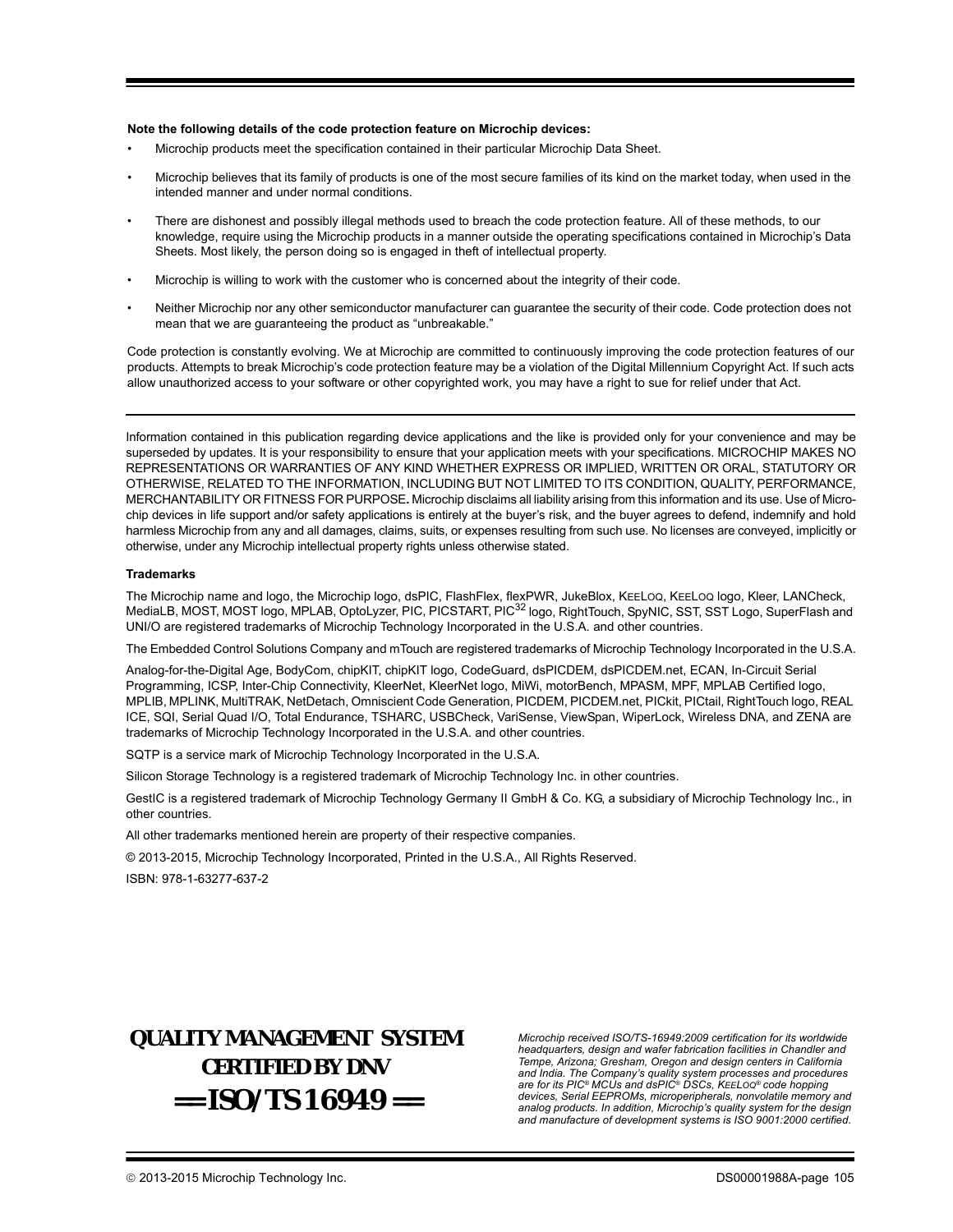#### **Note the following details of the code protection feature on Microchip devices:**

- Microchip products meet the specification contained in their particular Microchip Data Sheet.
- Microchip believes that its family of products is one of the most secure families of its kind on the market today, when used in the intended manner and under normal conditions.
- There are dishonest and possibly illegal methods used to breach the code protection feature. All of these methods, to our knowledge, require using the Microchip products in a manner outside the operating specifications contained in Microchip's Data Sheets. Most likely, the person doing so is engaged in theft of intellectual property.
- Microchip is willing to work with the customer who is concerned about the integrity of their code.
- Neither Microchip nor any other semiconductor manufacturer can guarantee the security of their code. Code protection does not mean that we are guaranteeing the product as "unbreakable."

Code protection is constantly evolving. We at Microchip are committed to continuously improving the code protection features of our products. Attempts to break Microchip's code protection feature may be a violation of the Digital Millennium Copyright Act. If such acts allow unauthorized access to your software or other copyrighted work, you may have a right to sue for relief under that Act.

Information contained in this publication regarding device applications and the like is provided only for your convenience and may be superseded by updates. It is your responsibility to ensure that your application meets with your specifications. MICROCHIP MAKES NO REPRESENTATIONS OR WARRANTIES OF ANY KIND WHETHER EXPRESS OR IMPLIED, WRITTEN OR ORAL, STATUTORY OR OTHERWISE, RELATED TO THE INFORMATION, INCLUDING BUT NOT LIMITED TO ITS CONDITION, QUALITY, PERFORMANCE, MERCHANTABILITY OR FITNESS FOR PURPOSE**.** Microchip disclaims all liability arising from this information and its use. Use of Microchip devices in life support and/or safety applications is entirely at the buyer's risk, and the buyer agrees to defend, indemnify and hold harmless Microchip from any and all damages, claims, suits, or expenses resulting from such use. No licenses are conveyed, implicitly or otherwise, under any Microchip intellectual property rights unless otherwise stated.

#### **Trademarks**

The Microchip name and logo, the Microchip logo, dsPIC, FlashFlex, flexPWR, JukeBlox, KEELOQ, KEELOQ logo, Kleer, LANCheck, MediaLB, MOST, MOST logo, MPLAB, OptoLyzer, PIC, PICSTART, PIC<sup>32</sup> logo, RightTouch, SpyNIC, SST, SST Logo, SuperFlash and UNI/O are registered trademarks of Microchip Technology Incorporated in the U.S.A. and other countries.

The Embedded Control Solutions Company and mTouch are registered trademarks of Microchip Technology Incorporated in the U.S.A.

Analog-for-the-Digital Age, BodyCom, chipKIT, chipKIT logo, CodeGuard, dsPICDEM, dsPICDEM.net, ECAN, In-Circuit Serial Programming, ICSP, Inter-Chip Connectivity, KleerNet, KleerNet logo, MiWi, motorBench, MPASM, MPF, MPLAB Certified logo, MPLIB, MPLINK, MultiTRAK, NetDetach, Omniscient Code Generation, PICDEM, PICDEM.net, PICkit, PICtail, RightTouch logo, REAL ICE, SQI, Serial Quad I/O, Total Endurance, TSHARC, USBCheck, VariSense, ViewSpan, WiperLock, Wireless DNA, and ZENA are trademarks of Microchip Technology Incorporated in the U.S.A. and other countries.

SQTP is a service mark of Microchip Technology Incorporated in the U.S.A.

Silicon Storage Technology is a registered trademark of Microchip Technology Inc. in other countries.

GestIC is a registered trademark of Microchip Technology Germany II GmbH & Co. KG, a subsidiary of Microchip Technology Inc., in other countries.

All other trademarks mentioned herein are property of their respective companies.

© 2013-2015, Microchip Technology Incorporated, Printed in the U.S.A., All Rights Reserved.

ISBN: 978-1-63277-637-2

## **QUALITY MANAGEMENT SYSTEM CERTIFIED BY DNV**  == **ISO/TS 16949** ==

*Microchip received ISO/TS-16949:2009 certification for its worldwide headquarters, design and wafer fabrication facilities in Chandler and Tempe, Arizona; Gresham, Oregon and design centers in California and India. The Company's quality system processes and procedures are for its PIC® MCUs and dsPIC® DSCs, KEELOQ® code hopping devices, Serial EEPROMs, microperipherals, nonvolatile memory and analog products. In addition, Microchip's quality system for the design and manufacture of development systems is ISO 9001:2000 certified.*